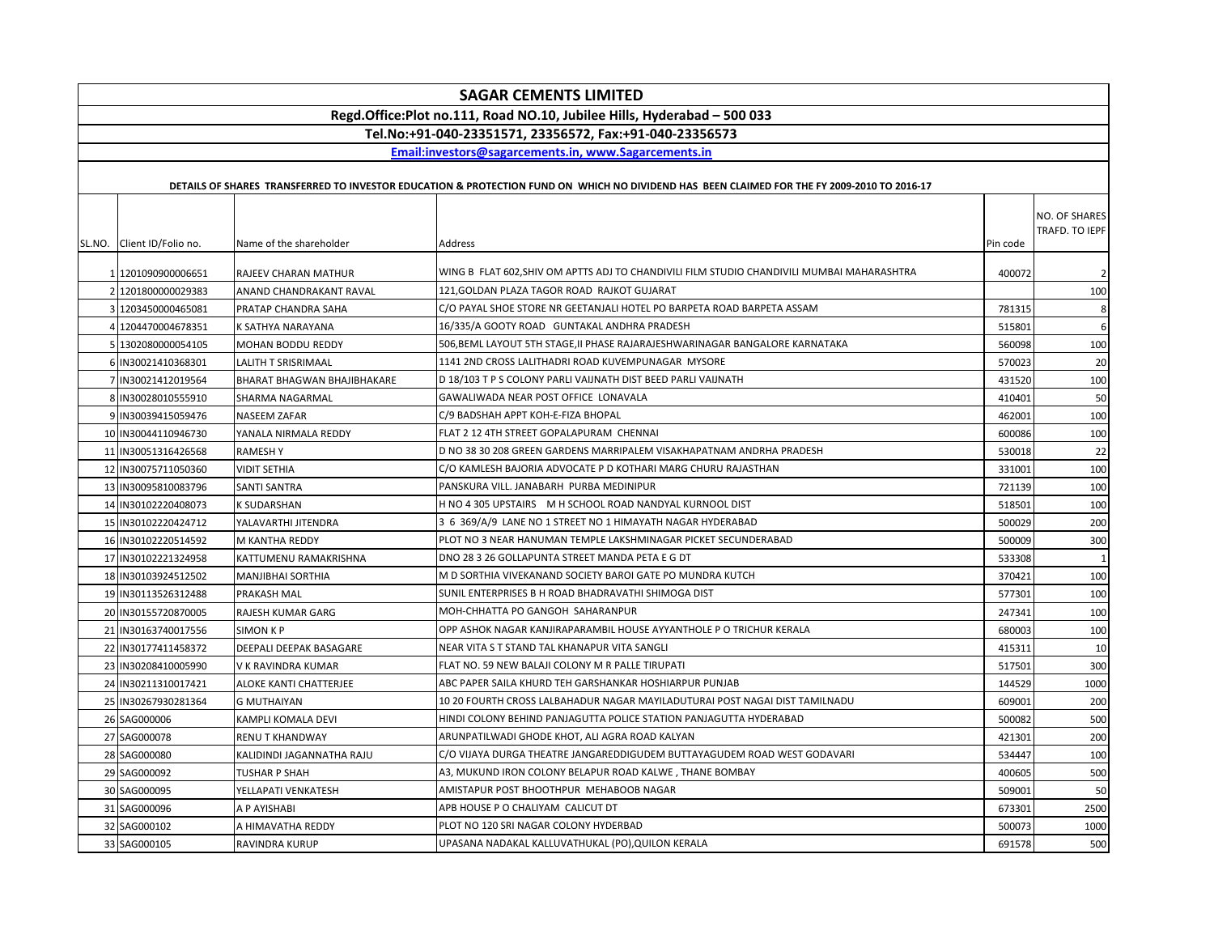|               | <b>SAGAR CEMENTS LIMITED</b>                                            |                                    |                                                                                                                                             |          |                                 |
|---------------|-------------------------------------------------------------------------|------------------------------------|---------------------------------------------------------------------------------------------------------------------------------------------|----------|---------------------------------|
|               | Regd.Office:Plot no.111, Road NO.10, Jubilee Hills, Hyderabad - 500 033 |                                    |                                                                                                                                             |          |                                 |
|               | Tel.No:+91-040-23351571, 23356572, Fax:+91-040-23356573                 |                                    |                                                                                                                                             |          |                                 |
|               |                                                                         |                                    | Email:investors@sagarcements.in, www.Sagarcements.in                                                                                        |          |                                 |
|               |                                                                         |                                    |                                                                                                                                             |          |                                 |
|               |                                                                         |                                    | DETAILS OF SHARES TRANSFERRED TO INVESTOR EDUCATION & PROTECTION FUND ON WHICH NO DIVIDEND HAS BEEN CLAIMED FOR THE FY 2009-2010 TO 2016-17 |          |                                 |
|               | SL.NO. Client ID/Folio no.                                              | Name of the shareholder            | Address                                                                                                                                     | Pin code | NO. OF SHARES<br>TRAFD. TO IEPF |
| 1             | 1201090900006651                                                        | RAJEEV CHARAN MATHUR               | WING B FLAT 602,SHIV OM APTTS ADJ TO CHANDIVILI FILM STUDIO CHANDIVILI MUMBAI MAHARASHTRA                                                   | 400072   | $\overline{2}$                  |
| $\mathcal{P}$ | 1201800000029383                                                        | ANAND CHANDRAKANT RAVAL            | 121, GOLDAN PLAZA TAGOR ROAD RAJKOT GUJARAT                                                                                                 |          | 100                             |
|               | 3 1203450000465081                                                      | PRATAP CHANDRA SAHA                | C/O PAYAL SHOE STORE NR GEETANJALI HOTEL PO BARPETA ROAD BARPETA ASSAM                                                                      | 781315   | 8                               |
| Δ             | 1204470004678351                                                        | K SATHYA NARAYANA                  | 16/335/A GOOTY ROAD GUNTAKAL ANDHRA PRADESH                                                                                                 | 515801   | 6                               |
|               | 5 1302080000054105                                                      | MOHAN BODDU REDDY                  | 506,BEML LAYOUT 5TH STAGE,II PHASE RAJARAJESHWARINAGAR BANGALORE KARNATAKA                                                                  | 560098   | 100                             |
|               | IN30021410368301                                                        | LALITH T SRISRIMAAL                | 1141 2ND CROSS LALITHADRI ROAD KUVEMPUNAGAR MYSORE                                                                                          | 570023   | 20                              |
| 7             | IN30021412019564                                                        | <b>BHARAT BHAGWAN BHAJIBHAKARE</b> | D 18/103 T P S COLONY PARLI VAIJNATH DIST BEED PARLI VAIJNATH                                                                               | 431520   | 100                             |
|               | 8 IN30028010555910                                                      | SHARMA NAGARMAL                    | GAWALIWADA NEAR POST OFFICE LONAVALA                                                                                                        | 410401   | 50                              |
|               | 9 IN30039415059476                                                      | NASEEM ZAFAR                       | C/9 BADSHAH APPT KOH-E-FIZA BHOPAL                                                                                                          | 462001   | 100                             |
|               | 10 IN30044110946730                                                     | YANALA NIRMALA REDDY               | FLAT 2 12 4TH STREET GOPALAPURAM CHENNAI                                                                                                    | 600086   | 100                             |
|               | 11 IN30051316426568                                                     | <b>RAMESHY</b>                     | D NO 38 30 208 GREEN GARDENS MARRIPALEM VISAKHAPATNAM ANDRHA PRADESH                                                                        | 530018   | 22                              |
|               | 12 IN30075711050360                                                     | <b>VIDIT SETHIA</b>                | C/O KAMLESH BAJORIA ADVOCATE P D KOTHARI MARG CHURU RAJASTHAN                                                                               | 331001   | 100                             |
|               | 13 IN30095810083796                                                     | <b>SANTI SANTRA</b>                | PANSKURA VILL. JANABARH PURBA MEDINIPUR                                                                                                     | 721139   | 100                             |
|               | 14 IN30102220408073                                                     | <b>K SUDARSHAN</b>                 | H NO 4 305 UPSTAIRS M H SCHOOL ROAD NANDYAL KURNOOL DIST                                                                                    | 518501   | 100                             |
|               | 15 IN30102220424712                                                     | YALAVARTHI JITENDRA                | 3 6 369/A/9 LANE NO 1 STREET NO 1 HIMAYATH NAGAR HYDERABAD                                                                                  | 500029   | 200                             |
|               | 16 IN30102220514592                                                     | M KANTHA REDDY                     | PLOT NO 3 NEAR HANUMAN TEMPLE LAKSHMINAGAR PICKET SECUNDERABAD                                                                              | 500009   | 300                             |
|               | 17 IN30102221324958                                                     | KATTUMENU RAMAKRISHNA              | DNO 28 3 26 GOLLAPUNTA STREET MANDA PETA E G DT                                                                                             | 533308   | 1                               |
|               | 18 IN30103924512502                                                     | <b>MANJIBHAI SORTHIA</b>           | M D SORTHIA VIVEKANAND SOCIETY BAROI GATE PO MUNDRA KUTCH                                                                                   | 370421   | 100                             |
|               | 19 IN30113526312488                                                     | PRAKASH MAL                        | SUNIL ENTERPRISES B H ROAD BHADRAVATHI SHIMOGA DIST                                                                                         | 577301   | 100                             |
|               | 20 IN30155720870005                                                     | RAJESH KUMAR GARG                  | MOH-CHHATTA PO GANGOH SAHARANPUR                                                                                                            | 247341   | 100                             |
|               | 21 IN30163740017556                                                     | <b>SIMON KP</b>                    | OPP ASHOK NAGAR KANJIRAPARAMBIL HOUSE AYYANTHOLE P O TRICHUR KERALA                                                                         | 680003   | 100                             |
|               | 22 IN30177411458372                                                     | DEEPALI DEEPAK BASAGARE            | NEAR VITA S T STAND TAL KHANAPUR VITA SANGLI                                                                                                | 415311   | 10                              |
|               | 23 IN30208410005990                                                     | V K RAVINDRA KUMAR                 | FLAT NO. 59 NEW BALAJI COLONY M R PALLE TIRUPATI                                                                                            | 517501   | 300                             |
|               | 24 IN30211310017421                                                     | ALOKE KANTI CHATTERJEE             | ABC PAPER SAILA KHURD TEH GARSHANKAR HOSHIARPUR PUNJAB                                                                                      | 144529   | 1000                            |
|               | 25 IN30267930281364                                                     | <b>G MUTHAIYAN</b>                 | 10 20 FOURTH CROSS LALBAHADUR NAGAR MAYILADUTURAI POST NAGAI DIST TAMILNADU                                                                 | 609001   | 200                             |
|               | 26 SAG000006                                                            | KAMPLI KOMALA DEVI                 | HINDI COLONY BEHIND PANJAGUTTA POLICE STATION PANJAGUTTA HYDERABAD                                                                          | 500082   | 500                             |
|               | 27 SAG000078                                                            | RENU T KHANDWAY                    | ARUNPATILWADI GHODE KHOT, ALI AGRA ROAD KALYAN                                                                                              | 421301   | 200                             |
|               | 28 SAG000080                                                            | KALIDINDI JAGANNATHA RAJU          | C/O VIJAYA DURGA THEATRE JANGAREDDIGUDEM BUTTAYAGUDEM ROAD WEST GODAVARI                                                                    | 534447   | 100                             |
|               | 29 SAG000092                                                            | TUSHAR P SHAH                      | A3, MUKUND IRON COLONY BELAPUR ROAD KALWE, THANE BOMBAY                                                                                     | 400605   | 500                             |
|               | 30 SAG000095                                                            | YELLAPATI VENKATESH                | AMISTAPUR POST BHOOTHPUR MEHABOOB NAGAR                                                                                                     | 509001   | 50                              |
|               | 31 SAG000096                                                            | A P AYISHABI                       | APB HOUSE P O CHALIYAM CALICUT DT                                                                                                           | 673301   | 2500                            |
|               | 32 SAG000102                                                            | A HIMAVATHA REDDY                  | PLOT NO 120 SRI NAGAR COLONY HYDERBAD                                                                                                       | 500073   | 1000                            |
|               | 33 SAG000105                                                            | RAVINDRA KURUP                     | UPASANA NADAKAL KALLUVATHUKAL (PO), QUILON KERALA                                                                                           | 691578   | 500                             |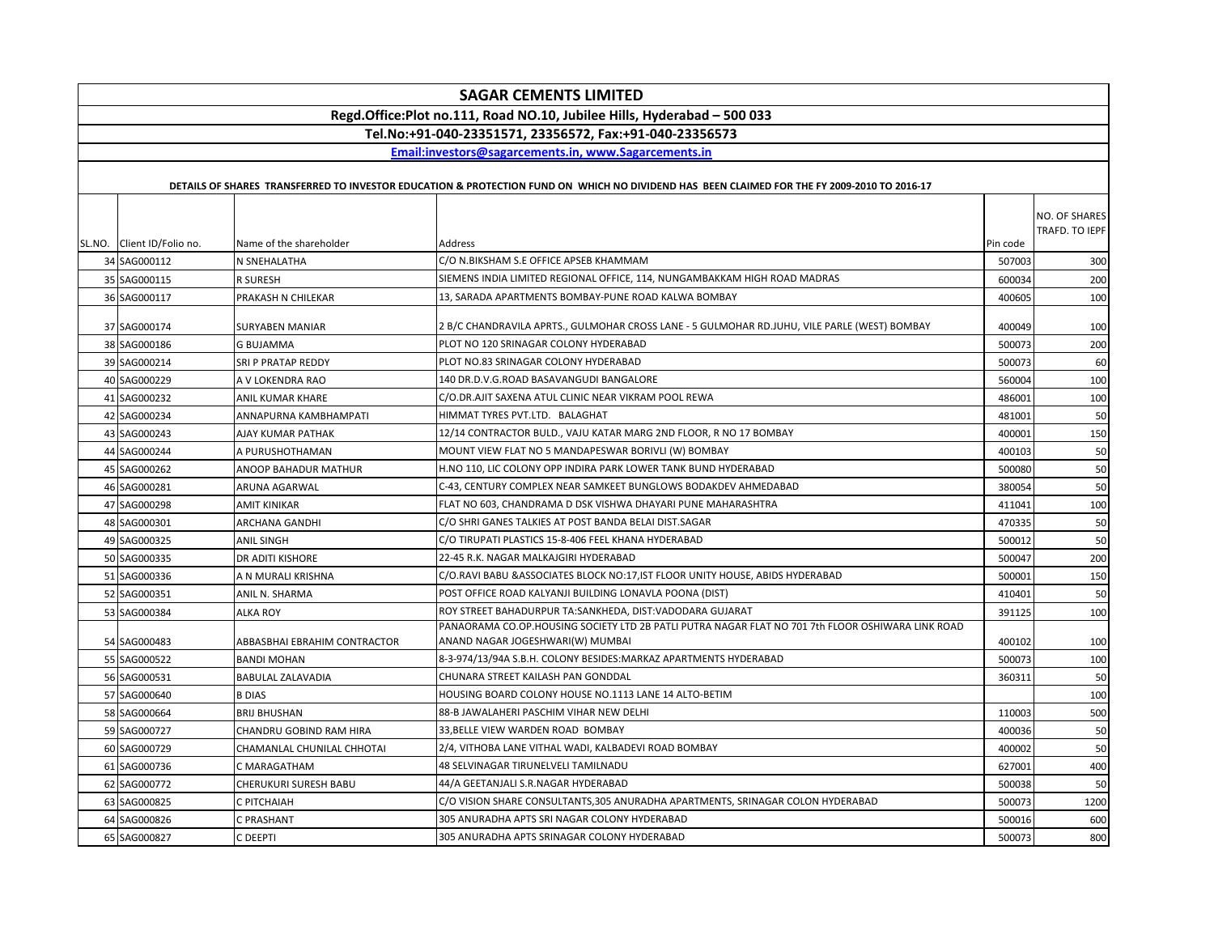| <b>SAGAR CEMENTS LIMITED</b>                                            |                              |                                                                                                                                             |          |                                 |
|-------------------------------------------------------------------------|------------------------------|---------------------------------------------------------------------------------------------------------------------------------------------|----------|---------------------------------|
| Regd.Office:Plot no.111, Road NO.10, Jubilee Hills, Hyderabad - 500 033 |                              |                                                                                                                                             |          |                                 |
|                                                                         |                              | Tel.No:+91-040-23351571, 23356572, Fax:+91-040-23356573                                                                                     |          |                                 |
|                                                                         |                              | Email:investors@sagarcements.in, www.Sagarcements.in                                                                                        |          |                                 |
|                                                                         |                              | DETAILS OF SHARES TRANSFERRED TO INVESTOR EDUCATION & PROTECTION FUND ON WHICH NO DIVIDEND HAS BEEN CLAIMED FOR THE FY 2009-2010 TO 2016-17 |          |                                 |
| SL.NO. Client ID/Folio no.                                              | Name of the shareholder      | Address                                                                                                                                     | Pin code | NO. OF SHARES<br>TRAFD. TO IEPF |
| 34 SAG000112                                                            | N SNEHALATHA                 | C/O N.BIKSHAM S.E OFFICE APSEB KHAMMAM                                                                                                      | 507003   | 300                             |
| 35 SAG000115                                                            | R SURESH                     | SIEMENS INDIA LIMITED REGIONAL OFFICE, 114, NUNGAMBAKKAM HIGH ROAD MADRAS                                                                   | 600034   | 200                             |
| 36 SAG000117                                                            | PRAKASH N CHILEKAR           | 13, SARADA APARTMENTS BOMBAY-PUNE ROAD KALWA BOMBAY                                                                                         | 400605   | 100                             |
| 37 SAG000174                                                            | <b>SURYABEN MANIAR</b>       | 2 B/C CHANDRAVILA APRTS., GULMOHAR CROSS LANE - 5 GULMOHAR RD.JUHU, VILE PARLE (WEST) BOMBAY                                                | 400049   | 100                             |
| 38 SAG000186                                                            | <b>G BUJAMMA</b>             | PLOT NO 120 SRINAGAR COLONY HYDERABAD                                                                                                       | 500073   | 200                             |
| 39 SAG000214                                                            | SRI P PRATAP REDDY           | PLOT NO.83 SRINAGAR COLONY HYDERABAD                                                                                                        | 500073   | 60                              |
| 40 SAG000229                                                            | A V LOKENDRA RAO             | 140 DR.D.V.G.ROAD BASAVANGUDI BANGALORE                                                                                                     | 560004   | 100                             |
| 41 SAG000232                                                            | ANIL KUMAR KHARE             | C/O.DR.AJIT SAXENA ATUL CLINIC NEAR VIKRAM POOL REWA                                                                                        | 486001   | 100                             |
| 42 SAG000234                                                            | ANNAPURNA KAMBHAMPATI        | HIMMAT TYRES PVT.LTD. BALAGHAT                                                                                                              | 481001   | 50                              |
| 43 SAG000243                                                            | AJAY KUMAR PATHAK            | 12/14 CONTRACTOR BULD., VAJU KATAR MARG 2ND FLOOR, R NO 17 BOMBAY                                                                           | 400001   | 150                             |
| 44 SAG000244                                                            | A PURUSHOTHAMAN              | MOUNT VIEW FLAT NO 5 MANDAPESWAR BORIVLI (W) BOMBAY                                                                                         | 400103   | 50                              |
| 45 SAG000262                                                            | ANOOP BAHADUR MATHUR         | H.NO 110, LIC COLONY OPP INDIRA PARK LOWER TANK BUND HYDERABAD                                                                              | 500080   | 50                              |
| 46 SAG000281                                                            | ARUNA AGARWAL                | C-43, CENTURY COMPLEX NEAR SAMKEET BUNGLOWS BODAKDEV AHMEDABAD                                                                              | 380054   | 50                              |
| 47 SAG000298                                                            | <b>AMIT KINIKAR</b>          | FLAT NO 603, CHANDRAMA D DSK VISHWA DHAYARI PUNE MAHARASHTRA                                                                                | 411041   | 100                             |
| 48 SAG000301                                                            | ARCHANA GANDHI               | C/O SHRI GANES TALKIES AT POST BANDA BELAI DIST.SAGAR                                                                                       | 470335   | 50                              |
| 49 SAG000325                                                            | <b>ANIL SINGH</b>            | C/O TIRUPATI PLASTICS 15-8-406 FEEL KHANA HYDERABAD                                                                                         | 500012   | 50                              |
| 50 SAG000335                                                            | <b>DR ADITI KISHORE</b>      | 22-45 R.K. NAGAR MALKAJGIRI HYDERABAD                                                                                                       | 500047   | 200                             |
| 51 SAG000336                                                            | A N MURALI KRISHNA           | C/O.RAVI BABU & ASSOCIATES BLOCK NO:17, IST FLOOR UNITY HOUSE, ABIDS HYDERABAD                                                              | 500001   | 150                             |
| 52 SAG000351                                                            | ANIL N. SHARMA               | POST OFFICE ROAD KALYANJI BUILDING LONAVLA POONA (DIST)                                                                                     | 410401   | 50                              |
| 53 SAG000384                                                            | <b>ALKA ROY</b>              | ROY STREET BAHADURPUR TA:SANKHEDA, DIST:VADODARA GUJARAT                                                                                    | 391125   | 100                             |
| 54 SAG000483                                                            | ABBASBHAI EBRAHIM CONTRACTOR | PANAORAMA CO.OP.HOUSING SOCIETY LTD 2B PATLI PUTRA NAGAR FLAT NO 701 7th FLOOR OSHIWARA LINK ROAD<br>ANAND NAGAR JOGESHWARI(W) MUMBAI       | 400102   | 100                             |
| 55 SAG000522                                                            | <b>BANDI MOHAN</b>           | 8-3-974/13/94A S.B.H. COLONY BESIDES:MARKAZ APARTMENTS HYDERABAD                                                                            | 500073   | 100                             |
| 56 SAG000531                                                            | <b>BABULAL ZALAVADIA</b>     | CHUNARA STREET KAILASH PAN GONDDAL                                                                                                          | 360311   | 50                              |
| 57 SAG000640                                                            | <b>B DIAS</b>                | HOUSING BOARD COLONY HOUSE NO.1113 LANE 14 ALTO-BETIM                                                                                       |          | 100                             |
| 58 SAG000664                                                            | <b>BRIJ BHUSHAN</b>          | 88-B JAWALAHERI PASCHIM VIHAR NEW DELHI                                                                                                     | 110003   | 500                             |
| 59 SAG000727                                                            | CHANDRU GOBIND RAM HIRA      | 33, BELLE VIEW WARDEN ROAD BOMBAY                                                                                                           | 400036   | 50                              |
| 60 SAG000729                                                            | CHAMANLAL CHUNILAL CHHOTAI   | 2/4, VITHOBA LANE VITHAL WADI, KALBADEVI ROAD BOMBAY                                                                                        | 400002   | 50                              |
| 61 SAG000736                                                            | C MARAGATHAM                 | <b>48 SELVINAGAR TIRUNELVELI TAMILNADU</b>                                                                                                  | 627001   | 400                             |
| 62 SAG000772                                                            | CHERUKURI SURESH BABU        | 44/A GEETANJALI S.R.NAGAR HYDERABAD                                                                                                         | 500038   | 50                              |
| 63 SAG000825                                                            | C PITCHAIAH                  | C/O VISION SHARE CONSULTANTS,305 ANURADHA APARTMENTS, SRINAGAR COLON HYDERABAD                                                              | 500073   | 1200                            |
| 64 SAG000826                                                            | C PRASHANT                   | 305 ANURADHA APTS SRI NAGAR COLONY HYDERABAD                                                                                                | 500016   | 600                             |
| 65 SAG000827                                                            | C DEEPTI                     | 305 ANURADHA APTS SRINAGAR COLONY HYDERABAD                                                                                                 | 500073   | 800                             |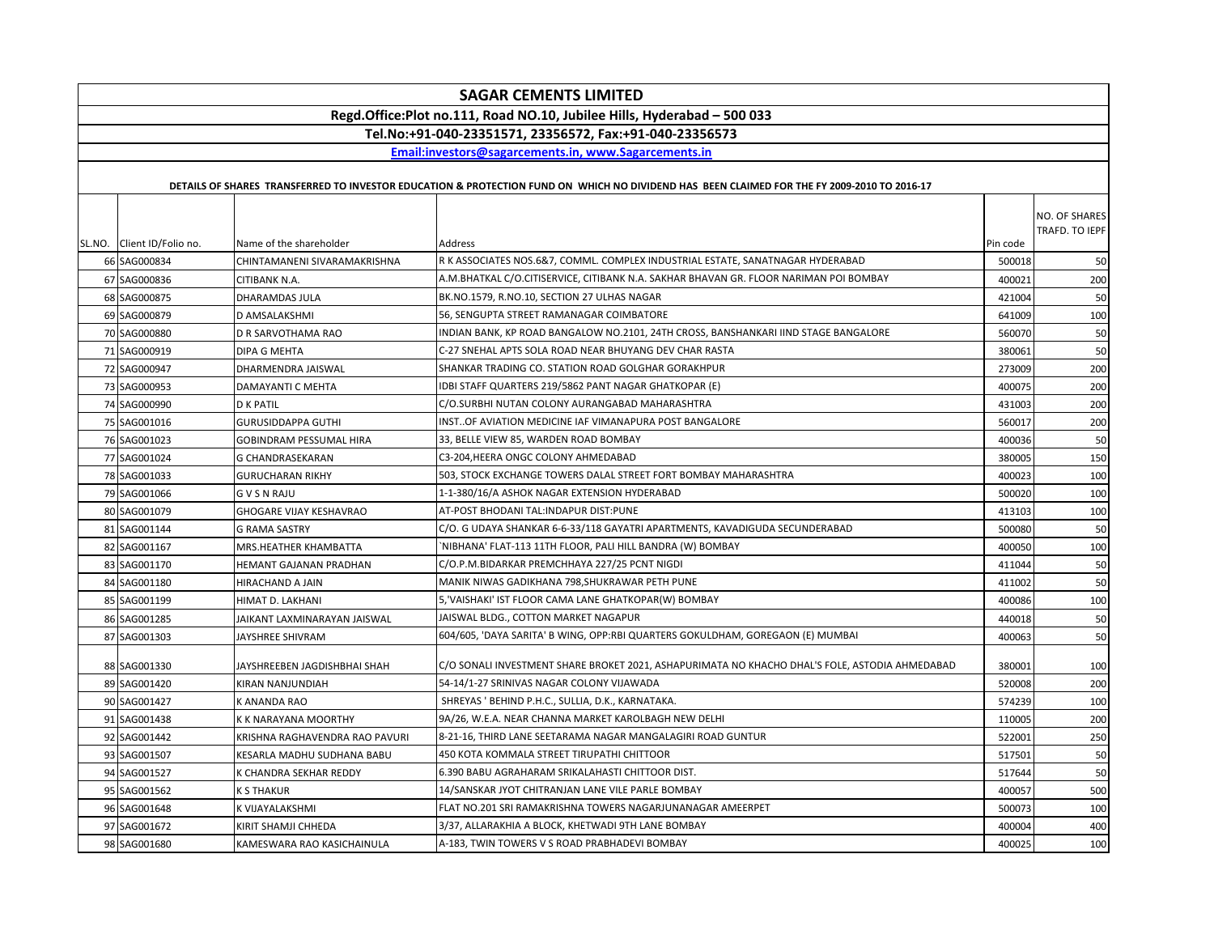| <b>SAGAR CEMENTS LIMITED</b> |                                |                                                                                                                                             |          |                                 |
|------------------------------|--------------------------------|---------------------------------------------------------------------------------------------------------------------------------------------|----------|---------------------------------|
|                              |                                | Regd.Office:Plot no.111, Road NO.10, Jubilee Hills, Hyderabad - 500 033                                                                     |          |                                 |
|                              |                                | Tel.No:+91-040-23351571, 23356572, Fax:+91-040-23356573                                                                                     |          |                                 |
|                              |                                | Email:investors@sagarcements.in, www.Sagarcements.in                                                                                        |          |                                 |
|                              |                                | DETAILS OF SHARES TRANSFERRED TO INVESTOR EDUCATION & PROTECTION FUND ON WHICH NO DIVIDEND HAS BEEN CLAIMED FOR THE FY 2009-2010 TO 2016-17 |          |                                 |
| SL.NO. Client ID/Folio no.   | Name of the shareholder        | Address                                                                                                                                     | Pin code | NO. OF SHARES<br>TRAFD. TO IEPF |
| 66 SAG000834                 | CHINTAMANENI SIVARAMAKRISHNA   | R K ASSOCIATES NOS.6&7, COMML. COMPLEX INDUSTRIAL ESTATE, SANATNAGAR HYDERABAD                                                              | 500018   | 50                              |
| 67 SAG000836                 | CITIBANK N.A.                  | A.M.BHATKAL C/O.CITISERVICE, CITIBANK N.A. SAKHAR BHAVAN GR. FLOOR NARIMAN POI BOMBAY                                                       | 400021   | 200                             |
| 68 SAG000875                 | DHARAMDAS JULA                 | BK.NO.1579, R.NO.10, SECTION 27 ULHAS NAGAR                                                                                                 | 421004   | 50                              |
| 69 SAG000879                 | D AMSALAKSHMI                  | 56, SENGUPTA STREET RAMANAGAR COIMBATORE                                                                                                    | 641009   | 100                             |
| 70 SAG000880                 | D R SARVOTHAMA RAO             | INDIAN BANK, KP ROAD BANGALOW NO.2101, 24TH CROSS, BANSHANKARI IIND STAGE BANGALORE                                                         | 560070   | 50                              |
| 71 SAG000919                 | DIPA G MEHTA                   | C-27 SNEHAL APTS SOLA ROAD NEAR BHUYANG DEV CHAR RASTA                                                                                      | 380061   | 50                              |
| 72 SAG000947                 | DHARMENDRA JAISWAL             | SHANKAR TRADING CO. STATION ROAD GOLGHAR GORAKHPUR                                                                                          | 273009   | 200                             |
| 73 SAG000953                 | DAMAYANTI C MEHTA              | IDBI STAFF QUARTERS 219/5862 PANT NAGAR GHATKOPAR (E)                                                                                       | 400075   | 200                             |
| 74 SAG000990                 | <b>D K PATIL</b>               | C/O.SURBHI NUTAN COLONY AURANGABAD MAHARASHTRA                                                                                              | 431003   | 200                             |
| 75 SAG001016                 | <b>GURUSIDDAPPA GUTHI</b>      | INSTOF AVIATION MEDICINE IAF VIMANAPURA POST BANGALORE                                                                                      | 560017   | 200                             |
| 76 SAG001023                 | <b>GOBINDRAM PESSUMAL HIRA</b> | 33, BELLE VIEW 85, WARDEN ROAD BOMBAY                                                                                                       | 400036   | 50                              |
| 77 SAG001024                 | G CHANDRASEKARAN               | C3-204, HEERA ONGC COLONY AHMEDABAD                                                                                                         | 380005   | 150                             |
| 78 SAG001033                 | <b>GURUCHARAN RIKHY</b>        | 503, STOCK EXCHANGE TOWERS DALAL STREET FORT BOMBAY MAHARASHTRA                                                                             | 400023   | 100                             |
| 79 SAG001066                 | <b>GVSNRAJU</b>                | 1-1-380/16/A ASHOK NAGAR EXTENSION HYDERABAD                                                                                                | 500020   | 100                             |
| 80 SAG001079                 | <b>GHOGARE VIJAY KESHAVRAO</b> | AT-POST BHODANI TAL:INDAPUR DIST:PUNE                                                                                                       | 413103   | 100                             |
| 81 SAG001144                 | <b>G RAMA SASTRY</b>           | C/O. G UDAYA SHANKAR 6-6-33/118 GAYATRI APARTMENTS, KAVADIGUDA SECUNDERABAD                                                                 | 500080   | 50                              |
| 82 SAG001167                 | MRS.HEATHER KHAMBATTA          | `NIBHANA' FLAT-113 11TH FLOOR, PALI HILL BANDRA (W) BOMBAY                                                                                  | 400050   | 100                             |
| 83 SAG001170                 | HEMANT GAJANAN PRADHAN         | C/O.P.M.BIDARKAR PREMCHHAYA 227/25 PCNT NIGDI                                                                                               | 411044   | 50                              |
| 84 SAG001180                 | <b>HIRACHAND A JAIN</b>        | MANIK NIWAS GADIKHANA 798,SHUKRAWAR PETH PUNE                                                                                               | 411002   | 50                              |
| 85 SAG001199                 | HIMAT D. LAKHANI               | 5, 'VAISHAKI' IST FLOOR CAMA LANE GHATKOPAR(W) BOMBAY                                                                                       | 400086   | 100                             |
| 86 SAG001285                 | JAIKANT LAXMINARAYAN JAISWAL   | JAISWAL BLDG., COTTON MARKET NAGAPUR                                                                                                        | 440018   | 50                              |
| 87 SAG001303                 | JAYSHREE SHIVRAM               | 604/605, 'DAYA SARITA' B WING, OPP:RBI QUARTERS GOKULDHAM, GOREGAON (E) MUMBAI                                                              | 400063   | 50                              |
| 88 SAG001330                 | JAYSHREEBEN JAGDISHBHAI SHAH   | C/O SONALI INVESTMENT SHARE BROKET 2021, ASHAPURIMATA NO KHACHO DHAL'S FOLE, ASTODIA AHMEDABAD                                              | 380001   | 100                             |
| 89 SAG001420                 | KIRAN NANJUNDIAH               | 54-14/1-27 SRINIVAS NAGAR COLONY VIJAWADA                                                                                                   | 520008   | 200                             |
| 90 SAG001427                 | K ANANDA RAO                   | SHREYAS ' BEHIND P.H.C., SULLIA, D.K., KARNATAKA.                                                                                           | 574239   | 100                             |
| 91 SAG001438                 | K K NARAYANA MOORTHY           | 9A/26, W.E.A. NEAR CHANNA MARKET KAROLBAGH NEW DELHI                                                                                        | 110005   | 200                             |
| 92 SAG001442                 | KRISHNA RAGHAVENDRA RAO PAVURI | 8-21-16, THIRD LANE SEETARAMA NAGAR MANGALAGIRI ROAD GUNTUR                                                                                 | 522001   | 250                             |
| 93 SAG001507                 | KESARLA MADHU SUDHANA BABU     | 450 KOTA KOMMALA STREET TIRUPATHI CHITTOOR                                                                                                  | 517501   | 50                              |
| 94 SAG001527                 | K CHANDRA SEKHAR REDDY         | 6.390 BABU AGRAHARAM SRIKALAHASTI CHITTOOR DIST.                                                                                            | 517644   | 50                              |
| 95 SAG001562                 | <b>K S THAKUR</b>              | 14/SANSKAR JYOT CHITRANJAN LANE VILE PARLE BOMBAY                                                                                           | 400057   | 500                             |
| 96 SAG001648                 | K VIJAYALAKSHMI                | FLAT NO.201 SRI RAMAKRISHNA TOWERS NAGARJUNANAGAR AMEERPET                                                                                  | 500073   | 100                             |
| 97 SAG001672                 | KIRIT SHAMJI CHHEDA            | 3/37, ALLARAKHIA A BLOCK, KHETWADI 9TH LANE BOMBAY                                                                                          | 400004   | 400                             |
| 98 SAG001680                 | KAMESWARA RAO KASICHAINULA     | A-183, TWIN TOWERS V S ROAD PRABHADEVI BOMBAY                                                                                               | 400025   | 100                             |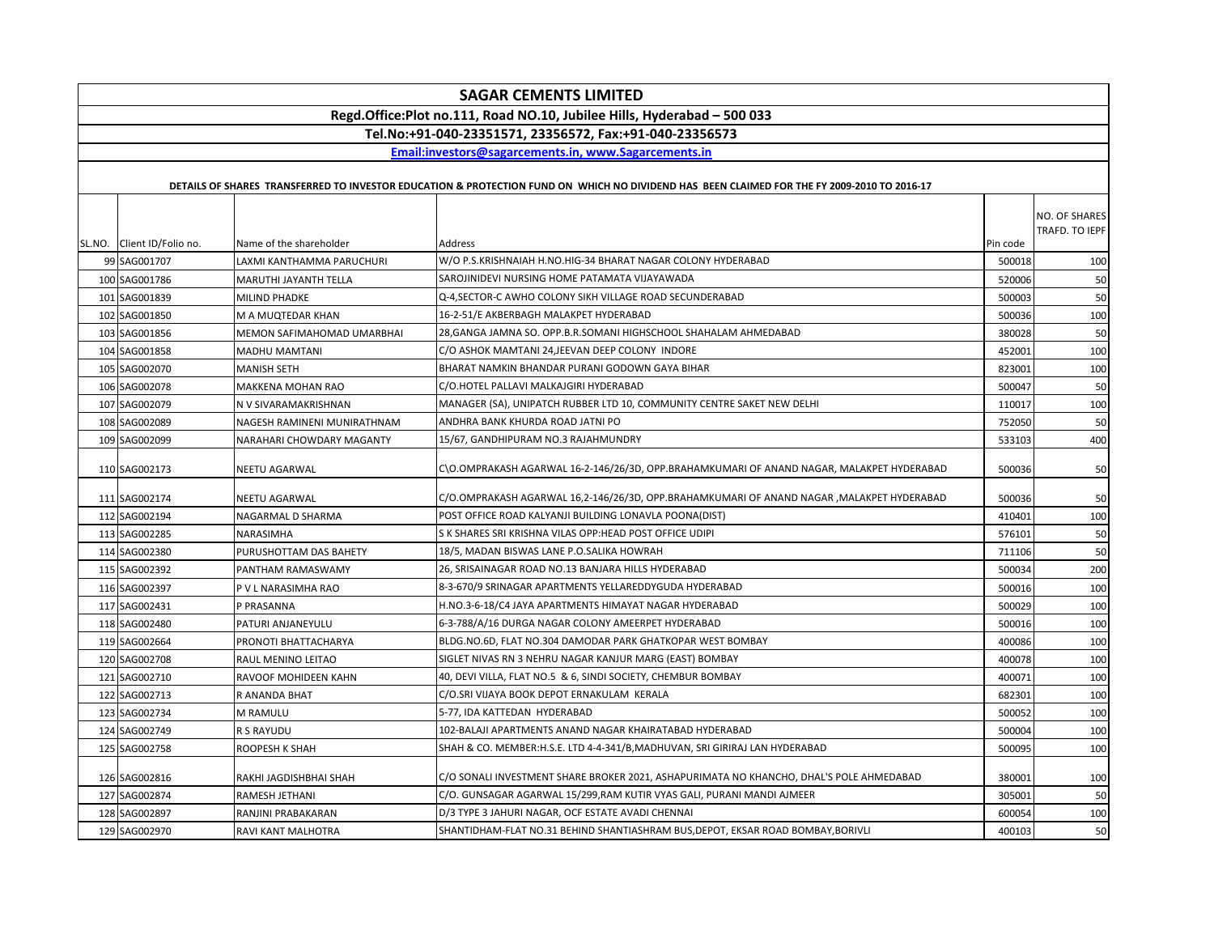|                                                                         |                             | <b>SAGAR CEMENTS LIMITED</b>                                                                                                                |          |                |
|-------------------------------------------------------------------------|-----------------------------|---------------------------------------------------------------------------------------------------------------------------------------------|----------|----------------|
| Regd.Office:Plot no.111, Road NO.10, Jubilee Hills, Hyderabad - 500 033 |                             |                                                                                                                                             |          |                |
|                                                                         |                             | Tel.No:+91-040-23351571, 23356572, Fax:+91-040-23356573                                                                                     |          |                |
|                                                                         |                             | Email:investors@sagarcements.in. www.Sagarcements.in                                                                                        |          |                |
|                                                                         |                             |                                                                                                                                             |          |                |
|                                                                         |                             | DETAILS OF SHARES TRANSFERRED TO INVESTOR EDUCATION & PROTECTION FUND ON WHICH NO DIVIDEND HAS BEEN CLAIMED FOR THE FY 2009-2010 TO 2016-17 |          |                |
|                                                                         |                             |                                                                                                                                             |          | NO. OF SHARES  |
|                                                                         |                             |                                                                                                                                             |          | TRAFD. TO IEPF |
| SL.NO. Client ID/Folio no.                                              | Name of the shareholder     | Address                                                                                                                                     | Pin code |                |
| 99 SAG001707                                                            | LAXMI KANTHAMMA PARUCHURI   | W/O P.S.KRISHNAIAH H.NO.HIG-34 BHARAT NAGAR COLONY HYDERABAD                                                                                | 500018   | 100            |
| 100 SAG001786                                                           | MARUTHI JAYANTH TELLA       | SAROJINIDEVI NURSING HOME PATAMATA VIJAYAWADA                                                                                               | 520006   | 50             |
| 101 SAG001839                                                           | MILIND PHADKE               | Q-4,SECTOR-C AWHO COLONY SIKH VILLAGE ROAD SECUNDERABAD                                                                                     | 500003   | 50             |
| 102 SAG001850                                                           | M A MUQTEDAR KHAN           | 16-2-51/E AKBERBAGH MALAKPET HYDERABAD                                                                                                      | 500036   | 100            |
| 103 SAG001856                                                           | MEMON SAFIMAHOMAD UMARBHAI  | 28, GANGA JAMNA SO. OPP.B.R. SOMANI HIGHSCHOOL SHAHALAM AHMEDABAD                                                                           | 380028   | 50             |
| 104 SAG001858                                                           | MADHU MAMTANI               | C/O ASHOK MAMTANI 24, JEEVAN DEEP COLONY INDORE                                                                                             | 452001   | 100            |
| 105 SAG002070                                                           | MANISH SETH                 | BHARAT NAMKIN BHANDAR PURANI GODOWN GAYA BIHAR                                                                                              | 823001   | 100            |
| 106 SAG002078                                                           | MAKKENA MOHAN RAO           | C/O.HOTEL PALLAVI MALKAJGIRI HYDERABAD                                                                                                      | 500047   | 50             |
| 107 SAG002079                                                           | N V SIVARAMAKRISHNAN        | MANAGER (SA), UNIPATCH RUBBER LTD 10, COMMUNITY CENTRE SAKET NEW DELHI                                                                      | 110017   | 100            |
| 108 SAG002089                                                           | NAGESH RAMINENI MUNIRATHNAM | ANDHRA BANK KHURDA ROAD JATNI PO                                                                                                            | 752050   | 50             |
| 109 SAG002099                                                           | NARAHARI CHOWDARY MAGANTY   | 15/67, GANDHIPURAM NO.3 RAJAHMUNDRY                                                                                                         | 533103   | 400            |
| 110 SAG002173                                                           | NEETU AGARWAL               | C\O.OMPRAKASH AGARWAL 16-2-146/26/3D, OPP.BRAHAMKUMARI OF ANAND NAGAR, MALAKPET HYDERABAD                                                   | 500036   | 50             |
| 111 SAG002174                                                           | NEETU AGARWAL               | C/O.OMPRAKASH AGARWAL 16,2-146/26/3D, OPP.BRAHAMKUMARI OF ANAND NAGAR ,MALAKPET HYDERABAD                                                   | 500036   | 50             |
| 112 SAG002194                                                           | NAGARMAL D SHARMA           | POST OFFICE ROAD KALYANJI BUILDING LONAVLA POONA(DIST)                                                                                      | 410401   | 100            |
| 113 SAG002285                                                           | NARASIMHA                   | S K SHARES SRI KRISHNA VILAS OPP:HEAD POST OFFICE UDIPI                                                                                     | 576101   | 50             |
| 114 SAG002380                                                           | PURUSHOTTAM DAS BAHETY      | 18/5, MADAN BISWAS LANE P.O.SALIKA HOWRAH                                                                                                   | 711106   | 50             |
| 115 SAG002392                                                           | PANTHAM RAMASWAMY           | 26, SRISAINAGAR ROAD NO.13 BANJARA HILLS HYDERABAD                                                                                          | 500034   | 200            |
| 116 SAG002397                                                           | P V L NARASIMHA RAO         | 8-3-670/9 SRINAGAR APARTMENTS YELLAREDDYGUDA HYDERABAD                                                                                      | 500016   | 100            |
| 117 SAG002431                                                           | P PRASANNA                  | H.NO.3-6-18/C4 JAYA APARTMENTS HIMAYAT NAGAR HYDERABAD                                                                                      | 500029   | 100            |
| 118 SAG002480                                                           | PATURI ANJANEYULU           | 6-3-788/A/16 DURGA NAGAR COLONY AMEERPET HYDERABAD                                                                                          | 500016   | 100            |
| 119 SAG002664                                                           | PRONOTI BHATTACHARYA        | BLDG.NO.6D, FLAT NO.304 DAMODAR PARK GHATKOPAR WEST BOMBAY                                                                                  | 400086   | 100            |
| 120 SAG002708                                                           | RAUL MENINO LEITAO          | SIGLET NIVAS RN 3 NEHRU NAGAR KANJUR MARG (EAST) BOMBAY                                                                                     | 400078   | 100            |
| 121 SAG002710                                                           | RAVOOF MOHIDEEN KAHN        | 40, DEVI VILLA, FLAT NO.5 & 6, SINDI SOCIETY, CHEMBUR BOMBAY                                                                                | 400071   | 100            |
| 122 SAG002713                                                           | R ANANDA BHAT               | C/O.SRI VIJAYA BOOK DEPOT ERNAKULAM KERALA                                                                                                  | 682301   | 100            |
| 123 SAG002734                                                           | M RAMULU                    | 5-77, IDA KATTEDAN HYDERABAD                                                                                                                | 500052   | 100            |
| 124 SAG002749                                                           | R S RAYUDU                  | 102-BALAJI APARTMENTS ANAND NAGAR KHAIRATABAD HYDERABAD                                                                                     | 500004   | 100            |
| 125 SAG002758                                                           | ROOPESH K SHAH              | SHAH & CO. MEMBER:H.S.E. LTD 4-4-341/B,MADHUVAN, SRI GIRIRAJ LAN HYDERABAD                                                                  | 500095   | 100            |
| 126 SAG002816                                                           | RAKHI JAGDISHBHAI SHAH      | C/O SONALI INVESTMENT SHARE BROKER 2021, ASHAPURIMATA NO KHANCHO, DHAL'S POLE AHMEDABAD                                                     | 380001   | 100            |
| 127 SAG002874                                                           | RAMESH JETHANI              | C/O. GUNSAGAR AGARWAL 15/299,RAM KUTIR VYAS GALI, PURANI MANDI AJMEER                                                                       | 305001   | 50             |
| 128 SAG002897                                                           | RANJINI PRABAKARAN          | D/3 TYPE 3 JAHURI NAGAR, OCF ESTATE AVADI CHENNAI                                                                                           | 600054   | 100            |
| 129 SAG002970                                                           | RAVI KANT MALHOTRA          | SHANTIDHAM-FLAT NO.31 BEHIND SHANTIASHRAM BUS,DEPOT, EKSAR ROAD BOMBAY,BORIVLI                                                              | 400103   | 50             |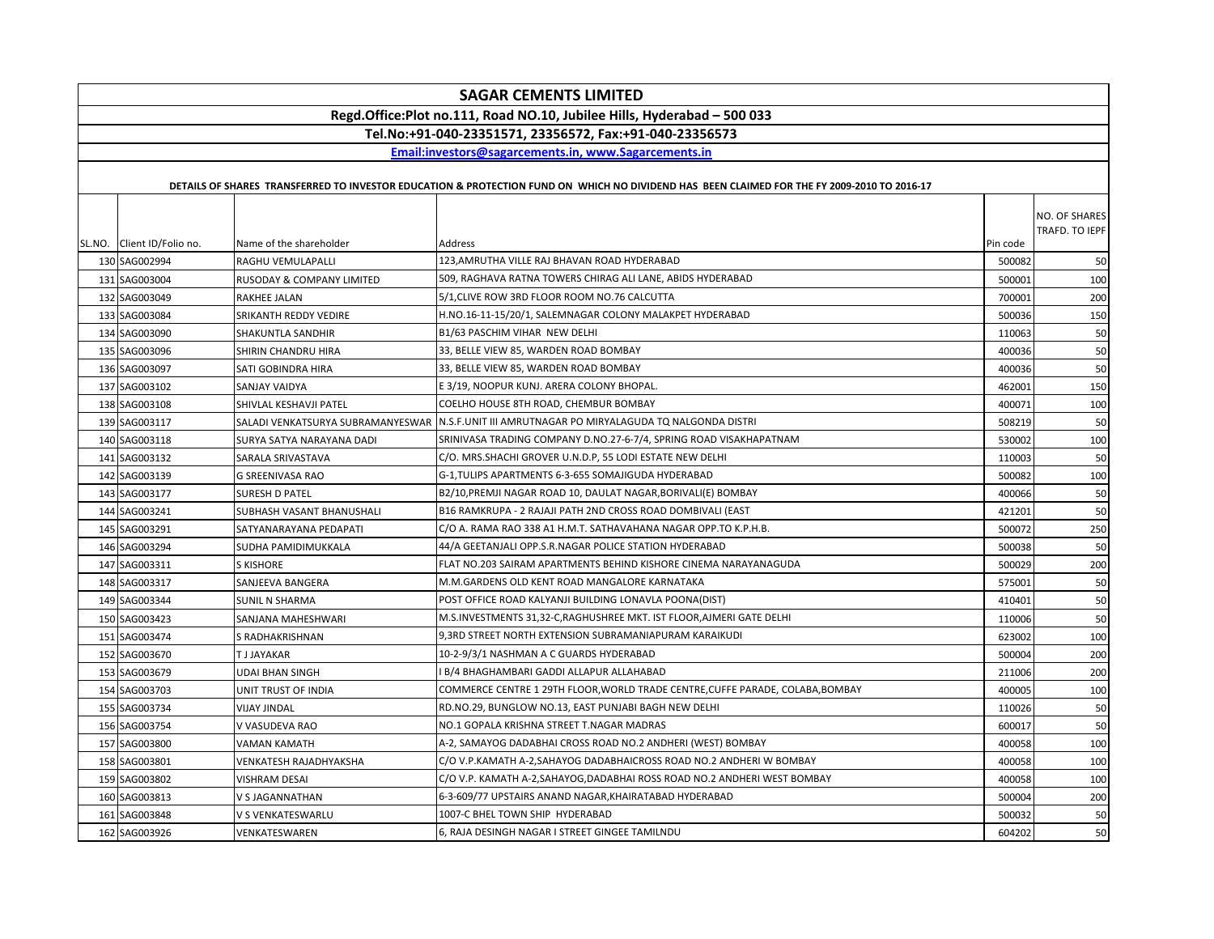| <b>SAGAR CEMENTS LIMITED</b>                                            |                                   |                                                                                                                                             |          |                                 |
|-------------------------------------------------------------------------|-----------------------------------|---------------------------------------------------------------------------------------------------------------------------------------------|----------|---------------------------------|
| Regd.Office:Plot no.111, Road NO.10, Jubilee Hills, Hyderabad - 500 033 |                                   |                                                                                                                                             |          |                                 |
| Tel.No:+91-040-23351571, 23356572, Fax:+91-040-23356573                 |                                   |                                                                                                                                             |          |                                 |
|                                                                         |                                   | Email:investors@sagarcements.in. www.Sagarcements.in                                                                                        |          |                                 |
|                                                                         |                                   |                                                                                                                                             |          |                                 |
|                                                                         |                                   | DETAILS OF SHARES TRANSFERRED TO INVESTOR EDUCATION & PROTECTION FUND ON WHICH NO DIVIDEND HAS BEEN CLAIMED FOR THE FY 2009-2010 TO 2016-17 |          |                                 |
| SL.NO. Client ID/Folio no.                                              | Name of the shareholder           | Address                                                                                                                                     | Pin code | NO. OF SHARES<br>TRAFD. TO IEPF |
| 130 SAG002994                                                           | RAGHU VEMULAPALLI                 | 123, AMRUTHA VILLE RAJ BHAVAN ROAD HYDERABAD                                                                                                | 500082   | 50                              |
| 131 SAG003004                                                           | RUSODAY & COMPANY LIMITED         | 509, RAGHAVA RATNA TOWERS CHIRAG ALI LANE, ABIDS HYDERABAD                                                                                  | 500001   | 100                             |
| 132 SAG003049                                                           | RAKHEE JALAN                      | 5/1, CLIVE ROW 3RD FLOOR ROOM NO.76 CALCUTTA                                                                                                | 700001   | 200                             |
| 133 SAG003084                                                           | SRIKANTH REDDY VEDIRE             | H.NO.16-11-15/20/1, SALEMNAGAR COLONY MALAKPET HYDERABAD                                                                                    | 500036   | 150                             |
| 134 SAG003090                                                           | SHAKUNTLA SANDHIR                 | B1/63 PASCHIM VIHAR NEW DELHI                                                                                                               | 110063   | 50                              |
| 135 SAG003096                                                           | SHIRIN CHANDRU HIRA               | 33, BELLE VIEW 85, WARDEN ROAD BOMBAY                                                                                                       | 400036   | 50                              |
| 136 SAG003097                                                           | SATI GOBINDRA HIRA                | 33, BELLE VIEW 85, WARDEN ROAD BOMBAY                                                                                                       | 400036   | 50                              |
| 137 SAG003102                                                           | SANJAY VAIDYA                     | E 3/19, NOOPUR KUNJ. ARERA COLONY BHOPAL.                                                                                                   | 462001   | 150                             |
| 138 SAG003108                                                           | SHIVLAL KESHAVJI PATEL            | COELHO HOUSE 8TH ROAD, CHEMBUR BOMBAY                                                                                                       | 400071   | 100                             |
| 139 SAG003117                                                           | SALADI VENKATSURYA SUBRAMANYESWAR | N.S.F.UNIT III AMRUTNAGAR PO MIRYALAGUDA TQ NALGONDA DISTRI                                                                                 | 508219   | 50                              |
| 140 SAG003118                                                           | SURYA SATYA NARAYANA DADI         | SRINIVASA TRADING COMPANY D.NO.27-6-7/4, SPRING ROAD VISAKHAPATNAM                                                                          | 530002   | 100                             |
| 141 SAG003132                                                           | SARALA SRIVASTAVA                 | C/O. MRS.SHACHI GROVER U.N.D.P, 55 LODI ESTATE NEW DELHI                                                                                    | 110003   | 50                              |
| 142 SAG003139                                                           | <b>G SREENIVASA RAO</b>           | G-1, TULIPS APARTMENTS 6-3-655 SOMAJIGUDA HYDERABAD                                                                                         | 500082   | 100                             |
| 143 SAG003177                                                           | <b>SURESH D PATEL</b>             | B2/10, PREMJI NAGAR ROAD 10, DAULAT NAGAR, BORIVALI(E) BOMBAY                                                                               | 400066   | 50                              |
| 144 SAG003241                                                           | SUBHASH VASANT BHANUSHALI         | B16 RAMKRUPA - 2 RAJAJI PATH 2ND CROSS ROAD DOMBIVALI (EAST                                                                                 | 421201   | 50                              |
| 145 SAG003291                                                           | SATYANARAYANA PEDAPATI            | C/O A. RAMA RAO 338 A1 H.M.T. SATHAVAHANA NAGAR OPP.TO K.P.H.B.                                                                             | 500072   | 250                             |
| 146 SAG003294                                                           | SUDHA PAMIDIMUKKALA               | 44/A GEETANJALI OPP.S.R.NAGAR POLICE STATION HYDERABAD                                                                                      | 500038   | 50                              |
| 147 SAG003311                                                           | <b>S KISHORE</b>                  | FLAT NO.203 SAIRAM APARTMENTS BEHIND KISHORE CINEMA NARAYANAGUDA                                                                            | 500029   | 200                             |
| 148 SAG003317                                                           | SANJEEVA BANGERA                  | M.M.GARDENS OLD KENT ROAD MANGALORE KARNATAKA                                                                                               | 575001   | 50                              |
| 149 SAG003344                                                           | <b>SUNIL N SHARMA</b>             | POST OFFICE ROAD KALYANJI BUILDING LONAVLA POONA(DIST)                                                                                      | 410401   | 50                              |
| 150 SAG003423                                                           | SANJANA MAHESHWARI                | M.S.INVESTMENTS 31,32-C, RAGHUSHREE MKT. IST FLOOR, AJMERI GATE DELHI                                                                       | 110006   | 50                              |
| 151 SAG003474                                                           | S RADHAKRISHNAN                   | 9,3RD STREET NORTH EXTENSION SUBRAMANIAPURAM KARAIKUDI                                                                                      | 623002   | 100                             |
| 152 SAG003670                                                           | <b>TJJAYAKAR</b>                  | 10-2-9/3/1 NASHMAN A C GUARDS HYDERABAD                                                                                                     | 500004   | 200                             |
| 153 SAG003679                                                           | UDAI BHAN SINGH                   | I B/4 BHAGHAMBARI GADDI ALLAPUR ALLAHABAD                                                                                                   | 211006   | 200                             |
| 154 SAG003703                                                           | UNIT TRUST OF INDIA               | COMMERCE CENTRE 1 29TH FLOOR, WORLD TRADE CENTRE, CUFFE PARADE, COLABA, BOMBAY                                                              | 400005   | 100                             |
| 155 SAG003734                                                           | <b>VIJAY JINDAL</b>               | RD.NO.29, BUNGLOW NO.13, EAST PUNJABI BAGH NEW DELHI                                                                                        | 110026   | 50                              |
| 156 SAG003754                                                           | V VASUDEVA RAO                    | NO.1 GOPALA KRISHNA STREET T.NAGAR MADRAS                                                                                                   | 600017   | 50                              |
| 157 SAG003800                                                           | VAMAN KAMATH                      | A-2, SAMAYOG DADABHAI CROSS ROAD NO.2 ANDHERI (WEST) BOMBAY                                                                                 | 400058   | 100                             |
| 158 SAG003801                                                           | VENKATESH RAJADHYAKSHA            | C/O V.P.KAMATH A-2,SAHAYOG DADABHAICROSS ROAD NO.2 ANDHERI W BOMBAY                                                                         | 400058   | 100                             |
| 159 SAG003802                                                           | <b>VISHRAM DESAI</b>              | C/O V.P. KAMATH A-2, SAHAYOG, DADABHAI ROSS ROAD NO.2 ANDHERI WEST BOMBAY                                                                   | 400058   | 100                             |
| 160 SAG003813                                                           | V S JAGANNATHAN                   | 6-3-609/77 UPSTAIRS ANAND NAGAR, KHAIRATABAD HYDERABAD                                                                                      | 500004   | 200                             |
| 161 SAG003848                                                           | V S VENKATESWARLU                 | 1007-C BHEL TOWN SHIP HYDERABAD                                                                                                             | 500032   | 50                              |
| 162 SAG003926                                                           | VENKATESWAREN                     | 6, RAJA DESINGH NAGAR I STREET GINGEE TAMILNDU                                                                                              | 604202   | 50                              |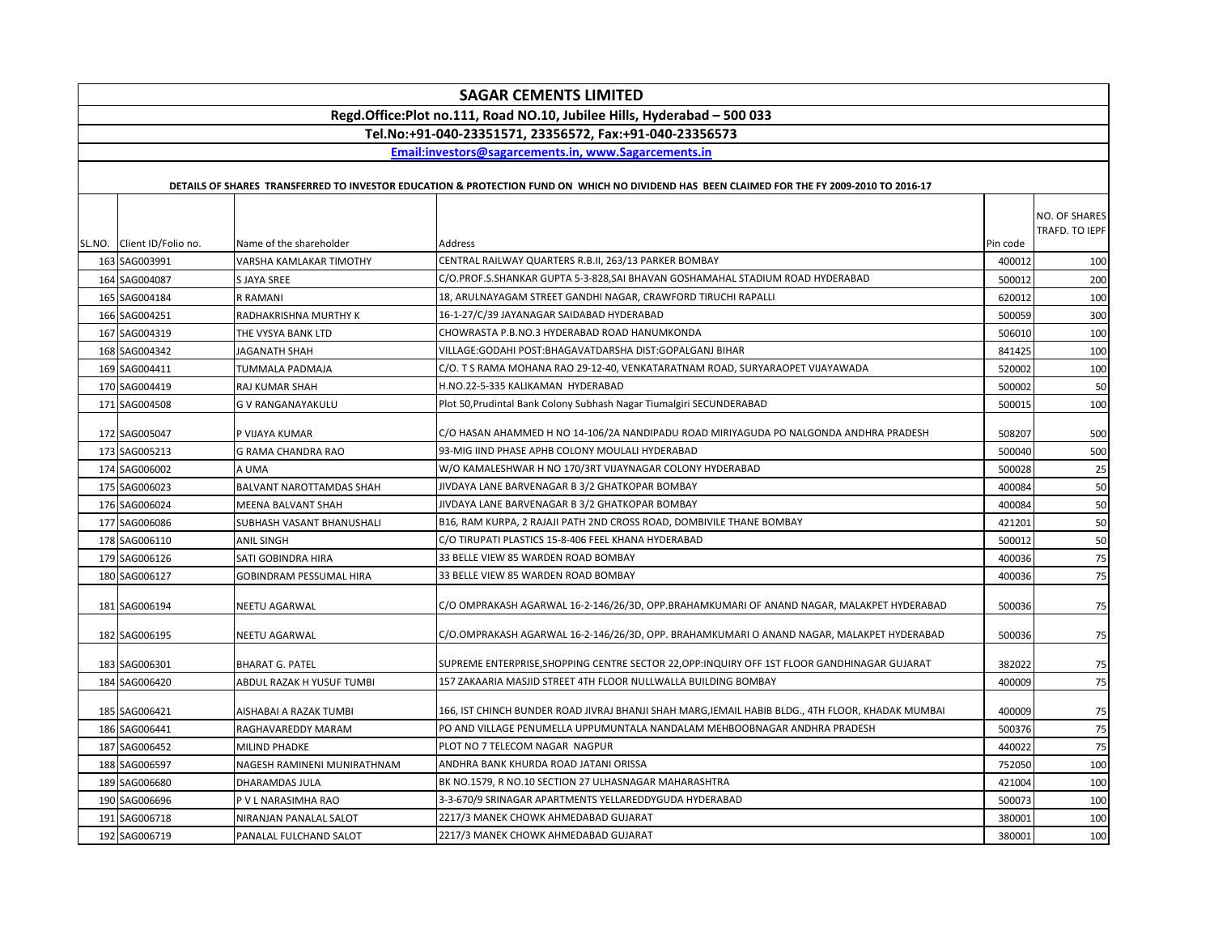| <b>SAGAR CEMENTS LIMITED</b> |                                |                                                                                                                                             |          |                                 |
|------------------------------|--------------------------------|---------------------------------------------------------------------------------------------------------------------------------------------|----------|---------------------------------|
|                              |                                | Regd.Office:Plot no.111, Road NO.10, Jubilee Hills, Hyderabad - 500 033                                                                     |          |                                 |
|                              |                                | Tel.No:+91-040-23351571, 23356572, Fax:+91-040-23356573                                                                                     |          |                                 |
|                              |                                | Email:investors@sagarcements.in. www.Sagarcements.in                                                                                        |          |                                 |
|                              |                                | DETAILS OF SHARES TRANSFERRED TO INVESTOR EDUCATION & PROTECTION FUND ON WHICH NO DIVIDEND HAS BEEN CLAIMED FOR THE FY 2009-2010 TO 2016-17 |          |                                 |
| SL.NO. Client ID/Folio no.   | Name of the shareholder        | Address                                                                                                                                     | Pin code | NO. OF SHARES<br>TRAFD. TO IEPF |
| 163 SAG003991                | VARSHA KAMLAKAR TIMOTHY        | CENTRAL RAILWAY QUARTERS R.B.II, 263/13 PARKER BOMBAY                                                                                       | 400012   | 100                             |
| 164 SAG004087                | S JAYA SREE                    | C/O.PROF.S.SHANKAR GUPTA 5-3-828,SAI BHAVAN GOSHAMAHAL STADIUM ROAD HYDERABAD                                                               | 500012   | 200                             |
| 165 SAG004184                | R RAMANI                       | 18, ARULNAYAGAM STREET GANDHI NAGAR, CRAWFORD TIRUCHI RAPALLI                                                                               | 620012   | 100                             |
| 166 SAG004251                | RADHAKRISHNA MURTHY K          | 16-1-27/C/39 JAYANAGAR SAIDABAD HYDERABAD                                                                                                   | 500059   | 300                             |
| 167 SAG004319                | THE VYSYA BANK LTD             | CHOWRASTA P.B.NO.3 HYDERABAD ROAD HANUMKONDA                                                                                                | 506010   | 100                             |
| 168 SAG004342                | JAGANATH SHAH                  | VILLAGE:GODAHI POST:BHAGAVATDARSHA DIST:GOPALGANJ BIHAR                                                                                     | 841425   | 100                             |
| 169 SAG004411                | TUMMALA PADMAJA                | C/O. T S RAMA MOHANA RAO 29-12-40, VENKATARATNAM ROAD, SURYARAOPET VIJAYAWADA                                                               | 520002   | 100                             |
| 170 SAG004419                | <b>RAJ KUMAR SHAH</b>          | H.NO.22-5-335 KALIKAMAN HYDERABAD                                                                                                           | 500002   | 50                              |
| 171 SAG004508                | G V RANGANAYAKULU              | Plot 50, Prudintal Bank Colony Subhash Nagar Tiumalgiri SECUNDERABAD                                                                        | 500015   | 100                             |
| 172 SAG005047                | P VIJAYA KUMAR                 | C/O HASAN AHAMMED H NO 14-106/2A NANDIPADU ROAD MIRIYAGUDA PO NALGONDA ANDHRA PRADESH                                                       | 508207   | 500                             |
| 173 SAG005213                | G RAMA CHANDRA RAO             | 93-MIG IIND PHASE APHB COLONY MOULALI HYDERABAD                                                                                             | 500040   | 500                             |
| 174 SAG006002                | A UMA                          | W/O KAMALESHWAR H NO 170/3RT VIJAYNAGAR COLONY HYDERABAD                                                                                    | 500028   | 25                              |
| 175 SAG006023                | BALVANT NAROTTAMDAS SHAH       | JIVDAYA LANE BARVENAGAR B 3/2 GHATKOPAR BOMBAY                                                                                              | 400084   | 50                              |
| 176 SAG006024                | MEENA BALVANT SHAH             | JIVDAYA LANE BARVENAGAR B 3/2 GHATKOPAR BOMBAY                                                                                              | 400084   | 50                              |
| 177 SAG006086                | SUBHASH VASANT BHANUSHALI      | B16, RAM KURPA, 2 RAJAJI PATH 2ND CROSS ROAD, DOMBIVILE THANE BOMBAY                                                                        | 421201   | 50                              |
| 178 SAG006110                | <b>ANIL SINGH</b>              | C/O TIRUPATI PLASTICS 15-8-406 FEEL KHANA HYDERABAD                                                                                         | 500012   | 50                              |
| 179 SAG006126                | SATI GOBINDRA HIRA             | 33 BELLE VIEW 85 WARDEN ROAD BOMBAY                                                                                                         | 400036   | 75                              |
| 180 SAG006127                | <b>GOBINDRAM PESSUMAL HIRA</b> | 33 BELLE VIEW 85 WARDEN ROAD BOMBAY                                                                                                         | 400036   | 75                              |
| 181 SAG006194                | <b>NEETU AGARWAL</b>           | C/O OMPRAKASH AGARWAL 16-2-146/26/3D, OPP.BRAHAMKUMARI OF ANAND NAGAR, MALAKPET HYDERABAD                                                   | 500036   | 75                              |
| 182 SAG006195                | NEETU AGARWAL                  | C/O.OMPRAKASH AGARWAL 16-2-146/26/3D, OPP. BRAHAMKUMARI O ANAND NAGAR, MALAKPET HYDERABAD                                                   | 500036   | 75                              |
| 183 SAG006301                | <b>BHARAT G. PATEL</b>         | SUPREME ENTERPRISE,SHOPPING CENTRE SECTOR 22,OPP:INQUIRY OFF 1ST FLOOR GANDHINAGAR GUJARAT                                                  | 382022   | 75                              |
| 184 SAG006420                | ABDUL RAZAK H YUSUF TUMBI      | 157 ZAKAARIA MASJID STREET 4TH FLOOR NULLWALLA BUILDING BOMBAY                                                                              | 400009   | 75                              |
| 185 SAG006421                | AISHABAI A RAZAK TUMBI         | 166, IST CHINCH BUNDER ROAD JIVRAJ BHANJI SHAH MARG,IEMAIL HABIB BLDG., 4TH FLOOR, KHADAK MUMBAI                                            | 400009   | 75                              |
| 186 SAG006441                | RAGHAVAREDDY MARAM             | PO AND VILLAGE PENUMELLA UPPUMUNTALA NANDALAM MEHBOOBNAGAR ANDHRA PRADESH                                                                   | 500376   | 75                              |
| 187 SAG006452                | <b>MILIND PHADKE</b>           | PLOT NO 7 TELECOM NAGAR NAGPUR                                                                                                              | 440022   | 75                              |
| 188 SAG006597                | NAGESH RAMINENI MUNIRATHNAM    | ANDHRA BANK KHURDA ROAD JATANI ORISSA                                                                                                       | 752050   | 100                             |
| 189 SAG006680                | <b>DHARAMDAS JULA</b>          | BK NO.1579, R NO.10 SECTION 27 ULHASNAGAR MAHARASHTRA                                                                                       | 421004   | 100                             |
| 190 SAG006696                | P V L NARASIMHA RAO            | 3-3-670/9 SRINAGAR APARTMENTS YELLAREDDYGUDA HYDERABAD                                                                                      | 500073   | 100                             |
| 191 SAG006718                | NIRANJAN PANALAL SALOT         | 2217/3 MANEK CHOWK AHMEDABAD GUJARAT                                                                                                        | 380001   | 100                             |
| 192 SAG006719                | PANALAL FULCHAND SALOT         | 2217/3 MANEK CHOWK AHMEDABAD GUJARAT                                                                                                        | 380001   | 100                             |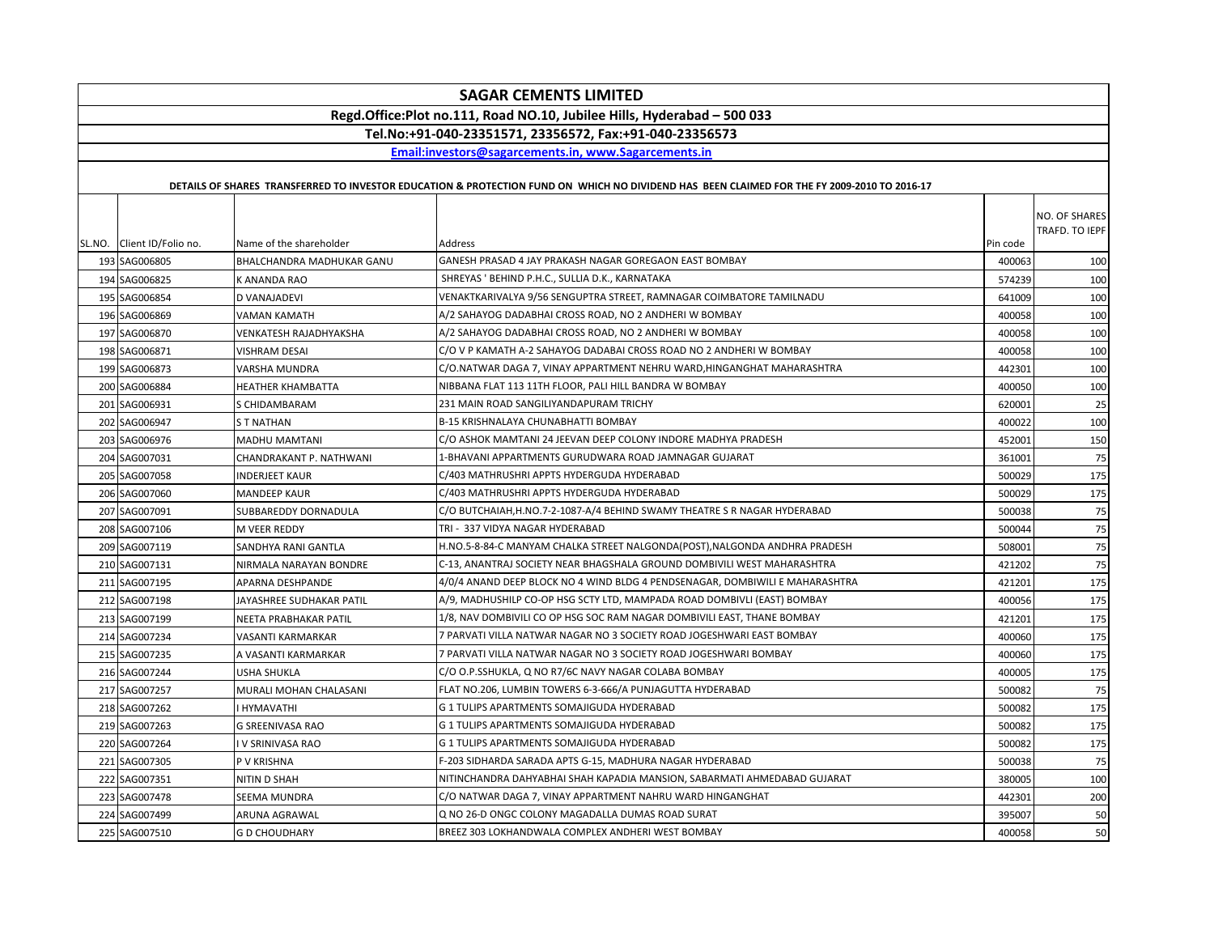| <b>SAGAR CEMENTS LIMITED</b>                                            |                           |                                                                                                                                             |          |                |
|-------------------------------------------------------------------------|---------------------------|---------------------------------------------------------------------------------------------------------------------------------------------|----------|----------------|
| Regd.Office:Plot no.111, Road NO.10, Jubilee Hills, Hyderabad - 500 033 |                           |                                                                                                                                             |          |                |
|                                                                         |                           | Tel.No:+91-040-23351571, 23356572, Fax:+91-040-23356573                                                                                     |          |                |
|                                                                         |                           | Email:investors@sagarcements.in, www.Sagarcements.in                                                                                        |          |                |
|                                                                         |                           | DETAILS OF SHARES TRANSFERRED TO INVESTOR EDUCATION & PROTECTION FUND ON WHICH NO DIVIDEND HAS BEEN CLAIMED FOR THE FY 2009-2010 TO 2016-17 |          |                |
|                                                                         |                           |                                                                                                                                             |          |                |
|                                                                         |                           |                                                                                                                                             |          | NO. OF SHARES  |
| SL.NO. Client ID/Folio no.                                              | Name of the shareholder   | Address                                                                                                                                     | Pin code | TRAFD. TO IEPF |
| 193 SAG006805                                                           | BHALCHANDRA MADHUKAR GANU | GANESH PRASAD 4 JAY PRAKASH NAGAR GOREGAON EAST BOMBAY                                                                                      | 400063   | 100            |
| 194 SAG006825                                                           | K ANANDA RAO              | SHREYAS ' BEHIND P.H.C., SULLIA D.K., KARNATAKA                                                                                             | 574239   | 100            |
| 195 SAG006854                                                           | D VANAJADEVI              | VENAKTKARIVALYA 9/56 SENGUPTRA STREET, RAMNAGAR COIMBATORE TAMILNADU                                                                        | 641009   | 100            |
| 196 SAG006869                                                           | VAMAN KAMATH              | A/2 SAHAYOG DADABHAI CROSS ROAD, NO 2 ANDHERI W BOMBAY                                                                                      | 400058   | 100            |
| 197 SAG006870                                                           | VENKATESH RAJADHYAKSHA    | A/2 SAHAYOG DADABHAI CROSS ROAD, NO 2 ANDHERI W BOMBAY                                                                                      | 400058   | 100            |
| 198 SAG006871                                                           | <b>VISHRAM DESAI</b>      | C/O V P KAMATH A-2 SAHAYOG DADABAI CROSS ROAD NO 2 ANDHERI W BOMBAY                                                                         | 400058   | 100            |
| 199 SAG006873                                                           | VARSHA MUNDRA             | C/O.NATWAR DAGA 7, VINAY APPARTMENT NEHRU WARD,HINGANGHAT MAHARASHTRA                                                                       | 442301   | 100            |
| 200 SAG006884                                                           | HEATHER KHAMBATTA         | NIBBANA FLAT 113 11TH FLOOR, PALI HILL BANDRA W BOMBAY                                                                                      | 400050   | 100            |
| 201 SAG006931                                                           | S CHIDAMBARAM             | 231 MAIN ROAD SANGILIYANDAPURAM TRICHY                                                                                                      | 620001   | 25             |
| 202 SAG006947                                                           | <b>ST NATHAN</b>          | <b>B-15 KRISHNALAYA CHUNABHATTI BOMBAY</b>                                                                                                  | 400022   | 100            |
| 203 SAG006976                                                           | MADHU MAMTANI             | C/O ASHOK MAMTANI 24 JEEVAN DEEP COLONY INDORE MADHYA PRADESH                                                                               | 452001   | 150            |
| 204 SAG007031                                                           | CHANDRAKANT P. NATHWANI   | 1-BHAVANI APPARTMENTS GURUDWARA ROAD JAMNAGAR GUJARAT                                                                                       | 361001   | 75             |
| 205 SAG007058                                                           | INDERJEET KAUR            | C/403 MATHRUSHRI APPTS HYDERGUDA HYDERABAD                                                                                                  | 500029   | 175            |
| 206 SAG007060                                                           | <b>MANDEEP KAUR</b>       | C/403 MATHRUSHRI APPTS HYDERGUDA HYDERABAD                                                                                                  | 500029   | 175            |
| 207 SAG007091                                                           | SUBBAREDDY DORNADULA      | C/O BUTCHAIAH,H.NO.7-2-1087-A/4 BEHIND SWAMY THEATRE S R NAGAR HYDERABAD                                                                    | 500038   | 75             |
| 208 SAG007106                                                           | M VEER REDDY              | TRI - 337 VIDYA NAGAR HYDERABAD                                                                                                             | 500044   | 75             |
| 209 SAG007119                                                           | SANDHYA RANI GANTLA       | H.NO.5-8-84-C MANYAM CHALKA STREET NALGONDA(POST), NALGONDA ANDHRA PRADESH                                                                  | 508001   | 75             |
| 210 SAG007131                                                           | NIRMALA NARAYAN BONDRE    | C-13, ANANTRAJ SOCIETY NEAR BHAGSHALA GROUND DOMBIVILI WEST MAHARASHTRA                                                                     | 421202   | 75             |
| 211 SAG007195                                                           | APARNA DESHPANDE          | 4/0/4 ANAND DEEP BLOCK NO 4 WIND BLDG 4 PENDSENAGAR, DOMBIWILI E MAHARASHTRA                                                                | 421201   | 175            |
| 212 SAG007198                                                           | JAYASHREE SUDHAKAR PATIL  | A/9, MADHUSHILP CO-OP HSG SCTY LTD, MAMPADA ROAD DOMBIVLI (EAST) BOMBAY                                                                     | 400056   | 175            |
| 213 SAG007199                                                           | NEETA PRABHAKAR PATIL     | 1/8, NAV DOMBIVILI CO OP HSG SOC RAM NAGAR DOMBIVILI EAST, THANE BOMBAY                                                                     | 421201   | 175            |
| 214 SAG007234                                                           | VASANTI KARMARKAR         | 7 PARVATI VILLA NATWAR NAGAR NO 3 SOCIETY ROAD JOGESHWARI EAST BOMBAY                                                                       | 400060   | 175            |
| 215 SAG007235                                                           | A VASANTI KARMARKAR       | 7 PARVATI VILLA NATWAR NAGAR NO 3 SOCIETY ROAD JOGESHWARI BOMBAY                                                                            | 400060   | 175            |
| 216 SAG007244                                                           | USHA SHUKLA               | C/O O.P.SSHUKLA, Q NO R7/6C NAVY NAGAR COLABA BOMBAY                                                                                        | 400005   | 175            |
| 217 SAG007257                                                           | MURALI MOHAN CHALASANI    | FLAT NO.206, LUMBIN TOWERS 6-3-666/A PUNJAGUTTA HYDERABAD                                                                                   | 500082   | 75             |
| 218 SAG007262                                                           | <b>HYMAVATHI</b>          | G 1 TULIPS APARTMENTS SOMAJIGUDA HYDERABAD                                                                                                  | 500082   | 175            |
| 219 SAG007263                                                           | G SREENIVASA RAO          | G 1 TULIPS APARTMENTS SOMAJIGUDA HYDERABAD                                                                                                  | 500082   | 175            |
| 220 SAG007264                                                           | I V SRINIVASA RAO         | G 1 TULIPS APARTMENTS SOMAJIGUDA HYDERABAD                                                                                                  | 500082   | 175            |
| 221 SAG007305                                                           | P V KRISHNA               | F-203 SIDHARDA SARADA APTS G-15, MADHURA NAGAR HYDERABAD                                                                                    | 500038   | 75             |
| 222 SAG007351                                                           | NITIN D SHAH              | NITINCHANDRA DAHYABHAI SHAH KAPADIA MANSION, SABARMATI AHMEDABAD GUJARAT                                                                    | 380005   | 100            |
| 223 SAG007478                                                           | SEEMA MUNDRA              | C/O NATWAR DAGA 7, VINAY APPARTMENT NAHRU WARD HINGANGHAT                                                                                   | 442301   | 200            |
| 224 SAG007499                                                           | ARUNA AGRAWAL             | Q NO 26-D ONGC COLONY MAGADALLA DUMAS ROAD SURAT                                                                                            | 395007   | 50             |
| 225 SAG007510                                                           | <b>GD CHOUDHARY</b>       | BREEZ 303 LOKHANDWALA COMPLEX ANDHERI WEST BOMBAY                                                                                           | 400058   | 50             |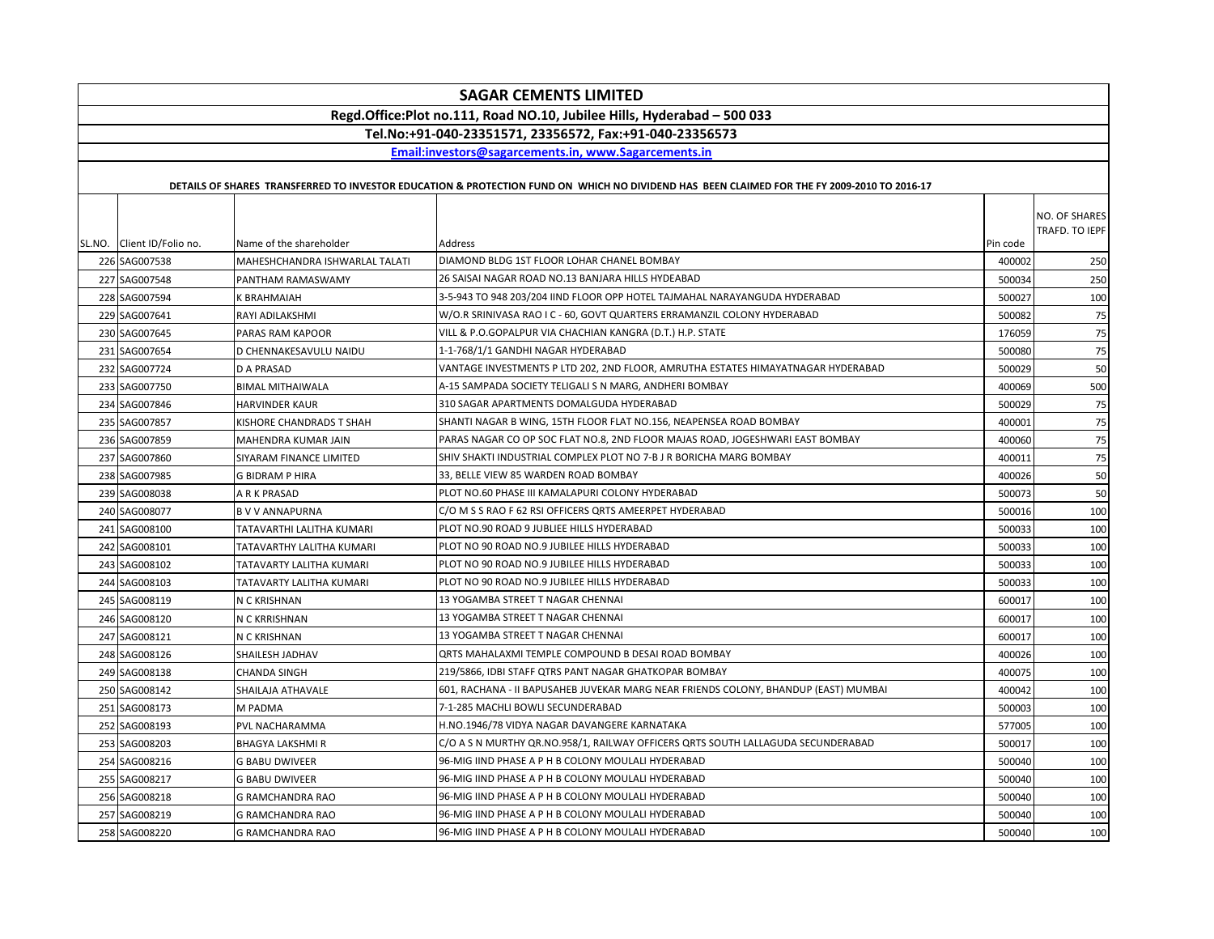| <b>SAGAR CEMENTS LIMITED</b>                                            |                                |                                                                                                                                             |          |                                 |
|-------------------------------------------------------------------------|--------------------------------|---------------------------------------------------------------------------------------------------------------------------------------------|----------|---------------------------------|
| Regd.Office:Plot no.111, Road NO.10, Jubilee Hills, Hyderabad - 500 033 |                                |                                                                                                                                             |          |                                 |
|                                                                         |                                | Tel.No:+91-040-23351571, 23356572, Fax:+91-040-23356573                                                                                     |          |                                 |
|                                                                         |                                | Email:investors@sagarcements.in, www.Sagarcements.in                                                                                        |          |                                 |
|                                                                         |                                |                                                                                                                                             |          |                                 |
|                                                                         |                                | DETAILS OF SHARES TRANSFERRED TO INVESTOR EDUCATION & PROTECTION FUND ON WHICH NO DIVIDEND HAS BEEN CLAIMED FOR THE FY 2009-2010 TO 2016-17 |          |                                 |
| SL.NO. Client ID/Folio no.                                              | Name of the shareholder        | Address                                                                                                                                     | Pin code | NO. OF SHARES<br>TRAFD. TO IEPF |
| 226 SAG007538                                                           | MAHESHCHANDRA ISHWARLAL TALATI | DIAMOND BLDG 1ST FLOOR LOHAR CHANEL BOMBAY                                                                                                  | 400002   | 250                             |
| 227 SAG007548                                                           | PANTHAM RAMASWAMY              | 26 SAISAI NAGAR ROAD NO.13 BANJARA HILLS HYDEABAD                                                                                           | 500034   | 250                             |
| 228 SAG007594                                                           | K BRAHMAIAH                    | 3-5-943 TO 948 203/204 IIND FLOOR OPP HOTEL TAJMAHAL NARAYANGUDA HYDERABAD                                                                  | 500027   | 100                             |
| 229 SAG007641                                                           | RAYI ADILAKSHMI                | W/O.R SRINIVASA RAO I C - 60, GOVT QUARTERS ERRAMANZIL COLONY HYDERABAD                                                                     | 500082   | 75                              |
| 230 SAG007645                                                           | PARAS RAM KAPOOR               | VILL & P.O.GOPALPUR VIA CHACHIAN KANGRA (D.T.) H.P. STATE                                                                                   | 176059   | 75                              |
| 231 SAG007654                                                           | D CHENNAKESAVULU NAIDU         | 1-1-768/1/1 GANDHI NAGAR HYDERABAD                                                                                                          | 500080   | 75                              |
| 232 SAG007724                                                           | <b>D A PRASAD</b>              | VANTAGE INVESTMENTS P LTD 202, 2ND FLOOR, AMRUTHA ESTATES HIMAYATNAGAR HYDERABAD                                                            | 500029   | 50                              |
| 233 SAG007750                                                           | <b>BIMAL MITHAIWALA</b>        | A-15 SAMPADA SOCIETY TELIGALI S N MARG, ANDHERI BOMBAY                                                                                      | 400069   | 500                             |
| 234 SAG007846                                                           | <b>HARVINDER KAUR</b>          | 310 SAGAR APARTMENTS DOMALGUDA HYDERABAD                                                                                                    | 500029   | 75                              |
| 235 SAG007857                                                           | KISHORE CHANDRADS T SHAH       | SHANTI NAGAR B WING, 15TH FLOOR FLAT NO.156, NEAPENSEA ROAD BOMBAY                                                                          | 400001   | 75                              |
| 236 SAG007859                                                           | MAHENDRA KUMAR JAIN            | PARAS NAGAR CO OP SOC FLAT NO.8, 2ND FLOOR MAJAS ROAD, JOGESHWARI EAST BOMBAY                                                               | 400060   | 75                              |
| 237 SAG007860                                                           | SIYARAM FINANCE LIMITED        | SHIV SHAKTI INDUSTRIAL COMPLEX PLOT NO 7-B J R BORICHA MARG BOMBAY                                                                          | 400011   | 75                              |
| 238 SAG007985                                                           | <b>G BIDRAM P HIRA</b>         | 33, BELLE VIEW 85 WARDEN ROAD BOMBAY                                                                                                        | 400026   | 50                              |
| 239 SAG008038                                                           | A R K PRASAD                   | PLOT NO.60 PHASE III KAMALAPURI COLONY HYDERABAD                                                                                            | 500073   | 50                              |
| 240 SAG008077                                                           | <b>BVV ANNAPURNA</b>           | C/O M S S RAO F 62 RSI OFFICERS QRTS AMEERPET HYDERABAD                                                                                     | 500016   | 100                             |
| 241 SAG008100                                                           | TATAVARTHI LALITHA KUMARI      | PLOT NO.90 ROAD 9 JUBLIEE HILLS HYDERABAD                                                                                                   | 500033   | 100                             |
| 242 SAG008101                                                           | TATAVARTHY LALITHA KUMARI      | PLOT NO 90 ROAD NO.9 JUBILEE HILLS HYDERABAD                                                                                                | 500033   | 100                             |
| 243 SAG008102                                                           | TATAVARTY LALITHA KUMARI       | PLOT NO 90 ROAD NO.9 JUBILEE HILLS HYDERABAD                                                                                                | 500033   | 100                             |
| 244 SAG008103                                                           | TATAVARTY LALITHA KUMARI       | PLOT NO 90 ROAD NO.9 JUBILEE HILLS HYDERABAD                                                                                                | 500033   | 100                             |
| 245 SAG008119                                                           | N C KRISHNAN                   | 13 YOGAMBA STREET T NAGAR CHENNAI                                                                                                           | 600017   | 100                             |
| 246 SAG008120                                                           | N C KRRISHNAN                  | 13 YOGAMBA STREET T NAGAR CHENNAI                                                                                                           | 600017   | 100                             |
| 247 SAG008121                                                           | N C KRISHNAN                   | 13 YOGAMBA STREET T NAGAR CHENNAI                                                                                                           | 600017   | 100                             |
| 248 SAG008126                                                           | SHAILESH JADHAV                | QRTS MAHALAXMI TEMPLE COMPOUND B DESAI ROAD BOMBAY                                                                                          | 400026   | 100                             |
| 249 SAG008138                                                           | <b>CHANDA SINGH</b>            | 219/5866, IDBI STAFF QTRS PANT NAGAR GHATKOPAR BOMBAY                                                                                       | 400075   | 100                             |
| 250 SAG008142                                                           | SHAILAJA ATHAVALE              | 601, RACHANA - II BAPUSAHEB JUVEKAR MARG NEAR FRIENDS COLONY, BHANDUP (EAST) MUMBAI                                                         | 400042   | 100                             |
| 251 SAG008173                                                           | M PADMA                        | 7-1-285 MACHLI BOWLI SECUNDERABAD                                                                                                           | 500003   | 100                             |
| 252 SAG008193                                                           | PVL NACHARAMMA                 | H.NO.1946/78 VIDYA NAGAR DAVANGERE KARNATAKA                                                                                                | 577005   | 100                             |
| 253 SAG008203                                                           | <b>BHAGYA LAKSHMI R</b>        | C/O A S N MURTHY QR.NO.958/1, RAILWAY OFFICERS QRTS SOUTH LALLAGUDA SECUNDERABAD                                                            | 500017   | 100                             |
| 254 SAG008216                                                           | <b>G BABU DWIVEER</b>          | 96-MIG IIND PHASE A P H B COLONY MOULALI HYDERABAD                                                                                          | 500040   | 100                             |
| 255 SAG008217                                                           | <b>G BABU DWIVEER</b>          | 96-MIG IIND PHASE A P H B COLONY MOULALI HYDERABAD                                                                                          | 500040   | 100                             |
| 256 SAG008218                                                           | <b>G RAMCHANDRA RAO</b>        | 96-MIG IIND PHASE A P H B COLONY MOULALI HYDERABAD                                                                                          | 500040   | 100                             |
| 257 SAG008219                                                           | G RAMCHANDRA RAO               | 96-MIG IIND PHASE A P H B COLONY MOULALI HYDERABAD                                                                                          | 500040   | 100                             |
| 258 SAG008220                                                           | G RAMCHANDRA RAO               | 96-MIG IIND PHASE A P H B COLONY MOULALI HYDERABAD                                                                                          | 500040   | 100                             |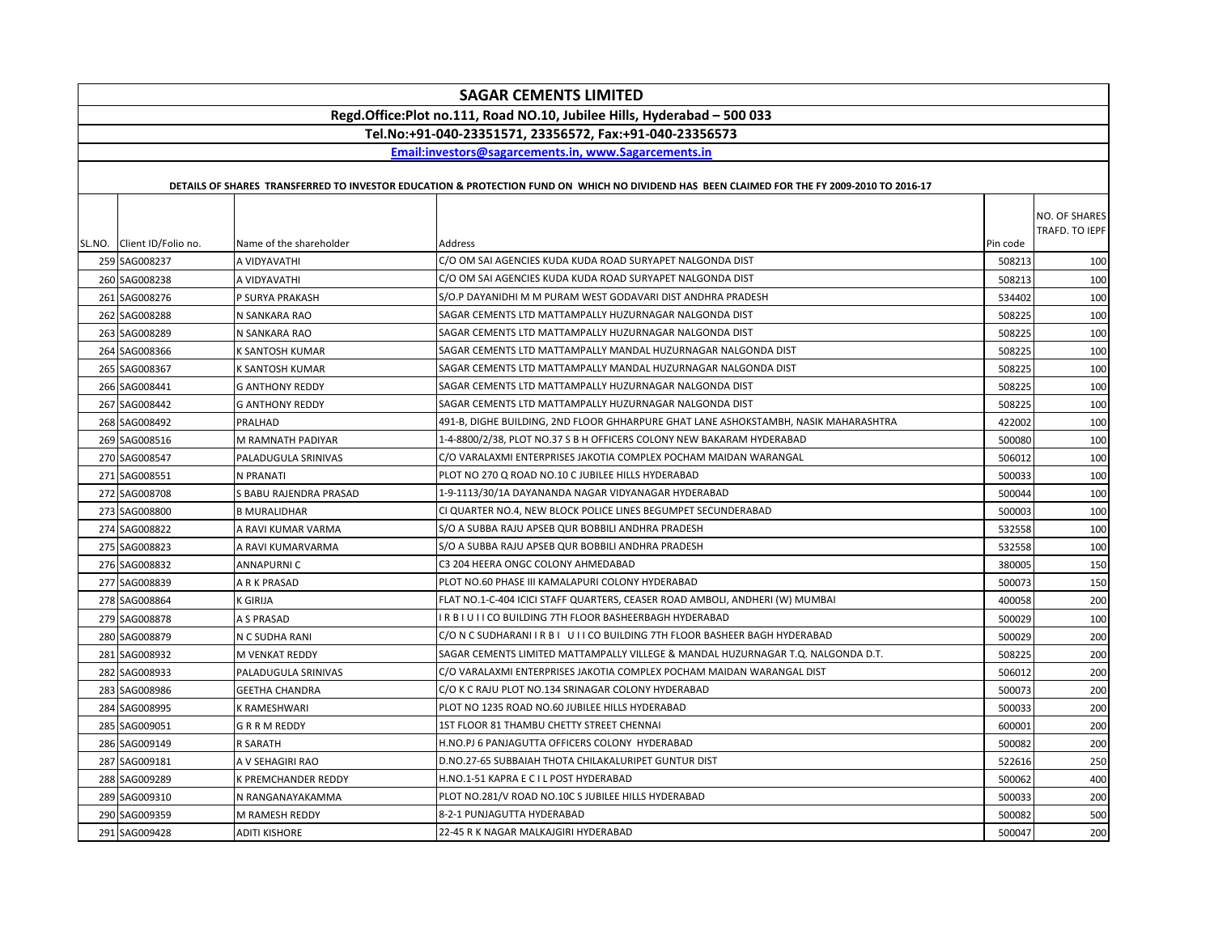| <b>SAGAR CEMENTS LIMITED</b>                                            |                         |                                                                                                                                             |          |                                 |
|-------------------------------------------------------------------------|-------------------------|---------------------------------------------------------------------------------------------------------------------------------------------|----------|---------------------------------|
| Regd.Office:Plot no.111, Road NO.10, Jubilee Hills, Hyderabad - 500 033 |                         |                                                                                                                                             |          |                                 |
|                                                                         |                         | Tel.No:+91-040-23351571, 23356572, Fax:+91-040-23356573                                                                                     |          |                                 |
|                                                                         |                         | Email:investors@sagarcements.in. www.Sagarcements.in                                                                                        |          |                                 |
|                                                                         |                         |                                                                                                                                             |          |                                 |
|                                                                         |                         | DETAILS OF SHARES TRANSFERRED TO INVESTOR EDUCATION & PROTECTION FUND ON WHICH NO DIVIDEND HAS BEEN CLAIMED FOR THE FY 2009-2010 TO 2016-17 |          |                                 |
| SL.NO. Client ID/Folio no.                                              | Name of the shareholder | Address                                                                                                                                     | Pin code | NO. OF SHARES<br>TRAFD. TO IEPF |
| 259 SAG008237                                                           | A VIDYAVATHI            | C/O OM SAI AGENCIES KUDA KUDA ROAD SURYAPET NALGONDA DIST                                                                                   | 508213   | 100                             |
| 260 SAG008238                                                           | A VIDYAVATHI            | C/O OM SAI AGENCIES KUDA KUDA ROAD SURYAPET NALGONDA DIST                                                                                   | 508213   | 100                             |
| 261 SAG008276                                                           | P SURYA PRAKASH         | S/O.P DAYANIDHI M M PURAM WEST GODAVARI DIST ANDHRA PRADESH                                                                                 | 534402   | 100                             |
| 262 SAG008288                                                           | N SANKARA RAO           | SAGAR CEMENTS LTD MATTAMPALLY HUZURNAGAR NALGONDA DIST                                                                                      | 508225   | 100                             |
| 263 SAG008289                                                           | N SANKARA RAO           | SAGAR CEMENTS LTD MATTAMPALLY HUZURNAGAR NALGONDA DIST                                                                                      | 508225   | 100                             |
| 264 SAG008366                                                           | K SANTOSH KUMAR         | SAGAR CEMENTS LTD MATTAMPALLY MANDAL HUZURNAGAR NALGONDA DIST                                                                               | 508225   | 100                             |
| 265 SAG008367                                                           | K SANTOSH KUMAR         | SAGAR CEMENTS LTD MATTAMPALLY MANDAL HUZURNAGAR NALGONDA DIST                                                                               | 508225   | 100                             |
| 266 SAG008441                                                           | <b>G ANTHONY REDDY</b>  | SAGAR CEMENTS LTD MATTAMPALLY HUZURNAGAR NALGONDA DIST                                                                                      | 508225   | 100                             |
| 267 SAG008442                                                           | <b>G ANTHONY REDDY</b>  | SAGAR CEMENTS LTD MATTAMPALLY HUZURNAGAR NALGONDA DIST                                                                                      | 508225   | 100                             |
| 268 SAG008492                                                           | PRALHAD                 | 491-B, DIGHE BUILDING, 2ND FLOOR GHHARPURE GHAT LANE ASHOKSTAMBH, NASIK MAHARASHTRA                                                         | 422002   | 100                             |
| 269 SAG008516                                                           | M RAMNATH PADIYAR       | 1-4-8800/2/38, PLOT NO.37 S B H OFFICERS COLONY NEW BAKARAM HYDERABAD                                                                       | 500080   | 100                             |
| 270 SAG008547                                                           | PALADUGULA SRINIVAS     | C/O VARALAXMI ENTERPRISES JAKOTIA COMPLEX POCHAM MAIDAN WARANGAL                                                                            | 506012   | 100                             |
| 271 SAG008551                                                           | N PRANATI               | PLOT NO 270 Q ROAD NO.10 C JUBILEE HILLS HYDERABAD                                                                                          | 500033   | 100                             |
| 272 SAG008708                                                           | S BABU RAJENDRA PRASAD  | 1-9-1113/30/1A DAYANANDA NAGAR VIDYANAGAR HYDERABAD                                                                                         | 500044   | 100                             |
| 273 SAG008800                                                           | <b>B MURALIDHAR</b>     | CI QUARTER NO.4, NEW BLOCK POLICE LINES BEGUMPET SECUNDERABAD                                                                               | 500003   | 100                             |
| 274 SAG008822                                                           | A RAVI KUMAR VARMA      | S/O A SUBBA RAJU APSEB QUR BOBBILI ANDHRA PRADESH                                                                                           | 532558   | 100                             |
| 275 SAG008823                                                           | A RAVI KUMARVARMA       | S/O A SUBBA RAJU APSEB QUR BOBBILI ANDHRA PRADESH                                                                                           | 532558   | 100                             |
| 276 SAG008832                                                           | <b>ANNAPURNIC</b>       | C3 204 HEERA ONGC COLONY AHMEDABAD                                                                                                          | 380005   | 150                             |
| 277 SAG008839                                                           | A R K PRASAD            | PLOT NO.60 PHASE III KAMALAPURI COLONY HYDERABAD                                                                                            | 500073   | 150                             |
| 278 SAG008864                                                           | K GIRIJA                | FLAT NO.1-C-404 ICICI STAFF QUARTERS, CEASER ROAD AMBOLI, ANDHERI (W) MUMBAI                                                                | 400058   | 200                             |
| 279 SAG008878                                                           | A S PRASAD              | IR BIUIICO BUILDING 7TH FLOOR BASHEERBAGH HYDERABAD                                                                                         | 500029   | 100                             |
| 280 SAG008879                                                           | N C SUDHA RANI          | C/O N C SUDHARANI I R B I U I I CO BUILDING 7TH FLOOR BASHEER BAGH HYDERABAD                                                                | 500029   | 200                             |
| 281 SAG008932                                                           | <b>M VENKAT REDDY</b>   | SAGAR CEMENTS LIMITED MATTAMPALLY VILLEGE & MANDAL HUZURNAGAR T.Q. NALGONDA D.T.                                                            | 508225   | 200                             |
| 282 SAG008933                                                           | PALADUGULA SRINIVAS     | C/O VARALAXMI ENTERPRISES JAKOTIA COMPLEX POCHAM MAIDAN WARANGAL DIST                                                                       | 506012   | 200                             |
| 283 SAG008986                                                           | <b>GEETHA CHANDRA</b>   | C/O K C RAJU PLOT NO.134 SRINAGAR COLONY HYDERABAD                                                                                          | 500073   | 200                             |
| 284 SAG008995                                                           | K RAMESHWARI            | PLOT NO 1235 ROAD NO.60 JUBILEE HILLS HYDERABAD                                                                                             | 500033   | 200                             |
| 285 SAG009051                                                           | <b>GRRMREDDY</b>        | 1ST FLOOR 81 THAMBU CHETTY STREET CHENNAI                                                                                                   | 600001   | 200                             |
| 286 SAG009149                                                           | R SARATH                | H.NO.PJ 6 PANJAGUTTA OFFICERS COLONY HYDERABAD                                                                                              | 500082   | 200                             |
| 287 SAG009181                                                           | A V SEHAGIRI RAO        | D.NO.27-65 SUBBAIAH THOTA CHILAKALURIPET GUNTUR DIST                                                                                        | 522616   | 250                             |
| 288 SAG009289                                                           | K PREMCHANDER REDDY     | H.NO.1-51 KAPRA E C I L POST HYDERABAD                                                                                                      | 500062   | 400                             |
| 289 SAG009310                                                           | N RANGANAYAKAMMA        | PLOT NO.281/V ROAD NO.10C S JUBILEE HILLS HYDERABAD                                                                                         | 500033   | 200                             |
| 290 SAG009359                                                           | M RAMESH REDDY          | 8-2-1 PUNJAGUTTA HYDERABAD                                                                                                                  | 500082   | 500                             |
| 291 SAG009428                                                           | <b>ADITI KISHORE</b>    | 22-45 R K NAGAR MALKAJGIRI HYDERABAD                                                                                                        | 500047   | 200                             |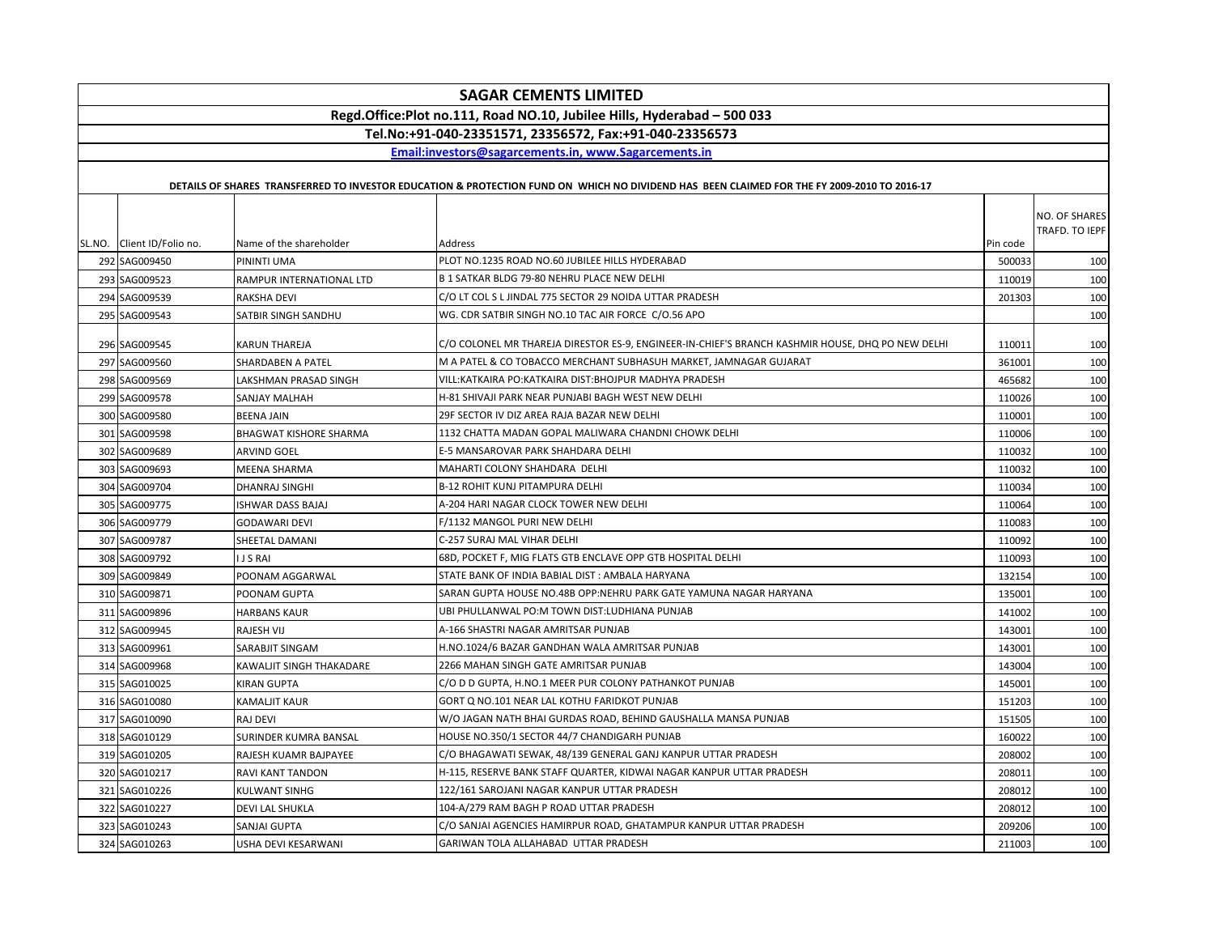| <b>SAGAR CEMENTS LIMITED</b>   |                                       |                                                                                                                                             |                  |                                 |
|--------------------------------|---------------------------------------|---------------------------------------------------------------------------------------------------------------------------------------------|------------------|---------------------------------|
|                                |                                       | Regd.Office:Plot no.111, Road NO.10, Jubilee Hills, Hyderabad - 500 033                                                                     |                  |                                 |
|                                |                                       | Tel.No:+91-040-23351571, 23356572, Fax:+91-040-23356573                                                                                     |                  |                                 |
|                                |                                       | Email:investors@sagarcements.in, www.Sagarcements.in                                                                                        |                  |                                 |
|                                |                                       | DETAILS OF SHARES TRANSFERRED TO INVESTOR EDUCATION & PROTECTION FUND ON WHICH NO DIVIDEND HAS BEEN CLAIMED FOR THE FY 2009-2010 TO 2016-17 |                  |                                 |
|                                |                                       |                                                                                                                                             |                  |                                 |
| SL.NO. Client ID/Folio no.     | Name of the shareholder               | Address                                                                                                                                     | Pin code         | NO. OF SHARES<br>TRAFD. TO IEPF |
| 292 SAG009450                  | PININTI UMA                           | PLOT NO.1235 ROAD NO.60 JUBILEE HILLS HYDERABAD                                                                                             | 500033           | 100                             |
| 293 SAG009523                  | RAMPUR INTERNATIONAL LTD              | B 1 SATKAR BLDG 79-80 NEHRU PLACE NEW DELHI                                                                                                 | 110019           | 100                             |
| 294 SAG009539                  | RAKSHA DEVI                           | C/O LT COL S L JINDAL 775 SECTOR 29 NOIDA UTTAR PRADESH                                                                                     | 201303           | 100                             |
| 295 SAG009543                  | SATBIR SINGH SANDHU                   | WG. CDR SATBIR SINGH NO.10 TAC AIR FORCE C/O.56 APO                                                                                         |                  | 100                             |
|                                |                                       |                                                                                                                                             |                  |                                 |
| 296 SAG009545                  | <b>KARUN THAREJA</b>                  | C/O COLONEL MR THAREJA DIRESTOR ES-9, ENGINEER-IN-CHIEF'S BRANCH KASHMIR HOUSE, DHQ PO NEW DELHI                                            | 110011           | 100                             |
| 297 SAG009560                  | <b>SHARDABEN A PATEL</b>              | M A PATEL & CO TOBACCO MERCHANT SUBHASUH MARKET, JAMNAGAR GUJARAT                                                                           | 361001           | 100                             |
| 298 SAG009569                  | LAKSHMAN PRASAD SINGH                 | VILL: KATKAIRA PO: KATKAIRA DIST: BHOJPUR MADHYA PRADESH<br>H-81 SHIVAJI PARK NEAR PUNJABI BAGH WEST NEW DELHI                              | 465682           | 100                             |
| 299 SAG009578                  | SANJAY MALHAH                         | 29F SECTOR IV DIZ AREA RAJA BAZAR NEW DELHI                                                                                                 | 110026           | 100                             |
| 300 SAG009580                  | <b>BEENA JAIN</b>                     | 1132 CHATTA MADAN GOPAL MALIWARA CHANDNI CHOWK DELHI                                                                                        | 110001           | 100                             |
| 301 SAG009598                  | <b>BHAGWAT KISHORE SHARMA</b>         | E-5 MANSAROVAR PARK SHAHDARA DELHI                                                                                                          | 110006           | 100                             |
| 302 SAG009689<br>303 SAG009693 | ARVIND GOEL                           | MAHARTI COLONY SHAHDARA DELHI                                                                                                               | 110032           | 100<br>100                      |
| 304 SAG009704                  | <b>MEENA SHARMA</b><br>DHANRAJ SINGHI | <b>B-12 ROHIT KUNJ PITAMPURA DELHI</b>                                                                                                      | 110032<br>110034 | 100                             |
| 305 SAG009775                  | <b>ISHWAR DASS BAJAJ</b>              | A-204 HARI NAGAR CLOCK TOWER NEW DELHI                                                                                                      | 110064           | 100                             |
| 306 SAG009779                  | <b>GODAWARI DEVI</b>                  | F/1132 MANGOL PURI NEW DELHI                                                                                                                | 110083           | 100                             |
| 307 SAG009787                  | SHEETAL DAMANI                        | C-257 SURAJ MAL VIHAR DELHI                                                                                                                 | 110092           | 100                             |
| 308 SAG009792                  | <b>IJSRAI</b>                         | 68D, POCKET F, MIG FLATS GTB ENCLAVE OPP GTB HOSPITAL DELHI                                                                                 | 110093           | 100                             |
| 309 SAG009849                  | POONAM AGGARWAL                       | STATE BANK OF INDIA BABIAL DIST : AMBALA HARYANA                                                                                            | 132154           | 100                             |
| 310 SAG009871                  | POONAM GUPTA                          | SARAN GUPTA HOUSE NO.48B OPP:NEHRU PARK GATE YAMUNA NAGAR HARYANA                                                                           | 135001           | 100                             |
| 311 SAG009896                  | HARBANS KAUR                          | UBI PHULLANWAL PO:M TOWN DIST:LUDHIANA PUNJAB                                                                                               | 141002           | 100                             |
| 312 SAG009945                  | <b>RAJESH VIJ</b>                     | A-166 SHASTRI NAGAR AMRITSAR PUNJAB                                                                                                         | 143001           | 100                             |
| 313 SAG009961                  | SARABJIT SINGAM                       | H.NO.1024/6 BAZAR GANDHAN WALA AMRITSAR PUNJAB                                                                                              | 143001           | 100                             |
| 314 SAG009968                  | KAWALJIT SINGH THAKADARE              | 2266 MAHAN SINGH GATE AMRITSAR PUNJAB                                                                                                       | 143004           | 100                             |
| 315 SAG010025                  | <b>KIRAN GUPTA</b>                    | C/O D D GUPTA, H.NO.1 MEER PUR COLONY PATHANKOT PUNJAB                                                                                      | 145001           | 100                             |
| 316 SAG010080                  | KAMALJIT KAUR                         | GORT Q NO.101 NEAR LAL KOTHU FARIDKOT PUNJAB                                                                                                | 151203           | 100                             |
| 317 SAG010090                  | RAJ DEVI                              | W/O JAGAN NATH BHAI GURDAS ROAD, BEHIND GAUSHALLA MANSA PUNJAB                                                                              | 151505           | 100                             |
| 318 SAG010129                  | SURINDER KUMRA BANSAL                 | HOUSE NO.350/1 SECTOR 44/7 CHANDIGARH PUNJAB                                                                                                | 160022           | 100                             |
| 319 SAG010205                  | RAJESH KUAMR BAJPAYEE                 | C/O BHAGAWATI SEWAK, 48/139 GENERAL GANJ KANPUR UTTAR PRADESH                                                                               | 208002           | 100                             |
| 320 SAG010217                  | <b>RAVI KANT TANDON</b>               | H-115, RESERVE BANK STAFF QUARTER, KIDWAI NAGAR KANPUR UTTAR PRADESH                                                                        | 208011           | 100                             |
| 321 SAG010226                  | KULWANT SINHG                         | 122/161 SAROJANI NAGAR KANPUR UTTAR PRADESH                                                                                                 | 208012           | 100                             |
| 322 SAG010227                  | <b>DEVI LAL SHUKLA</b>                | 104-A/279 RAM BAGH P ROAD UTTAR PRADESH                                                                                                     | 208012           | 100                             |
| 323 SAG010243                  | SANJAI GUPTA                          | C/O SANJAI AGENCIES HAMIRPUR ROAD, GHATAMPUR KANPUR UTTAR PRADESH                                                                           | 209206           | 100                             |
| 324 SAG010263                  | USHA DEVI KESARWANI                   | GARIWAN TOLA ALLAHABAD UTTAR PRADESH                                                                                                        | 211003           | 100                             |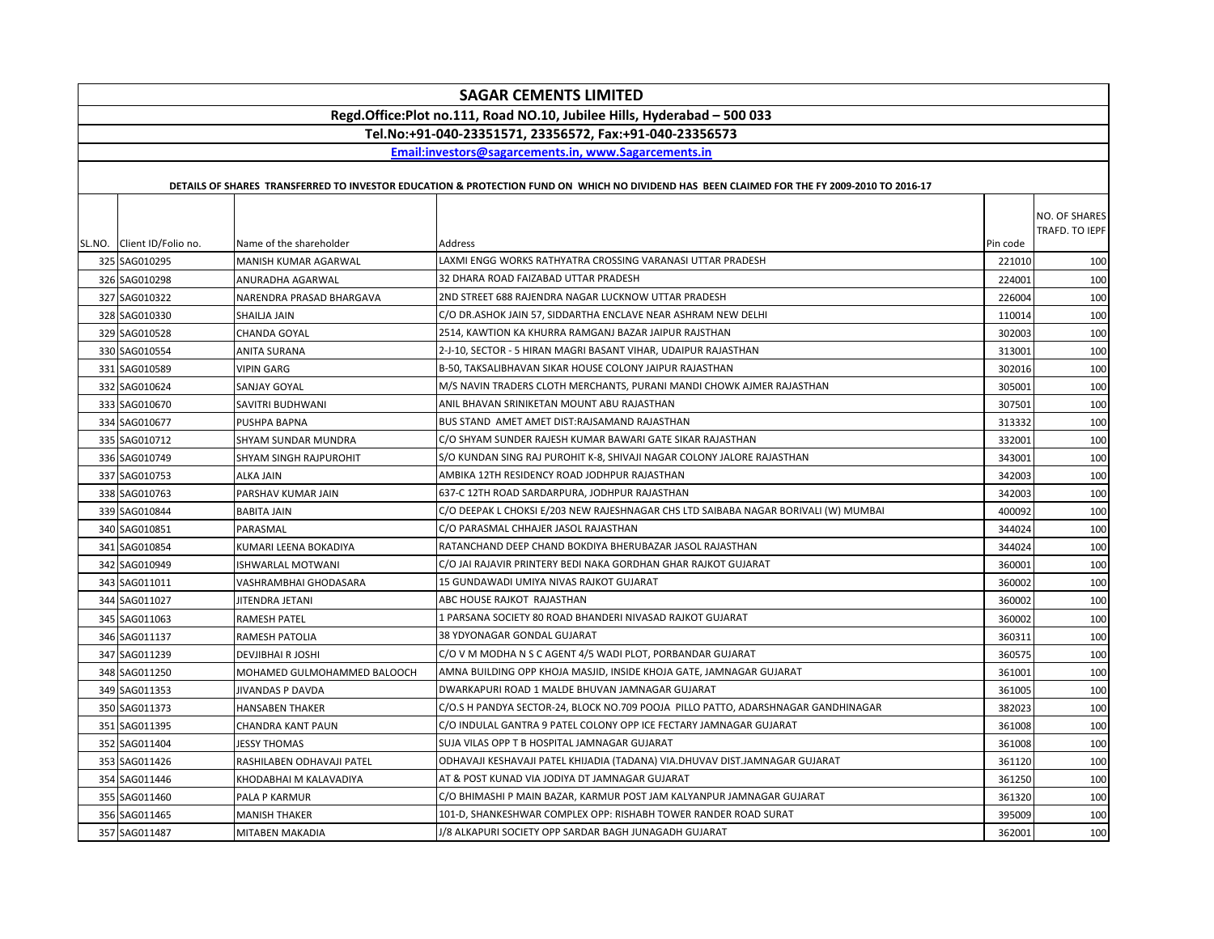| <b>SAGAR CEMENTS LIMITED</b>                                            |                             |                                                                                                                                             |          |                                 |
|-------------------------------------------------------------------------|-----------------------------|---------------------------------------------------------------------------------------------------------------------------------------------|----------|---------------------------------|
| Regd.Office:Plot no.111, Road NO.10, Jubilee Hills, Hyderabad - 500 033 |                             |                                                                                                                                             |          |                                 |
|                                                                         |                             | Tel.No:+91-040-23351571, 23356572, Fax:+91-040-23356573                                                                                     |          |                                 |
|                                                                         |                             | Email:investors@sagarcements.in, www.Sagarcements.in                                                                                        |          |                                 |
|                                                                         |                             |                                                                                                                                             |          |                                 |
|                                                                         |                             | DETAILS OF SHARES TRANSFERRED TO INVESTOR EDUCATION & PROTECTION FUND ON WHICH NO DIVIDEND HAS BEEN CLAIMED FOR THE FY 2009-2010 TO 2016-17 |          |                                 |
| SL.NO. Client ID/Folio no.                                              | Name of the shareholder     | Address                                                                                                                                     | Pin code | NO. OF SHARES<br>TRAFD. TO IEPF |
| 325 SAG010295                                                           | MANISH KUMAR AGARWAL        | LAXMI ENGG WORKS RATHYATRA CROSSING VARANASI UTTAR PRADESH                                                                                  | 221010   | 100                             |
| 326 SAG010298                                                           | ANURADHA AGARWAL            | 32 DHARA ROAD FAIZABAD UTTAR PRADESH                                                                                                        | 224001   | 100                             |
| 327 SAG010322                                                           | NARENDRA PRASAD BHARGAVA    | 2ND STREET 688 RAJENDRA NAGAR LUCKNOW UTTAR PRADESH                                                                                         | 226004   | 100                             |
| 328 SAG010330                                                           | SHAILJA JAIN                | C/O DR.ASHOK JAIN 57. SIDDARTHA ENCLAVE NEAR ASHRAM NEW DELHI                                                                               | 110014   | 100                             |
| 329 SAG010528                                                           | CHANDA GOYAL                | 2514, KAWTION KA KHURRA RAMGANJ BAZAR JAIPUR RAJSTHAN                                                                                       | 302003   | 100                             |
| 330 SAG010554                                                           | <b>ANITA SURANA</b>         | 2-J-10, SECTOR - 5 HIRAN MAGRI BASANT VIHAR, UDAIPUR RAJASTHAN                                                                              | 313001   | 100                             |
| 331 SAG010589                                                           | <b>VIPIN GARG</b>           | B-50, TAKSALIBHAVAN SIKAR HOUSE COLONY JAIPUR RAJASTHAN                                                                                     | 302016   | 100                             |
| 332 SAG010624                                                           | SANJAY GOYAL                | M/S NAVIN TRADERS CLOTH MERCHANTS, PURANI MANDI CHOWK AJMER RAJASTHAN                                                                       | 305001   | 100                             |
| 333 SAG010670                                                           | SAVITRI BUDHWANI            | ANIL BHAVAN SRINIKETAN MOUNT ABU RAJASTHAN                                                                                                  | 307501   | 100                             |
| 334 SAG010677                                                           | PUSHPA BAPNA                | BUS STAND AMET AMET DIST:RAJSAMAND RAJASTHAN                                                                                                | 313332   | 100                             |
| 335 SAG010712                                                           | SHYAM SUNDAR MUNDRA         | C/O SHYAM SUNDER RAJESH KUMAR BAWARI GATE SIKAR RAJASTHAN                                                                                   | 332001   | 100                             |
| 336 SAG010749                                                           | SHYAM SINGH RAJPUROHIT      | S/O KUNDAN SING RAJ PUROHIT K-8, SHIVAJI NAGAR COLONY JALORE RAJASTHAN                                                                      | 343001   | 100                             |
| 337 SAG010753                                                           | ALKA JAIN                   | AMBIKA 12TH RESIDENCY ROAD JODHPUR RAJASTHAN                                                                                                | 342003   | 100                             |
| 338 SAG010763                                                           | PARSHAV KUMAR JAIN          | 637-C 12TH ROAD SARDARPURA, JODHPUR RAJASTHAN                                                                                               | 342003   | 100                             |
| 339 SAG010844                                                           | <b>BABITA JAIN</b>          | C/O DEEPAK L CHOKSI E/203 NEW RAJESHNAGAR CHS LTD SAIBABA NAGAR BORIVALI (W) MUMBAI                                                         | 400092   | 100                             |
| 340 SAG010851                                                           | PARASMAL                    | C/O PARASMAL CHHAJER JASOL RAJASTHAN                                                                                                        | 344024   | 100                             |
| 341 SAG010854                                                           | KUMARI LEENA BOKADIYA       | RATANCHAND DEEP CHAND BOKDIYA BHERUBAZAR JASOL RAJASTHAN                                                                                    | 344024   | 100                             |
| 342 SAG010949                                                           | ISHWARLAL MOTWANI           | C/O JAI RAJAVIR PRINTERY BEDI NAKA GORDHAN GHAR RAJKOT GUJARAT                                                                              | 360001   | 100                             |
| 343 SAG011011                                                           | VASHRAMBHAI GHODASARA       | 15 GUNDAWADI UMIYA NIVAS RAJKOT GUJARAT                                                                                                     | 360002   | 100                             |
| 344 SAG011027                                                           | JITENDRA JETANI             | ABC HOUSE RAJKOT RAJASTHAN                                                                                                                  | 360002   | 100                             |
| 345 SAG011063                                                           | RAMESH PATEL                | 1 PARSANA SOCIETY 80 ROAD BHANDERI NIVASAD RAJKOT GUJARAT                                                                                   | 360002   | 100                             |
| 346 SAG011137                                                           | RAMESH PATOLIA              | 38 YDYONAGAR GONDAL GUJARAT                                                                                                                 | 360311   | 100                             |
| 347 SAG011239                                                           | <b>DEVJIBHAI R JOSHI</b>    | C/O V M MODHA N S C AGENT 4/5 WADI PLOT, PORBANDAR GUJARAT                                                                                  | 360575   | 100                             |
| 348 SAG011250                                                           | MOHAMED GULMOHAMMED BALOOCH | AMNA BUILDING OPP KHOJA MASJID, INSIDE KHOJA GATE, JAMNAGAR GUJARAT                                                                         | 361001   | 100                             |
| 349 SAG011353                                                           | JIVANDAS P DAVDA            | DWARKAPURI ROAD 1 MALDE BHUVAN JAMNAGAR GUJARAT                                                                                             | 361005   | 100                             |
| 350 SAG011373                                                           | <b>HANSABEN THAKER</b>      | C/O.S H PANDYA SECTOR-24, BLOCK NO.709 POOJA  PILLO PATTO, ADARSHNAGAR GANDHINAGAR                                                          | 382023   | 100                             |
| 351 SAG011395                                                           | CHANDRA KANT PAUN           | C/O INDULAL GANTRA 9 PATEL COLONY OPP ICE FECTARY JAMNAGAR GUJARAT                                                                          | 361008   | 100                             |
| 352 SAG011404                                                           | <b>JESSY THOMAS</b>         | SUJA VILAS OPP T B HOSPITAL JAMNAGAR GUJARAT                                                                                                | 361008   | 100                             |
| 353 SAG011426                                                           | RASHILABEN ODHAVAJI PATEL   | ODHAVAJI KESHAVAJI PATEL KHIJADIA (TADANA) VIA.DHUVAV DIST.JAMNAGAR GUJARAT                                                                 | 361120   | 100                             |
| 354 SAG011446                                                           | KHODABHAI M KALAVADIYA      | AT & POST KUNAD VIA JODIYA DT JAMNAGAR GUJARAT                                                                                              | 361250   | 100                             |
| 355 SAG011460                                                           | PALA P KARMUR               | C/O BHIMASHI P MAIN BAZAR, KARMUR POST JAM KALYANPUR JAMNAGAR GUJARAT                                                                       | 361320   | 100                             |
| 356 SAG011465                                                           | MANISH THAKER               | 101-D, SHANKESHWAR COMPLEX OPP: RISHABH TOWER RANDER ROAD SURAT                                                                             | 395009   | 100                             |
| 357 SAG011487                                                           | MITABEN MAKADIA             | J/8 ALKAPURI SOCIETY OPP SARDAR BAGH JUNAGADH GUJARAT                                                                                       | 362001   | 100                             |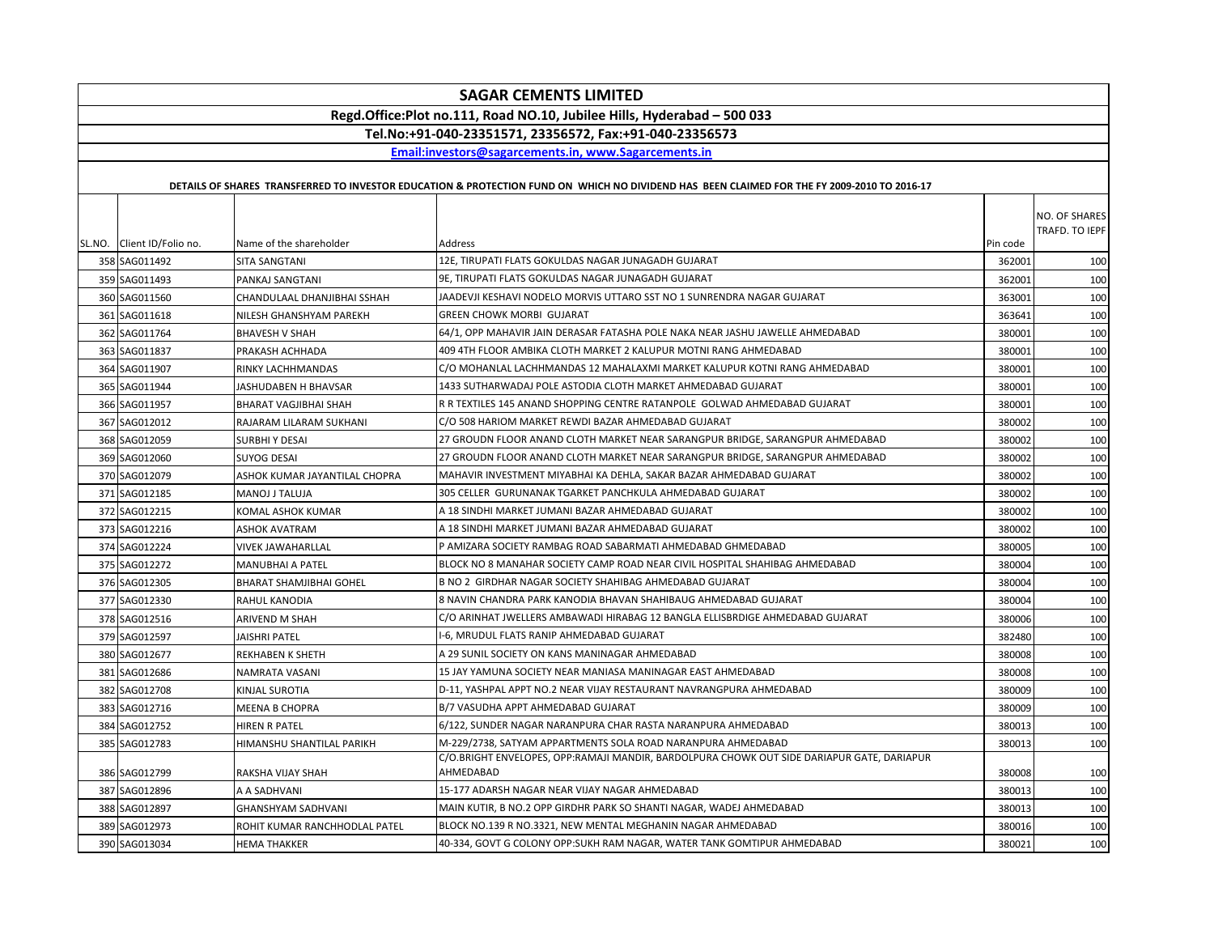| Regd.Office:Plot no.111, Road NO.10, Jubilee Hills, Hyderabad - 500 033<br>Tel.No:+91-040-23351571, 23356572, Fax:+91-040-23356573<br>Email:investors@sagarcements.in, www.Sagarcements.in<br>DETAILS OF SHARES TRANSFERRED TO INVESTOR EDUCATION & PROTECTION FUND ON WHICH NO DIVIDEND HAS BEEN CLAIMED FOR THE FY 2009-2010 TO 2016-17<br>SL.NO. Client ID/Folio no.<br>Name of the shareholder<br>Pin code<br>Address<br>12E, TIRUPATI FLATS GOKULDAS NAGAR JUNAGADH GUJARAT<br>358 SAG011492<br>362001<br>SITA SANGTANI<br>9E. TIRUPATI FLATS GOKULDAS NAGAR JUNAGADH GUJARAT<br>359 SAG011493<br>PANKAJ SANGTANI<br>362001<br>360 SAG011560<br>JAADEVJI KESHAVI NODELO MORVIS UTTARO SST NO 1 SUNRENDRA NAGAR GUJARAT<br>CHANDULAAL DHANJIBHAI SSHAH<br>363001<br><b>GREEN CHOWK MORBI GUJARAT</b><br>361 SAG011618<br>NILESH GHANSHYAM PAREKH<br>363641<br>64/1, OPP MAHAVIR JAIN DERASAR FATASHA POLE NAKA NEAR JASHU JAWELLE AHMEDABAD<br>362 SAG011764<br><b>BHAVESH V SHAH</b><br>380001<br>409 4TH FLOOR AMBIKA CLOTH MARKET 2 KALUPUR MOTNI RANG AHMEDABAD<br>363 SAG011837<br>380001<br>PRAKASH ACHHADA<br>C/O MOHANLAL LACHHMANDAS 12 MAHALAXMI MARKET KALUPUR KOTNI RANG AHMEDABAD<br>364 SAG011907<br>380001<br>RINKY LACHHMANDAS<br>1433 SUTHARWADAJ POLE ASTODIA CLOTH MARKET AHMEDABAD GUJARAT<br>380001<br>365 SAG011944<br>JASHUDABEN H BHAVSAR<br>366 SAG011957<br>R R TEXTILES 145 ANAND SHOPPING CENTRE RATANPOLE GOLWAD AHMEDABAD GUJARAT<br>380001<br>BHARAT VAGJIBHAI SHAH<br>C/O 508 HARIOM MARKET REWDI BAZAR AHMEDABAD GUJARAT<br>367 SAG012012<br>RAJARAM LILARAM SUKHANI<br>380002<br>368 SAG012059<br><b>SURBHI Y DESAI</b><br>27 GROUDN FLOOR ANAND CLOTH MARKET NEAR SARANGPUR BRIDGE, SARANGPUR AHMEDABAD<br>380002<br>369 SAG012060<br><b>SUYOG DESAI</b><br>27 GROUDN FLOOR ANAND CLOTH MARKET NEAR SARANGPUR BRIDGE, SARANGPUR AHMEDABAD<br>380002<br>370 SAG012079<br>ASHOK KUMAR JAYANTILAL CHOPRA<br>MAHAVIR INVESTMENT MIYABHAI KA DEHLA, SAKAR BAZAR AHMEDABAD GUJARAT<br>380002<br>371 SAG012185<br>305 CELLER GURUNANAK TGARKET PANCHKULA AHMEDABAD GUJARAT<br><b>MANOJ J TALUJA</b><br>380002<br>A 18 SINDHI MARKET JUMANI BAZAR AHMEDABAD GUJARAT<br>372 SAG012215<br>380002<br>KOMAL ASHOK KUMAR<br>A 18 SINDHI MARKET JUMANI BAZAR AHMEDABAD GUJARAT<br>373 SAG012216<br><b>ASHOK AVATRAM</b><br>380002 | <b>SAGAR CEMENTS LIMITED</b> |  |  |  |  |  |
|------------------------------------------------------------------------------------------------------------------------------------------------------------------------------------------------------------------------------------------------------------------------------------------------------------------------------------------------------------------------------------------------------------------------------------------------------------------------------------------------------------------------------------------------------------------------------------------------------------------------------------------------------------------------------------------------------------------------------------------------------------------------------------------------------------------------------------------------------------------------------------------------------------------------------------------------------------------------------------------------------------------------------------------------------------------------------------------------------------------------------------------------------------------------------------------------------------------------------------------------------------------------------------------------------------------------------------------------------------------------------------------------------------------------------------------------------------------------------------------------------------------------------------------------------------------------------------------------------------------------------------------------------------------------------------------------------------------------------------------------------------------------------------------------------------------------------------------------------------------------------------------------------------------------------------------------------------------------------------------------------------------------------------------------------------------------------------------------------------------------------------------------------------------------------------------------------------------------------------------------------------------------------------------------------------------------------------------------------------|------------------------------|--|--|--|--|--|
|                                                                                                                                                                                                                                                                                                                                                                                                                                                                                                                                                                                                                                                                                                                                                                                                                                                                                                                                                                                                                                                                                                                                                                                                                                                                                                                                                                                                                                                                                                                                                                                                                                                                                                                                                                                                                                                                                                                                                                                                                                                                                                                                                                                                                                                                                                                                                            |                              |  |  |  |  |  |
|                                                                                                                                                                                                                                                                                                                                                                                                                                                                                                                                                                                                                                                                                                                                                                                                                                                                                                                                                                                                                                                                                                                                                                                                                                                                                                                                                                                                                                                                                                                                                                                                                                                                                                                                                                                                                                                                                                                                                                                                                                                                                                                                                                                                                                                                                                                                                            |                              |  |  |  |  |  |
|                                                                                                                                                                                                                                                                                                                                                                                                                                                                                                                                                                                                                                                                                                                                                                                                                                                                                                                                                                                                                                                                                                                                                                                                                                                                                                                                                                                                                                                                                                                                                                                                                                                                                                                                                                                                                                                                                                                                                                                                                                                                                                                                                                                                                                                                                                                                                            |                              |  |  |  |  |  |
|                                                                                                                                                                                                                                                                                                                                                                                                                                                                                                                                                                                                                                                                                                                                                                                                                                                                                                                                                                                                                                                                                                                                                                                                                                                                                                                                                                                                                                                                                                                                                                                                                                                                                                                                                                                                                                                                                                                                                                                                                                                                                                                                                                                                                                                                                                                                                            |                              |  |  |  |  |  |
|                                                                                                                                                                                                                                                                                                                                                                                                                                                                                                                                                                                                                                                                                                                                                                                                                                                                                                                                                                                                                                                                                                                                                                                                                                                                                                                                                                                                                                                                                                                                                                                                                                                                                                                                                                                                                                                                                                                                                                                                                                                                                                                                                                                                                                                                                                                                                            |                              |  |  |  |  |  |
|                                                                                                                                                                                                                                                                                                                                                                                                                                                                                                                                                                                                                                                                                                                                                                                                                                                                                                                                                                                                                                                                                                                                                                                                                                                                                                                                                                                                                                                                                                                                                                                                                                                                                                                                                                                                                                                                                                                                                                                                                                                                                                                                                                                                                                                                                                                                                            | NO. OF SHARES                |  |  |  |  |  |
|                                                                                                                                                                                                                                                                                                                                                                                                                                                                                                                                                                                                                                                                                                                                                                                                                                                                                                                                                                                                                                                                                                                                                                                                                                                                                                                                                                                                                                                                                                                                                                                                                                                                                                                                                                                                                                                                                                                                                                                                                                                                                                                                                                                                                                                                                                                                                            | TRAFD. TO IEPF               |  |  |  |  |  |
|                                                                                                                                                                                                                                                                                                                                                                                                                                                                                                                                                                                                                                                                                                                                                                                                                                                                                                                                                                                                                                                                                                                                                                                                                                                                                                                                                                                                                                                                                                                                                                                                                                                                                                                                                                                                                                                                                                                                                                                                                                                                                                                                                                                                                                                                                                                                                            |                              |  |  |  |  |  |
|                                                                                                                                                                                                                                                                                                                                                                                                                                                                                                                                                                                                                                                                                                                                                                                                                                                                                                                                                                                                                                                                                                                                                                                                                                                                                                                                                                                                                                                                                                                                                                                                                                                                                                                                                                                                                                                                                                                                                                                                                                                                                                                                                                                                                                                                                                                                                            | 100                          |  |  |  |  |  |
|                                                                                                                                                                                                                                                                                                                                                                                                                                                                                                                                                                                                                                                                                                                                                                                                                                                                                                                                                                                                                                                                                                                                                                                                                                                                                                                                                                                                                                                                                                                                                                                                                                                                                                                                                                                                                                                                                                                                                                                                                                                                                                                                                                                                                                                                                                                                                            | 100                          |  |  |  |  |  |
|                                                                                                                                                                                                                                                                                                                                                                                                                                                                                                                                                                                                                                                                                                                                                                                                                                                                                                                                                                                                                                                                                                                                                                                                                                                                                                                                                                                                                                                                                                                                                                                                                                                                                                                                                                                                                                                                                                                                                                                                                                                                                                                                                                                                                                                                                                                                                            | 100                          |  |  |  |  |  |
|                                                                                                                                                                                                                                                                                                                                                                                                                                                                                                                                                                                                                                                                                                                                                                                                                                                                                                                                                                                                                                                                                                                                                                                                                                                                                                                                                                                                                                                                                                                                                                                                                                                                                                                                                                                                                                                                                                                                                                                                                                                                                                                                                                                                                                                                                                                                                            | 100                          |  |  |  |  |  |
|                                                                                                                                                                                                                                                                                                                                                                                                                                                                                                                                                                                                                                                                                                                                                                                                                                                                                                                                                                                                                                                                                                                                                                                                                                                                                                                                                                                                                                                                                                                                                                                                                                                                                                                                                                                                                                                                                                                                                                                                                                                                                                                                                                                                                                                                                                                                                            | 100                          |  |  |  |  |  |
|                                                                                                                                                                                                                                                                                                                                                                                                                                                                                                                                                                                                                                                                                                                                                                                                                                                                                                                                                                                                                                                                                                                                                                                                                                                                                                                                                                                                                                                                                                                                                                                                                                                                                                                                                                                                                                                                                                                                                                                                                                                                                                                                                                                                                                                                                                                                                            | 100                          |  |  |  |  |  |
|                                                                                                                                                                                                                                                                                                                                                                                                                                                                                                                                                                                                                                                                                                                                                                                                                                                                                                                                                                                                                                                                                                                                                                                                                                                                                                                                                                                                                                                                                                                                                                                                                                                                                                                                                                                                                                                                                                                                                                                                                                                                                                                                                                                                                                                                                                                                                            | 100                          |  |  |  |  |  |
|                                                                                                                                                                                                                                                                                                                                                                                                                                                                                                                                                                                                                                                                                                                                                                                                                                                                                                                                                                                                                                                                                                                                                                                                                                                                                                                                                                                                                                                                                                                                                                                                                                                                                                                                                                                                                                                                                                                                                                                                                                                                                                                                                                                                                                                                                                                                                            | 100                          |  |  |  |  |  |
|                                                                                                                                                                                                                                                                                                                                                                                                                                                                                                                                                                                                                                                                                                                                                                                                                                                                                                                                                                                                                                                                                                                                                                                                                                                                                                                                                                                                                                                                                                                                                                                                                                                                                                                                                                                                                                                                                                                                                                                                                                                                                                                                                                                                                                                                                                                                                            | 100                          |  |  |  |  |  |
|                                                                                                                                                                                                                                                                                                                                                                                                                                                                                                                                                                                                                                                                                                                                                                                                                                                                                                                                                                                                                                                                                                                                                                                                                                                                                                                                                                                                                                                                                                                                                                                                                                                                                                                                                                                                                                                                                                                                                                                                                                                                                                                                                                                                                                                                                                                                                            | 100                          |  |  |  |  |  |
|                                                                                                                                                                                                                                                                                                                                                                                                                                                                                                                                                                                                                                                                                                                                                                                                                                                                                                                                                                                                                                                                                                                                                                                                                                                                                                                                                                                                                                                                                                                                                                                                                                                                                                                                                                                                                                                                                                                                                                                                                                                                                                                                                                                                                                                                                                                                                            | 100                          |  |  |  |  |  |
|                                                                                                                                                                                                                                                                                                                                                                                                                                                                                                                                                                                                                                                                                                                                                                                                                                                                                                                                                                                                                                                                                                                                                                                                                                                                                                                                                                                                                                                                                                                                                                                                                                                                                                                                                                                                                                                                                                                                                                                                                                                                                                                                                                                                                                                                                                                                                            | 100                          |  |  |  |  |  |
|                                                                                                                                                                                                                                                                                                                                                                                                                                                                                                                                                                                                                                                                                                                                                                                                                                                                                                                                                                                                                                                                                                                                                                                                                                                                                                                                                                                                                                                                                                                                                                                                                                                                                                                                                                                                                                                                                                                                                                                                                                                                                                                                                                                                                                                                                                                                                            | 100                          |  |  |  |  |  |
|                                                                                                                                                                                                                                                                                                                                                                                                                                                                                                                                                                                                                                                                                                                                                                                                                                                                                                                                                                                                                                                                                                                                                                                                                                                                                                                                                                                                                                                                                                                                                                                                                                                                                                                                                                                                                                                                                                                                                                                                                                                                                                                                                                                                                                                                                                                                                            | 100                          |  |  |  |  |  |
|                                                                                                                                                                                                                                                                                                                                                                                                                                                                                                                                                                                                                                                                                                                                                                                                                                                                                                                                                                                                                                                                                                                                                                                                                                                                                                                                                                                                                                                                                                                                                                                                                                                                                                                                                                                                                                                                                                                                                                                                                                                                                                                                                                                                                                                                                                                                                            | 100                          |  |  |  |  |  |
|                                                                                                                                                                                                                                                                                                                                                                                                                                                                                                                                                                                                                                                                                                                                                                                                                                                                                                                                                                                                                                                                                                                                                                                                                                                                                                                                                                                                                                                                                                                                                                                                                                                                                                                                                                                                                                                                                                                                                                                                                                                                                                                                                                                                                                                                                                                                                            | 100                          |  |  |  |  |  |
| P AMIZARA SOCIETY RAMBAG ROAD SABARMATI AHMEDABAD GHMEDABAD<br>374 SAG012224<br><b>VIVEK JAWAHARLLAL</b><br>380005                                                                                                                                                                                                                                                                                                                                                                                                                                                                                                                                                                                                                                                                                                                                                                                                                                                                                                                                                                                                                                                                                                                                                                                                                                                                                                                                                                                                                                                                                                                                                                                                                                                                                                                                                                                                                                                                                                                                                                                                                                                                                                                                                                                                                                         | 100                          |  |  |  |  |  |
| BLOCK NO 8 MANAHAR SOCIETY CAMP ROAD NEAR CIVIL HOSPITAL SHAHIBAG AHMEDABAD<br>375 SAG012272<br>380004<br>MANUBHAI A PATEL                                                                                                                                                                                                                                                                                                                                                                                                                                                                                                                                                                                                                                                                                                                                                                                                                                                                                                                                                                                                                                                                                                                                                                                                                                                                                                                                                                                                                                                                                                                                                                                                                                                                                                                                                                                                                                                                                                                                                                                                                                                                                                                                                                                                                                 | 100                          |  |  |  |  |  |
| B NO 2 GIRDHAR NAGAR SOCIETY SHAHIBAG AHMEDABAD GUJARAT<br>376 SAG012305<br><b>BHARAT SHAMJIBHAI GOHEL</b><br>380004                                                                                                                                                                                                                                                                                                                                                                                                                                                                                                                                                                                                                                                                                                                                                                                                                                                                                                                                                                                                                                                                                                                                                                                                                                                                                                                                                                                                                                                                                                                                                                                                                                                                                                                                                                                                                                                                                                                                                                                                                                                                                                                                                                                                                                       | 100                          |  |  |  |  |  |
| 8 NAVIN CHANDRA PARK KANODIA BHAVAN SHAHIBAUG AHMEDABAD GUJARAT<br>377 SAG012330<br>RAHUL KANODIA<br>380004                                                                                                                                                                                                                                                                                                                                                                                                                                                                                                                                                                                                                                                                                                                                                                                                                                                                                                                                                                                                                                                                                                                                                                                                                                                                                                                                                                                                                                                                                                                                                                                                                                                                                                                                                                                                                                                                                                                                                                                                                                                                                                                                                                                                                                                | 100                          |  |  |  |  |  |
| C/O ARINHAT JWELLERS AMBAWADI HIRABAG 12 BANGLA ELLISBRDIGE AHMEDABAD GUJARAT<br>378 SAG012516<br>ARIVEND M SHAH<br>380006                                                                                                                                                                                                                                                                                                                                                                                                                                                                                                                                                                                                                                                                                                                                                                                                                                                                                                                                                                                                                                                                                                                                                                                                                                                                                                                                                                                                                                                                                                                                                                                                                                                                                                                                                                                                                                                                                                                                                                                                                                                                                                                                                                                                                                 | 100                          |  |  |  |  |  |
| I-6, MRUDUL FLATS RANIP AHMEDABAD GUJARAT<br>379 SAG012597<br><b>JAISHRI PATEL</b><br>382480                                                                                                                                                                                                                                                                                                                                                                                                                                                                                                                                                                                                                                                                                                                                                                                                                                                                                                                                                                                                                                                                                                                                                                                                                                                                                                                                                                                                                                                                                                                                                                                                                                                                                                                                                                                                                                                                                                                                                                                                                                                                                                                                                                                                                                                               | 100                          |  |  |  |  |  |
| A 29 SUNIL SOCIETY ON KANS MANINAGAR AHMEDABAD<br>380 SAG012677<br>380008<br>REKHABEN K SHETH                                                                                                                                                                                                                                                                                                                                                                                                                                                                                                                                                                                                                                                                                                                                                                                                                                                                                                                                                                                                                                                                                                                                                                                                                                                                                                                                                                                                                                                                                                                                                                                                                                                                                                                                                                                                                                                                                                                                                                                                                                                                                                                                                                                                                                                              | 100                          |  |  |  |  |  |
| 15 JAY YAMUNA SOCIETY NEAR MANIASA MANINAGAR EAST AHMEDABAD<br>381 SAG012686<br>380008<br>NAMRATA VASANI                                                                                                                                                                                                                                                                                                                                                                                                                                                                                                                                                                                                                                                                                                                                                                                                                                                                                                                                                                                                                                                                                                                                                                                                                                                                                                                                                                                                                                                                                                                                                                                                                                                                                                                                                                                                                                                                                                                                                                                                                                                                                                                                                                                                                                                   | 100                          |  |  |  |  |  |
| D-11, YASHPAL APPT NO.2 NEAR VIJAY RESTAURANT NAVRANGPURA AHMEDABAD<br>382 SAG012708<br>380009<br>KINJAL SUROTIA                                                                                                                                                                                                                                                                                                                                                                                                                                                                                                                                                                                                                                                                                                                                                                                                                                                                                                                                                                                                                                                                                                                                                                                                                                                                                                                                                                                                                                                                                                                                                                                                                                                                                                                                                                                                                                                                                                                                                                                                                                                                                                                                                                                                                                           | 100                          |  |  |  |  |  |
| B/7 VASUDHA APPT AHMEDABAD GUJARAT<br>383 SAG012716<br>380009<br><b>MEENA B CHOPRA</b>                                                                                                                                                                                                                                                                                                                                                                                                                                                                                                                                                                                                                                                                                                                                                                                                                                                                                                                                                                                                                                                                                                                                                                                                                                                                                                                                                                                                                                                                                                                                                                                                                                                                                                                                                                                                                                                                                                                                                                                                                                                                                                                                                                                                                                                                     | 100                          |  |  |  |  |  |
| 6/122, SUNDER NAGAR NARANPURA CHAR RASTA NARANPURA AHMEDABAD<br>384 SAG012752<br>HIREN R PATEL<br>380013                                                                                                                                                                                                                                                                                                                                                                                                                                                                                                                                                                                                                                                                                                                                                                                                                                                                                                                                                                                                                                                                                                                                                                                                                                                                                                                                                                                                                                                                                                                                                                                                                                                                                                                                                                                                                                                                                                                                                                                                                                                                                                                                                                                                                                                   | 100                          |  |  |  |  |  |
| 385 SAG012783<br>M-229/2738, SATYAM APPARTMENTS SOLA ROAD NARANPURA AHMEDABAD<br>380013<br>HIMANSHU SHANTILAL PARIKH                                                                                                                                                                                                                                                                                                                                                                                                                                                                                                                                                                                                                                                                                                                                                                                                                                                                                                                                                                                                                                                                                                                                                                                                                                                                                                                                                                                                                                                                                                                                                                                                                                                                                                                                                                                                                                                                                                                                                                                                                                                                                                                                                                                                                                       | 100                          |  |  |  |  |  |
| C/O.BRIGHT ENVELOPES, OPP:RAMAJI MANDIR, BARDOLPURA CHOWK OUT SIDE DARIAPUR GATE, DARIAPUR<br>AHMEDABAD<br>380008<br>386 SAG012799<br>RAKSHA VIJAY SHAH                                                                                                                                                                                                                                                                                                                                                                                                                                                                                                                                                                                                                                                                                                                                                                                                                                                                                                                                                                                                                                                                                                                                                                                                                                                                                                                                                                                                                                                                                                                                                                                                                                                                                                                                                                                                                                                                                                                                                                                                                                                                                                                                                                                                    | 100                          |  |  |  |  |  |
| 15-177 ADARSH NAGAR NEAR VIJAY NAGAR AHMEDABAD<br>387 SAG012896<br>A A SADHVANI<br>380013                                                                                                                                                                                                                                                                                                                                                                                                                                                                                                                                                                                                                                                                                                                                                                                                                                                                                                                                                                                                                                                                                                                                                                                                                                                                                                                                                                                                                                                                                                                                                                                                                                                                                                                                                                                                                                                                                                                                                                                                                                                                                                                                                                                                                                                                  | 100                          |  |  |  |  |  |
| 388 SAG012897<br><b>GHANSHYAM SADHVANI</b><br>MAIN KUTIR, B NO.2 OPP GIRDHR PARK SO SHANTI NAGAR, WADEJ AHMEDABAD<br>380013                                                                                                                                                                                                                                                                                                                                                                                                                                                                                                                                                                                                                                                                                                                                                                                                                                                                                                                                                                                                                                                                                                                                                                                                                                                                                                                                                                                                                                                                                                                                                                                                                                                                                                                                                                                                                                                                                                                                                                                                                                                                                                                                                                                                                                | 100                          |  |  |  |  |  |
| 389 SAG012973<br>ROHIT KUMAR RANCHHODLAL PATEL<br>BLOCK NO.139 R NO.3321, NEW MENTAL MEGHANIN NAGAR AHMEDABAD<br>380016                                                                                                                                                                                                                                                                                                                                                                                                                                                                                                                                                                                                                                                                                                                                                                                                                                                                                                                                                                                                                                                                                                                                                                                                                                                                                                                                                                                                                                                                                                                                                                                                                                                                                                                                                                                                                                                                                                                                                                                                                                                                                                                                                                                                                                    | 100                          |  |  |  |  |  |
| 40-334, GOVT G COLONY OPP:SUKH RAM NAGAR, WATER TANK GOMTIPUR AHMEDABAD<br>390 SAG013034<br>380021<br><b>HEMA THAKKER</b>                                                                                                                                                                                                                                                                                                                                                                                                                                                                                                                                                                                                                                                                                                                                                                                                                                                                                                                                                                                                                                                                                                                                                                                                                                                                                                                                                                                                                                                                                                                                                                                                                                                                                                                                                                                                                                                                                                                                                                                                                                                                                                                                                                                                                                  | 100                          |  |  |  |  |  |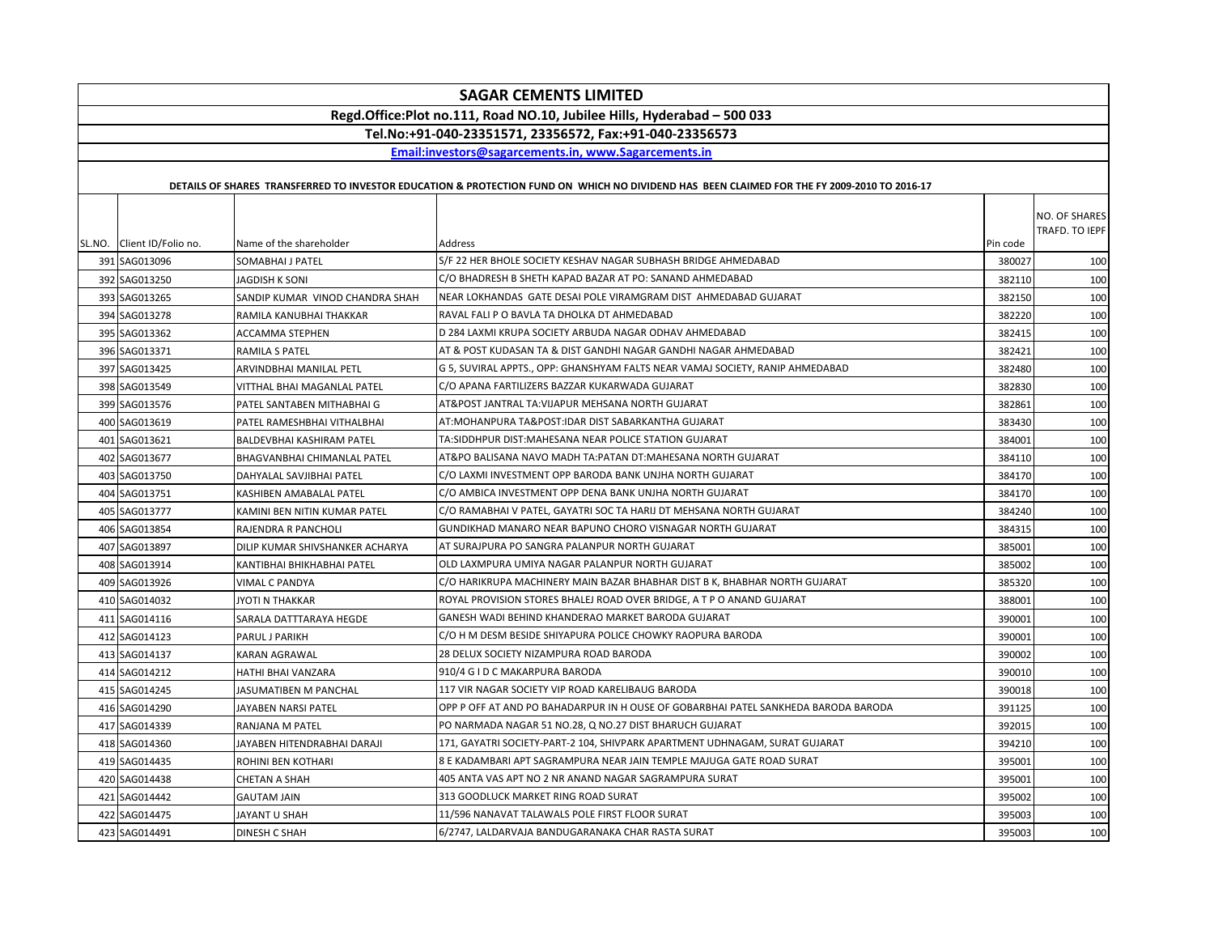|                            |                                 | <b>SAGAR CEMENTS LIMITED</b>                                                                                                                |          |                                 |
|----------------------------|---------------------------------|---------------------------------------------------------------------------------------------------------------------------------------------|----------|---------------------------------|
|                            |                                 | Regd.Office:Plot no.111, Road NO.10, Jubilee Hills, Hyderabad - 500 033                                                                     |          |                                 |
|                            |                                 | Tel.No:+91-040-23351571, 23356572, Fax:+91-040-23356573                                                                                     |          |                                 |
|                            |                                 | Email:investors@sagarcements.in, www.Sagarcements.in                                                                                        |          |                                 |
|                            |                                 |                                                                                                                                             |          |                                 |
|                            |                                 | DETAILS OF SHARES TRANSFERRED TO INVESTOR EDUCATION & PROTECTION FUND ON WHICH NO DIVIDEND HAS BEEN CLAIMED FOR THE FY 2009-2010 TO 2016-17 |          |                                 |
| SL.NO. Client ID/Folio no. | Name of the shareholder         | Address                                                                                                                                     | Pin code | NO. OF SHARES<br>TRAFD. TO IEPF |
| 391 SAG013096              | SOMABHAI J PATEL                | S/F 22 HER BHOLE SOCIETY KESHAV NAGAR SUBHASH BRIDGE AHMEDABAD                                                                              | 380027   | 100                             |
| 392 SAG013250              | JAGDISH K SONI                  | C/O BHADRESH B SHETH KAPAD BAZAR AT PO: SANAND AHMEDABAD                                                                                    | 382110   | 100                             |
| 393 SAG013265              | SANDIP KUMAR VINOD CHANDRA SHAH | NEAR LOKHANDAS GATE DESAI POLE VIRAMGRAM DIST AHMEDABAD GUJARAT                                                                             | 382150   | 100                             |
| 394 SAG013278              | RAMILA KANUBHAI THAKKAR         | RAVAL FALI P O BAVLA TA DHOLKA DT AHMEDABAD                                                                                                 | 382220   | 100                             |
| 395 SAG013362              | ACCAMMA STEPHEN                 | D 284 LAXMI KRUPA SOCIETY ARBUDA NAGAR ODHAV AHMEDABAD                                                                                      | 382415   | 100                             |
| 396 SAG013371              | <b>RAMILA S PATEL</b>           | AT & POST KUDASAN TA & DIST GANDHI NAGAR GANDHI NAGAR AHMEDABAD                                                                             | 382421   | 100                             |
| 397 SAG013425              | ARVINDBHAI MANILAL PETL         | G 5, SUVIRAL APPTS., OPP: GHANSHYAM FALTS NEAR VAMAJ SOCIETY, RANIP AHMEDABAD                                                               | 382480   | 100                             |
| 398 SAG013549              | VITTHAL BHAI MAGANLAL PATEL     | C/O APANA FARTILIZERS BAZZAR KUKARWADA GUJARAT                                                                                              | 382830   | 100                             |
| 399 SAG013576              | PATEL SANTABEN MITHABHAI G      | AT&POST JANTRAL TA:VIJAPUR MEHSANA NORTH GUJARAT                                                                                            | 382861   | 100                             |
| 400 SAG013619              | PATEL RAMESHBHAI VITHALBHAI     | AT:MOHANPURA TA&POST:IDAR DIST SABARKANTHA GUJARAT                                                                                          | 383430   | 100                             |
| 401 SAG013621              | BALDEVBHAI KASHIRAM PATEL       | TA:SIDDHPUR DIST:MAHESANA NEAR POLICE STATION GUJARAT                                                                                       | 384001   | 100                             |
| 402 SAG013677              | BHAGVANBHAI CHIMANLAL PATEL     | AT&PO BALISANA NAVO MADH TA:PATAN DT:MAHESANA NORTH GUJARAT                                                                                 | 384110   | 100                             |
| 403 SAG013750              | DAHYALAL SAVJIBHAI PATEL        | C/O LAXMI INVESTMENT OPP BARODA BANK UNJHA NORTH GUJARAT                                                                                    | 384170   | 100                             |
| 404 SAG013751              | KASHIBEN AMABALAL PATEL         | C/O AMBICA INVESTMENT OPP DENA BANK UNJHA NORTH GUJARAT                                                                                     | 384170   | 100                             |
| 405 SAG013777              | KAMINI BEN NITIN KUMAR PATEL    | C/O RAMABHAI V PATEL, GAYATRI SOC TA HARIJ DT MEHSANA NORTH GUJARAT                                                                         | 384240   | 100                             |
| 406 SAG013854              | RAJENDRA R PANCHOLI             | GUNDIKHAD MANARO NEAR BAPUNO CHORO VISNAGAR NORTH GUJARAT                                                                                   | 384315   | 100                             |
| 407 SAG013897              | DILIP KUMAR SHIVSHANKER ACHARYA | AT SURAJPURA PO SANGRA PALANPUR NORTH GUJARAT                                                                                               | 385001   | 100                             |
| 408 SAG013914              | KANTIBHAI BHIKHABHAI PATEL      | OLD LAXMPURA UMIYA NAGAR PALANPUR NORTH GUJARAT                                                                                             | 385002   | 100                             |
| 409 SAG013926              | VIMAL C PANDYA                  | C/O HARIKRUPA MACHINERY MAIN BAZAR BHABHAR DIST B K, BHABHAR NORTH GUJARAT                                                                  | 385320   | 100                             |
| 410 SAG014032              | JYOTI N THAKKAR                 | ROYAL PROVISION STORES BHALEJ ROAD OVER BRIDGE, A T P O ANAND GUJARAT                                                                       | 388001   | 100                             |
| 411 SAG014116              | SARALA DATTTARAYA HEGDE         | GANESH WADI BEHIND KHANDERAO MARKET BARODA GUJARAT                                                                                          | 390001   | 100                             |
| 412 SAG014123              | PARUL J PARIKH                  | C/O H M DESM BESIDE SHIYAPURA POLICE CHOWKY RAOPURA BARODA                                                                                  | 390001   | 100                             |
| 413 SAG014137              | KARAN AGRAWAL                   | 28 DELUX SOCIETY NIZAMPURA ROAD BARODA                                                                                                      | 390002   | 100                             |
| 414 SAG014212              | HATHI BHAI VANZARA              | 910/4 G I D C MAKARPURA BARODA                                                                                                              | 390010   | 100                             |
| 415 SAG014245              | JASUMATIBEN M PANCHAL           | 117 VIR NAGAR SOCIETY VIP ROAD KARELIBAUG BARODA                                                                                            | 390018   | 100                             |
| 416 SAG014290              | JAYABEN NARSI PATEL             | OPP P OFF AT AND PO BAHADARPUR IN H OUSE OF GOBARBHAI PATEL SANKHEDA BARODA BARODA                                                          | 391125   | 100                             |
| 417 SAG014339              | RANJANA M PATEL                 | PO NARMADA NAGAR 51 NO.28, Q NO.27 DIST BHARUCH GUJARAT                                                                                     | 392015   | 100                             |
| 418 SAG014360              | JAYABEN HITENDRABHAI DARAJI     | 171, GAYATRI SOCIETY-PART-2 104, SHIVPARK APARTMENT UDHNAGAM, SURAT GUJARAT                                                                 | 394210   | 100                             |
| 419 SAG014435              | ROHINI BEN KOTHARI              | 8 E KADAMBARI APT SAGRAMPURA NEAR JAIN TEMPLE MAJUGA GATE ROAD SURAT                                                                        | 395001   | 100                             |
| 420 SAG014438              | <b>CHETAN A SHAH</b>            | 405 ANTA VAS APT NO 2 NR ANAND NAGAR SAGRAMPURA SURAT                                                                                       | 395001   | 100                             |
| 421 SAG014442              | <b>GAUTAM JAIN</b>              | 313 GOODLUCK MARKET RING ROAD SURAT                                                                                                         | 395002   | 100                             |
| 422 SAG014475              | JAYANT U SHAH                   | 11/596 NANAVAT TALAWALS POLE FIRST FLOOR SURAT                                                                                              | 395003   | 100                             |
| 423 SAG014491              | <b>DINESH C SHAH</b>            | 6/2747, LALDARVAJA BANDUGARANAKA CHAR RASTA SURAT                                                                                           | 395003   | 100                             |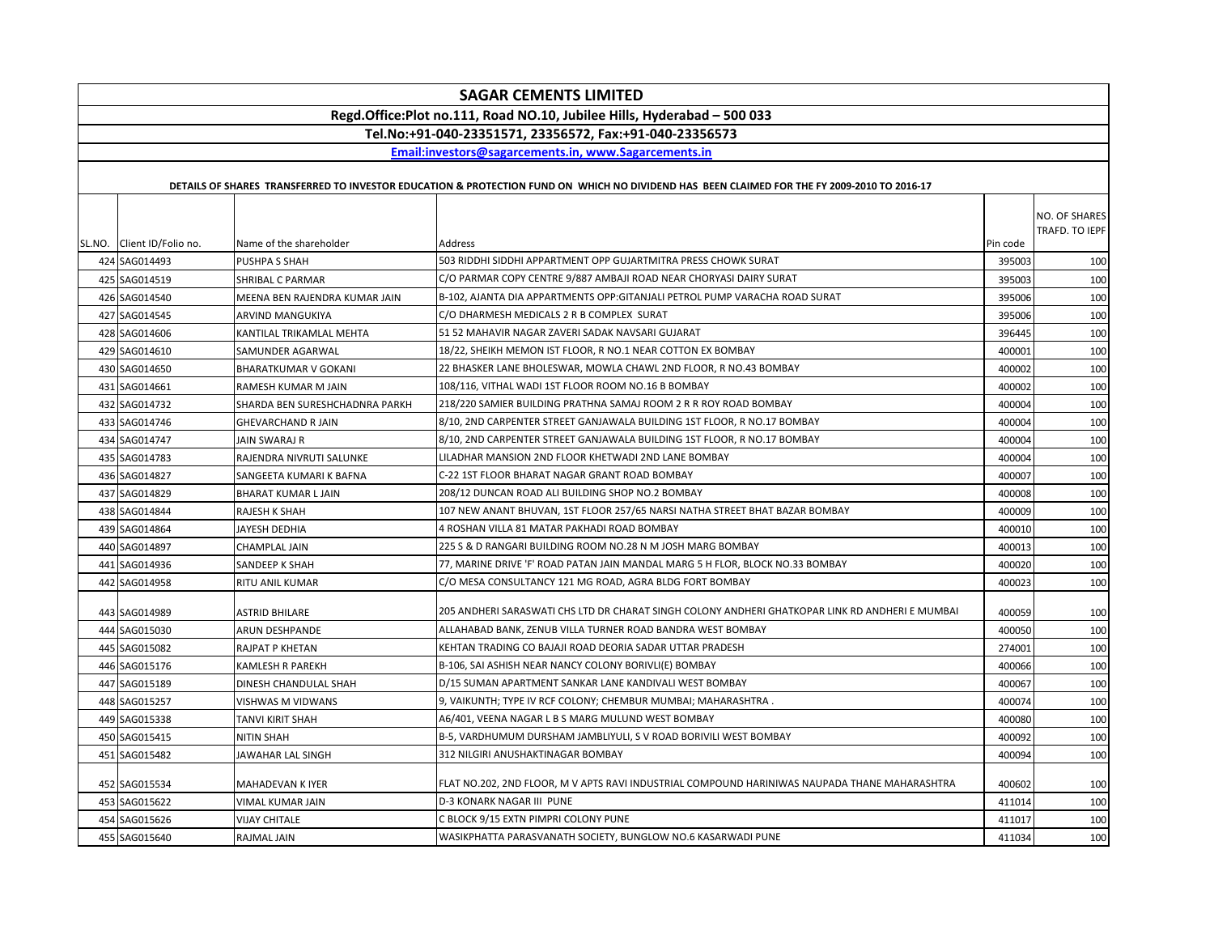| <b>SAGAR CEMENTS LIMITED</b>                                            |                                |                                                                                                                                             |          |                                 |  |
|-------------------------------------------------------------------------|--------------------------------|---------------------------------------------------------------------------------------------------------------------------------------------|----------|---------------------------------|--|
| Regd.Office:Plot no.111, Road NO.10, Jubilee Hills, Hyderabad - 500 033 |                                |                                                                                                                                             |          |                                 |  |
| Tel.No:+91-040-23351571, 23356572, Fax:+91-040-23356573                 |                                |                                                                                                                                             |          |                                 |  |
|                                                                         |                                | Email:investors@sagarcements.in, www.Sagarcements.in                                                                                        |          |                                 |  |
|                                                                         |                                | DETAILS OF SHARES TRANSFERRED TO INVESTOR EDUCATION & PROTECTION FUND ON WHICH NO DIVIDEND HAS BEEN CLAIMED FOR THE FY 2009-2010 TO 2016-17 |          |                                 |  |
|                                                                         |                                |                                                                                                                                             |          |                                 |  |
|                                                                         |                                |                                                                                                                                             |          | NO. OF SHARES<br>TRAFD. TO IEPF |  |
| SL.NO. Client ID/Folio no.                                              | Name of the shareholder        | Address                                                                                                                                     | Pin code |                                 |  |
| 424 SAG014493                                                           | <b>PUSHPA S SHAH</b>           | 503 RIDDHI SIDDHI APPARTMENT OPP GUJARTMITRA PRESS CHOWK SURAT                                                                              | 395003   | 100                             |  |
| 425 SAG014519                                                           | SHRIBAL C PARMAR               | C/O PARMAR COPY CENTRE 9/887 AMBAJI ROAD NEAR CHORYASI DAIRY SURAT                                                                          | 395003   | 100                             |  |
| 426 SAG014540                                                           | MEENA BEN RAJENDRA KUMAR JAIN  | B-102, AJANTA DIA APPARTMENTS OPP: GITANJALI PETROL PUMP VARACHA ROAD SURAT                                                                 | 395006   | 100                             |  |
| 427 SAG014545                                                           | ARVIND MANGUKIYA               | C/O DHARMESH MEDICALS 2 R B COMPLEX SURAT                                                                                                   | 395006   | 100                             |  |
| 428 SAG014606                                                           | KANTILAL TRIKAMLAL MEHTA       | 51 52 MAHAVIR NAGAR ZAVERI SADAK NAVSARI GUJARAT                                                                                            | 396445   | 100                             |  |
| 429 SAG014610                                                           | SAMUNDER AGARWAL               | 18/22, SHEIKH MEMON IST FLOOR, R NO.1 NEAR COTTON EX BOMBAY                                                                                 | 400001   | 100                             |  |
| 430 SAG014650                                                           | <b>BHARATKUMAR V GOKANI</b>    | 22 BHASKER LANE BHOLESWAR, MOWLA CHAWL 2ND FLOOR, R NO.43 BOMBAY                                                                            | 400002   | 100                             |  |
| 431 SAG014661                                                           | RAMESH KUMAR M JAIN            | 108/116, VITHAL WADI 1ST FLOOR ROOM NO.16 B BOMBAY                                                                                          | 400002   | 100                             |  |
| 432 SAG014732                                                           | SHARDA BEN SURESHCHADNRA PARKH | 218/220 SAMIER BUILDING PRATHNA SAMAJ ROOM 2 R R ROY ROAD BOMBAY                                                                            | 400004   | 100                             |  |
| 433 SAG014746                                                           | <b>GHEVARCHAND R JAIN</b>      | 8/10, 2ND CARPENTER STREET GANJAWALA BUILDING 1ST FLOOR, R NO.17 BOMBAY                                                                     | 400004   | 100                             |  |
| 434 SAG014747                                                           | JAIN SWARAJ R                  | 8/10, 2ND CARPENTER STREET GANJAWALA BUILDING 1ST FLOOR, R NO.17 BOMBAY                                                                     | 400004   | 100                             |  |
| 435 SAG014783                                                           | RAJENDRA NIVRUTI SALUNKE       | LILADHAR MANSION 2ND FLOOR KHETWADI 2ND LANE BOMBAY                                                                                         | 400004   | 100                             |  |
| 436 SAG014827                                                           | SANGEETA KUMARI K BAFNA        | C-22 1ST FLOOR BHARAT NAGAR GRANT ROAD BOMBAY                                                                                               | 400007   | 100                             |  |
| 437 SAG014829                                                           | <b>BHARAT KUMAR LJAIN</b>      | 208/12 DUNCAN ROAD ALI BUILDING SHOP NO.2 BOMBAY                                                                                            | 400008   | 100                             |  |
| 438 SAG014844                                                           | RAJESH K SHAH                  | 107 NEW ANANT BHUVAN, 1ST FLOOR 257/65 NARSI NATHA STREET BHAT BAZAR BOMBAY                                                                 | 400009   | 100                             |  |
| 439 SAG014864                                                           | JAYESH DEDHIA                  | 4 ROSHAN VILLA 81 MATAR PAKHADI ROAD BOMBAY                                                                                                 | 400010   | 100                             |  |
| 440 SAG014897                                                           | CHAMPLAL JAIN                  | 225 S & D RANGARI BUILDING ROOM NO.28 N M JOSH MARG BOMBAY                                                                                  | 400013   | 100                             |  |
| 441 SAG014936                                                           | SANDEEP K SHAH                 | 77, MARINE DRIVE 'F' ROAD PATAN JAIN MANDAL MARG 5 H FLOR, BLOCK NO.33 BOMBAY                                                               | 400020   | 100                             |  |
| 442 SAG014958                                                           | RITU ANIL KUMAR                | C/O MESA CONSULTANCY 121 MG ROAD, AGRA BLDG FORT BOMBAY                                                                                     | 400023   | 100                             |  |
|                                                                         |                                |                                                                                                                                             |          |                                 |  |
| 443 SAG014989                                                           | <b>ASTRID BHILARE</b>          | 205 ANDHERI SARASWATI CHS LTD DR CHARAT SINGH COLONY ANDHERI GHATKOPAR LINK RD ANDHERI E MUMBAI                                             | 400059   | 100                             |  |
| 444 SAG015030                                                           | ARUN DESHPANDE                 | ALLAHABAD BANK, ZENUB VILLA TURNER ROAD BANDRA WEST BOMBAY                                                                                  | 400050   | 100                             |  |
| 445 SAG015082                                                           | RAJPAT P KHETAN                | KEHTAN TRADING CO BAJAJI ROAD DEORIA SADAR UTTAR PRADESH                                                                                    | 274001   | 100                             |  |
| 446 SAG015176                                                           | <b>KAMLESH R PAREKH</b>        | B-106, SAI ASHISH NEAR NANCY COLONY BORIVLI(E) BOMBAY                                                                                       | 400066   | 100                             |  |
| 447 SAG015189                                                           | DINESH CHANDULAL SHAH          | D/15 SUMAN APARTMENT SANKAR LANE KANDIVALI WEST BOMBAY                                                                                      | 400067   | 100                             |  |
| 448 SAG015257                                                           | VISHWAS M VIDWANS              | 9, VAIKUNTH; TYPE IV RCF COLONY; CHEMBUR MUMBAI; MAHARASHTRA.                                                                               | 400074   | 100                             |  |
| 449 SAG015338                                                           | TANVI KIRIT SHAH               | A6/401, VEENA NAGAR L B S MARG MULUND WEST BOMBAY                                                                                           | 400080   | 100                             |  |
| 450 SAG015415                                                           | NITIN SHAH                     | B-5, VARDHUMUM DURSHAM JAMBLIYULI, S V ROAD BORIVILI WEST BOMBAY                                                                            | 400092   | 100                             |  |
| 451 SAG015482                                                           | JAWAHAR LAL SINGH              | 312 NILGIRI ANUSHAKTINAGAR BOMBAY                                                                                                           | 400094   | 100                             |  |
| 452 SAG015534                                                           | <b>MAHADEVAN K IYER</b>        | FLAT NO.202, 2ND FLOOR, M V APTS RAVI INDUSTRIAL COMPOUND HARINIWAS NAUPADA THANE MAHARASHTRA                                               | 400602   | 100                             |  |
| 453 SAG015622                                                           | VIMAL KUMAR JAIN               | D-3 KONARK NAGAR III PUNE                                                                                                                   | 411014   | 100                             |  |
| 454 SAG015626                                                           | VIJAY CHITALE                  | C BLOCK 9/15 EXTN PIMPRI COLONY PUNE                                                                                                        | 411017   | 100                             |  |
| 455 SAG015640                                                           | RAJMAL JAIN                    | WASIKPHATTA PARASVANATH SOCIETY, BUNGLOW NO.6 KASARWADI PUNE                                                                                | 411034   | 100                             |  |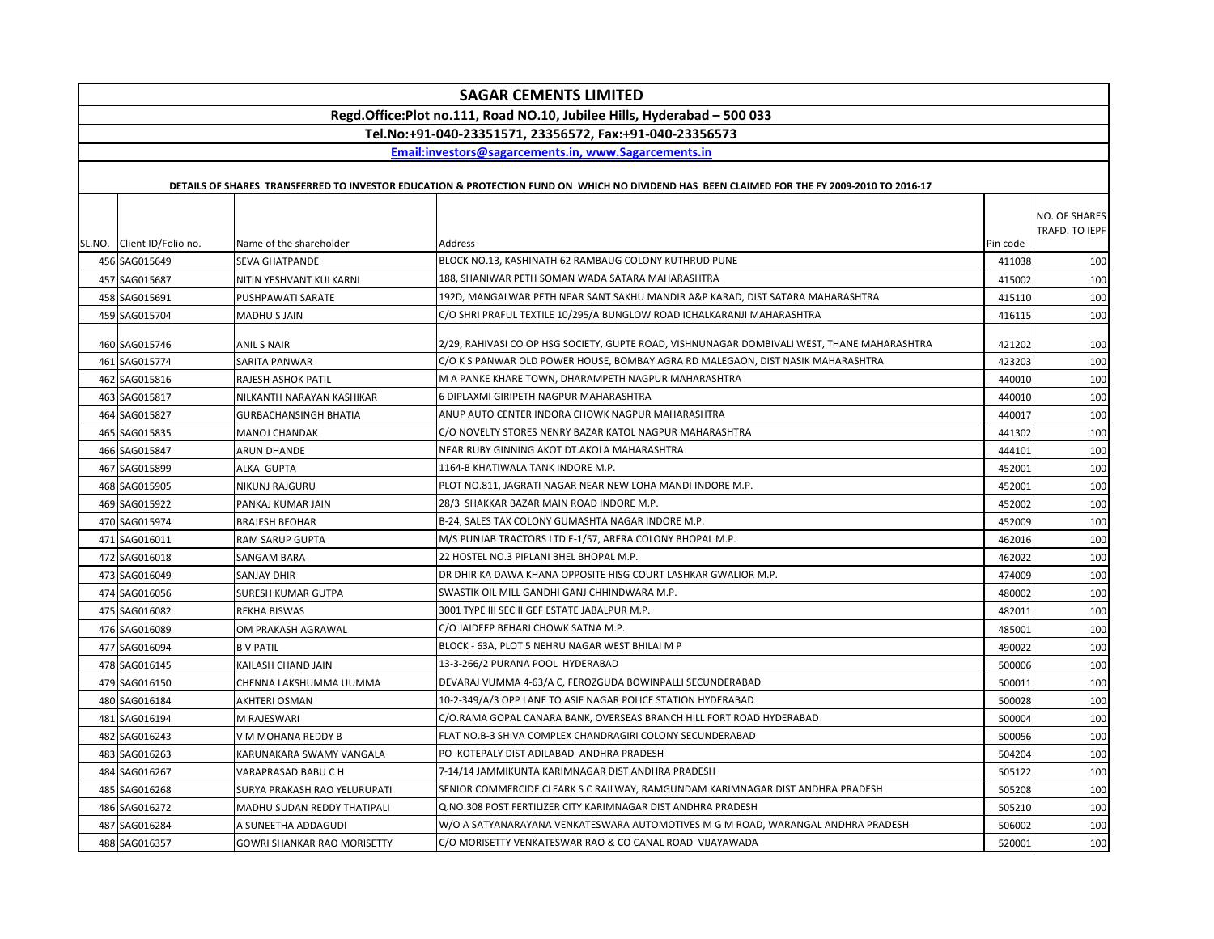| <b>SAGAR CEMENTS LIMITED</b>                                            |                                    |                                                                                                                                             |          |                |  |
|-------------------------------------------------------------------------|------------------------------------|---------------------------------------------------------------------------------------------------------------------------------------------|----------|----------------|--|
| Regd.Office:Plot no.111, Road NO.10, Jubilee Hills, Hyderabad - 500 033 |                                    |                                                                                                                                             |          |                |  |
| Tel.No:+91-040-23351571, 23356572, Fax:+91-040-23356573                 |                                    |                                                                                                                                             |          |                |  |
|                                                                         |                                    | Email:investors@sagarcements.in, www.Sagarcements.in                                                                                        |          |                |  |
|                                                                         |                                    |                                                                                                                                             |          |                |  |
|                                                                         |                                    | DETAILS OF SHARES TRANSFERRED TO INVESTOR EDUCATION & PROTECTION FUND ON WHICH NO DIVIDEND HAS BEEN CLAIMED FOR THE FY 2009-2010 TO 2016-17 |          |                |  |
|                                                                         |                                    |                                                                                                                                             |          | NO. OF SHARES  |  |
|                                                                         |                                    |                                                                                                                                             |          | TRAFD. TO IEPF |  |
| SL.NO. Client ID/Folio no.                                              | Name of the shareholder            | Address                                                                                                                                     | Pin code |                |  |
| 456 SAG015649                                                           | <b>SEVA GHATPANDE</b>              | BLOCK NO.13, KASHINATH 62 RAMBAUG COLONY KUTHRUD PUNE                                                                                       | 411038   | 100            |  |
| 457 SAG015687                                                           | NITIN YESHVANT KULKARNI            | 188, SHANIWAR PETH SOMAN WADA SATARA MAHARASHTRA                                                                                            | 415002   | 100            |  |
| 458 SAG015691                                                           | PUSHPAWATI SARATE                  | 192D, MANGALWAR PETH NEAR SANT SAKHU MANDIR A&P KARAD, DIST SATARA MAHARASHTRA                                                              | 415110   | 100            |  |
| 459 SAG015704                                                           | MADHU S JAIN                       | C/O SHRI PRAFUL TEXTILE 10/295/A BUNGLOW ROAD ICHALKARANJI MAHARASHTRA                                                                      | 416115   | 100            |  |
| 460 SAG015746                                                           | ANIL S NAIR                        | 2/29, RAHIVASI CO OP HSG SOCIETY, GUPTE ROAD, VISHNUNAGAR DOMBIVALI WEST, THANE MAHARASHTRA                                                 | 421202   | 100            |  |
| 461 SAG015774                                                           | SARITA PANWAR                      | C/O K S PANWAR OLD POWER HOUSE, BOMBAY AGRA RD MALEGAON, DIST NASIK MAHARASHTRA                                                             | 423203   | 100            |  |
| 462 SAG015816                                                           | RAJESH ASHOK PATIL                 | M A PANKE KHARE TOWN, DHARAMPETH NAGPUR MAHARASHTRA                                                                                         | 440010   | 100            |  |
| 463 SAG015817                                                           | NILKANTH NARAYAN KASHIKAR          | 6 DIPLAXMI GIRIPETH NAGPUR MAHARASHTRA                                                                                                      | 440010   | 100            |  |
| 464 SAG015827                                                           | <b>GURBACHANSINGH BHATIA</b>       | ANUP AUTO CENTER INDORA CHOWK NAGPUR MAHARASHTRA                                                                                            | 440017   | 100            |  |
| 465 SAG015835                                                           | <b>MANOJ CHANDAK</b>               | C/O NOVELTY STORES NENRY BAZAR KATOL NAGPUR MAHARASHTRA                                                                                     | 441302   | 100            |  |
| 466 SAG015847                                                           | ARUN DHANDE                        | NEAR RUBY GINNING AKOT DT.AKOLA MAHARASHTRA                                                                                                 | 444101   | 100            |  |
| 467 SAG015899                                                           | ALKA GUPTA                         | 1164-B KHATIWALA TANK INDORE M.P.                                                                                                           | 452001   | 100            |  |
| 468 SAG015905                                                           | NIKUNJ RAJGURU                     | PLOT NO.811, JAGRATI NAGAR NEAR NEW LOHA MANDI INDORE M.P.                                                                                  | 452001   | 100            |  |
| 469 SAG015922                                                           | PANKAJ KUMAR JAIN                  | 28/3 SHAKKAR BAZAR MAIN ROAD INDORE M.P.                                                                                                    | 452002   | 100            |  |
| 470 SAG015974                                                           | <b>BRAJESH BEOHAR</b>              | B-24, SALES TAX COLONY GUMASHTA NAGAR INDORE M.P.                                                                                           | 452009   | 100            |  |
| 471 SAG016011                                                           | <b>RAM SARUP GUPTA</b>             | M/S PUNJAB TRACTORS LTD E-1/57, ARERA COLONY BHOPAL M.P.                                                                                    | 462016   | 100            |  |
| 472 SAG016018                                                           | SANGAM BARA                        | 22 HOSTEL NO.3 PIPLANI BHEL BHOPAL M.P.                                                                                                     | 462022   | 100            |  |
| 473 SAG016049                                                           | SANJAY DHIR                        | DR DHIR KA DAWA KHANA OPPOSITE HISG COURT LASHKAR GWALIOR M.P.                                                                              | 474009   | 100            |  |
| 474 SAG016056                                                           | <b>SURESH KUMAR GUTPA</b>          | SWASTIK OIL MILL GANDHI GANJ CHHINDWARA M.P.                                                                                                | 480002   | 100            |  |
| 475 SAG016082                                                           | <b>REKHA BISWAS</b>                | 3001 TYPE III SEC II GEF ESTATE JABALPUR M.P.                                                                                               | 482011   | 100            |  |
| 476 SAG016089                                                           | OM PRAKASH AGRAWAL                 | C/O JAIDEEP BEHARI CHOWK SATNA M.P.                                                                                                         | 485001   | 100            |  |
| 477 SAG016094                                                           | <b>BV PATIL</b>                    | BLOCK - 63A, PLOT 5 NEHRU NAGAR WEST BHILAI M P                                                                                             | 490022   | 100            |  |
| 478 SAG016145                                                           | KAILASH CHAND JAIN                 | 13-3-266/2 PURANA POOL HYDERABAD                                                                                                            | 500006   | 100            |  |
| 479 SAG016150                                                           | CHENNA LAKSHUMMA UUMMA             | DEVARAJ VUMMA 4-63/A C, FEROZGUDA BOWINPALLI SECUNDERABAD                                                                                   | 500011   | 100            |  |
| 480 SAG016184                                                           | AKHTERI OSMAN                      | 10-2-349/A/3 OPP LANE TO ASIF NAGAR POLICE STATION HYDERABAD                                                                                | 500028   | 100            |  |
| 481 SAG016194                                                           | M RAJESWARI                        | C/O.RAMA GOPAL CANARA BANK, OVERSEAS BRANCH HILL FORT ROAD HYDERABAD                                                                        | 500004   | 100            |  |
| 482 SAG016243                                                           | V M MOHANA REDDY B                 | FLAT NO.B-3 SHIVA COMPLEX CHANDRAGIRI COLONY SECUNDERABAD                                                                                   | 500056   | 100            |  |
| 483 SAG016263                                                           | KARUNAKARA SWAMY VANGALA           | PO KOTEPALY DIST ADILABAD ANDHRA PRADESH                                                                                                    | 504204   | 100            |  |
| 484 SAG016267                                                           | VARAPRASAD BABU C H                | 7-14/14 JAMMIKUNTA KARIMNAGAR DIST ANDHRA PRADESH                                                                                           | 505122   | 100            |  |
| 485 SAG016268                                                           | SURYA PRAKASH RAO YELURUPATI       | SENIOR COMMERCIDE CLEARK S C RAILWAY, RAMGUNDAM KARIMNAGAR DIST ANDHRA PRADESH                                                              | 505208   | 100            |  |
| 486 SAG016272                                                           | MADHU SUDAN REDDY THATIPALI        | Q.NO.308 POST FERTILIZER CITY KARIMNAGAR DIST ANDHRA PRADESH                                                                                | 505210   | 100            |  |
| 487 SAG016284                                                           | A SUNEETHA ADDAGUDI                | W/O A SATYANARAYANA VENKATESWARA AUTOMOTIVES M G M ROAD, WARANGAL ANDHRA PRADESH                                                            | 506002   | 100            |  |
| 488 SAG016357                                                           | <b>GOWRI SHANKAR RAO MORISETTY</b> | C/O MORISETTY VENKATESWAR RAO & CO CANAL ROAD VIJAYAWADA                                                                                    | 520001   | 100            |  |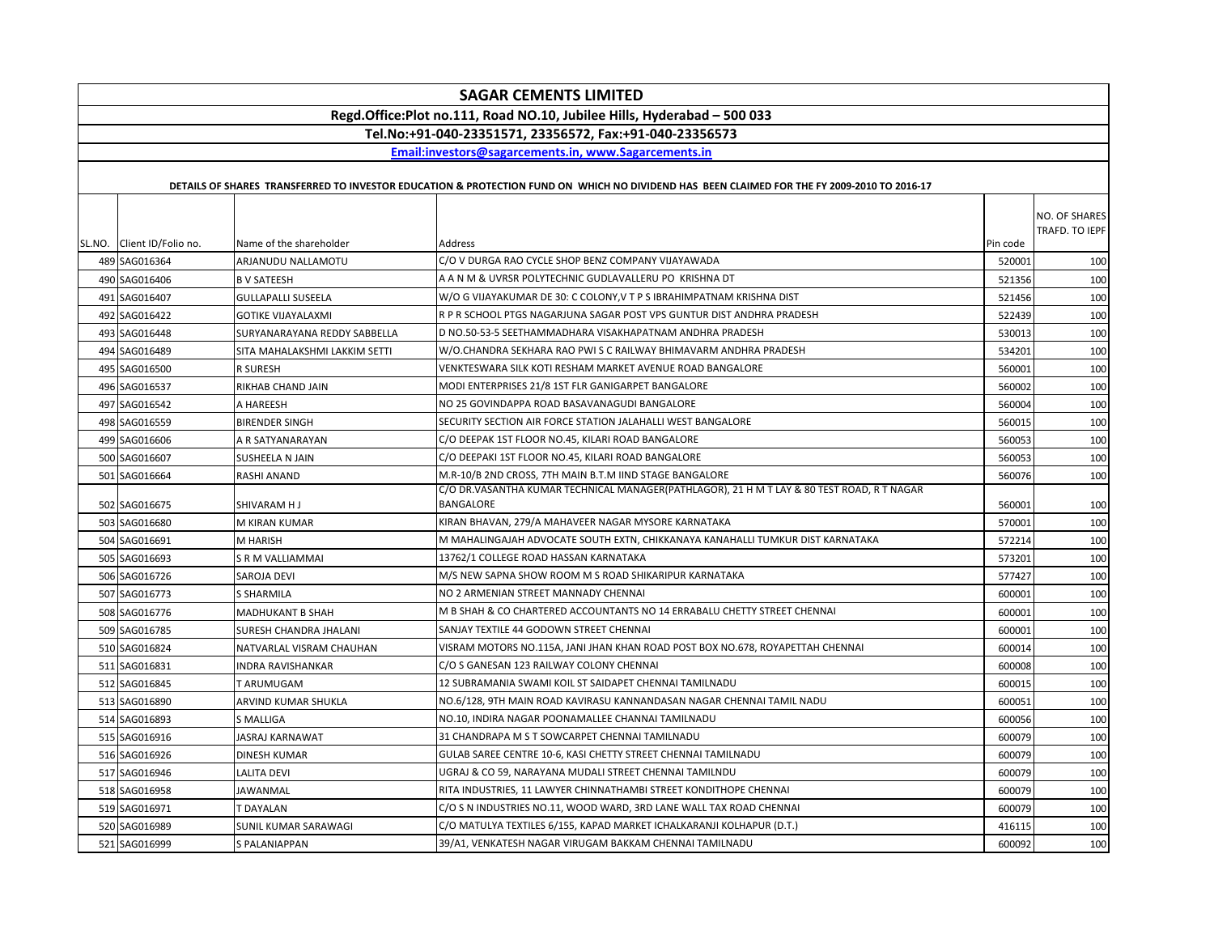|                            |                               | <b>SAGAR CEMENTS LIMITED</b>                                                                                                                |          |                                 |
|----------------------------|-------------------------------|---------------------------------------------------------------------------------------------------------------------------------------------|----------|---------------------------------|
|                            |                               | Regd.Office:Plot no.111, Road NO.10, Jubilee Hills, Hyderabad - 500 033                                                                     |          |                                 |
|                            |                               | Tel.No:+91-040-23351571, 23356572, Fax:+91-040-23356573                                                                                     |          |                                 |
|                            |                               | Email:investors@sagarcements.in, www.Sagarcements.in                                                                                        |          |                                 |
|                            |                               |                                                                                                                                             |          |                                 |
|                            |                               | DETAILS OF SHARES TRANSFERRED TO INVESTOR EDUCATION & PROTECTION FUND ON WHICH NO DIVIDEND HAS BEEN CLAIMED FOR THE FY 2009-2010 TO 2016-17 |          |                                 |
| SL.NO. Client ID/Folio no. | Name of the shareholder       | Address                                                                                                                                     | Pin code | NO. OF SHARES<br>TRAFD. TO IEPF |
| 489 SAG016364              | ARJANUDU NALLAMOTU            | C/O V DURGA RAO CYCLE SHOP BENZ COMPANY VIJAYAWADA                                                                                          | 520001   | 100                             |
| 490 SAG016406              | <b>B V SATEESH</b>            | A A N M & UVRSR POLYTECHNIC GUDLAVALLERU PO KRISHNA DT                                                                                      | 521356   | 100                             |
| 491 SAG016407              | <b>GULLAPALLI SUSEELA</b>     | W/O G VIJAYAKUMAR DE 30: C COLONY,V T P S IBRAHIMPATNAM KRISHNA DIST                                                                        | 521456   | 100                             |
| 492 SAG016422              | GOTIKE VIJAYALAXMI            | R P R SCHOOL PTGS NAGARJUNA SAGAR POST VPS GUNTUR DIST ANDHRA PRADESH                                                                       | 522439   | 100                             |
| 493 SAG016448              | SURYANARAYANA REDDY SABBELLA  | D NO.50-53-5 SEETHAMMADHARA VISAKHAPATNAM ANDHRA PRADESH                                                                                    | 530013   | 100                             |
| 494 SAG016489              | SITA MAHALAKSHMI LAKKIM SETTI | W/O.CHANDRA SEKHARA RAO PWI S C RAILWAY BHIMAVARM ANDHRA PRADESH                                                                            | 534201   | 100                             |
| 495 SAG016500              | R SURESH                      | VENKTESWARA SILK KOTI RESHAM MARKET AVENUE ROAD BANGALORE                                                                                   | 560001   | 100                             |
| 496 SAG016537              | RIKHAB CHAND JAIN             | MODI ENTERPRISES 21/8 1ST FLR GANIGARPET BANGALORE                                                                                          | 560002   | 100                             |
| 497 SAG016542              | A HAREESH                     | NO 25 GOVINDAPPA ROAD BASAVANAGUDI BANGALORE                                                                                                | 560004   | 100                             |
| 498 SAG016559              | <b>BIRENDER SINGH</b>         | SECURITY SECTION AIR FORCE STATION JALAHALLI WEST BANGALORE                                                                                 | 560015   | 100                             |
| 499 SAG016606              | A R SATYANARAYAN              | C/O DEEPAK 1ST FLOOR NO.45, KILARI ROAD BANGALORE                                                                                           | 560053   | 100                             |
| 500 SAG016607              | SUSHEELA N JAIN               | C/O DEEPAKI 1ST FLOOR NO.45, KILARI ROAD BANGALORE                                                                                          | 560053   | 100                             |
| 501 SAG016664              | RASHI ANAND                   | M.R-10/B 2ND CROSS, 7TH MAIN B.T.M IIND STAGE BANGALORE                                                                                     | 560076   | 100                             |
| 502 SAG016675              | SHIVARAM H J                  | C/O DR.VASANTHA KUMAR TECHNICAL MANAGER(PATHLAGOR), 21 H M T LAY & 80 TEST ROAD, R T NAGAR<br><b>BANGALORE</b>                              | 560001   | 100                             |
| 503 SAG016680              | M KIRAN KUMAR                 | KIRAN BHAVAN, 279/A MAHAVEER NAGAR MYSORE KARNATAKA                                                                                         | 570001   | 100                             |
| 504 SAG016691              | M HARISH                      | M MAHALINGAJAH ADVOCATE SOUTH EXTN, CHIKKANAYA KANAHALLI TUMKUR DIST KARNATAKA                                                              | 572214   | 100                             |
| 505 SAG016693              | S R M VALLIAMMAI              | 13762/1 COLLEGE ROAD HASSAN KARNATAKA                                                                                                       | 573201   | 100                             |
| 506 SAG016726              | SAROJA DEVI                   | M/S NEW SAPNA SHOW ROOM M S ROAD SHIKARIPUR KARNATAKA                                                                                       | 577427   | 100                             |
| 507 SAG016773              | S SHARMILA                    | NO 2 ARMENIAN STREET MANNADY CHENNAI                                                                                                        | 600001   | 100                             |
| 508 SAG016776              | MADHUKANT B SHAH              | M B SHAH & CO CHARTERED ACCOUNTANTS NO 14 ERRABALU CHETTY STREET CHENNAL                                                                    | 600001   | 100                             |
| 509 SAG016785              | SURESH CHANDRA JHALANI        | SANJAY TEXTILE 44 GODOWN STREET CHENNAI                                                                                                     | 600001   | 100                             |
| 510 SAG016824              | NATVARLAL VISRAM CHAUHAN      | VISRAM MOTORS NO.115A, JANI JHAN KHAN ROAD POST BOX NO.678, ROYAPETTAH CHENNAI                                                              | 600014   | 100                             |
| 511 SAG016831              | <b>INDRA RAVISHANKAR</b>      | C/O S GANESAN 123 RAILWAY COLONY CHENNAI                                                                                                    | 600008   | 100                             |
| 512 SAG016845              | T ARUMUGAM                    | 12 SUBRAMANIA SWAMI KOIL ST SAIDAPET CHENNAI TAMILNADU                                                                                      | 600015   | 100                             |
| 513 SAG016890              | ARVIND KUMAR SHUKLA           | NO.6/128, 9TH MAIN ROAD KAVIRASU KANNANDASAN NAGAR CHENNAI TAMIL NADU                                                                       | 600051   | 100                             |
| 514 SAG016893              | S MALLIGA                     | NO.10, INDIRA NAGAR POONAMALLEE CHANNAI TAMILNADU                                                                                           | 600056   | 100                             |
| 515 SAG016916              | JASRAJ KARNAWAT               | 31 CHANDRAPA M S T SOWCARPET CHENNAI TAMILNADU                                                                                              | 600079   | 100                             |
| 516 SAG016926              | <b>DINESH KUMAR</b>           | GULAB SAREE CENTRE 10-6, KASI CHETTY STREET CHENNAI TAMILNADU                                                                               | 600079   | 100                             |
| 517 SAG016946              | LALITA DEVI                   | UGRAJ & CO 59, NARAYANA MUDALI STREET CHENNAI TAMILNDU                                                                                      | 600079   | 100                             |
| 518 SAG016958              | JAWANMAL                      | RITA INDUSTRIES, 11 LAWYER CHINNATHAMBI STREET KONDITHOPE CHENNAI                                                                           | 600079   | 100                             |
| 519 SAG016971              | <b>T DAYALAN</b>              | C/O S N INDUSTRIES NO.11, WOOD WARD, 3RD LANE WALL TAX ROAD CHENNAI                                                                         | 600079   | 100                             |
| 520 SAG016989              | SUNIL KUMAR SARAWAGI          | C/O MATULYA TEXTILES 6/155, KAPAD MARKET ICHALKARANJI KOLHAPUR (D.T.)                                                                       | 416115   | 100                             |
| 521 SAG016999              | S PALANIAPPAN                 | 39/A1, VENKATESH NAGAR VIRUGAM BAKKAM CHENNAI TAMILNADU                                                                                     | 600092   | 100                             |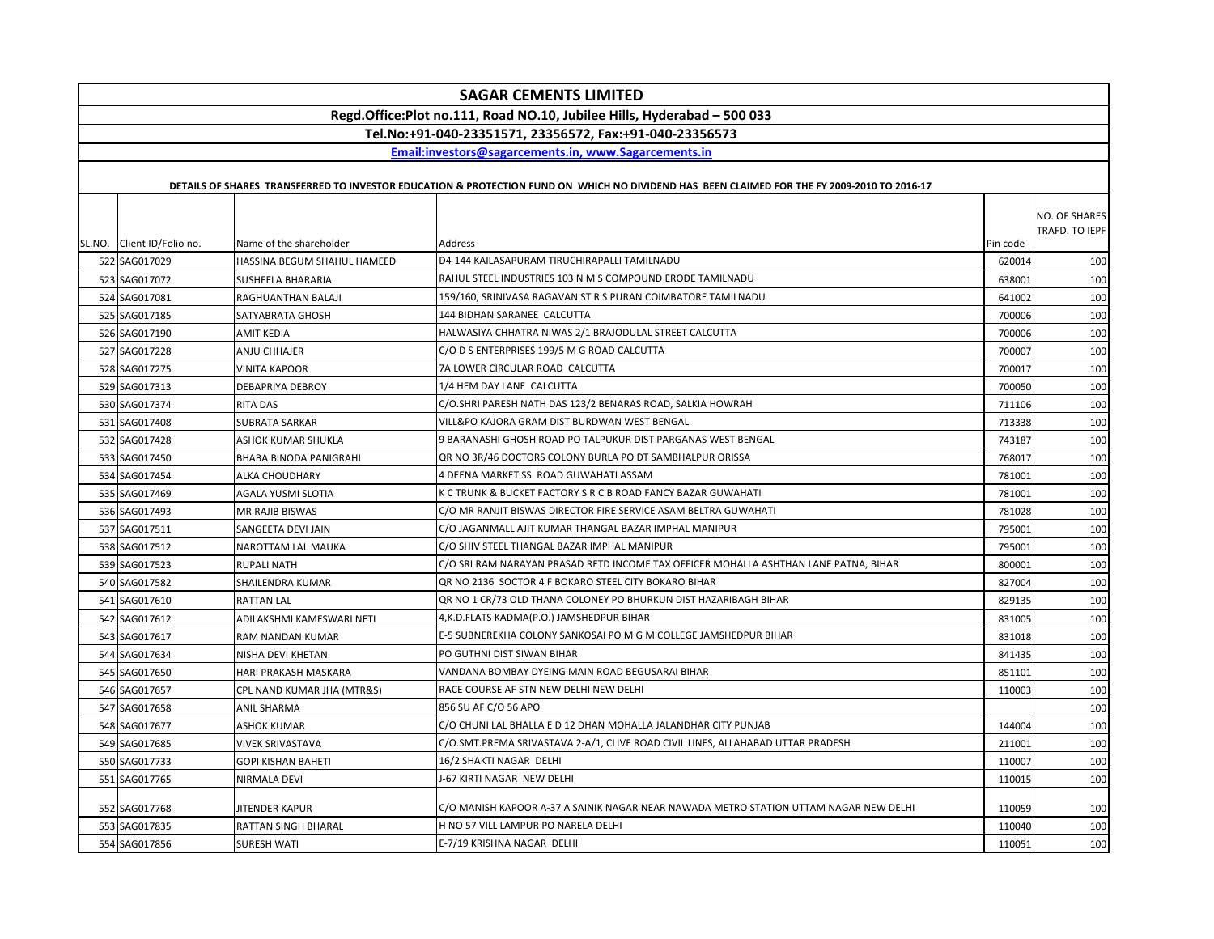| <b>SAGAR CEMENTS LIMITED</b>                                            |                             |                                                                                                                                             |          |                |  |  |
|-------------------------------------------------------------------------|-----------------------------|---------------------------------------------------------------------------------------------------------------------------------------------|----------|----------------|--|--|
| Regd.Office:Plot no.111, Road NO.10, Jubilee Hills, Hyderabad - 500 033 |                             |                                                                                                                                             |          |                |  |  |
| Tel.No:+91-040-23351571, 23356572, Fax:+91-040-23356573                 |                             |                                                                                                                                             |          |                |  |  |
| Email:investors@sagarcements.in, www.Sagarcements.in                    |                             |                                                                                                                                             |          |                |  |  |
|                                                                         |                             |                                                                                                                                             |          |                |  |  |
|                                                                         |                             | DETAILS OF SHARES TRANSFERRED TO INVESTOR EDUCATION & PROTECTION FUND ON WHICH NO DIVIDEND HAS BEEN CLAIMED FOR THE FY 2009-2010 TO 2016-17 |          |                |  |  |
|                                                                         |                             |                                                                                                                                             |          | NO. OF SHARES  |  |  |
|                                                                         |                             |                                                                                                                                             |          | TRAFD. TO IEPF |  |  |
| SL.NO. Client ID/Folio no.                                              | Name of the shareholder     | Address                                                                                                                                     | Pin code |                |  |  |
| 522 SAG017029                                                           | HASSINA BEGUM SHAHUL HAMEED | D4-144 KAILASAPURAM TIRUCHIRAPALLI TAMILNADU                                                                                                | 620014   | 100            |  |  |
| 523 SAG017072                                                           | SUSHEELA BHARARIA           | RAHUL STEEL INDUSTRIES 103 N M S COMPOUND ERODE TAMILNADU                                                                                   | 638001   | 100            |  |  |
| 524 SAG017081                                                           | RAGHUANTHAN BALAJI          | 159/160, SRINIVASA RAGAVAN ST R S PURAN COIMBATORE TAMILNADU                                                                                | 641002   | 100            |  |  |
| 525 SAG017185                                                           | SATYABRATA GHOSH            | 144 BIDHAN SARANEE CALCUTTA                                                                                                                 | 700006   | 100            |  |  |
| 526 SAG017190                                                           | AMIT KEDIA                  | HALWASIYA CHHATRA NIWAS 2/1 BRAJODULAL STREET CALCUTTA                                                                                      | 700006   | 100            |  |  |
| 527 SAG017228                                                           | ANJU CHHAJER                | C/O D S ENTERPRISES 199/5 M G ROAD CALCUTTA                                                                                                 | 700007   | 100            |  |  |
| 528 SAG017275                                                           | <b>VINITA KAPOOR</b>        | 7A LOWER CIRCULAR ROAD CALCUTTA                                                                                                             | 700017   | 100            |  |  |
| 529 SAG017313                                                           | DEBAPRIYA DEBROY            | 1/4 HEM DAY LANE CALCUTTA                                                                                                                   | 700050   | 100            |  |  |
| 530 SAG017374                                                           | <b>RITA DAS</b>             | C/O.SHRI PARESH NATH DAS 123/2 BENARAS ROAD, SALKIA HOWRAH                                                                                  | 711106   | 100            |  |  |
| 531 SAG017408                                                           | SUBRATA SARKAR              | VILL&PO KAJORA GRAM DIST BURDWAN WEST BENGAL                                                                                                | 713338   | 100            |  |  |
| 532 SAG017428                                                           | ASHOK KUMAR SHUKLA          | 9 BARANASHI GHOSH ROAD PO TALPUKUR DIST PARGANAS WEST BENGAL                                                                                | 743187   | 100            |  |  |
| 533 SAG017450                                                           | BHABA BINODA PANIGRAHI      | QR NO 3R/46 DOCTORS COLONY BURLA PO DT SAMBHALPUR ORISSA                                                                                    | 768017   | 100            |  |  |
| 534 SAG017454                                                           | ALKA CHOUDHARY              | 4 DEENA MARKET SS ROAD GUWAHATI ASSAM                                                                                                       | 781001   | 100            |  |  |
| 535 SAG017469                                                           | AGALA YUSMI SLOTIA          | K C TRUNK & BUCKET FACTORY S R C B ROAD FANCY BAZAR GUWAHATI                                                                                | 781001   | 100            |  |  |
| 536 SAG017493                                                           | MR RAJIB BISWAS             | C/O MR RANJIT BISWAS DIRECTOR FIRE SERVICE ASAM BELTRA GUWAHATI                                                                             | 781028   | 100            |  |  |
| 537 SAG017511                                                           | SANGEETA DEVI JAIN          | C/O JAGANMALL AJIT KUMAR THANGAL BAZAR IMPHAL MANIPUR                                                                                       | 795001   | 100            |  |  |
| 538 SAG017512                                                           | NAROTTAM LAL MAUKA          | C/O SHIV STEEL THANGAL BAZAR IMPHAL MANIPUR                                                                                                 | 795001   | 100            |  |  |
| 539 SAG017523                                                           | <b>RUPALI NATH</b>          | C/O SRI RAM NARAYAN PRASAD RETD INCOME TAX OFFICER MOHALLA ASHTHAN LANE PATNA, BIHAR                                                        | 800001   | 100            |  |  |
| 540 SAG017582                                                           | SHAILENDRA KUMAR            | QR NO 2136 SOCTOR 4 F BOKARO STEEL CITY BOKARO BIHAR                                                                                        | 827004   | 100            |  |  |
| 541 SAG017610                                                           | <b>RATTAN LAL</b>           | QR NO 1 CR/73 OLD THANA COLONEY PO BHURKUN DIST HAZARIBAGH BIHAR                                                                            | 829135   | 100            |  |  |
| 542 SAG017612                                                           | ADILAKSHMI KAMESWARI NETI   | 4, K.D. FLATS KADMA(P.O.) JAMSHEDPUR BIHAR                                                                                                  | 831005   | 100            |  |  |
| 543 SAG017617                                                           | RAM NANDAN KUMAR            | E-5 SUBNEREKHA COLONY SANKOSAI PO M G M COLLEGE JAMSHEDPUR BIHAR                                                                            | 831018   | 100            |  |  |
| 544 SAG017634                                                           | NISHA DEVI KHETAN           | PO GUTHNI DIST SIWAN BIHAR                                                                                                                  | 841435   | 100            |  |  |
| 545 SAG017650                                                           | HARI PRAKASH MASKARA        | VANDANA BOMBAY DYEING MAIN ROAD BEGUSARAI BIHAR                                                                                             | 851101   | 100            |  |  |
| 546 SAG017657                                                           | CPL NAND KUMAR JHA (MTR&S)  | RACE COURSE AF STN NEW DELHI NEW DELHI                                                                                                      | 110003   | 100            |  |  |
| 547 SAG017658                                                           | <b>ANIL SHARMA</b>          | 856 SU AF C/O 56 APO                                                                                                                        |          | 100            |  |  |
| 548 SAG017677                                                           | <b>ASHOK KUMAR</b>          | C/O CHUNI LAL BHALLA E D 12 DHAN MOHALLA JALANDHAR CITY PUNJAB                                                                              | 144004   | 100            |  |  |
| 549 SAG017685                                                           | <b>VIVEK SRIVASTAVA</b>     | C/O.SMT.PREMA SRIVASTAVA 2-A/1, CLIVE ROAD CIVIL LINES, ALLAHABAD UTTAR PRADESH                                                             | 211001   | 100            |  |  |
| 550 SAG017733                                                           | <b>GOPI KISHAN BAHETI</b>   | 16/2 SHAKTI NAGAR DELHI                                                                                                                     | 110007   | 100            |  |  |
| 551 SAG017765                                                           | NIRMALA DEVI                | J-67 KIRTI NAGAR NEW DELHI                                                                                                                  | 110015   | 100            |  |  |
| 552 SAG017768                                                           | JITENDER KAPUR              | C/O MANISH KAPOOR A-37 A SAINIK NAGAR NEAR NAWADA METRO STATION UTTAM NAGAR NEW DELHI                                                       | 110059   | 100            |  |  |
| 553 SAG017835                                                           | RATTAN SINGH BHARAL         | H NO 57 VILL LAMPUR PO NARELA DELHI                                                                                                         | 110040   | 100            |  |  |
| 554 SAG017856                                                           | <b>SURESH WATI</b>          | E-7/19 KRISHNA NAGAR DELHI                                                                                                                  | 110051   | 100            |  |  |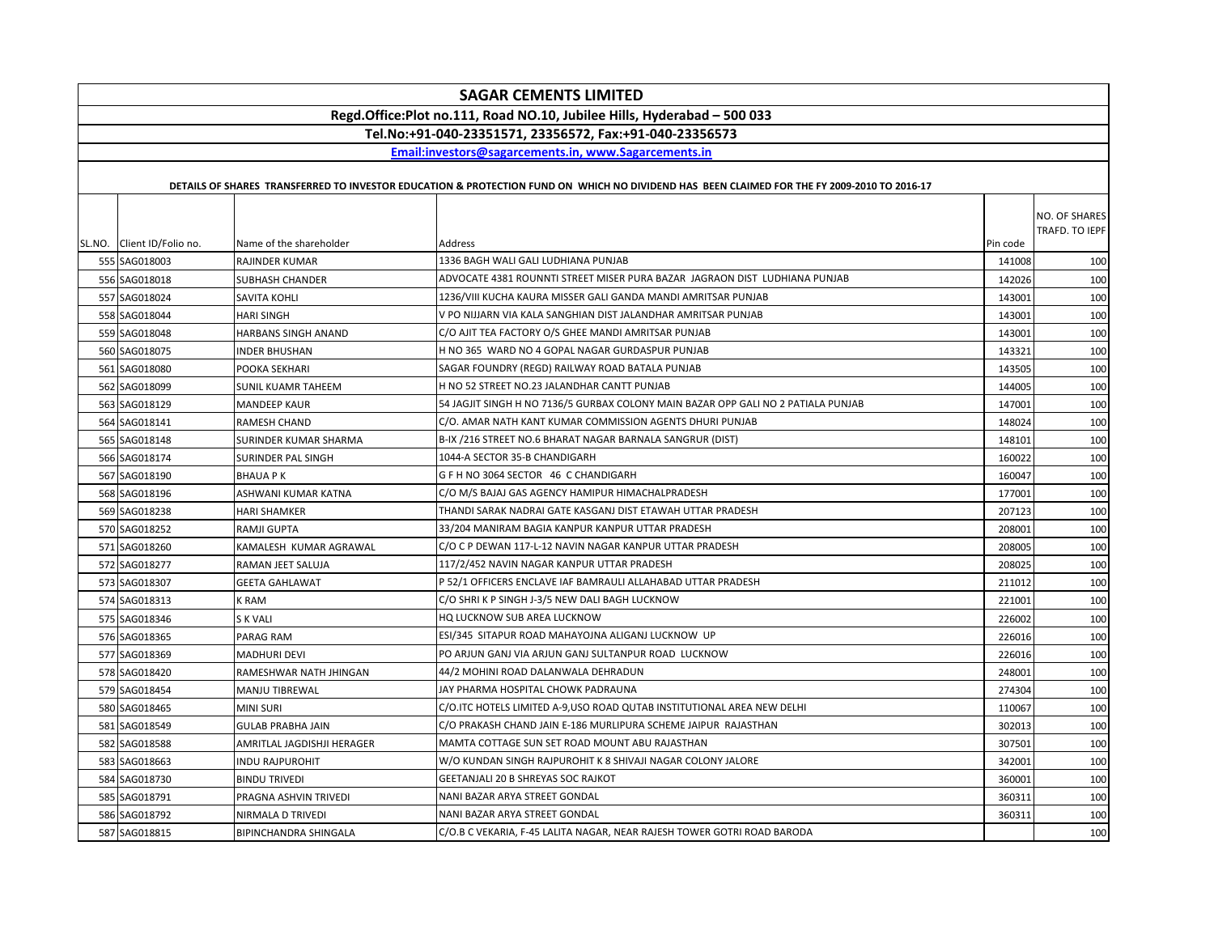|                            |                              | <b>SAGAR CEMENTS LIMITED</b>                                                                                                                |          |                                 |
|----------------------------|------------------------------|---------------------------------------------------------------------------------------------------------------------------------------------|----------|---------------------------------|
|                            |                              | Regd.Office:Plot no.111, Road NO.10, Jubilee Hills, Hyderabad - 500 033                                                                     |          |                                 |
|                            |                              | Tel.No:+91-040-23351571, 23356572, Fax:+91-040-23356573                                                                                     |          |                                 |
|                            |                              | Email:investors@sagarcements.in. www.Sagarcements.in                                                                                        |          |                                 |
|                            |                              |                                                                                                                                             |          |                                 |
|                            |                              | DETAILS OF SHARES TRANSFERRED TO INVESTOR EDUCATION & PROTECTION FUND ON WHICH NO DIVIDEND HAS BEEN CLAIMED FOR THE FY 2009-2010 TO 2016-17 |          |                                 |
| SL.NO. Client ID/Folio no. | Name of the shareholder      | Address                                                                                                                                     | Pin code | NO. OF SHARES<br>TRAFD. TO IEPF |
| 555 SAG018003              | RAJINDER KUMAR               | 1336 BAGH WALI GALI LUDHIANA PUNJAB                                                                                                         | 141008   | 100                             |
| 556 SAG018018              | <b>SUBHASH CHANDER</b>       | ADVOCATE 4381 ROUNNTI STREET MISER PURA BAZAR JAGRAON DIST LUDHIANA PUNJAB                                                                  | 142026   | 100                             |
| 557 SAG018024              | SAVITA KOHLI                 | 1236/VIII KUCHA KAURA MISSER GALI GANDA MANDI AMRITSAR PUNJAB                                                                               | 143001   | 100                             |
| 558 SAG018044              | <b>HARI SINGH</b>            | V PO NIJJARN VIA KALA SANGHIAN DIST JALANDHAR AMRITSAR PUNJAB                                                                               | 143001   | 100                             |
| 559 SAG018048              | HARBANS SINGH ANAND          | C/O AJIT TEA FACTORY O/S GHEE MANDI AMRITSAR PUNJAB                                                                                         | 143001   | 100                             |
| 560 SAG018075              | <b>INDER BHUSHAN</b>         | H NO 365 WARD NO 4 GOPAL NAGAR GURDASPUR PUNJAB                                                                                             | 143321   | 100                             |
| 561 SAG018080              | POOKA SEKHARI                | SAGAR FOUNDRY (REGD) RAILWAY ROAD BATALA PUNJAB                                                                                             | 143505   | 100                             |
| 562 SAG018099              | <b>SUNIL KUAMR TAHEEM</b>    | H NO 52 STREET NO.23 JALANDHAR CANTT PUNJAB                                                                                                 | 144005   | 100                             |
| 563 SAG018129              | <b>MANDEEP KAUR</b>          | 54 JAGJIT SINGH H NO 7136/5 GURBAX COLONY MAIN BAZAR OPP GALI NO 2 PATIALA PUNJAB                                                           | 147001   | 100                             |
| 564 SAG018141              | <b>RAMESH CHAND</b>          | C/O. AMAR NATH KANT KUMAR COMMISSION AGENTS DHURI PUNJAB                                                                                    | 148024   | 100                             |
| 565 SAG018148              | SURINDER KUMAR SHARMA        | B-IX /216 STREET NO.6 BHARAT NAGAR BARNALA SANGRUR (DIST)                                                                                   | 148101   | 100                             |
| 566 SAG018174              | SURINDER PAL SINGH           | 1044-A SECTOR 35-B CHANDIGARH                                                                                                               | 160022   | 100                             |
| 567 SAG018190              | <b>BHAUAPK</b>               | G F H NO 3064 SECTOR 46 C CHANDIGARH                                                                                                        | 160047   | 100                             |
| 568 SAG018196              | ASHWANI KUMAR KATNA          | C/O M/S BAJAJ GAS AGENCY HAMIPUR HIMACHALPRADESH                                                                                            | 177001   | 100                             |
| 569 SAG018238              | <b>HARI SHAMKER</b>          | THANDI SARAK NADRAI GATE KASGANJ DIST ETAWAH UTTAR PRADESH                                                                                  | 207123   | 100                             |
| 570 SAG018252              | RAMJI GUPTA                  | 33/204 MANIRAM BAGIA KANPUR KANPUR UTTAR PRADESH                                                                                            | 208001   | 100                             |
| 571 SAG018260              | KAMALESH KUMAR AGRAWAL       | C/O C P DEWAN 117-L-12 NAVIN NAGAR KANPUR UTTAR PRADESH                                                                                     | 208005   | 100                             |
| 572 SAG018277              | RAMAN JEET SALUJA            | 117/2/452 NAVIN NAGAR KANPUR UTTAR PRADESH                                                                                                  | 208025   | 100                             |
| 573 SAG018307              | <b>GEETA GAHLAWAT</b>        | P 52/1 OFFICERS ENCLAVE IAF BAMRAULI ALLAHABAD UTTAR PRADESH                                                                                | 211012   | 100                             |
| 574 SAG018313              | K RAM                        | C/O SHRI K P SINGH J-3/5 NEW DALI BAGH LUCKNOW                                                                                              | 221001   | 100                             |
| 575 SAG018346              | S K VALI                     | HQ LUCKNOW SUB AREA LUCKNOW                                                                                                                 | 226002   | 100                             |
| 576 SAG018365              | PARAG RAM                    | ESI/345 SITAPUR ROAD MAHAYOJNA ALIGANJ LUCKNOW UP                                                                                           | 226016   | 100                             |
| 577 SAG018369              | <b>MADHURI DEVI</b>          | PO ARJUN GANJ VIA ARJUN GANJ SULTANPUR ROAD LUCKNOW                                                                                         | 226016   | 100                             |
| 578 SAG018420              | RAMESHWAR NATH JHINGAN       | 44/2 MOHINI ROAD DALANWALA DEHRADUN                                                                                                         | 248001   | 100                             |
| 579 SAG018454              | <b>MANJU TIBREWAL</b>        | JAY PHARMA HOSPITAL CHOWK PADRAUNA                                                                                                          | 274304   | 100                             |
| 580 SAG018465              | <b>MINI SURI</b>             | C/O.ITC HOTELS LIMITED A-9, USO ROAD QUTAB INSTITUTIONAL AREA NEW DELHI                                                                     | 110067   | 100                             |
| 581 SAG018549              | <b>GULAB PRABHA JAIN</b>     | C/O PRAKASH CHAND JAIN E-186 MURLIPURA SCHEME JAIPUR RAJASTHAN                                                                              | 302013   | 100                             |
| 582 SAG018588              | AMRITLAL JAGDISHJI HERAGER   | MAMTA COTTAGE SUN SET ROAD MOUNT ABU RAJASTHAN                                                                                              | 307501   | 100                             |
| 583 SAG018663              | <b>INDU RAJPUROHIT</b>       | W/O KUNDAN SINGH RAJPUROHIT K 8 SHIVAJI NAGAR COLONY JALORE                                                                                 | 342001   | 100                             |
| 584 SAG018730              | <b>BINDU TRIVEDI</b>         | GEETANJALI 20 B SHREYAS SOC RAJKOT                                                                                                          | 360001   | 100                             |
| 585 SAG018791              | PRAGNA ASHVIN TRIVEDI        | NANI BAZAR ARYA STREET GONDAL                                                                                                               | 360311   | 100                             |
| 586 SAG018792              | NIRMALA D TRIVEDI            | NANI BAZAR ARYA STREET GONDAL                                                                                                               | 360311   | 100                             |
| 587 SAG018815              | <b>BIPINCHANDRA SHINGALA</b> | C/O.B C VEKARIA, F-45 LALITA NAGAR, NEAR RAJESH TOWER GOTRI ROAD BARODA                                                                     |          | 100                             |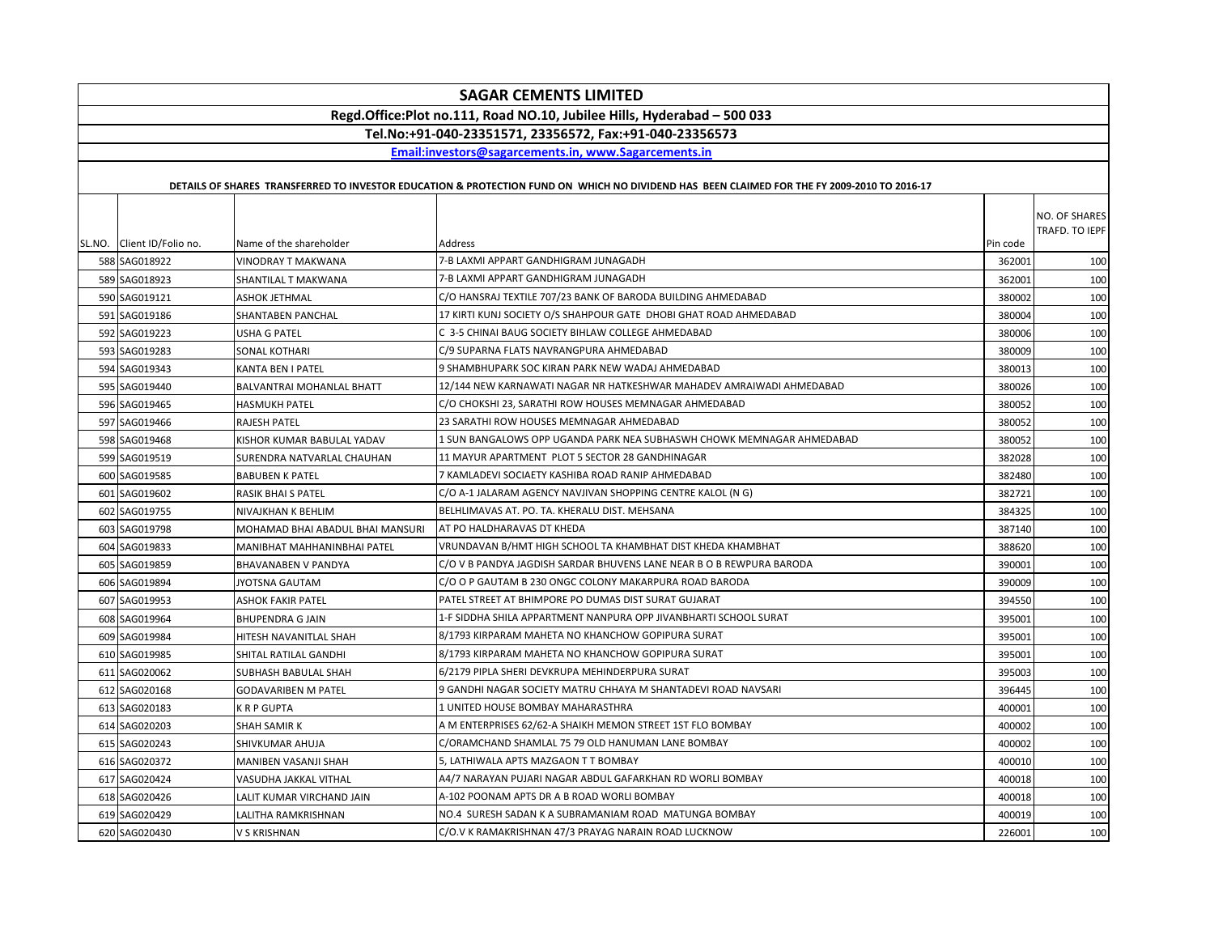|                                                                         |                                    | <b>SAGAR CEMENTS LIMITED</b>                                                                                                                |          |                                 |  |
|-------------------------------------------------------------------------|------------------------------------|---------------------------------------------------------------------------------------------------------------------------------------------|----------|---------------------------------|--|
| Regd.Office:Plot no.111, Road NO.10, Jubilee Hills, Hyderabad - 500 033 |                                    |                                                                                                                                             |          |                                 |  |
| Tel.No:+91-040-23351571, 23356572, Fax:+91-040-23356573                 |                                    |                                                                                                                                             |          |                                 |  |
|                                                                         |                                    | Email:investors@sagarcements.in. www.Sagarcements.in                                                                                        |          |                                 |  |
|                                                                         |                                    |                                                                                                                                             |          |                                 |  |
|                                                                         |                                    | DETAILS OF SHARES TRANSFERRED TO INVESTOR EDUCATION & PROTECTION FUND ON WHICH NO DIVIDEND HAS BEEN CLAIMED FOR THE FY 2009-2010 TO 2016-17 |          |                                 |  |
| SL.NO. Client ID/Folio no.                                              | Name of the shareholder            | Address                                                                                                                                     | Pin code | NO. OF SHARES<br>TRAFD. TO IEPF |  |
| 588 SAG018922                                                           | <b>VINODRAY T MAKWANA</b>          | 7-B LAXMI APPART GANDHIGRAM JUNAGADH                                                                                                        | 362001   | 100                             |  |
| 589 SAG018923                                                           | SHANTILAL T MAKWANA                | 7-B LAXMI APPART GANDHIGRAM JUNAGADH                                                                                                        | 362001   | 100                             |  |
| 590 SAG019121                                                           | ASHOK JETHMAL                      | C/O HANSRAJ TEXTILE 707/23 BANK OF BARODA BUILDING AHMEDABAD                                                                                | 380002   | 100                             |  |
| 591 SAG019186                                                           | SHANTABEN PANCHAL                  | 17 KIRTI KUNJ SOCIETY O/S SHAHPOUR GATE DHOBI GHAT ROAD AHMEDABAD                                                                           | 380004   | 100                             |  |
| 592 SAG019223                                                           | <b>USHA G PATEL</b>                | C 3-5 CHINAI BAUG SOCIETY BIHLAW COLLEGE AHMEDABAD                                                                                          | 380006   | 100                             |  |
| 593 SAG019283                                                           | SONAL KOTHARI                      | C/9 SUPARNA FLATS NAVRANGPURA AHMEDABAD                                                                                                     | 380009   | 100                             |  |
| 594 SAG019343                                                           | KANTA BEN I PATEL                  | 9 SHAMBHUPARK SOC KIRAN PARK NEW WADAJ AHMEDABAD                                                                                            | 380013   | 100                             |  |
| 595 SAG019440                                                           | BALVANTRAI MOHANLAL BHATT          | 12/144 NEW KARNAWATI NAGAR NR HATKESHWAR MAHADEV AMRAIWADI AHMEDABAD                                                                        | 380026   | 100                             |  |
| 596 SAG019465                                                           | HASMUKH PATEL                      | C/O CHOKSHI 23, SARATHI ROW HOUSES MEMNAGAR AHMEDABAD                                                                                       | 380052   | 100                             |  |
| 597 SAG019466                                                           | <b>RAJESH PATEL</b>                | 23 SARATHI ROW HOUSES MEMNAGAR AHMEDABAD                                                                                                    | 380052   | 100                             |  |
| 598 SAG019468                                                           | KISHOR KUMAR BABULAL YADAV         | 1 SUN BANGALOWS OPP UGANDA PARK NEA SUBHASWH CHOWK MEMNAGAR AHMEDABAD                                                                       | 380052   | 100                             |  |
| 599 SAG019519                                                           | SURENDRA NATVARLAL CHAUHAN         | 11 MAYUR APARTMENT PLOT 5 SECTOR 28 GANDHINAGAR                                                                                             | 382028   | 100                             |  |
| 600 SAG019585                                                           | <b>BABUBEN K PATEL</b>             | 7 KAMLADEVI SOCIAETY KASHIBA ROAD RANIP AHMEDABAD                                                                                           | 382480   | 100                             |  |
| 601 SAG019602                                                           | RASIK BHAI S PATEL                 | C/O A-1 JALARAM AGENCY NAVJIVAN SHOPPING CENTRE KALOL (N G)                                                                                 | 382721   | 100                             |  |
| 602 SAG019755                                                           | NIVAJKHAN K BEHLIM                 | BELHLIMAVAS AT. PO. TA. KHERALU DIST. MEHSANA                                                                                               | 384325   | 100                             |  |
| 603 SAG019798                                                           | MOHAMAD BHAI ABADUL BHAI MANSURI   | AT PO HALDHARAVAS DT KHEDA                                                                                                                  | 387140   | 100                             |  |
| 604 SAG019833                                                           | <b>MANIBHAT MAHHANINBHAI PATEL</b> | VRUNDAVAN B/HMT HIGH SCHOOL TA KHAMBHAT DIST KHEDA KHAMBHAT                                                                                 | 388620   | 100                             |  |
| 605 SAG019859                                                           | BHAVANABEN V PANDYA                | C/O V B PANDYA JAGDISH SARDAR BHUVENS LANE NEAR B O B REWPURA BARODA                                                                        | 390001   | 100                             |  |
| 606 SAG019894                                                           | <b>IYOTSNA GAUTAM</b>              | C/O O P GAUTAM B 230 ONGC COLONY MAKARPURA ROAD BARODA                                                                                      | 390009   | 100                             |  |
| 607 SAG019953                                                           | <b>ASHOK FAKIR PATEL</b>           | PATEL STREET AT BHIMPORE PO DUMAS DIST SURAT GUJARAT                                                                                        | 394550   | 100                             |  |
| 608 SAG019964                                                           | <b>BHUPENDRA G JAIN</b>            | 1-F SIDDHA SHILA APPARTMENT NANPURA OPP JIVANBHARTI SCHOOL SURAT                                                                            | 395001   | 100                             |  |
| 609 SAG019984                                                           | HITESH NAVANITLAL SHAH             | 8/1793 KIRPARAM MAHETA NO KHANCHOW GOPIPURA SURAT                                                                                           | 395001   | 100                             |  |
| 610 SAG019985                                                           | SHITAL RATILAL GANDHI              | 8/1793 KIRPARAM MAHETA NO KHANCHOW GOPIPURA SURAT                                                                                           | 395001   | 100                             |  |
| 611 SAG020062                                                           | SUBHASH BABULAL SHAH               | 6/2179 PIPLA SHERI DEVKRUPA MEHINDERPURA SURAT                                                                                              | 395003   | 100                             |  |
| 612 SAG020168                                                           | <b>GODAVARIBEN M PATEL</b>         | 9 GANDHI NAGAR SOCIETY MATRU CHHAYA M SHANTADEVI ROAD NAVSARI                                                                               | 396445   | 100                             |  |
| 613 SAG020183                                                           | K R P GUPTA                        | 1 UNITED HOUSE BOMBAY MAHARASTHRA                                                                                                           | 400001   | 100                             |  |
| 614 SAG020203                                                           | <b>SHAH SAMIR K</b>                | A M ENTERPRISES 62/62-A SHAIKH MEMON STREET 1ST FLO BOMBAY                                                                                  | 400002   | 100                             |  |
| 615 SAG020243                                                           | SHIVKUMAR AHUJA                    | C/ORAMCHAND SHAMLAL 75 79 OLD HANUMAN LANE BOMBAY                                                                                           | 400002   | 100                             |  |
| 616 SAG020372                                                           | MANIBEN VASANJI SHAH               | 5, LATHIWALA APTS MAZGAON T T BOMBAY                                                                                                        | 400010   | 100                             |  |
| 617 SAG020424                                                           | VASUDHA JAKKAL VITHAL              | A4/7 NARAYAN PUJARI NAGAR ABDUL GAFARKHAN RD WORLI BOMBAY                                                                                   | 400018   | 100                             |  |
| 618 SAG020426                                                           | LALIT KUMAR VIRCHAND JAIN          | A-102 POONAM APTS DR A B ROAD WORLI BOMBAY                                                                                                  | 400018   | 100                             |  |
| 619 SAG020429                                                           | LALITHA RAMKRISHNAN                | NO.4 SURESH SADAN K A SUBRAMANIAM ROAD MATUNGA BOMBAY                                                                                       | 400019   | 100                             |  |
| 620 SAG020430                                                           | V S KRISHNAN                       | C/O.V K RAMAKRISHNAN 47/3 PRAYAG NARAIN ROAD LUCKNOW                                                                                        | 226001   | 100                             |  |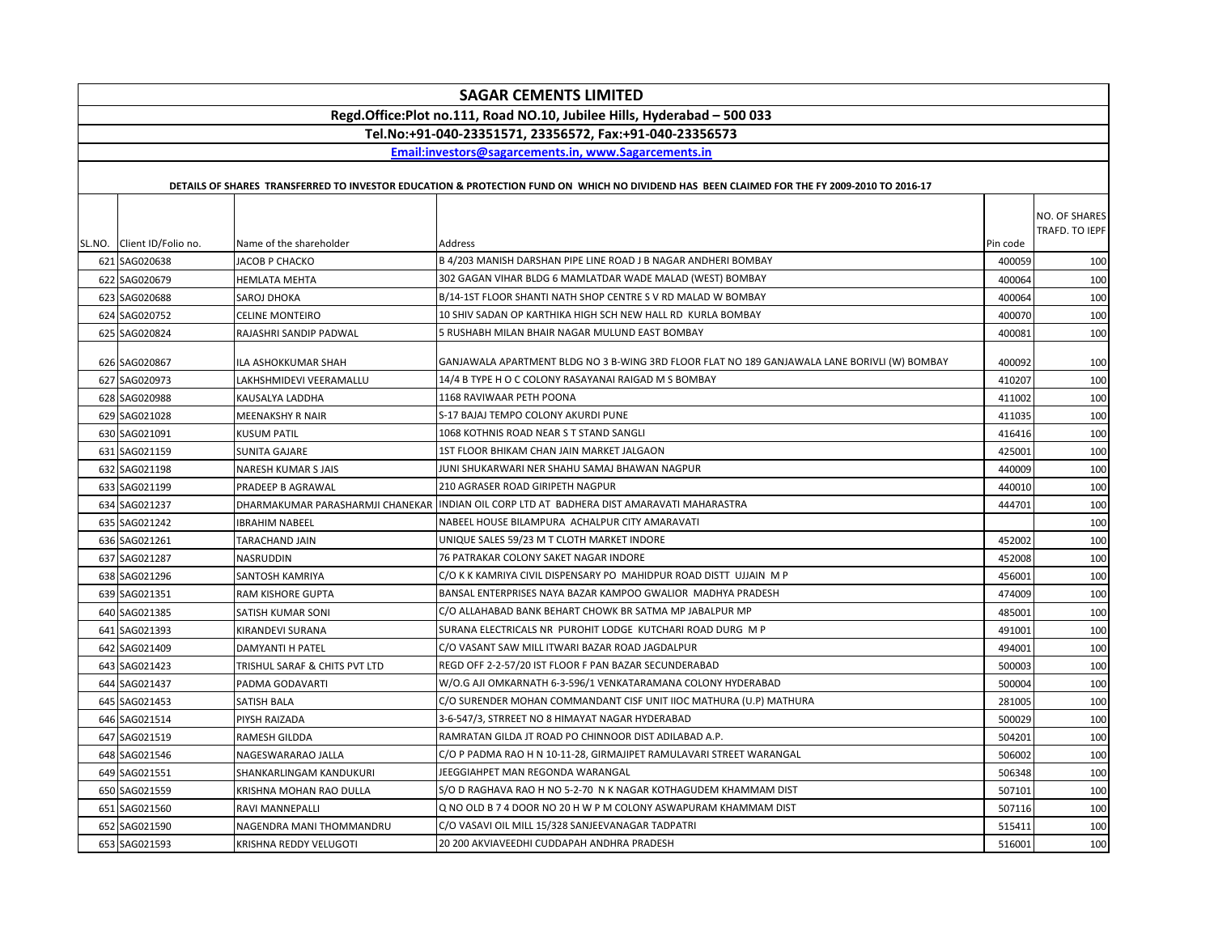| <b>SAGAR CEMENTS LIMITED</b>                                            |                                  |                                                                                                                                             |          |                                 |  |  |
|-------------------------------------------------------------------------|----------------------------------|---------------------------------------------------------------------------------------------------------------------------------------------|----------|---------------------------------|--|--|
| Regd.Office:Plot no.111, Road NO.10, Jubilee Hills, Hyderabad - 500 033 |                                  |                                                                                                                                             |          |                                 |  |  |
| Tel.No:+91-040-23351571, 23356572, Fax:+91-040-23356573                 |                                  |                                                                                                                                             |          |                                 |  |  |
| Email:investors@sagarcements.in, www.Sagarcements.in                    |                                  |                                                                                                                                             |          |                                 |  |  |
|                                                                         |                                  |                                                                                                                                             |          |                                 |  |  |
|                                                                         |                                  | DETAILS OF SHARES TRANSFERRED TO INVESTOR EDUCATION & PROTECTION FUND ON WHICH NO DIVIDEND HAS BEEN CLAIMED FOR THE FY 2009-2010 TO 2016-17 |          |                                 |  |  |
|                                                                         |                                  |                                                                                                                                             |          | NO. OF SHARES<br>TRAFD. TO IEPF |  |  |
| SL.NO. Client ID/Folio no.                                              | Name of the shareholder          | Address                                                                                                                                     | Pin code |                                 |  |  |
| 621 SAG020638                                                           | JACOB P CHACKO                   | B 4/203 MANISH DARSHAN PIPE LINE ROAD J B NAGAR ANDHERI BOMBAY                                                                              | 400059   | 100                             |  |  |
| 622 SAG020679                                                           | <b>HEMLATA MEHTA</b>             | 302 GAGAN VIHAR BLDG 6 MAMLATDAR WADE MALAD (WEST) BOMBAY                                                                                   | 400064   | 100                             |  |  |
| 623 SAG020688                                                           | SAROJ DHOKA                      | B/14-1ST FLOOR SHANTI NATH SHOP CENTRE S V RD MALAD W BOMBAY                                                                                | 400064   | 100                             |  |  |
| 624 SAG020752                                                           | <b>CELINE MONTEIRO</b>           | 10 SHIV SADAN OP KARTHIKA HIGH SCH NEW HALL RD KURLA BOMBAY                                                                                 | 400070   | 100                             |  |  |
| 625 SAG020824                                                           | RAJASHRI SANDIP PADWAL           | 5 RUSHABH MILAN BHAIR NAGAR MULUND EAST BOMBAY                                                                                              | 400081   | 100                             |  |  |
| 626 SAG020867                                                           | ILA ASHOKKUMAR SHAH              | GANJAWALA APARTMENT BLDG NO 3 B-WING 3RD FLOOR FLAT NO 189 GANJAWALA LANE BORIVLI (W) BOMBAY                                                | 400092   | 100                             |  |  |
| 627 SAG020973                                                           | LAKHSHMIDEVI VEERAMALLU          | 14/4 B TYPE H O C COLONY RASAYANAI RAIGAD M S BOMBAY                                                                                        | 410207   | 100                             |  |  |
| 628 SAG020988                                                           | KAUSALYA LADDHA                  | 1168 RAVIWAAR PETH POONA                                                                                                                    | 411002   | 100                             |  |  |
| 629 SAG021028                                                           | MEENAKSHY R NAIR                 | S-17 BAJAJ TEMPO COLONY AKURDI PUNE                                                                                                         | 411035   | 100                             |  |  |
| 630 SAG021091                                                           | <b>KUSUM PATIL</b>               | 1068 KOTHNIS ROAD NEAR S T STAND SANGLI                                                                                                     | 416416   | 100                             |  |  |
| 631 SAG021159                                                           | SUNITA GAJARE                    | 1ST FLOOR BHIKAM CHAN JAIN MARKET JALGAON                                                                                                   | 425001   | 100                             |  |  |
| 632 SAG021198                                                           | <b>NARESH KUMAR S JAIS</b>       | JUNI SHUKARWARI NER SHAHU SAMAJ BHAWAN NAGPUR                                                                                               | 440009   | 100                             |  |  |
| 633 SAG021199                                                           | PRADEEP B AGRAWAL                | 210 AGRASER ROAD GIRIPETH NAGPUR                                                                                                            | 440010   | 100                             |  |  |
| 634 SAG021237                                                           | DHARMAKUMAR PARASHARMJI CHANEKAR | INDIAN OIL CORP LTD AT BADHERA DIST AMARAVATI MAHARASTRA                                                                                    | 444701   | 100                             |  |  |
| 635 SAG021242                                                           | <b>IBRAHIM NABEEL</b>            | NABEEL HOUSE BILAMPURA ACHALPUR CITY AMARAVATI                                                                                              |          | 100                             |  |  |
| 636 SAG021261                                                           | TARACHAND JAIN                   | UNIQUE SALES 59/23 M T CLOTH MARKET INDORE                                                                                                  | 452002   | 100                             |  |  |
| 637 SAG021287                                                           | NASRUDDIN                        | 76 PATRAKAR COLONY SAKET NAGAR INDORE                                                                                                       | 452008   | 100                             |  |  |
| 638 SAG021296                                                           | SANTOSH KAMRIYA                  | C/O K K KAMRIYA CIVIL DISPENSARY PO MAHIDPUR ROAD DISTT UJJAIN M P                                                                          | 456001   | 100                             |  |  |
| 639 SAG021351                                                           | <b>RAM KISHORE GUPTA</b>         | BANSAL ENTERPRISES NAYA BAZAR KAMPOO GWALIOR MADHYA PRADESH                                                                                 | 474009   | 100                             |  |  |
| 640 SAG021385                                                           | SATISH KUMAR SONI                | C/O ALLAHABAD BANK BEHART CHOWK BR SATMA MP JABALPUR MP                                                                                     | 485001   | 100                             |  |  |
| 641 SAG021393                                                           | KIRANDEVI SURANA                 | SURANA ELECTRICALS NR PUROHIT LODGE KUTCHARI ROAD DURG MP                                                                                   | 491001   | 100                             |  |  |
| 642 SAG021409                                                           | <b>DAMYANTI H PATEL</b>          | C/O VASANT SAW MILL ITWARI BAZAR ROAD JAGDALPUR                                                                                             | 494001   | 100                             |  |  |
| 643 SAG021423                                                           | TRISHUL SARAF & CHITS PVT LTD    | REGD OFF 2-2-57/20 IST FLOOR F PAN BAZAR SECUNDERABAD                                                                                       | 500003   | 100                             |  |  |
| 644 SAG021437                                                           | PADMA GODAVARTI                  | W/O.G AJI OMKARNATH 6-3-596/1 VENKATARAMANA COLONY HYDERABAD                                                                                | 500004   | 100                             |  |  |
| 645 SAG021453                                                           | SATISH BALA                      | C/O SURENDER MOHAN COMMANDANT CISF UNIT IIOC MATHURA (U.P) MATHURA                                                                          | 281005   | 100                             |  |  |
| 646 SAG021514                                                           | PIYSH RAIZADA                    | 3-6-547/3, STRREET NO 8 HIMAYAT NAGAR HYDERABAD                                                                                             | 500029   | 100                             |  |  |
| 647 SAG021519                                                           | RAMESH GILDDA                    | RAMRATAN GILDA JT ROAD PO CHINNOOR DIST ADILABAD A.P.                                                                                       | 504201   | 100                             |  |  |
| 648 SAG021546                                                           | NAGESWARARAO JALLA               | C/O P PADMA RAO H N 10-11-28, GIRMAJIPET RAMULAVARI STREET WARANGAL                                                                         | 506002   | 100                             |  |  |
| 649 SAG021551                                                           | SHANKARLINGAM KANDUKURI          | JEEGGIAHPET MAN REGONDA WARANGAL                                                                                                            | 506348   | 100                             |  |  |
| 650 SAG021559                                                           | KRISHNA MOHAN RAO DULLA          | S/O D RAGHAVA RAO H NO 5-2-70 N K NAGAR KOTHAGUDEM KHAMMAM DIST                                                                             | 507101   | 100                             |  |  |
| 651 SAG021560                                                           | RAVI MANNEPALLI                  | Q NO OLD B 7 4 DOOR NO 20 H W P M COLONY ASWAPURAM KHAMMAM DIST                                                                             | 507116   | 100                             |  |  |
| 652 SAG021590                                                           | NAGENDRA MANI THOMMANDRU         | C/O VASAVI OIL MILL 15/328 SANJEEVANAGAR TADPATRI                                                                                           | 515411   | 100                             |  |  |
| 653 SAG021593                                                           | KRISHNA REDDY VELUGOTI           | 20 200 AKVIAVEEDHI CUDDAPAH ANDHRA PRADESH                                                                                                  | 516001   | 100                             |  |  |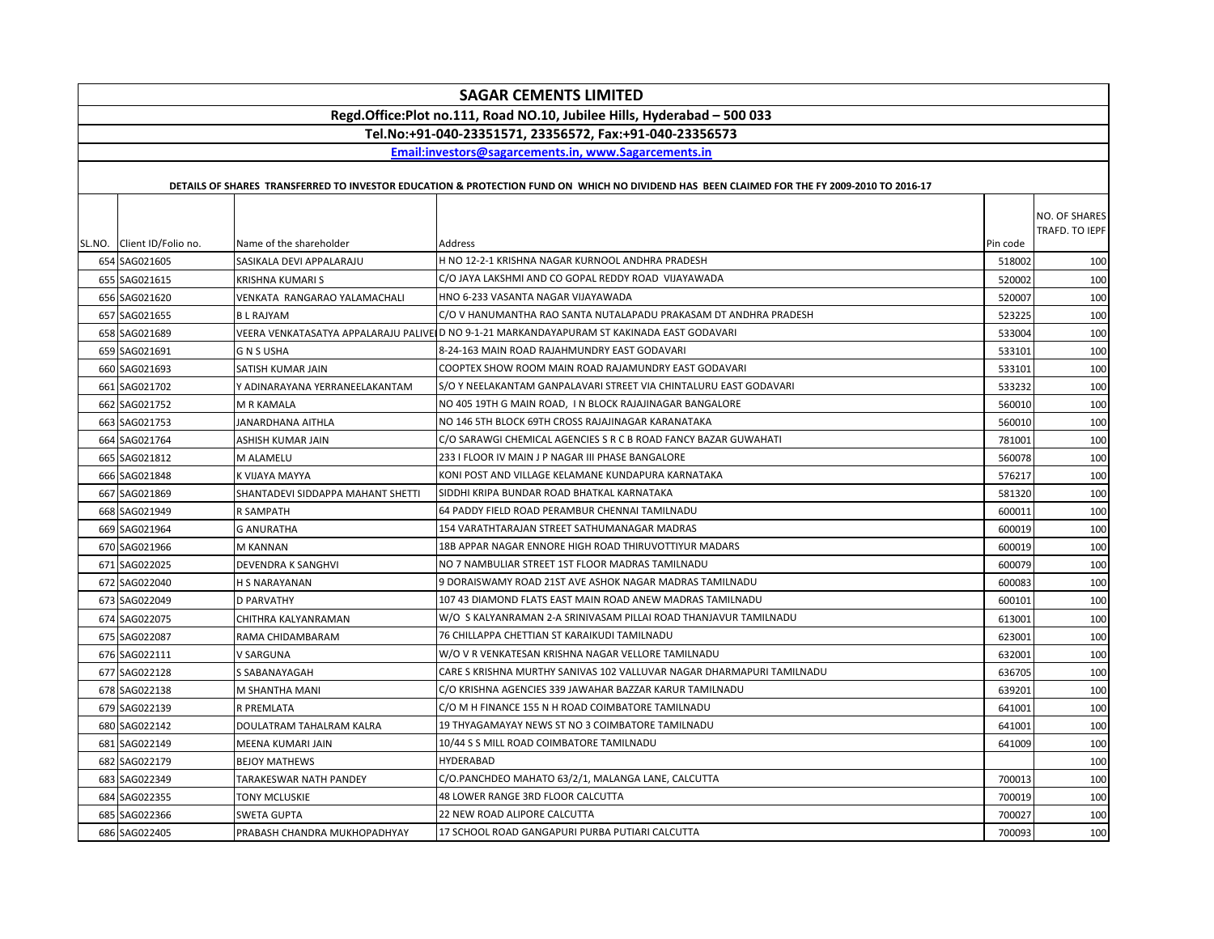|               |                            |                                   | <b>SAGAR CEMENTS LIMITED</b>                                                                                                                |          |                                 |
|---------------|----------------------------|-----------------------------------|---------------------------------------------------------------------------------------------------------------------------------------------|----------|---------------------------------|
|               |                            |                                   | Regd.Office:Plot no.111, Road NO.10, Jubilee Hills, Hyderabad - 500 033                                                                     |          |                                 |
|               |                            |                                   | Tel.No:+91-040-23351571, 23356572, Fax:+91-040-23356573                                                                                     |          |                                 |
|               |                            |                                   | Email:investors@sagarcements.in, www.Sagarcements.in                                                                                        |          |                                 |
|               |                            |                                   |                                                                                                                                             |          |                                 |
|               |                            |                                   | DETAILS OF SHARES TRANSFERRED TO INVESTOR EDUCATION & PROTECTION FUND ON WHICH NO DIVIDEND HAS BEEN CLAIMED FOR THE FY 2009-2010 TO 2016-17 |          |                                 |
|               | SL.NO. Client ID/Folio no. | Name of the shareholder           | Address                                                                                                                                     | Pin code | NO. OF SHARES<br>TRAFD. TO IEPF |
| 654 SAG021605 |                            | SASIKALA DEVI APPALARAJU          | H NO 12-2-1 KRISHNA NAGAR KURNOOL ANDHRA PRADESH                                                                                            | 518002   | 100                             |
| 655 SAG021615 |                            | KRISHNA KUMARI S                  | C/O JAYA LAKSHMI AND CO GOPAL REDDY ROAD VIJAYAWADA                                                                                         | 520002   | 100                             |
| 656 SAG021620 |                            | VENKATA RANGARAO YALAMACHALI      | HNO 6-233 VASANTA NAGAR VIJAYAWADA                                                                                                          | 520007   | 100                             |
| 657 SAG021655 |                            | <b>BL RAJYAM</b>                  | C/O V HANUMANTHA RAO SANTA NUTALAPADU PRAKASAM DT ANDHRA PRADESH                                                                            | 523225   | 100                             |
| 658 SAG021689 |                            |                                   | VEERA VENKATASATYA APPALARAJU PALIVEI D NO 9-1-21 MARKANDAYAPURAM ST KAKINADA EAST GODAVARI                                                 | 533004   | 100                             |
| 659 SAG021691 |                            | <b>GNSUSHA</b>                    | 8-24-163 MAIN ROAD RAJAHMUNDRY EAST GODAVARI                                                                                                | 533101   | 100                             |
| 660 SAG021693 |                            | SATISH KUMAR JAIN                 | COOPTEX SHOW ROOM MAIN ROAD RAJAMUNDRY EAST GODAVARI                                                                                        | 533101   | 100                             |
| 661 SAG021702 |                            | Y ADINARAYANA YERRANEELAKANTAM    | S/O Y NEELAKANTAM GANPALAVARI STREET VIA CHINTALURU EAST GODAVARI                                                                           | 533232   | 100                             |
| 662 SAG021752 |                            | M R KAMALA                        | NO 405 19TH G MAIN ROAD, IN BLOCK RAJAJINAGAR BANGALORE                                                                                     | 560010   | 100                             |
| 663 SAG021753 |                            | JANARDHANA AITHLA                 | NO 146 5TH BLOCK 69TH CROSS RAJAJINAGAR KARANATAKA                                                                                          | 560010   | 100                             |
| 664 SAG021764 |                            | ASHISH KUMAR JAIN                 | C/O SARAWGI CHEMICAL AGENCIES S R C B ROAD FANCY BAZAR GUWAHATI                                                                             | 781001   | 100                             |
| 665 SAG021812 |                            | M ALAMELU                         | 233 I FLOOR IV MAIN J P NAGAR III PHASE BANGALORE                                                                                           | 560078   | 100                             |
| 666 SAG021848 |                            | K VIJAYA MAYYA                    | KONI POST AND VILLAGE KELAMANE KUNDAPURA KARNATAKA                                                                                          | 576217   | 100                             |
| 667 SAG021869 |                            | SHANTADEVI SIDDAPPA MAHANT SHETTI | SIDDHI KRIPA BUNDAR ROAD BHATKAL KARNATAKA                                                                                                  | 581320   | 100                             |
| 668 SAG021949 |                            | R SAMPATH                         | 64 PADDY FIELD ROAD PERAMBUR CHENNAI TAMILNADU                                                                                              | 600011   | 100                             |
| 669 SAG021964 |                            | <b>G ANURATHA</b>                 | 154 VARATHTARAJAN STREET SATHUMANAGAR MADRAS                                                                                                | 600019   | 100                             |
| 670 SAG021966 |                            | M KANNAN                          | 18B APPAR NAGAR ENNORE HIGH ROAD THIRUVOTTIYUR MADARS                                                                                       | 600019   | 100                             |
| 671 SAG022025 |                            | <b>DEVENDRA K SANGHVI</b>         | NO 7 NAMBULIAR STREET 1ST FLOOR MADRAS TAMILNADU                                                                                            | 600079   | 100                             |
| 672 SAG022040 |                            | <b>H S NARAYANAN</b>              | 9 DORAISWAMY ROAD 21ST AVE ASHOK NAGAR MADRAS TAMILNADU                                                                                     | 600083   | 100                             |
| 673 SAG022049 |                            | <b>D PARVATHY</b>                 | 107 43 DIAMOND FLATS EAST MAIN ROAD ANEW MADRAS TAMILNADU                                                                                   | 600101   | 100                             |
| 674 SAG022075 |                            | CHITHRA KALYANRAMAN               | W/O S KALYANRAMAN 2-A SRINIVASAM PILLAI ROAD THANJAVUR TAMILNADU                                                                            | 613001   | 100                             |
| 675 SAG022087 |                            | RAMA CHIDAMBARAM                  | 76 CHILLAPPA CHETTIAN ST KARAIKUDI TAMILNADU                                                                                                | 623001   | 100                             |
| 676 SAG022111 |                            | V SARGUNA                         | W/O V R VENKATESAN KRISHNA NAGAR VELLORE TAMILNADU                                                                                          | 632001   | 100                             |
| 677 SAG022128 |                            | S SABANAYAGAH                     | CARE S KRISHNA MURTHY SANIVAS 102 VALLUVAR NAGAR DHARMAPURI TAMILNADU                                                                       | 636705   | 100                             |
| 678 SAG022138 |                            | M SHANTHA MANI                    | C/O KRISHNA AGENCIES 339 JAWAHAR BAZZAR KARUR TAMILNADU                                                                                     | 639201   | 100                             |
| 679 SAG022139 |                            | R PREMLATA                        | C/O M H FINANCE 155 N H ROAD COIMBATORE TAMILNADU                                                                                           | 641001   | 100                             |
| 680 SAG022142 |                            | DOULATRAM TAHALRAM KALRA          | 19 THYAGAMAYAY NEWS ST NO 3 COIMBATORE TAMILNADU                                                                                            | 641001   | 100                             |
| 681 SAG022149 |                            | MEENA KUMARI JAIN                 | 10/44 S S MILL ROAD COIMBATORE TAMILNADU                                                                                                    | 641009   | 100                             |
| 682 SAG022179 |                            | <b>BEJOY MATHEWS</b>              | HYDERABAD                                                                                                                                   |          | 100                             |
| 683 SAG022349 |                            | TARAKESWAR NATH PANDEY            | C/O.PANCHDEO MAHATO 63/2/1, MALANGA LANE, CALCUTTA                                                                                          | 700013   | 100                             |
| 684 SAG022355 |                            | TONY MCLUSKIE                     | 48 LOWER RANGE 3RD FLOOR CALCUTTA                                                                                                           | 700019   | 100                             |
| 685 SAG022366 |                            | SWETA GUPTA                       | 22 NEW ROAD ALIPORE CALCUTTA                                                                                                                | 700027   | 100                             |
| 686 SAG022405 |                            | PRABASH CHANDRA MUKHOPADHYAY      | 17 SCHOOL ROAD GANGAPURI PURBA PUTIARI CALCUTTA                                                                                             | 700093   | 100                             |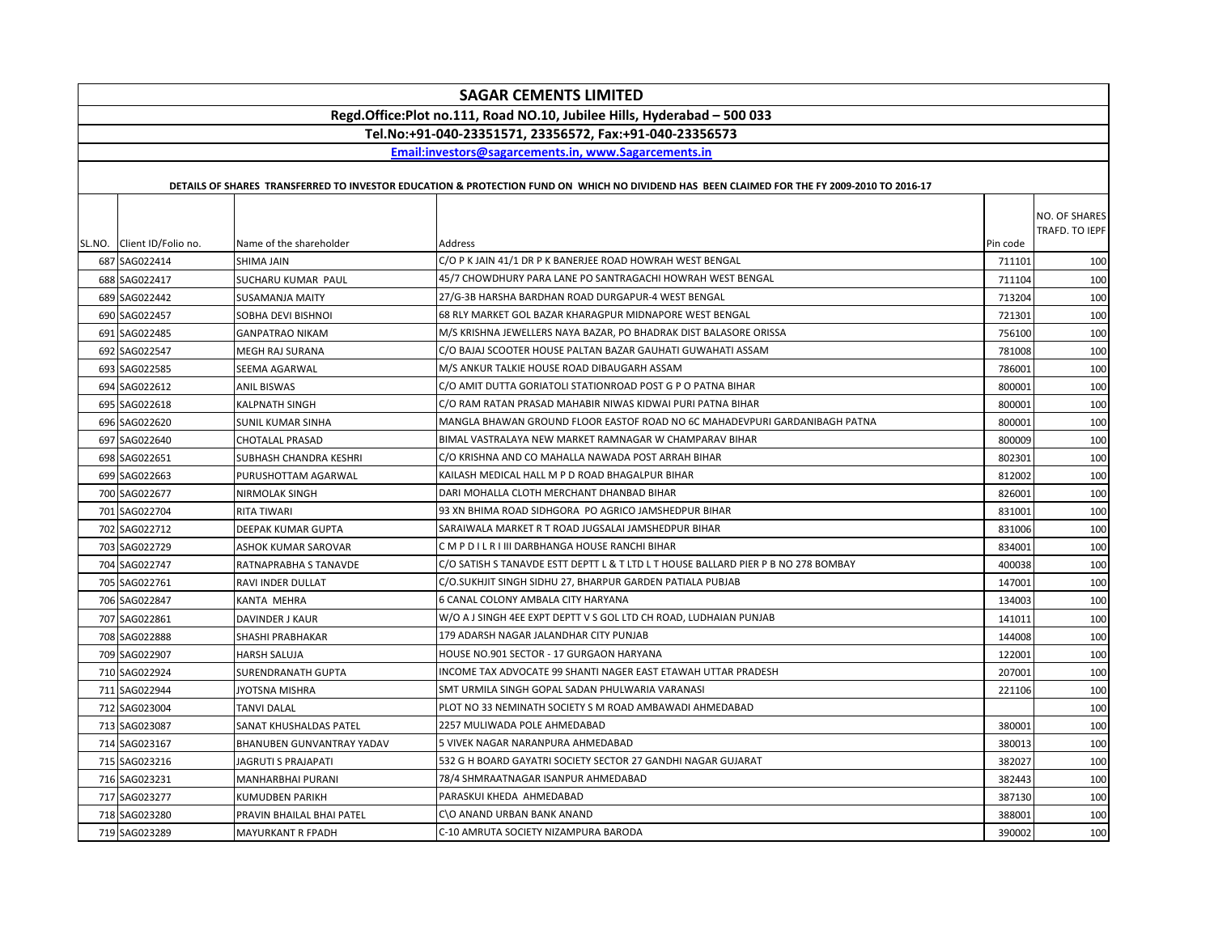|                            |                            | <b>SAGAR CEMENTS LIMITED</b>                                                                                                                |          |                                 |
|----------------------------|----------------------------|---------------------------------------------------------------------------------------------------------------------------------------------|----------|---------------------------------|
|                            |                            | Regd.Office:Plot no.111, Road NO.10, Jubilee Hills, Hyderabad - 500 033                                                                     |          |                                 |
|                            |                            | Tel.No:+91-040-23351571, 23356572, Fax:+91-040-23356573                                                                                     |          |                                 |
|                            |                            | Email:investors@sagarcements.in, www.Sagarcements.in                                                                                        |          |                                 |
|                            |                            |                                                                                                                                             |          |                                 |
|                            |                            | DETAILS OF SHARES TRANSFERRED TO INVESTOR EDUCATION & PROTECTION FUND ON WHICH NO DIVIDEND HAS BEEN CLAIMED FOR THE FY 2009-2010 TO 2016-17 |          |                                 |
| SL.NO. Client ID/Folio no. | Name of the shareholder    | Address                                                                                                                                     | Pin code | NO. OF SHARES<br>TRAFD. TO IEPF |
| 687 SAG022414              | SHIMA JAIN                 | C/O P K JAIN 41/1 DR P K BANERJEE ROAD HOWRAH WEST BENGAL                                                                                   | 711101   | 100                             |
| 688 SAG022417              | SUCHARU KUMAR PAUL         | 45/7 CHOWDHURY PARA LANE PO SANTRAGACHI HOWRAH WEST BENGAL                                                                                  | 711104   | 100                             |
| 689 SAG022442              | <b>SUSAMANJA MAITY</b>     | 27/G-3B HARSHA BARDHAN ROAD DURGAPUR-4 WEST BENGAL                                                                                          | 713204   | 100                             |
| 690 SAG022457              | SOBHA DEVI BISHNOI         | 68 RLY MARKET GOL BAZAR KHARAGPUR MIDNAPORE WEST BENGAL                                                                                     | 721301   | 100                             |
| 691 SAG022485              | <b>GANPATRAO NIKAM</b>     | M/S KRISHNA JEWELLERS NAYA BAZAR, PO BHADRAK DIST BALASORE ORISSA                                                                           | 756100   | 100                             |
| 692 SAG022547              | MEGH RAJ SURANA            | C/O BAJAJ SCOOTER HOUSE PALTAN BAZAR GAUHATI GUWAHATI ASSAM                                                                                 | 781008   | 100                             |
| 693 SAG022585              | SEEMA AGARWAL              | M/S ANKUR TALKIE HOUSE ROAD DIBAUGARH ASSAM                                                                                                 | 786001   | 100                             |
| 694 SAG022612              | <b>ANIL BISWAS</b>         | C/O AMIT DUTTA GORIATOLI STATIONROAD POST G P O PATNA BIHAR                                                                                 | 800001   | 100                             |
| 695 SAG022618              | KALPNATH SINGH             | C/O RAM RATAN PRASAD MAHABIR NIWAS KIDWAI PURI PATNA BIHAR                                                                                  | 800001   | 100                             |
| 696 SAG022620              | SUNIL KUMAR SINHA          | MANGLA BHAWAN GROUND FLOOR EASTOF ROAD NO 6C MAHADEVPURI GARDANIBAGH PATNA                                                                  | 800001   | 100                             |
| 697 SAG022640              | <b>CHOTALAL PRASAD</b>     | BIMAL VASTRALAYA NEW MARKET RAMNAGAR W CHAMPARAV BIHAR                                                                                      | 800009   | 100                             |
| 698 SAG022651              | SUBHASH CHANDRA KESHRI     | C/O KRISHNA AND CO MAHALLA NAWADA POST ARRAH BIHAR                                                                                          | 802301   | 100                             |
| 699 SAG022663              | PURUSHOTTAM AGARWAL        | KAILASH MEDICAL HALL M P D ROAD BHAGALPUR BIHAR                                                                                             | 812002   | 100                             |
| 700 SAG022677              | NIRMOLAK SINGH             | DARI MOHALLA CLOTH MERCHANT DHANBAD BIHAR                                                                                                   | 826001   | 100                             |
| 701 SAG022704              | <b>RITA TIWARI</b>         | 93 XN BHIMA ROAD SIDHGORA PO AGRICO JAMSHEDPUR BIHAR                                                                                        | 831001   | 100                             |
| 702 SAG022712              | DEEPAK KUMAR GUPTA         | SARAIWALA MARKET R T ROAD JUGSALAI JAMSHEDPUR BIHAR                                                                                         | 831006   | 100                             |
| 703 SAG022729              | ASHOK KUMAR SAROVAR        | C M P D I L R I III DARBHANGA HOUSE RANCHI BIHAR                                                                                            | 834001   | 100                             |
| 704 SAG022747              | RATNAPRABHA S TANAVDE      | C/O SATISH S TANAVDE ESTT DEPTT L & T LTD L T HOUSE BALLARD PIER P B NO 278 BOMBAY                                                          | 400038   | 100                             |
| 705 SAG022761              | RAVI INDER DULLAT          | C/O.SUKHJIT SINGH SIDHU 27, BHARPUR GARDEN PATIALA PUBJAB                                                                                   | 147001   | 100                             |
| 706 SAG022847              | KANTA MEHRA                | 6 CANAL COLONY AMBALA CITY HARYANA                                                                                                          | 134003   | 100                             |
| 707 SAG022861              | DAVINDER J KAUR            | W/O A J SINGH 4EE EXPT DEPTT V S GOL LTD CH ROAD, LUDHAIAN PUNJAB                                                                           | 141011   | 100                             |
| 708 SAG022888              | SHASHI PRABHAKAR           | 179 ADARSH NAGAR JALANDHAR CITY PUNJAB                                                                                                      | 144008   | 100                             |
| 709 SAG022907              | HARSH SALUJA               | HOUSE NO.901 SECTOR - 17 GURGAON HARYANA                                                                                                    | 122001   | 100                             |
| 710 SAG022924              | SURENDRANATH GUPTA         | INCOME TAX ADVOCATE 99 SHANTI NAGER EAST ETAWAH UTTAR PRADESH                                                                               | 207001   | 100                             |
| 711 SAG022944              | JYOTSNA MISHRA             | SMT URMILA SINGH GOPAL SADAN PHULWARIA VARANASI                                                                                             | 221106   | 100                             |
| 712 SAG023004              | TANVI DALAL                | PLOT NO 33 NEMINATH SOCIETY S M ROAD AMBAWADI AHMEDABAD                                                                                     |          | 100                             |
| 713 SAG023087              | SANAT KHUSHALDAS PATEL     | 2257 MULIWADA POLE AHMEDABAD                                                                                                                | 380001   | 100                             |
| 714 SAG023167              | BHANUBEN GUNVANTRAY YADAV  | 5 VIVEK NAGAR NARANPURA AHMEDABAD                                                                                                           | 380013   | 100                             |
| 715 SAG023216              | <b>JAGRUTI S PRAJAPATI</b> | 532 G H BOARD GAYATRI SOCIETY SECTOR 27 GANDHI NAGAR GUJARAT                                                                                | 382027   | 100                             |
| 716 SAG023231              | MANHARBHAI PURANI          | 78/4 SHMRAATNAGAR ISANPUR AHMEDABAD                                                                                                         | 382443   | 100                             |
| 717 SAG023277              | KUMUDBEN PARIKH            | PARASKUI KHEDA AHMEDABAD                                                                                                                    | 387130   | 100                             |
| 718 SAG023280              | PRAVIN BHAILAL BHAI PATEL  | C\O ANAND URBAN BANK ANAND                                                                                                                  | 388001   | 100                             |
| 719 SAG023289              | MAYURKANT R FPADH          | C-10 AMRUTA SOCIETY NIZAMPURA BARODA                                                                                                        | 390002   | 100                             |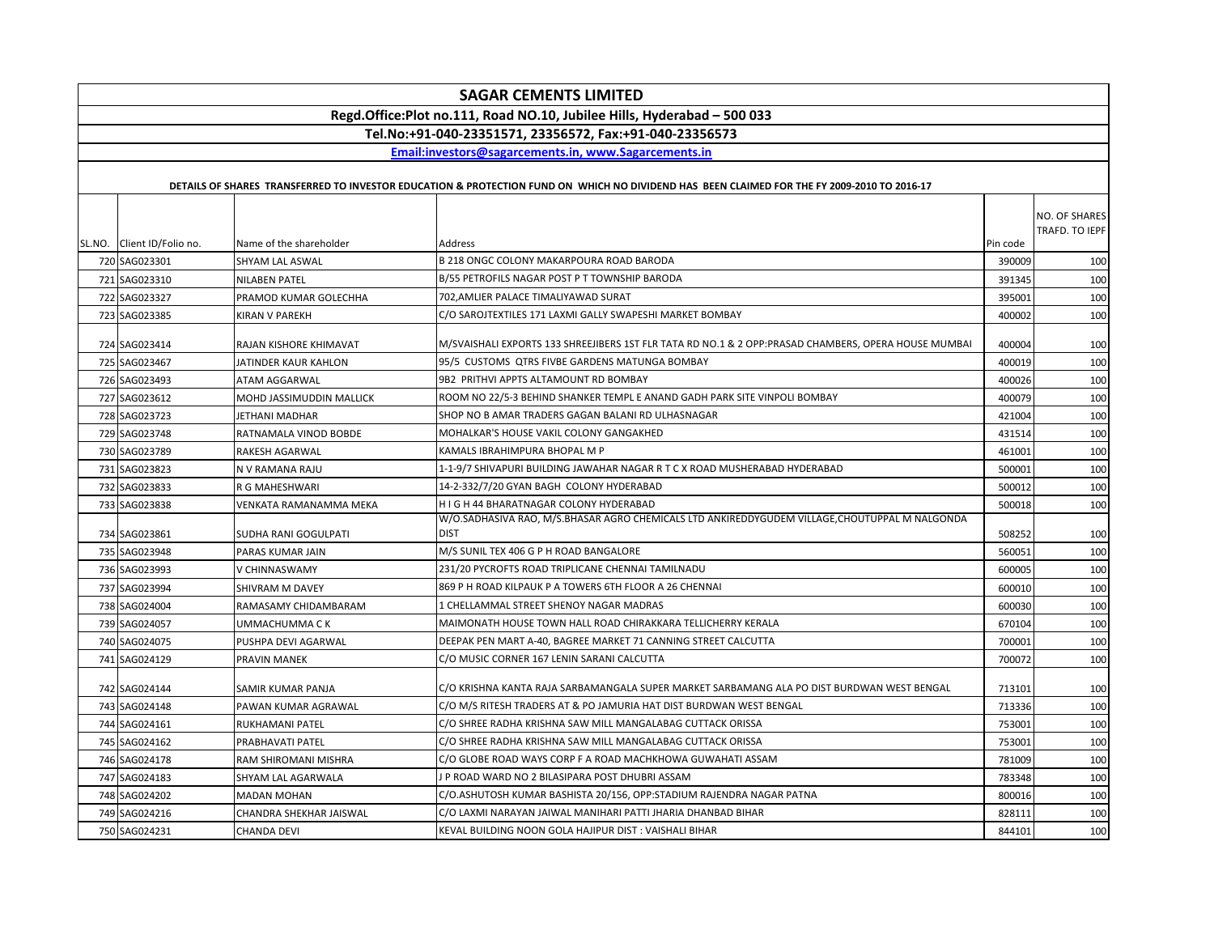|  |                                                                                                                                    |                          | <b>SAGAR CEMENTS LIMITED</b>                                                                                                                |          |                                 |  |
|--|------------------------------------------------------------------------------------------------------------------------------------|--------------------------|---------------------------------------------------------------------------------------------------------------------------------------------|----------|---------------------------------|--|
|  | Regd.Office:Plot no.111, Road NO.10, Jubilee Hills, Hyderabad - 500 033<br>Tel.No:+91-040-23351571, 23356572, Fax:+91-040-23356573 |                          |                                                                                                                                             |          |                                 |  |
|  |                                                                                                                                    |                          |                                                                                                                                             |          |                                 |  |
|  |                                                                                                                                    |                          | Email:investors@sagarcements.in. www.Sagarcements.in                                                                                        |          |                                 |  |
|  |                                                                                                                                    |                          |                                                                                                                                             |          |                                 |  |
|  |                                                                                                                                    |                          | DETAILS OF SHARES TRANSFERRED TO INVESTOR EDUCATION & PROTECTION FUND ON WHICH NO DIVIDEND HAS BEEN CLAIMED FOR THE FY 2009-2010 TO 2016-17 |          |                                 |  |
|  |                                                                                                                                    |                          |                                                                                                                                             |          |                                 |  |
|  |                                                                                                                                    |                          |                                                                                                                                             |          | NO. OF SHARES<br>TRAFD. TO IEPF |  |
|  | SL.NO. Client ID/Folio no.                                                                                                         | Name of the shareholder  | Address                                                                                                                                     | Pin code |                                 |  |
|  | 720 SAG023301                                                                                                                      | SHYAM LAL ASWAL          | B 218 ONGC COLONY MAKARPOURA ROAD BARODA                                                                                                    | 390009   | 100                             |  |
|  | 721 SAG023310                                                                                                                      | <b>NILABEN PATEL</b>     | B/55 PETROFILS NAGAR POST P T TOWNSHIP BARODA                                                                                               | 391345   | 100                             |  |
|  | 722 SAG023327                                                                                                                      | PRAMOD KUMAR GOLECHHA    | 702, AMLIER PALACE TIMALIYAWAD SURAT                                                                                                        | 395001   | 100                             |  |
|  | 723 SAG023385                                                                                                                      | KIRAN V PAREKH           | C/O SAROJTEXTILES 171 LAXMI GALLY SWAPESHI MARKET BOMBAY                                                                                    | 400002   | 100                             |  |
|  |                                                                                                                                    |                          |                                                                                                                                             |          |                                 |  |
|  | 724 SAG023414                                                                                                                      | RAJAN KISHORE KHIMAVAT   | M/SVAISHALI EXPORTS 133 SHREEJIBERS 1ST FLR TATA RD NO.1 & 2 OPP:PRASAD CHAMBERS, OPERA HOUSE MUMBAI                                        | 400004   | 100                             |  |
|  | 725 SAG023467                                                                                                                      | JATINDER KAUR KAHLON     | 95/5 CUSTOMS QTRS FIVBE GARDENS MATUNGA BOMBAY                                                                                              | 400019   | 100                             |  |
|  | 726 SAG023493                                                                                                                      | ATAM AGGARWAL            | 9B2 PRITHVI APPTS ALTAMOUNT RD BOMBAY                                                                                                       | 400026   | 100                             |  |
|  | 727 SAG023612                                                                                                                      | MOHD JASSIMUDDIN MALLICK | ROOM NO 22/5-3 BEHIND SHANKER TEMPL E ANAND GADH PARK SITE VINPOLI BOMBAY                                                                   | 400079   | 100                             |  |
|  | 728 SAG023723                                                                                                                      | JETHANI MADHAR           | SHOP NO B AMAR TRADERS GAGAN BALANI RD ULHASNAGAR                                                                                           | 421004   | 100                             |  |
|  | 729 SAG023748                                                                                                                      | RATNAMALA VINOD BOBDE    | MOHALKAR'S HOUSE VAKIL COLONY GANGAKHED                                                                                                     | 431514   | 100                             |  |
|  | 730 SAG023789                                                                                                                      | <b>RAKESH AGARWAL</b>    | KAMALS IBRAHIMPURA BHOPAL M P                                                                                                               | 461001   | 100                             |  |
|  | 731 SAG023823                                                                                                                      | N V RAMANA RAJU          | 1-1-9/7 SHIVAPURI BUILDING JAWAHAR NAGAR R T C X ROAD MUSHERABAD HYDERABAD                                                                  | 500001   | 100                             |  |
|  | 732 SAG023833                                                                                                                      | R G MAHESHWARI           | 14-2-332/7/20 GYAN BAGH COLONY HYDERABAD                                                                                                    | 500012   | 100                             |  |
|  | 733 SAG023838                                                                                                                      | VENKATA RAMANAMMA MEKA   | H I G H 44 BHARATNAGAR COLONY HYDERABAD                                                                                                     | 500018   | 100                             |  |
|  |                                                                                                                                    |                          | W/O.SADHASIVA RAO, M/S.BHASAR AGRO CHEMICALS LTD ANKIREDDYGUDEM VILLAGE, CHOUTUPPAL M NALGONDA                                              |          |                                 |  |
|  | 734 SAG023861                                                                                                                      | SUDHA RANI GOGULPATI     | <b>DIST</b>                                                                                                                                 | 508252   | 100                             |  |
|  | 735 SAG023948                                                                                                                      | PARAS KUMAR JAIN         | M/S SUNIL TEX 406 G P H ROAD BANGALORE                                                                                                      | 560051   | 100                             |  |
|  | 736 SAG023993                                                                                                                      | V CHINNASWAMY            | 231/20 PYCROFTS ROAD TRIPLICANE CHENNAI TAMILNADU                                                                                           | 600005   | 100                             |  |
|  | 737 SAG023994                                                                                                                      | SHIVRAM M DAVEY          | 869 P H ROAD KILPAUK P A TOWERS 6TH FLOOR A 26 CHENNAI                                                                                      | 600010   | 100                             |  |
|  | 738 SAG024004                                                                                                                      | RAMASAMY CHIDAMBARAM     | 1 CHELLAMMAL STREET SHENOY NAGAR MADRAS                                                                                                     | 600030   | 100                             |  |
|  | 739 SAG024057                                                                                                                      | UMMACHUMMA C K           | MAIMONATH HOUSE TOWN HALL ROAD CHIRAKKARA TELLICHERRY KERALA                                                                                | 670104   | 100                             |  |
|  | 740 SAG024075                                                                                                                      | PUSHPA DEVI AGARWAL      | DEEPAK PEN MART A-40, BAGREE MARKET 71 CANNING STREET CALCUTTA                                                                              | 700001   | 100                             |  |
|  | 741 SAG024129                                                                                                                      | PRAVIN MANEK             | C/O MUSIC CORNER 167 LENIN SARANI CALCUTTA                                                                                                  | 700072   | 100                             |  |
|  | 742 SAG024144                                                                                                                      | SAMIR KUMAR PANJA        | C/O KRISHNA KANTA RAJA SARBAMANGALA SUPER MARKET SARBAMANG ALA PO DIST BURDWAN WEST BENGAL                                                  | 713101   | 100                             |  |
|  | 743 SAG024148                                                                                                                      | PAWAN KUMAR AGRAWAL      | C/O M/S RITESH TRADERS AT & PO JAMURIA HAT DIST BURDWAN WEST BENGAL                                                                         | 713336   | 100                             |  |
|  | 744 SAG024161                                                                                                                      | RUKHAMANI PATEL          | C/O SHREE RADHA KRISHNA SAW MILL MANGALABAG CUTTACK ORISSA                                                                                  | 753001   | 100                             |  |
|  | 745 SAG024162                                                                                                                      | PRABHAVATI PATEL         | C/O SHREE RADHA KRISHNA SAW MILL MANGALABAG CUTTACK ORISSA                                                                                  | 75300    | 100                             |  |
|  | 746 SAG024178                                                                                                                      | RAM SHIROMANI MISHRA     | C/O GLOBE ROAD WAYS CORP F A ROAD MACHKHOWA GUWAHATI ASSAM                                                                                  | 781009   | 100                             |  |
|  | 747 SAG024183                                                                                                                      | SHYAM LAL AGARWALA       | J P ROAD WARD NO 2 BILASIPARA POST DHUBRI ASSAM                                                                                             | 783348   | 100                             |  |
|  | 748 SAG024202                                                                                                                      | <b>MADAN MOHAN</b>       | C/O.ASHUTOSH KUMAR BASHISTA 20/156, OPP:STADIUM RAJENDRA NAGAR PATNA                                                                        | 800016   | 100                             |  |
|  | 749 SAG024216                                                                                                                      | CHANDRA SHEKHAR JAISWAL  | C/O LAXMI NARAYAN JAIWAL MANIHARI PATTI JHARIA DHANBAD BIHAR                                                                                | 828111   | 100                             |  |
|  | 750 SAG024231                                                                                                                      | <b>CHANDA DEVI</b>       | KEVAL BUILDING NOON GOLA HAJIPUR DIST : VAISHALI BIHAR                                                                                      | 844101   | 100                             |  |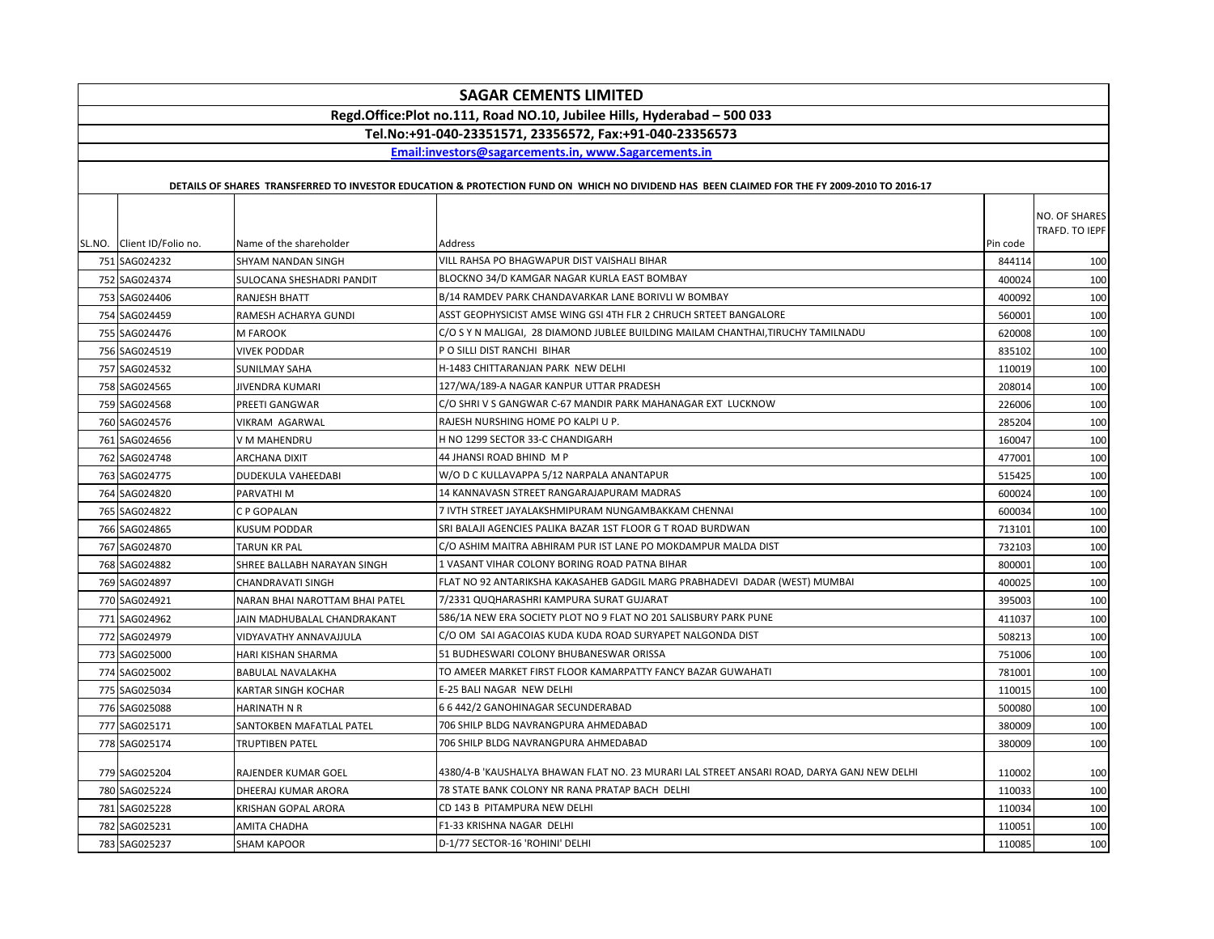| <b>SAGAR CEMENTS LIMITED</b> |                                                                         |                                |                                                                                                                                             |          |                |  |
|------------------------------|-------------------------------------------------------------------------|--------------------------------|---------------------------------------------------------------------------------------------------------------------------------------------|----------|----------------|--|
|                              | Regd.Office:Plot no.111, Road NO.10, Jubilee Hills, Hyderabad - 500 033 |                                |                                                                                                                                             |          |                |  |
|                              |                                                                         |                                | Tel.No:+91-040-23351571, 23356572, Fax:+91-040-23356573                                                                                     |          |                |  |
|                              |                                                                         |                                | Email:investors@sagarcements.in, www.Sagarcements.in                                                                                        |          |                |  |
|                              |                                                                         |                                |                                                                                                                                             |          |                |  |
|                              |                                                                         |                                | DETAILS OF SHARES TRANSFERRED TO INVESTOR EDUCATION & PROTECTION FUND ON WHICH NO DIVIDEND HAS BEEN CLAIMED FOR THE FY 2009-2010 TO 2016-17 |          |                |  |
|                              |                                                                         |                                |                                                                                                                                             |          | NO. OF SHARES  |  |
|                              |                                                                         |                                |                                                                                                                                             |          | TRAFD. TO IEPF |  |
|                              | SL.NO. Client ID/Folio no.                                              | Name of the shareholder        | Address                                                                                                                                     | Pin code |                |  |
|                              | 751 SAG024232                                                           | <b>SHYAM NANDAN SINGH</b>      | VILL RAHSA PO BHAGWAPUR DIST VAISHALI BIHAR                                                                                                 | 844114   | 100            |  |
|                              | 752 SAG024374                                                           | SULOCANA SHESHADRI PANDIT      | BLOCKNO 34/D KAMGAR NAGAR KURLA EAST BOMBAY                                                                                                 | 400024   | 100            |  |
|                              | 753 SAG024406                                                           | RANJESH BHATT                  | B/14 RAMDEV PARK CHANDAVARKAR LANE BORIVLI W BOMBAY                                                                                         | 400092   | 100            |  |
|                              | 754 SAG024459                                                           | RAMESH ACHARYA GUNDI           | ASST GEOPHYSICIST AMSE WING GSI 4TH FLR 2 CHRUCH SRTEET BANGALORE                                                                           | 560001   | 100            |  |
|                              | 755 SAG024476                                                           | M FAROOK                       | C/O S Y N MALIGAI, 28 DIAMOND JUBLEE BUILDING MAILAM CHANTHAI,TIRUCHY TAMILNADU                                                             | 620008   | 100            |  |
|                              | 756 SAG024519                                                           | <b>VIVEK PODDAR</b>            | P O SILLI DIST RANCHI BIHAR                                                                                                                 | 835102   | 100            |  |
|                              | 757 SAG024532                                                           | SUNILMAY SAHA                  | H-1483 CHITTARANJAN PARK NEW DELHI                                                                                                          | 110019   | 100            |  |
|                              | 758 SAG024565                                                           | JIVENDRA KUMARI                | 127/WA/189-A NAGAR KANPUR UTTAR PRADESH                                                                                                     | 208014   | 100            |  |
|                              | 759 SAG024568                                                           | PREETI GANGWAR                 | C/O SHRI V S GANGWAR C-67 MANDIR PARK MAHANAGAR EXT LUCKNOW                                                                                 | 226006   | 100            |  |
|                              | 760 SAG024576                                                           | VIKRAM AGARWAL                 | RAJESH NURSHING HOME PO KALPI U P.                                                                                                          | 285204   | 100            |  |
|                              | 761 SAG024656                                                           | V M MAHENDRU                   | H NO 1299 SECTOR 33-C CHANDIGARH                                                                                                            | 160047   | 100            |  |
|                              | 762 SAG024748                                                           | ARCHANA DIXIT                  | 44 JHANSI ROAD BHIND M P                                                                                                                    | 477001   | 100            |  |
|                              | 763 SAG024775                                                           | <b>DUDEKULA VAHEEDABI</b>      | W/O D C KULLAVAPPA 5/12 NARPALA ANANTAPUR                                                                                                   | 515425   | 100            |  |
|                              | 764 SAG024820                                                           | PARVATHI M                     | 14 KANNAVASN STREET RANGARAJAPURAM MADRAS                                                                                                   | 600024   | 100            |  |
|                              | 765 SAG024822                                                           | C P GOPALAN                    | 7 IVTH STREET JAYALAKSHMIPURAM NUNGAMBAKKAM CHENNAI                                                                                         | 600034   | 100            |  |
|                              | 766 SAG024865                                                           | KUSUM PODDAR                   | SRI BALAJI AGENCIES PALIKA BAZAR 1ST FLOOR G T ROAD BURDWAN                                                                                 | 713101   | 100            |  |
|                              | 767 SAG024870                                                           | TARUN KR PAL                   | C/O ASHIM MAITRA ABHIRAM PUR IST LANE PO MOKDAMPUR MALDA DIST                                                                               | 732103   | 100            |  |
|                              | 768 SAG024882                                                           | SHREE BALLABH NARAYAN SINGH    | 1 VASANT VIHAR COLONY BORING ROAD PATNA BIHAR                                                                                               | 800001   | 100            |  |
|                              | 769 SAG024897                                                           | <b>CHANDRAVATI SINGH</b>       | FLAT NO 92 ANTARIKSHA KAKASAHEB GADGIL MARG PRABHADEVI DADAR (WEST) MUMBAI                                                                  | 400025   | 100            |  |
|                              | 770 SAG024921                                                           | NARAN BHAI NAROTTAM BHAI PATEL | 7/2331 QUQHARASHRI KAMPURA SURAT GUJARAT                                                                                                    | 395003   | 100            |  |
|                              | 771 SAG024962                                                           | JAIN MADHUBALAL CHANDRAKANT    | 586/1A NEW ERA SOCIETY PLOT NO 9 FLAT NO 201 SALISBURY PARK PUNE                                                                            | 411037   | 100            |  |
|                              | 772 SAG024979                                                           | VIDYAVATHY ANNAVAJJULA         | C/O OM SAI AGACOIAS KUDA KUDA ROAD SURYAPET NALGONDA DIST                                                                                   | 508213   | 100            |  |
|                              | 773 SAG025000                                                           | HARI KISHAN SHARMA             | 51 BUDHESWARI COLONY BHUBANESWAR ORISSA                                                                                                     | 751006   | 100            |  |
|                              | 774 SAG025002                                                           | <b>BABULAL NAVALAKHA</b>       | TO AMEER MARKET FIRST FLOOR KAMARPATTY FANCY BAZAR GUWAHATI                                                                                 | 781001   | 100            |  |
|                              | 775 SAG025034                                                           | KARTAR SINGH KOCHAR            | E-25 BALI NAGAR NEW DELHI                                                                                                                   | 110015   | 100            |  |
|                              | 776 SAG025088                                                           | <b>HARINATH N R</b>            | 6 6 442/2 GANOHINAGAR SECUNDERABAD                                                                                                          | 500080   | 100            |  |
|                              | 777 SAG025171                                                           | SANTOKBEN MAFATLAL PATEL       | 706 SHILP BLDG NAVRANGPURA AHMEDABAD                                                                                                        | 380009   | 100            |  |
|                              | 778 SAG025174                                                           | TRUPTIBEN PATEL                | 706 SHILP BLDG NAVRANGPURA AHMEDABAD                                                                                                        | 380009   | 100            |  |
|                              |                                                                         |                                |                                                                                                                                             |          |                |  |
|                              | 779 SAG025204                                                           | RAJENDER KUMAR GOEL            | 4380/4-B 'KAUSHALYA BHAWAN FLAT NO. 23 MURARI LAL STREET ANSARI ROAD, DARYA GANJ NEW DELHI                                                  | 110002   | 100            |  |
|                              | 780 SAG025224                                                           | DHEERAJ KUMAR ARORA            | 78 STATE BANK COLONY NR RANA PRATAP BACH DELHI                                                                                              | 110033   | 100            |  |
|                              | 781 SAG025228                                                           | KRISHAN GOPAL ARORA            | CD 143 B PITAMPURA NEW DELHI                                                                                                                | 110034   | 100            |  |
|                              | 782 SAG025231                                                           | AMITA CHADHA                   | F1-33 KRISHNA NAGAR DELHI                                                                                                                   | 110051   | 100            |  |
|                              | 783 SAG025237                                                           | <b>SHAM KAPOOR</b>             | D-1/77 SECTOR-16 'ROHINI' DELHI                                                                                                             | 110085   | 100            |  |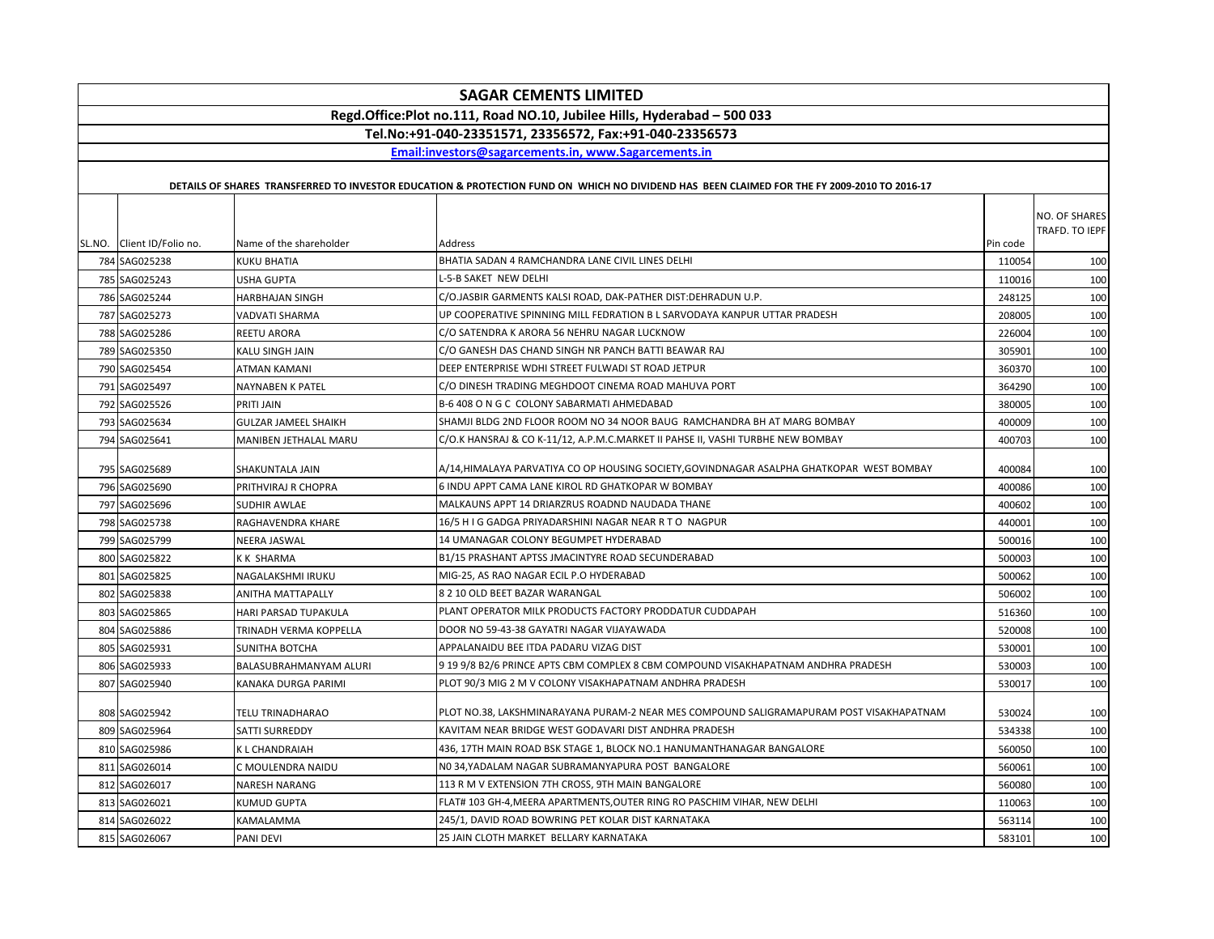| <b>SAGAR CEMENTS LIMITED</b>                                            |                             |                                                                                                                                             |          |                                 |  |  |
|-------------------------------------------------------------------------|-----------------------------|---------------------------------------------------------------------------------------------------------------------------------------------|----------|---------------------------------|--|--|
| Regd.Office:Plot no.111, Road NO.10, Jubilee Hills, Hyderabad - 500 033 |                             |                                                                                                                                             |          |                                 |  |  |
|                                                                         |                             | Tel.No:+91-040-23351571, 23356572, Fax:+91-040-23356573                                                                                     |          |                                 |  |  |
|                                                                         |                             | Email:investors@sagarcements.in, www.Sagarcements.in                                                                                        |          |                                 |  |  |
|                                                                         |                             | DETAILS OF SHARES TRANSFERRED TO INVESTOR EDUCATION & PROTECTION FUND ON WHICH NO DIVIDEND HAS BEEN CLAIMED FOR THE FY 2009-2010 TO 2016-17 |          |                                 |  |  |
| SL.NO. Client ID/Folio no.                                              | Name of the shareholder     | <b>Address</b>                                                                                                                              | Pin code | NO. OF SHARES<br>TRAFD. TO IEPF |  |  |
| 784 SAG025238                                                           | <b>KUKU BHATIA</b>          | BHATIA SADAN 4 RAMCHANDRA LANE CIVIL LINES DELHI                                                                                            | 110054   | 100                             |  |  |
| 785 SAG025243                                                           | <b>USHA GUPTA</b>           | L-5-B SAKET NEW DELHI                                                                                                                       | 110016   | 100                             |  |  |
| 786 SAG025244                                                           | <b>HARBHAJAN SINGH</b>      | C/O.JASBIR GARMENTS KALSI ROAD, DAK-PATHER DIST:DEHRADUN U.P.                                                                               | 248125   | 100                             |  |  |
| 787 SAG025273                                                           | VADVATI SHARMA              | UP COOPERATIVE SPINNING MILL FEDRATION B L SARVODAYA KANPUR UTTAR PRADESH                                                                   | 208005   | 100                             |  |  |
| 788 SAG025286                                                           | REETU ARORA                 | C/O SATENDRA K ARORA 56 NEHRU NAGAR LUCKNOW                                                                                                 | 226004   | 100                             |  |  |
| 789 SAG025350                                                           | KALU SINGH JAIN             | C/O GANESH DAS CHAND SINGH NR PANCH BATTI BEAWAR RAJ                                                                                        | 305901   | 100                             |  |  |
| 790 SAG025454                                                           | ATMAN KAMANI                | DEEP ENTERPRISE WDHI STREET FULWADI ST ROAD JETPUR                                                                                          | 360370   | 100                             |  |  |
| 791 SAG025497                                                           | NAYNABEN K PATEL            | C/O DINESH TRADING MEGHDOOT CINEMA ROAD MAHUVA PORT                                                                                         | 364290   | 100                             |  |  |
| 792 SAG025526                                                           | PRITI JAIN                  | B-6 408 O N G C COLONY SABARMATI AHMEDABAD                                                                                                  | 380005   | 100                             |  |  |
| 793 SAG025634                                                           | <b>GULZAR JAMEEL SHAIKH</b> | SHAMJI BLDG 2ND FLOOR ROOM NO 34 NOOR BAUG RAMCHANDRA BH AT MARG BOMBAY                                                                     | 400009   | 100                             |  |  |
| 794 SAG025641                                                           | MANIBEN JETHALAL MARU       | C/O.K HANSRAJ & CO K-11/12, A.P.M.C.MARKET II PAHSE II, VASHI TURBHE NEW BOMBAY                                                             | 400703   | 100                             |  |  |
| 795 SAG025689                                                           | SHAKUNTALA JAIN             | A/14,HIMALAYA PARVATIYA CO OP HOUSING SOCIETY,GOVINDNAGAR ASALPHA GHATKOPAR  WEST BOMBAY                                                    | 400084   | 100                             |  |  |
| 796 SAG025690                                                           | PRITHVIRAJ R CHOPRA         | 6 INDU APPT CAMA LANE KIROL RD GHATKOPAR W BOMBAY                                                                                           | 400086   | 100                             |  |  |
| 797 SAG025696                                                           | SUDHIR AWLAE                | MALKAUNS APPT 14 DRIARZRUS ROADND NAUDADA THANE                                                                                             | 400602   | 100                             |  |  |
| 798 SAG025738                                                           | RAGHAVENDRA KHARE           | 16/5 H I G GADGA PRIYADARSHINI NAGAR NEAR R T O NAGPUR                                                                                      | 440001   | 100                             |  |  |
| 799 SAG025799                                                           | NEERA JASWAL                | 14 UMANAGAR COLONY BEGUMPET HYDERABAD                                                                                                       | 500016   | 100                             |  |  |
| 800 SAG025822                                                           | K K SHARMA                  | B1/15 PRASHANT APTSS JMACINTYRE ROAD SECUNDERABAD                                                                                           | 500003   | 100                             |  |  |
| 801 SAG025825                                                           | NAGALAKSHMI IRUKU           | MIG-25, AS RAO NAGAR ECIL P.O HYDERABAD                                                                                                     | 500062   | 100                             |  |  |
| 802 SAG025838                                                           | ANITHA MATTAPALLY           | 8 2 10 OLD BEET BAZAR WARANGAL                                                                                                              | 506002   | 100                             |  |  |
| 803 SAG025865                                                           | <b>HARI PARSAD TUPAKULA</b> | PLANT OPERATOR MILK PRODUCTS FACTORY PRODDATUR CUDDAPAH                                                                                     | 516360   | 100                             |  |  |
| 804 SAG025886                                                           | TRINADH VERMA KOPPELLA      | DOOR NO 59-43-38 GAYATRI NAGAR VIJAYAWADA                                                                                                   | 520008   | 100                             |  |  |
| 805 SAG025931                                                           | <b>SUNITHA BOTCHA</b>       | APPALANAIDU BEE ITDA PADARU VIZAG DIST                                                                                                      | 530001   | 100                             |  |  |
| 806 SAG025933                                                           | BALASUBRAHMANYAM ALURI      | 9 19 9/8 B2/6 PRINCE APTS CBM COMPLEX 8 CBM COMPOUND VISAKHAPATNAM ANDHRA PRADESH                                                           | 530003   | 100                             |  |  |
| 807 SAG025940                                                           | KANAKA DURGA PARIMI         | PLOT 90/3 MIG 2 M V COLONY VISAKHAPATNAM ANDHRA PRADESH                                                                                     | 530017   | 100                             |  |  |
| 808 SAG025942                                                           | TELU TRINADHARAO            | PLOT NO.38, LAKSHMINARAYANA PURAM-2 NEAR MES COMPOUND SALIGRAMAPURAM POST VISAKHAPATNAM                                                     | 530024   | 100                             |  |  |
| 809 SAG025964                                                           | SATTI SURREDDY              | KAVITAM NEAR BRIDGE WEST GODAVARI DIST ANDHRA PRADESH                                                                                       | 534338   | 100                             |  |  |
| 810 SAG025986                                                           | <b>KL CHANDRAIAH</b>        | 436, 17TH MAIN ROAD BSK STAGE 1, BLOCK NO.1 HANUMANTHANAGAR BANGALORE                                                                       | 560050   | 100                             |  |  |
| 811 SAG026014                                                           | C MOULENDRA NAIDU           | NO 34,YADALAM NAGAR SUBRAMANYAPURA POST BANGALORE                                                                                           | 560061   | 100                             |  |  |
| 812 SAG026017                                                           | <b>NARESH NARANG</b>        | 113 R M V EXTENSION 7TH CROSS, 9TH MAIN BANGALORE                                                                                           | 560080   | 100                             |  |  |
| 813 SAG026021                                                           | <b>KUMUD GUPTA</b>          | FLAT# 103 GH-4,MEERA APARTMENTS,OUTER RING RO PASCHIM VIHAR, NEW DELHI                                                                      | 110063   | 100                             |  |  |
| 814 SAG026022                                                           | KAMALAMMA                   | 245/1, DAVID ROAD BOWRING PET KOLAR DIST KARNATAKA                                                                                          | 563114   | 100                             |  |  |
| 815 SAG026067                                                           | PANI DEVI                   | 25 JAIN CLOTH MARKET BELLARY KARNATAKA                                                                                                      | 583101   | 100                             |  |  |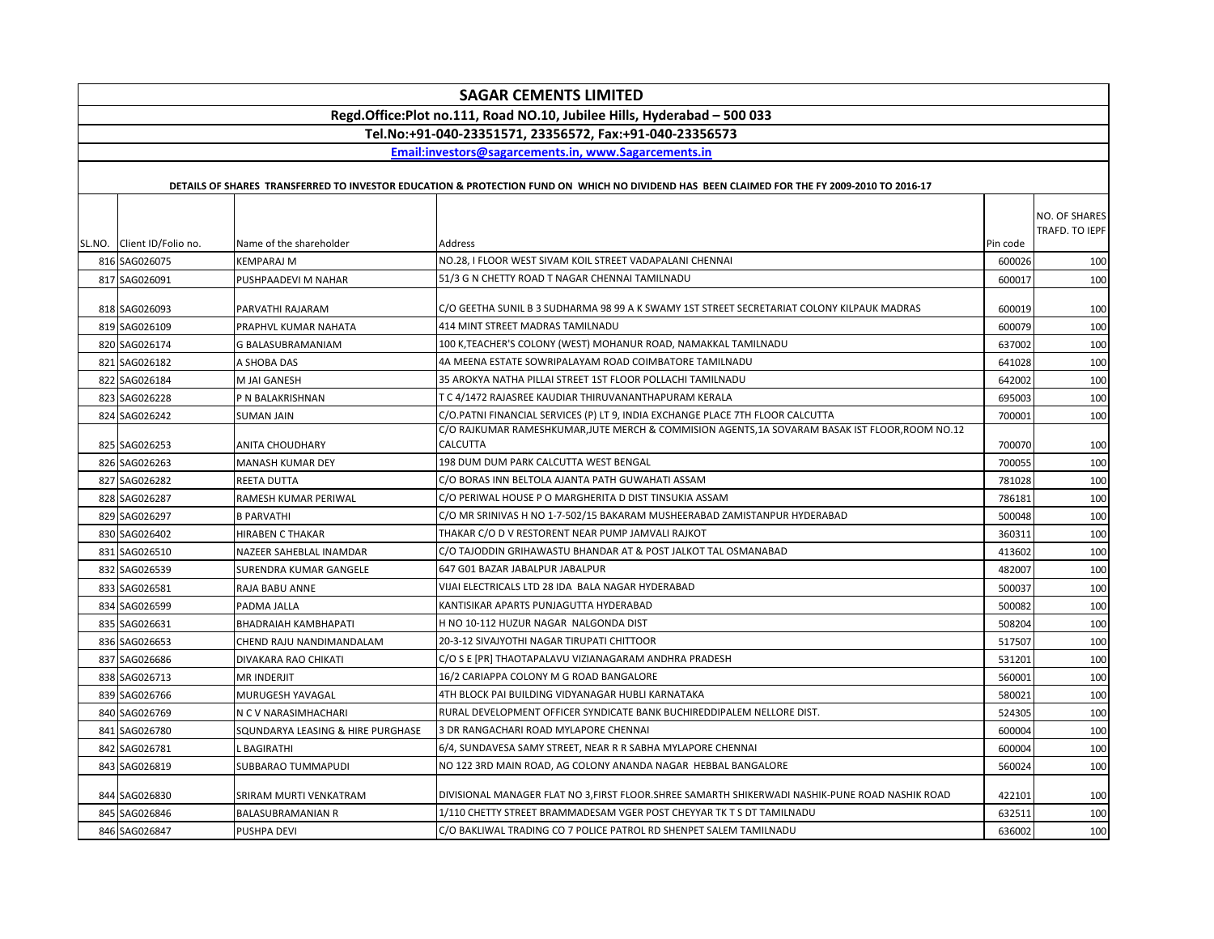|                                                         |                                   | <b>SAGAR CEMENTS LIMITED</b>                                                                                                                                                      |          |                                 |  |  |  |
|---------------------------------------------------------|-----------------------------------|-----------------------------------------------------------------------------------------------------------------------------------------------------------------------------------|----------|---------------------------------|--|--|--|
|                                                         |                                   | Regd.Office:Plot no.111, Road NO.10, Jubilee Hills, Hyderabad - 500 033                                                                                                           |          |                                 |  |  |  |
| Tel.No:+91-040-23351571, 23356572, Fax:+91-040-23356573 |                                   |                                                                                                                                                                                   |          |                                 |  |  |  |
|                                                         |                                   | Email:investors@sagarcements.in, www.Sagarcements.in                                                                                                                              |          |                                 |  |  |  |
|                                                         |                                   | DETAILS OF SHARES TRANSFERRED TO INVESTOR EDUCATION & PROTECTION FUND ON WHICH NO DIVIDEND HAS BEEN CLAIMED FOR THE FY 2009-2010 TO 2016-17                                       |          |                                 |  |  |  |
|                                                         |                                   |                                                                                                                                                                                   |          |                                 |  |  |  |
|                                                         |                                   |                                                                                                                                                                                   |          | NO. OF SHARES<br>TRAFD. TO IEPF |  |  |  |
| SL.NO. Client ID/Folio no.                              | Name of the shareholder           | Address                                                                                                                                                                           | Pin code |                                 |  |  |  |
| 816 SAG026075                                           | <b>KEMPARAJ M</b>                 | NO.28, I FLOOR WEST SIVAM KOIL STREET VADAPALANI CHENNAI                                                                                                                          | 600026   | 100                             |  |  |  |
| 817 SAG026091                                           | PUSHPAADEVI M NAHAR               | 51/3 G N CHETTY ROAD T NAGAR CHENNAI TAMILNADU                                                                                                                                    | 600017   | 100                             |  |  |  |
|                                                         |                                   |                                                                                                                                                                                   |          |                                 |  |  |  |
| 818 SAG026093                                           | PARVATHI RAJARAM                  | C/O GEETHA SUNIL B 3 SUDHARMA 98 99 A K SWAMY 1ST STREET SECRETARIAT COLONY KILPAUK MADRAS                                                                                        | 600019   | 100                             |  |  |  |
| 819 SAG026109                                           | PRAPHVL KUMAR NAHATA              | 414 MINT STREET MADRAS TAMILNADU                                                                                                                                                  | 600079   | 100                             |  |  |  |
| 820 SAG026174                                           | G BALASUBRAMANIAM                 | 100 K,TEACHER'S COLONY (WEST) MOHANUR ROAD, NAMAKKAL TAMILNADU                                                                                                                    | 637002   | 100                             |  |  |  |
| 821 SAG026182                                           | A SHOBA DAS                       | 4A MEENA ESTATE SOWRIPALAYAM ROAD COIMBATORE TAMILNADU                                                                                                                            | 641028   | 100                             |  |  |  |
| 822 SAG026184                                           | M JAI GANESH                      | 35 AROKYA NATHA PILLAI STREET 1ST FLOOR POLLACHI TAMILNADU                                                                                                                        | 642002   | 100                             |  |  |  |
| 823 SAG026228                                           | P N BALAKRISHNAN                  | T C 4/1472 RAJASREE KAUDIAR THIRUVANANTHAPURAM KERALA                                                                                                                             | 695003   | 100                             |  |  |  |
| 824 SAG026242                                           | <b>SUMAN JAIN</b>                 | C/O.PATNI FINANCIAL SERVICES (P) LT 9, INDIA EXCHANGE PLACE 7TH FLOOR CALCUTTA<br>C/O RAJKUMAR RAMESHKUMAR, JUTE MERCH & COMMISION AGENTS, 1A SOVARAM BASAK IST FLOOR, ROOM NO.12 | 700001   | 100                             |  |  |  |
| 825 SAG026253                                           | <b>ANITA CHOUDHARY</b>            | CALCUTTA                                                                                                                                                                          | 700070   | 100                             |  |  |  |
| 826 SAG026263                                           | MANASH KUMAR DEY                  | 198 DUM DUM PARK CALCUTTA WEST BENGAL                                                                                                                                             | 700055   | 100                             |  |  |  |
| 827 SAG026282                                           | REETA DUTTA                       | C/O BORAS INN BELTOLA AJANTA PATH GUWAHATI ASSAM                                                                                                                                  | 781028   | 100                             |  |  |  |
| 828 SAG026287                                           | RAMESH KUMAR PERIWAL              | C/O PERIWAL HOUSE P O MARGHERITA D DIST TINSUKIA ASSAM                                                                                                                            | 786181   | 100                             |  |  |  |
| 829 SAG026297                                           | <b>B PARVATHI</b>                 | C/O MR SRINIVAS H NO 1-7-502/15 BAKARAM MUSHEERABAD ZAMISTANPUR HYDERABAD                                                                                                         | 500048   | 100                             |  |  |  |
| 830 SAG026402                                           | <b>HIRABEN C THAKAR</b>           | THAKAR C/O D V RESTORENT NEAR PUMP JAMVALI RAJKOT                                                                                                                                 | 360311   | 100                             |  |  |  |
| 831 SAG026510                                           | NAZEER SAHEBLAL INAMDAR           | C/O TAJODDIN GRIHAWASTU BHANDAR AT & POST JALKOT TAL OSMANABAD                                                                                                                    | 413602   | 100                             |  |  |  |
| 832 SAG026539                                           | SURENDRA KUMAR GANGELE            | 647 G01 BAZAR JABALPUR JABALPUR                                                                                                                                                   | 482007   | 100                             |  |  |  |
| 833 SAG026581                                           | RAJA BABU ANNE                    | VIJAI ELECTRICALS LTD 28 IDA BALA NAGAR HYDERABAD                                                                                                                                 | 500037   | 100                             |  |  |  |
| 834 SAG026599                                           | PADMA JALLA                       | KANTISIKAR APARTS PUNJAGUTTA HYDERABAD                                                                                                                                            | 500082   | 100                             |  |  |  |
| 835 SAG026631                                           | BHADRAIAH KAMBHAPATI              | H NO 10-112 HUZUR NAGAR NALGONDA DIST                                                                                                                                             | 508204   | 100                             |  |  |  |
| 836 SAG026653                                           | CHEND RAJU NANDIMANDALAM          | 20-3-12 SIVAJYOTHI NAGAR TIRUPATI CHITTOOR                                                                                                                                        | 517507   | 100                             |  |  |  |
| 837 SAG026686                                           | DIVAKARA RAO CHIKATI              | C/O S E [PR] THAOTAPALAVU VIZIANAGARAM ANDHRA PRADESH                                                                                                                             | 531201   | 100                             |  |  |  |
| 838 SAG026713                                           | <b>MR INDERJIT</b>                | 16/2 CARIAPPA COLONY M G ROAD BANGALORE                                                                                                                                           | 560001   | 100                             |  |  |  |
| 839 SAG026766                                           | MURUGESH YAVAGAL                  | 4TH BLOCK PAI BUILDING VIDYANAGAR HUBLI KARNATAKA                                                                                                                                 | 580021   | 100                             |  |  |  |
| 840 SAG026769                                           | N C V NARASIMHACHARI              | RURAL DEVELOPMENT OFFICER SYNDICATE BANK BUCHIREDDIPALEM NELLORE DIST.                                                                                                            | 524305   | 100                             |  |  |  |
| 841 SAG026780                                           | SQUNDARYA LEASING & HIRE PURGHASE | 3 DR RANGACHARI ROAD MYLAPORE CHENNAI                                                                                                                                             | 600004   | 100                             |  |  |  |
| 842 SAG026781                                           | <b>BAGIRATHI</b>                  | 6/4, SUNDAVESA SAMY STREET, NEAR R R SABHA MYLAPORE CHENNAI                                                                                                                       | 600004   | 100                             |  |  |  |
| 843 SAG026819                                           | SUBBARAO TUMMAPUDI                | NO 122 3RD MAIN ROAD, AG COLONY ANANDA NAGAR HEBBAL BANGALORE                                                                                                                     | 560024   | 100                             |  |  |  |
|                                                         |                                   |                                                                                                                                                                                   |          |                                 |  |  |  |
| 844 SAG026830                                           | SRIRAM MURTI VENKATRAM            | DIVISIONAL MANAGER FLAT NO 3,FIRST FLOOR.SHREE SAMARTH SHIKERWADI NASHIK-PUNE ROAD NASHIK ROAD                                                                                    | 422101   | 100                             |  |  |  |
| 845 SAG026846                                           | <b>BALASUBRAMANIAN R</b>          | 1/110 CHETTY STREET BRAMMADESAM VGER POST CHEYYAR TK T S DT TAMILNADU                                                                                                             | 632511   | 100                             |  |  |  |
| 846 SAG026847                                           | PUSHPA DEVI                       | C/O BAKLIWAL TRADING CO 7 POLICE PATROL RD SHENPET SALEM TAMILNADU                                                                                                                | 636002   | 100                             |  |  |  |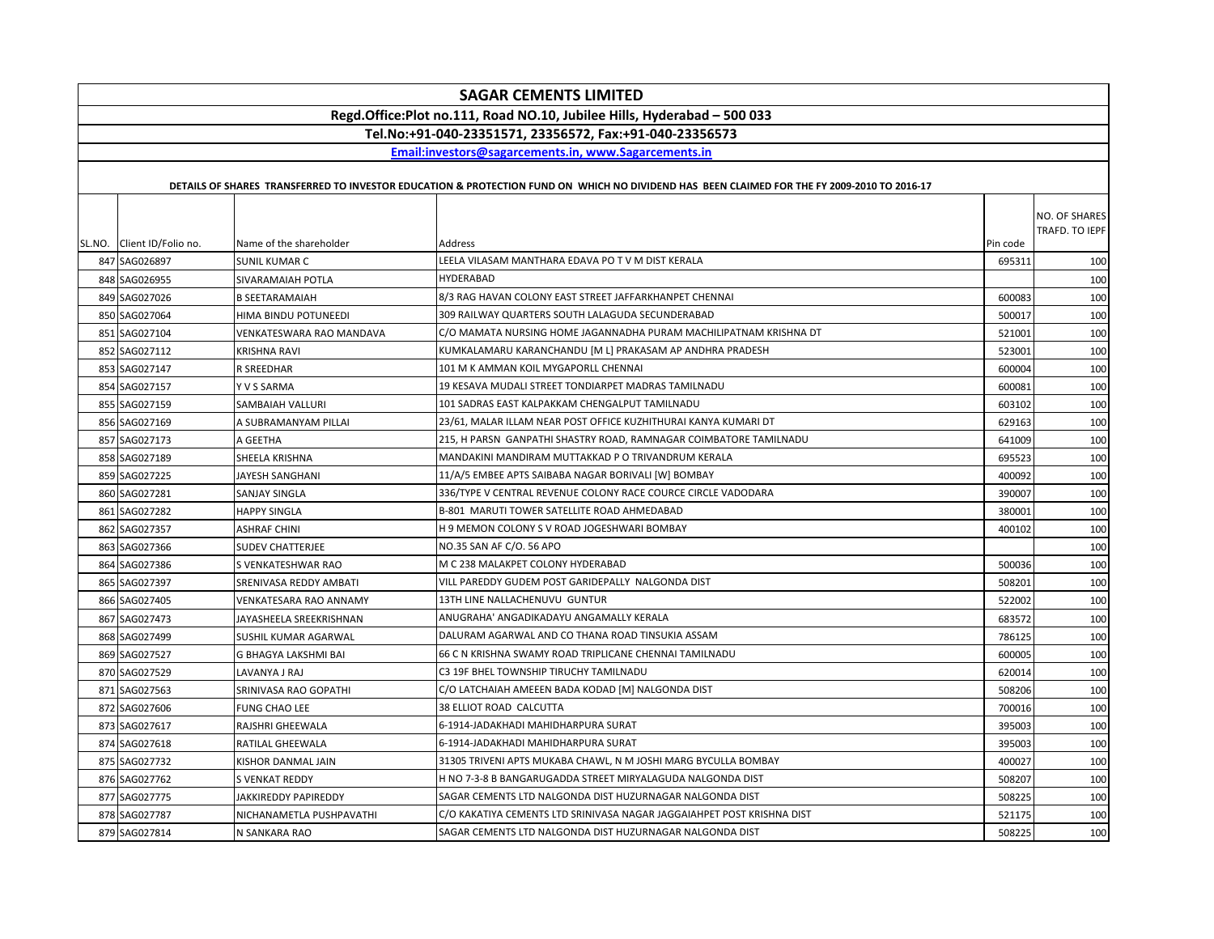|                                                                         | <b>SAGAR CEMENTS LIMITED</b>                            |                          |                                                                                                                                             |          |                                 |  |  |  |
|-------------------------------------------------------------------------|---------------------------------------------------------|--------------------------|---------------------------------------------------------------------------------------------------------------------------------------------|----------|---------------------------------|--|--|--|
| Regd.Office:Plot no.111, Road NO.10, Jubilee Hills, Hyderabad - 500 033 |                                                         |                          |                                                                                                                                             |          |                                 |  |  |  |
|                                                                         | Tel.No:+91-040-23351571. 23356572. Fax:+91-040-23356573 |                          |                                                                                                                                             |          |                                 |  |  |  |
|                                                                         |                                                         |                          | Email:investors@sagarcements.in. www.Sagarcements.in                                                                                        |          |                                 |  |  |  |
|                                                                         |                                                         |                          |                                                                                                                                             |          |                                 |  |  |  |
|                                                                         |                                                         |                          | DETAILS OF SHARES TRANSFERRED TO INVESTOR EDUCATION & PROTECTION FUND ON WHICH NO DIVIDEND HAS BEEN CLAIMED FOR THE FY 2009-2010 TO 2016-17 |          |                                 |  |  |  |
|                                                                         |                                                         |                          |                                                                                                                                             |          | NO. OF SHARES<br>TRAFD. TO IEPF |  |  |  |
|                                                                         | SL.NO. Client ID/Folio no.                              | Name of the shareholder  | Address                                                                                                                                     | Pin code |                                 |  |  |  |
|                                                                         | 847 SAG026897                                           | SUNIL KUMAR C            | LEELA VILASAM MANTHARA EDAVA PO T V M DIST KERALA                                                                                           | 695311   | 100                             |  |  |  |
|                                                                         | 848 SAG026955                                           | SIVARAMAIAH POTLA        | <b>HYDERABAD</b>                                                                                                                            |          | 100                             |  |  |  |
|                                                                         | 849 SAG027026                                           | <b>B SEETARAMAIAH</b>    | 8/3 RAG HAVAN COLONY EAST STREET JAFFARKHANPET CHENNAL                                                                                      | 600083   | 100                             |  |  |  |
|                                                                         | 850 SAG027064                                           | HIMA BINDU POTUNEEDI     | 309 RAILWAY QUARTERS SOUTH LALAGUDA SECUNDERABAD                                                                                            | 500017   | 100                             |  |  |  |
|                                                                         | 851 SAG027104                                           | VENKATESWARA RAO MANDAVA | C/O MAMATA NURSING HOME JAGANNADHA PURAM MACHILIPATNAM KRISHNA DT                                                                           | 521001   | 100                             |  |  |  |
|                                                                         | 852 SAG027112                                           | <b>KRISHNA RAVI</b>      | KUMKALAMARU KARANCHANDU [M L] PRAKASAM AP ANDHRA PRADESH                                                                                    | 523001   | 100                             |  |  |  |
|                                                                         | 853 SAG027147                                           | R SREEDHAR               | 101 M K AMMAN KOIL MYGAPORLL CHENNAI                                                                                                        | 600004   | 100                             |  |  |  |
|                                                                         | 854 SAG027157                                           | Y V S SARMA              | 19 KESAVA MUDALI STREET TONDIARPET MADRAS TAMILNADU                                                                                         | 600081   | 100                             |  |  |  |
|                                                                         | 855 SAG027159                                           | SAMBAIAH VALLURI         | 101 SADRAS EAST KALPAKKAM CHENGALPUT TAMILNADU                                                                                              | 603102   | 100                             |  |  |  |
|                                                                         | 856 SAG027169                                           | A SUBRAMANYAM PILLAI     | 23/61, MALAR ILLAM NEAR POST OFFICE KUZHITHURAI KANYA KUMARI DT                                                                             | 629163   | 100                             |  |  |  |
|                                                                         | 857 SAG027173                                           | A GEETHA                 | 215, H PARSN GANPATHI SHASTRY ROAD, RAMNAGAR COIMBATORE TAMILNADU                                                                           | 641009   | 100                             |  |  |  |
|                                                                         | 858 SAG027189                                           | SHEELA KRISHNA           | MANDAKINI MANDIRAM MUTTAKKAD P O TRIVANDRUM KERALA                                                                                          | 695523   | 100                             |  |  |  |
|                                                                         | 859 SAG027225                                           | JAYESH SANGHANI          | 11/A/5 EMBEE APTS SAIBABA NAGAR BORIVALI [W] BOMBAY                                                                                         | 400092   | 100                             |  |  |  |
|                                                                         | 860 SAG027281                                           | <b>SANJAY SINGLA</b>     | 336/TYPE V CENTRAL REVENUE COLONY RACE COURCE CIRCLE VADODARA                                                                               | 390007   | 100                             |  |  |  |
|                                                                         | 861 SAG027282                                           | <b>HAPPY SINGLA</b>      | <b>B-801 MARUTI TOWER SATELLITE ROAD AHMEDABAD</b>                                                                                          | 380001   | 100                             |  |  |  |
|                                                                         | 862 SAG027357                                           | <b>ASHRAF CHINI</b>      | H 9 MEMON COLONY S V ROAD JOGESHWARI BOMBAY                                                                                                 | 400102   | 100                             |  |  |  |
|                                                                         | 863 SAG027366                                           | <b>SUDEV CHATTERJEE</b>  | NO.35 SAN AF C/O. 56 APO                                                                                                                    |          | 100                             |  |  |  |
|                                                                         | 864 SAG027386                                           | S VENKATESHWAR RAO       | M C 238 MALAKPET COLONY HYDERABAD                                                                                                           | 500036   | 100                             |  |  |  |
|                                                                         | 865 SAG027397                                           | SRENIVASA REDDY AMBATI   | VILL PAREDDY GUDEM POST GARIDEPALLY NALGONDA DIST                                                                                           | 508201   | 100                             |  |  |  |
|                                                                         | 866 SAG027405                                           | VENKATESARA RAO ANNAMY   | 13TH LINE NALLACHENUVU GUNTUR                                                                                                               | 522002   | 100                             |  |  |  |
|                                                                         | 867 SAG027473                                           | JAYASHEELA SREEKRISHNAN  | ANUGRAHA' ANGADIKADAYU ANGAMALLY KERALA                                                                                                     | 683572   | 100                             |  |  |  |
|                                                                         | 868 SAG027499                                           | SUSHIL KUMAR AGARWAL     | DALURAM AGARWAL AND CO THANA ROAD TINSUKIA ASSAM                                                                                            | 786125   | 100                             |  |  |  |
|                                                                         | 869 SAG027527                                           | G BHAGYA LAKSHMI BAI     | 66 C N KRISHNA SWAMY ROAD TRIPLICANE CHENNAI TAMILNADU                                                                                      | 600005   | 100                             |  |  |  |
|                                                                         | 870 SAG027529                                           | LAVANYA J RAJ            | C3 19F BHEL TOWNSHIP TIRUCHY TAMILNADU                                                                                                      | 620014   | 100                             |  |  |  |
|                                                                         | 871 SAG027563                                           | SRINIVASA RAO GOPATHI    | C/O LATCHAIAH AMEEEN BADA KODAD [M] NALGONDA DIST                                                                                           | 508206   | 100                             |  |  |  |
|                                                                         | 872 SAG027606                                           | <b>FUNG CHAO LEE</b>     | 38 ELLIOT ROAD CALCUTTA                                                                                                                     | 700016   | 100                             |  |  |  |
|                                                                         | 873 SAG027617                                           | RAJSHRI GHEEWALA         | 6-1914-JADAKHADI MAHIDHARPURA SURAT                                                                                                         | 395003   | 100                             |  |  |  |
|                                                                         | 874 SAG027618                                           | RATILAL GHEEWALA         | 6-1914-JADAKHADI MAHIDHARPURA SURAT                                                                                                         | 395003   | 100                             |  |  |  |
|                                                                         | 875 SAG027732                                           | KISHOR DANMAL JAIN       | 31305 TRIVENI APTS MUKABA CHAWL, N M JOSHI MARG BYCULLA BOMBAY                                                                              | 400027   | 100                             |  |  |  |
|                                                                         | 876 SAG027762                                           | <b>S VENKAT REDDY</b>    | H NO 7-3-8 B BANGARUGADDA STREET MIRYALAGUDA NALGONDA DIST                                                                                  | 508207   | 100                             |  |  |  |
|                                                                         | 877 SAG027775                                           | JAKKIREDDY PAPIREDDY     | SAGAR CEMENTS LTD NALGONDA DIST HUZURNAGAR NALGONDA DIST                                                                                    | 508225   | 100                             |  |  |  |
|                                                                         | 878 SAG027787                                           | NICHANAMETLA PUSHPAVATHI | C/O KAKATIYA CEMENTS LTD SRINIVASA NAGAR JAGGAIAHPET POST KRISHNA DIST                                                                      | 521175   | 100                             |  |  |  |
|                                                                         | 879 SAG027814                                           | N SANKARA RAO            | SAGAR CEMENTS LTD NALGONDA DIST HUZURNAGAR NALGONDA DIST                                                                                    | 508225   | 100                             |  |  |  |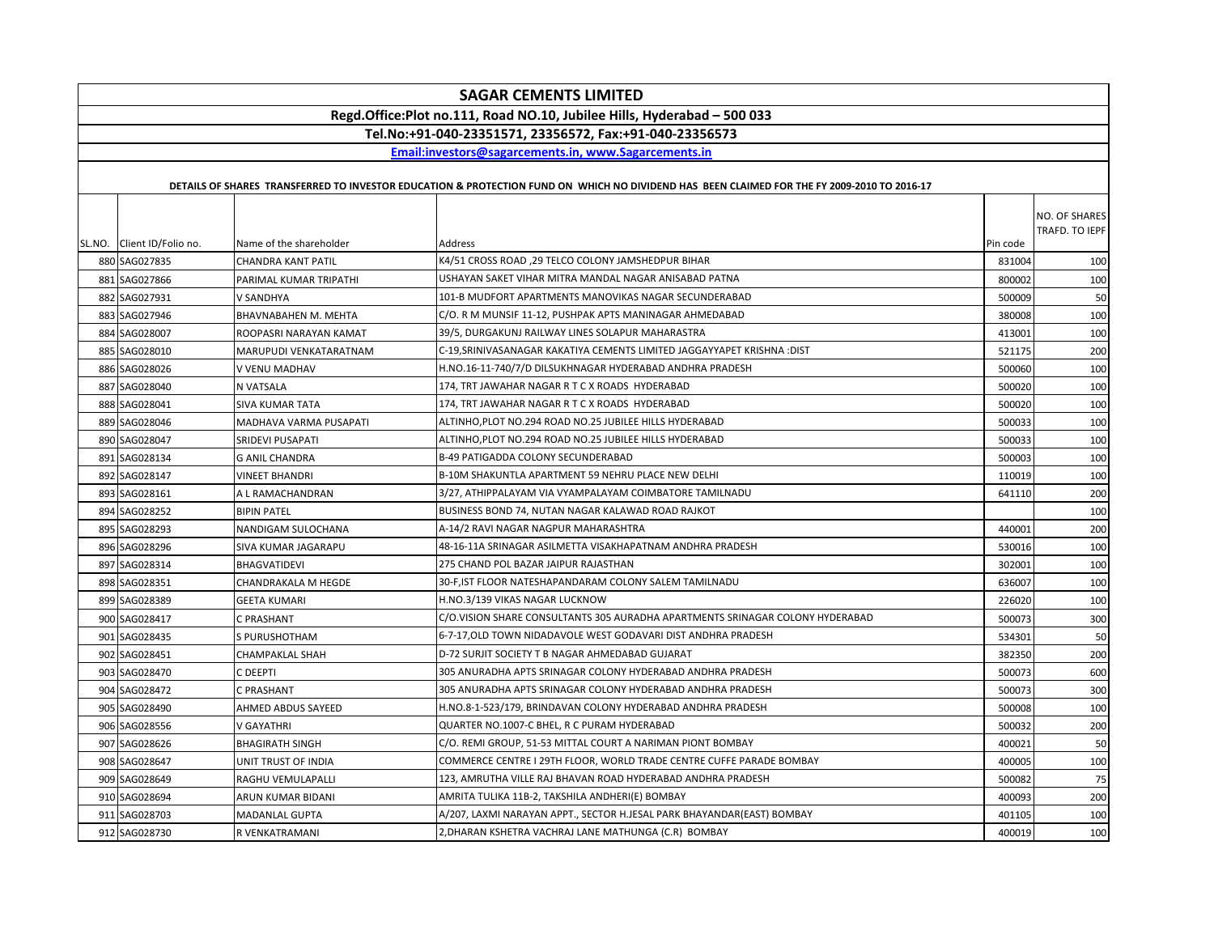|                                                                         | <b>SAGAR CEMENTS LIMITED</b>                            |                         |                                                                                                                                             |          |                                 |  |  |  |
|-------------------------------------------------------------------------|---------------------------------------------------------|-------------------------|---------------------------------------------------------------------------------------------------------------------------------------------|----------|---------------------------------|--|--|--|
| Regd.Office:Plot no.111, Road NO.10, Jubilee Hills, Hyderabad - 500 033 |                                                         |                         |                                                                                                                                             |          |                                 |  |  |  |
|                                                                         | Tel.No:+91-040-23351571, 23356572, Fax:+91-040-23356573 |                         |                                                                                                                                             |          |                                 |  |  |  |
|                                                                         | Email:investors@sagarcements.in. www.Sagarcements.in    |                         |                                                                                                                                             |          |                                 |  |  |  |
|                                                                         |                                                         |                         |                                                                                                                                             |          |                                 |  |  |  |
|                                                                         |                                                         |                         | DETAILS OF SHARES TRANSFERRED TO INVESTOR EDUCATION & PROTECTION FUND ON WHICH NO DIVIDEND HAS BEEN CLAIMED FOR THE FY 2009-2010 TO 2016-17 |          |                                 |  |  |  |
|                                                                         | SL.NO. Client ID/Folio no.                              | Name of the shareholder | Address                                                                                                                                     | Pin code | NO. OF SHARES<br>TRAFD. TO IEPF |  |  |  |
|                                                                         | 880 SAG027835                                           | CHANDRA KANT PATIL      | K4/51 CROSS ROAD, 29 TELCO COLONY JAMSHEDPUR BIHAR                                                                                          | 831004   | 100                             |  |  |  |
|                                                                         | 881 SAG027866                                           | PARIMAL KUMAR TRIPATHI  | USHAYAN SAKET VIHAR MITRA MANDAL NAGAR ANISABAD PATNA                                                                                       | 800002   | 100                             |  |  |  |
|                                                                         | 882 SAG027931                                           | V SANDHYA               | 101-B MUDFORT APARTMENTS MANOVIKAS NAGAR SECUNDERABAD                                                                                       | 500009   | 50                              |  |  |  |
|                                                                         | 883 SAG027946                                           | BHAVNABAHEN M. MEHTA    | C/O. R M MUNSIF 11-12, PUSHPAK APTS MANINAGAR AHMEDABAD                                                                                     | 380008   | 100                             |  |  |  |
|                                                                         | 884 SAG028007                                           | ROOPASRI NARAYAN KAMAT  | 39/5, DURGAKUNJ RAILWAY LINES SOLAPUR MAHARASTRA                                                                                            | 413001   | 100                             |  |  |  |
|                                                                         | 885 SAG028010                                           | MARUPUDI VENKATARATNAM  | C-19, SRINIVASANAGAR KAKATIYA CEMENTS LIMITED JAGGAYYAPET KRISHNA :DIST                                                                     | 521175   | 200                             |  |  |  |
|                                                                         | 886 SAG028026                                           | V VENU MADHAV           | H.NO.16-11-740/7/D DILSUKHNAGAR HYDERABAD ANDHRA PRADESH                                                                                    | 500060   | 100                             |  |  |  |
|                                                                         | 887 SAG028040                                           | N VATSALA               | 174, TRT JAWAHAR NAGAR R T C X ROADS HYDERABAD                                                                                              | 500020   | 100                             |  |  |  |
|                                                                         | 888 SAG028041                                           | <b>SIVA KUMAR TATA</b>  | 174, TRT JAWAHAR NAGAR R T C X ROADS HYDERABAD                                                                                              | 500020   | 100                             |  |  |  |
|                                                                         | 889 SAG028046                                           | MADHAVA VARMA PUSAPATI  | ALTINHO, PLOT NO.294 ROAD NO.25 JUBILEE HILLS HYDERABAD                                                                                     | 500033   | 100                             |  |  |  |
|                                                                         | 890 SAG028047                                           | <b>SRIDEVI PUSAPATI</b> | ALTINHO, PLOT NO.294 ROAD NO.25 JUBILEE HILLS HYDERABAD                                                                                     | 500033   | 100                             |  |  |  |
|                                                                         | 891 SAG028134                                           | <b>G ANIL CHANDRA</b>   | B-49 PATIGADDA COLONY SECUNDERABAD                                                                                                          | 500003   | 100                             |  |  |  |
|                                                                         | 892 SAG028147                                           | <b>VINEET BHANDRI</b>   | B-10M SHAKUNTLA APARTMENT 59 NEHRU PLACE NEW DELHI                                                                                          | 110019   | 100                             |  |  |  |
|                                                                         | 893 SAG028161                                           | A L RAMACHANDRAN        | 3/27, ATHIPPALAYAM VIA VYAMPALAYAM COIMBATORE TAMILNADU                                                                                     | 641110   | 200                             |  |  |  |
|                                                                         | 894 SAG028252                                           | <b>BIPIN PATEL</b>      | BUSINESS BOND 74, NUTAN NAGAR KALAWAD ROAD RAJKOT                                                                                           |          | 100                             |  |  |  |
|                                                                         | 895 SAG028293                                           | NANDIGAM SULOCHANA      | A-14/2 RAVI NAGAR NAGPUR MAHARASHTRA                                                                                                        | 440001   | 200                             |  |  |  |
|                                                                         | 896 SAG028296                                           | SIVA KUMAR JAGARAPU     | 48-16-11A SRINAGAR ASILMETTA VISAKHAPATNAM ANDHRA PRADESH                                                                                   | 530016   | 100                             |  |  |  |
|                                                                         | 897 SAG028314                                           | <b>BHAGVATIDEVI</b>     | 275 CHAND POL BAZAR JAIPUR RAJASTHAN                                                                                                        | 302001   | 100                             |  |  |  |
|                                                                         | 898 SAG028351                                           | CHANDRAKALA M HEGDE     | 30-F, IST FLOOR NATESHAPANDARAM COLONY SALEM TAMILNADU                                                                                      | 636007   | 100                             |  |  |  |
|                                                                         | 899 SAG028389                                           | <b>GEETA KUMARI</b>     | H.NO.3/139 VIKAS NAGAR LUCKNOW                                                                                                              | 226020   | 100                             |  |  |  |
|                                                                         | 900 SAG028417                                           | C PRASHANT              | C/O.VISION SHARE CONSULTANTS 305 AURADHA APARTMENTS SRINAGAR COLONY HYDERABAD                                                               | 500073   | 300                             |  |  |  |
|                                                                         | 901 SAG028435                                           | S PURUSHOTHAM           | 6-7-17, OLD TOWN NIDADAVOLE WEST GODAVARI DIST ANDHRA PRADESH                                                                               | 534301   | 50                              |  |  |  |
|                                                                         | 902 SAG028451                                           | CHAMPAKLAL SHAH         | D-72 SURJIT SOCIETY T B NAGAR AHMEDABAD GUJARAT                                                                                             | 382350   | 200                             |  |  |  |
|                                                                         | 903 SAG028470                                           | C DEEPTI                | 305 ANURADHA APTS SRINAGAR COLONY HYDERABAD ANDHRA PRADESH                                                                                  | 500073   | 600                             |  |  |  |
|                                                                         | 904 SAG028472                                           | C PRASHANT              | 305 ANURADHA APTS SRINAGAR COLONY HYDERABAD ANDHRA PRADESH                                                                                  | 500073   | 300                             |  |  |  |
|                                                                         | 905 SAG028490                                           | AHMED ABDUS SAYEED      | H.NO.8-1-523/179, BRINDAVAN COLONY HYDERABAD ANDHRA PRADESH                                                                                 | 500008   | 100                             |  |  |  |
|                                                                         | 906 SAG028556                                           | <b>V GAYATHRI</b>       | QUARTER NO.1007-C BHEL, R C PURAM HYDERABAD                                                                                                 | 500032   | 200                             |  |  |  |
|                                                                         | 907 SAG028626                                           | <b>BHAGIRATH SINGH</b>  | C/O. REMI GROUP, 51-53 MITTAL COURT A NARIMAN PIONT BOMBAY                                                                                  | 400021   | 50                              |  |  |  |
|                                                                         | 908 SAG028647                                           | UNIT TRUST OF INDIA     | COMMERCE CENTRE I 29TH FLOOR, WORLD TRADE CENTRE CUFFE PARADE BOMBAY                                                                        | 400005   | 100                             |  |  |  |
|                                                                         | 909 SAG028649                                           | RAGHU VEMULAPALLI       | 123, AMRUTHA VILLE RAJ BHAVAN ROAD HYDERABAD ANDHRA PRADESH                                                                                 | 500082   | 75                              |  |  |  |
|                                                                         | 910 SAG028694                                           | ARUN KUMAR BIDANI       | AMRITA TULIKA 11B-2, TAKSHILA ANDHERI(E) BOMBAY                                                                                             | 400093   | 200                             |  |  |  |
|                                                                         | 911 SAG028703                                           | MADANLAL GUPTA          | A/207, LAXMI NARAYAN APPT., SECTOR H.JESAL PARK BHAYANDAR(EAST) BOMBAY                                                                      | 401105   | 100                             |  |  |  |
|                                                                         | 912 SAG028730                                           | R VENKATRAMANI          | 2, DHARAN KSHETRA VACHRAJ LANE MATHUNGA (C.R) BOMBAY                                                                                        | 400019   | 100                             |  |  |  |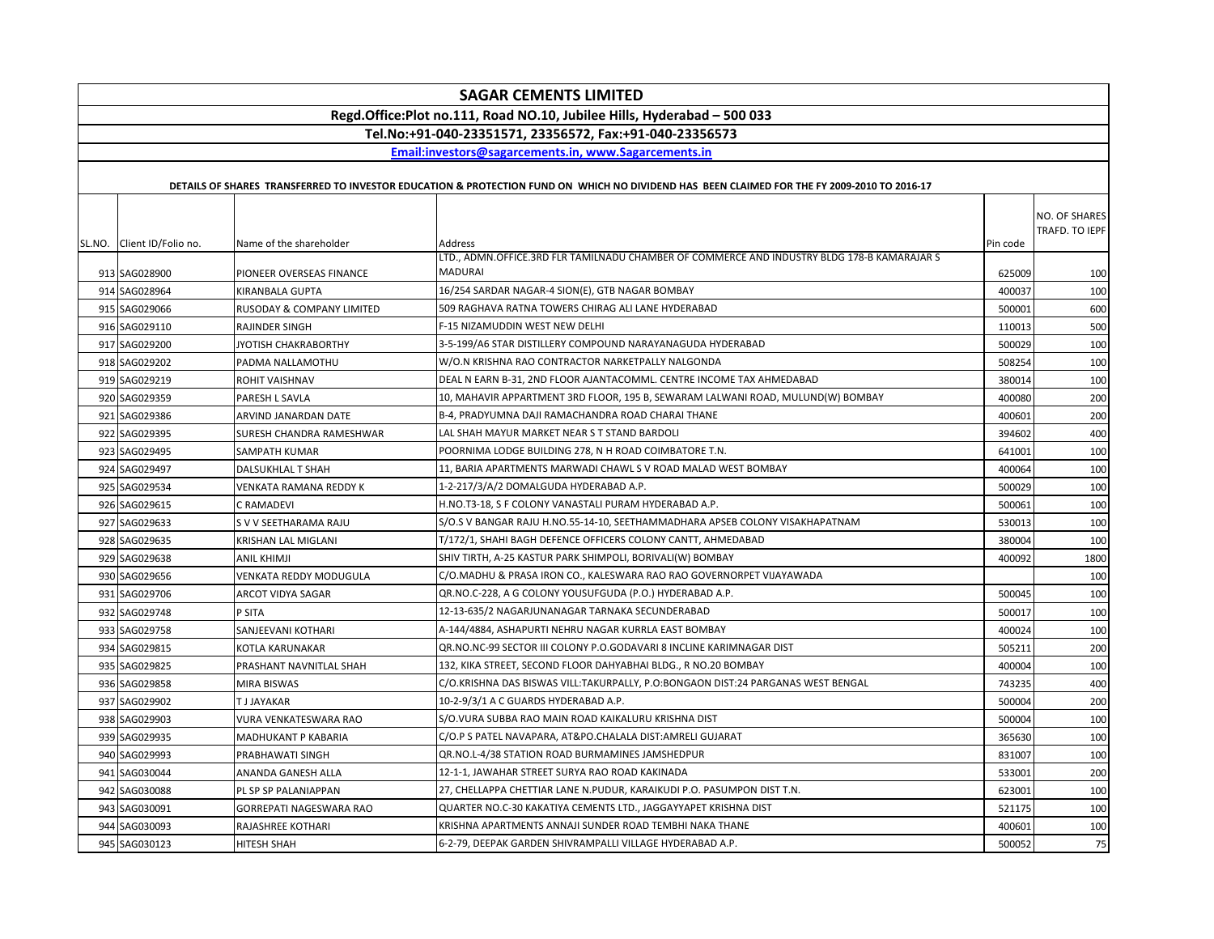| <b>SAGAR CEMENTS LIMITED</b>                                            |                                |                                                                                                                                             |          |                                 |  |  |
|-------------------------------------------------------------------------|--------------------------------|---------------------------------------------------------------------------------------------------------------------------------------------|----------|---------------------------------|--|--|
| Regd.Office:Plot no.111, Road NO.10, Jubilee Hills, Hyderabad - 500 033 |                                |                                                                                                                                             |          |                                 |  |  |
| Tel.No:+91-040-23351571, 23356572, Fax:+91-040-23356573                 |                                |                                                                                                                                             |          |                                 |  |  |
|                                                                         |                                | Email:investors@sagarcements.in, www.Sagarcements.in                                                                                        |          |                                 |  |  |
|                                                                         |                                | DETAILS OF SHARES TRANSFERRED TO INVESTOR EDUCATION & PROTECTION FUND ON WHICH NO DIVIDEND HAS BEEN CLAIMED FOR THE FY 2009-2010 TO 2016-17 |          |                                 |  |  |
|                                                                         |                                |                                                                                                                                             |          |                                 |  |  |
| SL.NO. Client ID/Folio no.                                              | Name of the shareholder        | Address                                                                                                                                     | Pin code | NO. OF SHARES<br>TRAFD. TO IEPF |  |  |
| 913 SAG028900                                                           | PIONEER OVERSEAS FINANCE       | LTD., ADMN.OFFICE.3RD FLR TAMILNADU CHAMBER OF COMMERCE AND INDUSTRY BLDG 178-B KAMARAJAR S<br><b>MADURAI</b>                               | 625009   | 100                             |  |  |
| 914 SAG028964                                                           | KIRANBALA GUPTA                | 16/254 SARDAR NAGAR-4 SION(E), GTB NAGAR BOMBAY                                                                                             | 400037   | 100                             |  |  |
| 915 SAG029066                                                           | RUSODAY & COMPANY LIMITED      | 509 RAGHAVA RATNA TOWERS CHIRAG ALI LANE HYDERABAD                                                                                          | 500001   | 600                             |  |  |
| 916 SAG029110                                                           | RAJINDER SINGH                 | F-15 NIZAMUDDIN WEST NEW DELHI                                                                                                              | 110013   | 500                             |  |  |
| 917 SAG029200                                                           | JYOTISH CHAKRABORTHY           | 3-5-199/A6 STAR DISTILLERY COMPOUND NARAYANAGUDA HYDERABAD                                                                                  | 500029   | 100                             |  |  |
| 918 SAG029202                                                           | PADMA NALLAMOTHU               | W/O.N KRISHNA RAO CONTRACTOR NARKETPALLY NALGONDA                                                                                           | 508254   | 100                             |  |  |
| 919 SAG029219                                                           | ROHIT VAISHNAV                 | DEAL N EARN B-31, 2ND FLOOR AJANTACOMML. CENTRE INCOME TAX AHMEDABAD                                                                        | 380014   | 100                             |  |  |
| 920 SAG029359                                                           | PARESH L SAVLA                 | 10, MAHAVIR APPARTMENT 3RD FLOOR, 195 B, SEWARAM LALWANI ROAD, MULUND(W) BOMBAY                                                             | 400080   | 200                             |  |  |
| 921 SAG029386                                                           | ARVIND JANARDAN DATE           | B-4, PRADYUMNA DAJI RAMACHANDRA ROAD CHARAI THANE                                                                                           | 400601   | 200                             |  |  |
| 922 SAG029395                                                           | SURESH CHANDRA RAMESHWAR       | LAL SHAH MAYUR MARKET NEAR S T STAND BARDOLI                                                                                                | 394602   | 400                             |  |  |
| 923 SAG029495                                                           | SAMPATH KUMAR                  | POORNIMA LODGE BUILDING 278, N H ROAD COIMBATORE T.N.                                                                                       | 641001   | 100                             |  |  |
| 924 SAG029497                                                           | DALSUKHLAL T SHAH              | 11, BARIA APARTMENTS MARWADI CHAWL S V ROAD MALAD WEST BOMBAY                                                                               | 400064   | 100                             |  |  |
| 925 SAG029534                                                           | VENKATA RAMANA REDDY K         | 1-2-217/3/A/2 DOMALGUDA HYDERABAD A.P.                                                                                                      | 500029   | 100                             |  |  |
| 926 SAG029615                                                           | C RAMADEVI                     | H.NO.T3-18, S F COLONY VANASTALI PURAM HYDERABAD A.P.                                                                                       | 500061   | 100                             |  |  |
| 927 SAG029633                                                           | S V V SEETHARAMA RAJU          | S/O.S V BANGAR RAJU H.NO.55-14-10, SEETHAMMADHARA APSEB COLONY VISAKHAPATNAM                                                                | 530013   | 100                             |  |  |
| 928 SAG029635                                                           | KRISHAN LAL MIGLANI            | T/172/1, SHAHI BAGH DEFENCE OFFICERS COLONY CANTT, AHMEDABAD                                                                                | 380004   | 100                             |  |  |
| 929 SAG029638                                                           | <b>ANIL KHIMJI</b>             | SHIV TIRTH, A-25 KASTUR PARK SHIMPOLI, BORIVALI(W) BOMBAY                                                                                   | 400092   | 1800                            |  |  |
| 930 SAG029656                                                           | VENKATA REDDY MODUGULA         | C/O.MADHU & PRASA IRON CO., KALESWARA RAO RAO GOVERNORPET VIJAYAWADA                                                                        |          | 100                             |  |  |
| 931 SAG029706                                                           | ARCOT VIDYA SAGAR              | QR.NO.C-228, A G COLONY YOUSUFGUDA (P.O.) HYDERABAD A.P.                                                                                    | 500045   | 100                             |  |  |
| 932 SAG029748                                                           | P SITA                         | 12-13-635/2 NAGARJUNANAGAR TARNAKA SECUNDERABAD                                                                                             | 500017   | 100                             |  |  |
| 933 SAG029758                                                           | SANJEEVANI KOTHARI             | A-144/4884, ASHAPURTI NEHRU NAGAR KURRLA EAST BOMBAY                                                                                        | 400024   | 100                             |  |  |
| 934 SAG029815                                                           | KOTLA KARUNAKAR                | QR.NO.NC-99 SECTOR III COLONY P.O.GODAVARI 8 INCLINE KARIMNAGAR DIST                                                                        | 505211   | 200                             |  |  |
| 935 SAG029825                                                           | PRASHANT NAVNITLAL SHAH        | 132, KIKA STREET, SECOND FLOOR DAHYABHAI BLDG., R NO.20 BOMBAY                                                                              | 400004   | 100                             |  |  |
| 936 SAG029858                                                           | <b>MIRA BISWAS</b>             | C/O.KRISHNA DAS BISWAS VILL:TAKURPALLY, P.O:BONGAON DIST:24 PARGANAS WEST BENGAL                                                            | 743235   | 400                             |  |  |
| 937 SAG029902                                                           | T J JAYAKAR                    | 10-2-9/3/1 A C GUARDS HYDERABAD A.P.                                                                                                        | 500004   | 200                             |  |  |
| 938 SAG029903                                                           | VURA VENKATESWARA RAO          | S/O.VURA SUBBA RAO MAIN ROAD KAIKALURU KRISHNA DIST                                                                                         | 500004   | 100                             |  |  |
| 939 SAG029935                                                           | MADHUKANT P KABARIA            | C/O.P S PATEL NAVAPARA, AT&PO.CHALALA DIST:AMRELI GUJARAT                                                                                   | 365630   | 100                             |  |  |
| 940 SAG029993                                                           | PRABHAWATI SINGH               | QR.NO.L-4/38 STATION ROAD BURMAMINES JAMSHEDPUR                                                                                             | 831007   | 100                             |  |  |
| 941 SAG030044                                                           | ANANDA GANESH ALLA             | 12-1-1, JAWAHAR STREET SURYA RAO ROAD KAKINADA                                                                                              | 533001   | 200                             |  |  |
| 942 SAG030088                                                           | PL SP SP PALANIAPPAN           | 27, CHELLAPPA CHETTIAR LANE N.PUDUR, KARAIKUDI P.O. PASUMPON DIST T.N.                                                                      | 623001   | 100                             |  |  |
| 943 SAG030091                                                           | <b>GORREPATI NAGESWARA RAO</b> | QUARTER NO.C-30 KAKATIYA CEMENTS LTD., JAGGAYYAPET KRISHNA DIST                                                                             | 521175   | 100                             |  |  |
| 944 SAG030093                                                           | RAJASHREE KOTHARI              | KRISHNA APARTMENTS ANNAJI SUNDER ROAD TEMBHI NAKA THANE                                                                                     | 400601   | 100                             |  |  |
| 945 SAG030123                                                           | HITESH SHAH                    | 6-2-79, DEEPAK GARDEN SHIVRAMPALLI VILLAGE HYDERABAD A.P.                                                                                   | 500052   | 75                              |  |  |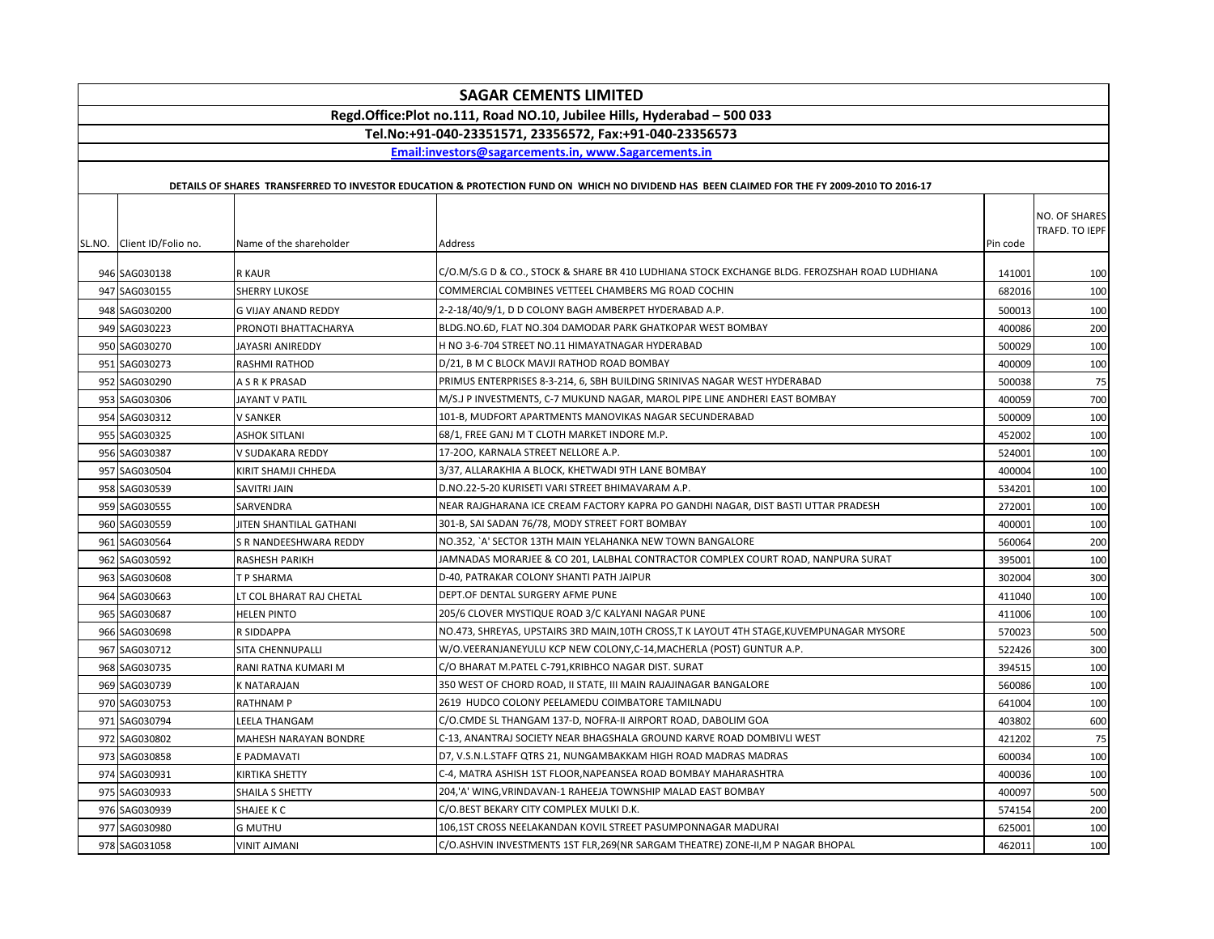| <b>SAGAR CEMENTS LIMITED</b> |                                                                         |                            |                                                                                                                                             |          |                |  |  |
|------------------------------|-------------------------------------------------------------------------|----------------------------|---------------------------------------------------------------------------------------------------------------------------------------------|----------|----------------|--|--|
|                              | Regd.Office:Plot no.111, Road NO.10, Jubilee Hills, Hyderabad - 500 033 |                            |                                                                                                                                             |          |                |  |  |
|                              | Tel.No:+91-040-23351571, 23356572, Fax:+91-040-23356573                 |                            |                                                                                                                                             |          |                |  |  |
|                              |                                                                         |                            | Email:investors@sagarcements.in, www.Sagarcements.in                                                                                        |          |                |  |  |
|                              |                                                                         |                            | DETAILS OF SHARES TRANSFERRED TO INVESTOR EDUCATION & PROTECTION FUND ON WHICH NO DIVIDEND HAS BEEN CLAIMED FOR THE FY 2009-2010 TO 2016-17 |          |                |  |  |
|                              |                                                                         |                            |                                                                                                                                             |          |                |  |  |
|                              |                                                                         |                            |                                                                                                                                             |          | NO. OF SHARES  |  |  |
|                              | SL.NO. Client ID/Folio no.                                              | Name of the shareholder    | Address                                                                                                                                     | Pin code | TRAFD. TO IEPF |  |  |
|                              |                                                                         |                            |                                                                                                                                             |          |                |  |  |
|                              | 946 SAG030138                                                           | <b>R KAUR</b>              | C/O.M/S.G D & CO., STOCK & SHARE BR 410 LUDHIANA STOCK EXCHANGE BLDG. FEROZSHAH ROAD LUDHIANA                                               | 141001   | 100            |  |  |
|                              | 947 SAG030155                                                           | <b>SHERRY LUKOSE</b>       | COMMERCIAL COMBINES VETTEEL CHAMBERS MG ROAD COCHIN                                                                                         | 682016   | 100            |  |  |
|                              | 948 SAG030200                                                           | <b>G VIJAY ANAND REDDY</b> | 2-2-18/40/9/1, D D COLONY BAGH AMBERPET HYDERABAD A.P.                                                                                      | 500013   | 100            |  |  |
|                              | 949 SAG030223                                                           | PRONOTI BHATTACHARYA       | BLDG.NO.6D, FLAT NO.304 DAMODAR PARK GHATKOPAR WEST BOMBAY                                                                                  | 400086   | 200            |  |  |
|                              | 950 SAG030270                                                           | JAYASRI ANIREDDY           | H NO 3-6-704 STREET NO.11 HIMAYATNAGAR HYDERABAD                                                                                            | 500029   | 100            |  |  |
|                              | 951 SAG030273                                                           | RASHMI RATHOD              | D/21, B M C BLOCK MAVJI RATHOD ROAD BOMBAY                                                                                                  | 400009   | 100            |  |  |
|                              | 952 SAG030290                                                           | A S R K PRASAD             | PRIMUS ENTERPRISES 8-3-214, 6, SBH BUILDING SRINIVAS NAGAR WEST HYDERABAD                                                                   | 500038   | 75             |  |  |
|                              | 953 SAG030306                                                           | JAYANT V PATIL             | M/S.J P INVESTMENTS, C-7 MUKUND NAGAR, MAROL PIPE LINE ANDHERI EAST BOMBAY                                                                  | 400059   | 700            |  |  |
|                              | 954 SAG030312                                                           | V SANKER                   | 101-B. MUDFORT APARTMENTS MANOVIKAS NAGAR SECUNDERABAD                                                                                      | 500009   | 100            |  |  |
|                              | 955 SAG030325                                                           | <b>ASHOK SITLANI</b>       | 68/1, FREE GANJ M T CLOTH MARKET INDORE M.P.                                                                                                | 452002   | 100            |  |  |
|                              | 956 SAG030387                                                           | V SUDAKARA REDDY           | 17-200, KARNALA STREET NELLORE A.P.                                                                                                         | 524001   | 100            |  |  |
|                              | 957 SAG030504                                                           | KIRIT SHAMJI CHHEDA        | 3/37, ALLARAKHIA A BLOCK, KHETWADI 9TH LANE BOMBAY                                                                                          | 400004   | 100            |  |  |
|                              | 958 SAG030539                                                           | SAVITRI JAIN               | D.NO.22-5-20 KURISETI VARI STREET BHIMAVARAM A.P.                                                                                           | 534201   | 100            |  |  |
|                              | 959 SAG030555                                                           | SARVENDRA                  | NEAR RAJGHARANA ICE CREAM FACTORY KAPRA PO GANDHI NAGAR, DIST BASTI UTTAR PRADESH                                                           | 272001   | 100            |  |  |
|                              | 960 SAG030559                                                           | JITEN SHANTILAL GATHANI    | 301-B, SAI SADAN 76/78, MODY STREET FORT BOMBAY                                                                                             | 400001   | 100            |  |  |
|                              | 961 SAG030564                                                           | S R NANDEESHWARA REDDY     | NO.352, `A' SECTOR 13TH MAIN YELAHANKA NEW TOWN BANGALORE                                                                                   | 560064   | 200            |  |  |
|                              | 962 SAG030592                                                           | RASHESH PARIKH             | JAMNADAS MORARJEE & CO 201, LALBHAL CONTRACTOR COMPLEX COURT ROAD, NANPURA SURAT                                                            | 395001   | 100            |  |  |
|                              | 963 SAG030608                                                           | T P SHARMA                 | D-40, PATRAKAR COLONY SHANTI PATH JAIPUR                                                                                                    | 302004   | 300            |  |  |
|                              | 964 SAG030663                                                           | LT COL BHARAT RAJ CHETAL   | DEPT.OF DENTAL SURGERY AFME PUNE                                                                                                            | 411040   | 100            |  |  |
|                              | 965 SAG030687                                                           | <b>HELEN PINTO</b>         | 205/6 CLOVER MYSTIQUE ROAD 3/C KALYANI NAGAR PUNE                                                                                           | 411006   | 100            |  |  |
|                              | 966 SAG030698                                                           | R SIDDAPPA                 | NO.473, SHREYAS, UPSTAIRS 3RD MAIN, 10TH CROSS, TK LAYOUT 4TH STAGE, KUVEMPUNAGAR MYSORE                                                    | 570023   | 500            |  |  |
|                              | 967 SAG030712                                                           | SITA CHENNUPALLI           | W/O.VEERANJANEYULU KCP NEW COLONY, C-14, MACHERLA (POST) GUNTUR A.P.                                                                        | 522426   | 300            |  |  |
|                              | 968 SAG030735                                                           | RANI RATNA KUMARI M        | C/O BHARAT M.PATEL C-791, KRIBHCO NAGAR DIST. SURAT                                                                                         | 394515   | 100            |  |  |
|                              | 969 SAG030739                                                           | K NATARAJAN                | 350 WEST OF CHORD ROAD, II STATE, III MAIN RAJAJINAGAR BANGALORE                                                                            | 560086   | 100            |  |  |
|                              | 970 SAG030753                                                           | <b>RATHNAMP</b>            | 2619 HUDCO COLONY PEELAMEDU COIMBATORE TAMILNADU                                                                                            | 641004   | 100            |  |  |
|                              | 971 SAG030794                                                           | LEELA THANGAM              | C/O.CMDE SL THANGAM 137-D, NOFRA-II AIRPORT ROAD, DABOLIM GOA                                                                               | 403802   | 600            |  |  |
|                              | 972 SAG030802                                                           | MAHESH NARAYAN BONDRE      | C-13, ANANTRAJ SOCIETY NEAR BHAGSHALA GROUND KARVE ROAD DOMBIVLI WEST                                                                       | 421202   | 75             |  |  |
|                              | 973 SAG030858                                                           | E PADMAVATI                | D7, V.S.N.L.STAFF QTRS 21, NUNGAMBAKKAM HIGH ROAD MADRAS MADRAS                                                                             | 600034   | 100            |  |  |
|                              | 974 SAG030931                                                           | KIRTIKA SHETTY             | C-4, MATRA ASHISH 1ST FLOOR, NAPEANSEA ROAD BOMBAY MAHARASHTRA                                                                              | 400036   | 100            |  |  |
|                              | 975 SAG030933                                                           | SHAILA S SHETTY            | 204,'A' WING, VRINDAVAN-1 RAHEEJA TOWNSHIP MALAD EAST BOMBAY                                                                                | 400097   | 500            |  |  |
|                              | 976 SAG030939                                                           | SHAJEE K C                 | C/O.BEST BEKARY CITY COMPLEX MULKI D.K.                                                                                                     | 574154   | 200            |  |  |
|                              | 977 SAG030980                                                           | <b>G MUTHU</b>             | 106,1ST CROSS NEELAKANDAN KOVIL STREET PASUMPONNAGAR MADURAI                                                                                | 625001   | 100            |  |  |
|                              | 978 SAG031058                                                           | <b>VINIT AJMANI</b>        | C/O.ASHVIN INVESTMENTS 1ST FLR,269(NR SARGAM THEATRE) ZONE-II,M P NAGAR BHOPAL                                                              | 462011   | 100            |  |  |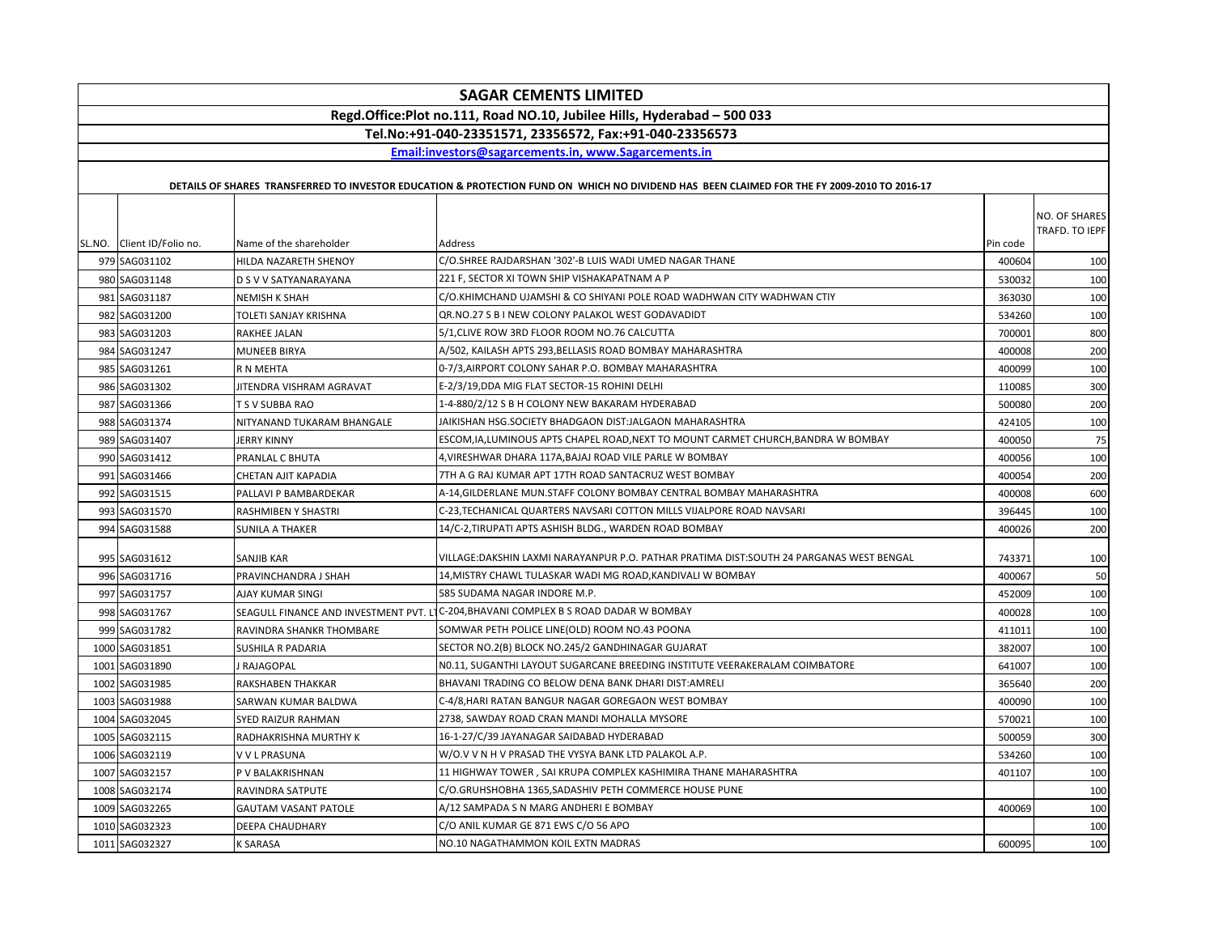| <b>SAGAR CEMENTS LIMITED</b>                                            |                                        |                                                                                                                                             |          |                                 |  |  |  |
|-------------------------------------------------------------------------|----------------------------------------|---------------------------------------------------------------------------------------------------------------------------------------------|----------|---------------------------------|--|--|--|
| Regd.Office:Plot no.111, Road NO.10, Jubilee Hills, Hyderabad - 500 033 |                                        |                                                                                                                                             |          |                                 |  |  |  |
| Tel.No:+91-040-23351571, 23356572, Fax:+91-040-23356573                 |                                        |                                                                                                                                             |          |                                 |  |  |  |
| Email:investors@sagarcements.in, www.Sagarcements.in                    |                                        |                                                                                                                                             |          |                                 |  |  |  |
|                                                                         |                                        |                                                                                                                                             |          |                                 |  |  |  |
|                                                                         |                                        | DETAILS OF SHARES TRANSFERRED TO INVESTOR EDUCATION & PROTECTION FUND ON WHICH NO DIVIDEND HAS BEEN CLAIMED FOR THE FY 2009-2010 TO 2016-17 |          |                                 |  |  |  |
| SL.NO. Client ID/Folio no.                                              | Name of the shareholder                | Address                                                                                                                                     | Pin code | NO. OF SHARES<br>TRAFD. TO IEPF |  |  |  |
| 979 SAG031102                                                           | HILDA NAZARETH SHENOY                  | C/O.SHREE RAJDARSHAN '302'-B LUIS WADI UMED NAGAR THANE                                                                                     | 400604   | 100                             |  |  |  |
| 980 SAG031148                                                           | D S V V SATYANARAYANA                  | 221 F, SECTOR XI TOWN SHIP VISHAKAPATNAM A P                                                                                                | 530032   | 100                             |  |  |  |
| 981 SAG031187                                                           | <b>NEMISH K SHAH</b>                   | C/O.KHIMCHAND UJAMSHI & CO SHIYANI POLE ROAD WADHWAN CITY WADHWAN CTIY                                                                      | 363030   | 100                             |  |  |  |
| 982 SAG031200                                                           | TOLETI SANJAY KRISHNA                  | QR.NO.27 S B I NEW COLONY PALAKOL WEST GODAVADIDT                                                                                           | 534260   | 100                             |  |  |  |
| 983 SAG031203                                                           | RAKHEE JALAN                           | 5/1, CLIVE ROW 3RD FLOOR ROOM NO.76 CALCUTTA                                                                                                | 700001   | 800                             |  |  |  |
| 984 SAG031247                                                           | <b>MUNEEB BIRYA</b>                    | A/502, KAILASH APTS 293,BELLASIS ROAD BOMBAY MAHARASHTRA                                                                                    | 400008   | 200                             |  |  |  |
| 985 SAG031261                                                           | R N MEHTA                              | 0-7/3,AIRPORT COLONY SAHAR P.O. BOMBAY MAHARASHTRA                                                                                          | 400099   | 100                             |  |  |  |
| 986 SAG031302                                                           | JITENDRA VISHRAM AGRAVAT               | E-2/3/19, DDA MIG FLAT SECTOR-15 ROHINI DELHI                                                                                               | 110085   | 300                             |  |  |  |
| 987 SAG031366                                                           | T S V SUBBA RAO                        | 1-4-880/2/12 S B H COLONY NEW BAKARAM HYDERABAD                                                                                             | 500080   | 200                             |  |  |  |
| 988 SAG031374                                                           | NITYANAND TUKARAM BHANGALE             | JAIKISHAN HSG.SOCIETY BHADGAON DIST:JALGAON MAHARASHTRA                                                                                     | 424105   | 100                             |  |  |  |
| 989 SAG031407                                                           | JERRY KINNY                            | ESCOM, IA, LUMINOUS APTS CHAPEL ROAD, NEXT TO MOUNT CARMET CHURCH, BANDRA W BOMBAY                                                          | 400050   | 75                              |  |  |  |
| 990 SAG031412                                                           | PRANLAL C BHUTA                        | 4, VIRESHWAR DHARA 117A, BAJAJ ROAD VILE PARLE W BOMBAY                                                                                     | 400056   | 100                             |  |  |  |
| 991 SAG031466                                                           | CHETAN AJIT KAPADIA                    | 7TH A G RAJ KUMAR APT 17TH ROAD SANTACRUZ WEST BOMBAY                                                                                       | 400054   | 200                             |  |  |  |
| 992 SAG031515                                                           | PALLAVI P BAMBARDEKAR                  | A-14,GILDERLANE MUN.STAFF COLONY BOMBAY CENTRAL BOMBAY MAHARASHTRA                                                                          | 400008   | 600                             |  |  |  |
| 993 SAG031570                                                           | RASHMIBEN Y SHASTRI                    | C-23,TECHANICAL QUARTERS NAVSARI COTTON MILLS VIJALPORE ROAD NAVSARI                                                                        | 396445   | 100                             |  |  |  |
| 994 SAG031588                                                           | SUNILA A THAKER                        | 14/C-2, TIRUPATI APTS ASHISH BLDG., WARDEN ROAD BOMBAY                                                                                      | 400026   | 200                             |  |  |  |
| 995 SAG031612                                                           | <b>SANJIB KAR</b>                      | VILLAGE:DAKSHIN LAXMI NARAYANPUR P.O. PATHAR PRATIMA DIST:SOUTH 24 PARGANAS WEST BENGAL                                                     | 743371   | 100                             |  |  |  |
| 996 SAG031716                                                           | PRAVINCHANDRA J SHAH                   | 14, MISTRY CHAWL TULASKAR WADI MG ROAD, KANDIVALI W BOMBAY                                                                                  | 400067   | 50                              |  |  |  |
| 997 SAG031757                                                           | AJAY KUMAR SINGI                       | 585 SUDAMA NAGAR INDORE M.P.                                                                                                                | 452009   | 100                             |  |  |  |
| 998 SAG031767                                                           | SEAGULL FINANCE AND INVESTMENT PVT. LT | C-204, BHAVANI COMPLEX B S ROAD DADAR W BOMBAY                                                                                              | 400028   | 100                             |  |  |  |
| 999 SAG031782                                                           | RAVINDRA SHANKR THOMBARE               | SOMWAR PETH POLICE LINE(OLD) ROOM NO.43 POONA                                                                                               | 411011   | 100                             |  |  |  |
| 1000 SAG031851                                                          | SUSHILA R PADARIA                      | SECTOR NO.2(B) BLOCK NO.245/2 GANDHINAGAR GUJARAT                                                                                           | 382007   | 100                             |  |  |  |
| 1001 SAG031890                                                          | J RAJAGOPAL                            | N0.11, SUGANTHI LAYOUT SUGARCANE BREEDING INSTITUTE VEERAKERALAM COIMBATORE                                                                 | 641007   | 100                             |  |  |  |
| 1002 SAG031985                                                          | RAKSHABEN THAKKAR                      | BHAVANI TRADING CO BELOW DENA BANK DHARI DIST:AMRELI                                                                                        | 365640   | 200                             |  |  |  |
| 1003 SAG031988                                                          | SARWAN KUMAR BALDWA                    | C-4/8,HARI RATAN BANGUR NAGAR GOREGAON WEST BOMBAY                                                                                          | 400090   | 100                             |  |  |  |
| 1004 SAG032045                                                          | SYED RAIZUR RAHMAN                     | 2738, SAWDAY ROAD CRAN MANDI MOHALLA MYSORE                                                                                                 | 570021   | 100                             |  |  |  |
| 1005 SAG032115                                                          | RADHAKRISHNA MURTHY K                  | 16-1-27/C/39 JAYANAGAR SAIDABAD HYDERABAD                                                                                                   | 500059   | 300                             |  |  |  |
| 1006 SAG032119                                                          | V V L PRASUNA                          | W/O.V V N H V PRASAD THE VYSYA BANK LTD PALAKOL A.P.                                                                                        | 534260   | 100                             |  |  |  |
| 1007 SAG032157                                                          | P V BALAKRISHNAN                       | 11 HIGHWAY TOWER, SAI KRUPA COMPLEX KASHIMIRA THANE MAHARASHTRA                                                                             | 401107   | 100                             |  |  |  |
| 1008 SAG032174                                                          | RAVINDRA SATPUTE                       | C/O.GRUHSHOBHA 1365, SADASHIV PETH COMMERCE HOUSE PUNE                                                                                      |          | 100                             |  |  |  |
| 1009 SAG032265                                                          | <b>GAUTAM VASANT PATOLE</b>            | A/12 SAMPADA S N MARG ANDHERI E BOMBAY                                                                                                      | 400069   | 100                             |  |  |  |
| 1010 SAG032323                                                          | DEEPA CHAUDHARY                        | C/O ANIL KUMAR GE 871 EWS C/O 56 APO                                                                                                        |          | 100                             |  |  |  |
| 1011 SAG032327                                                          | <b>K SARASA</b>                        | NO.10 NAGATHAMMON KOIL EXTN MADRAS                                                                                                          | 600095   | 100                             |  |  |  |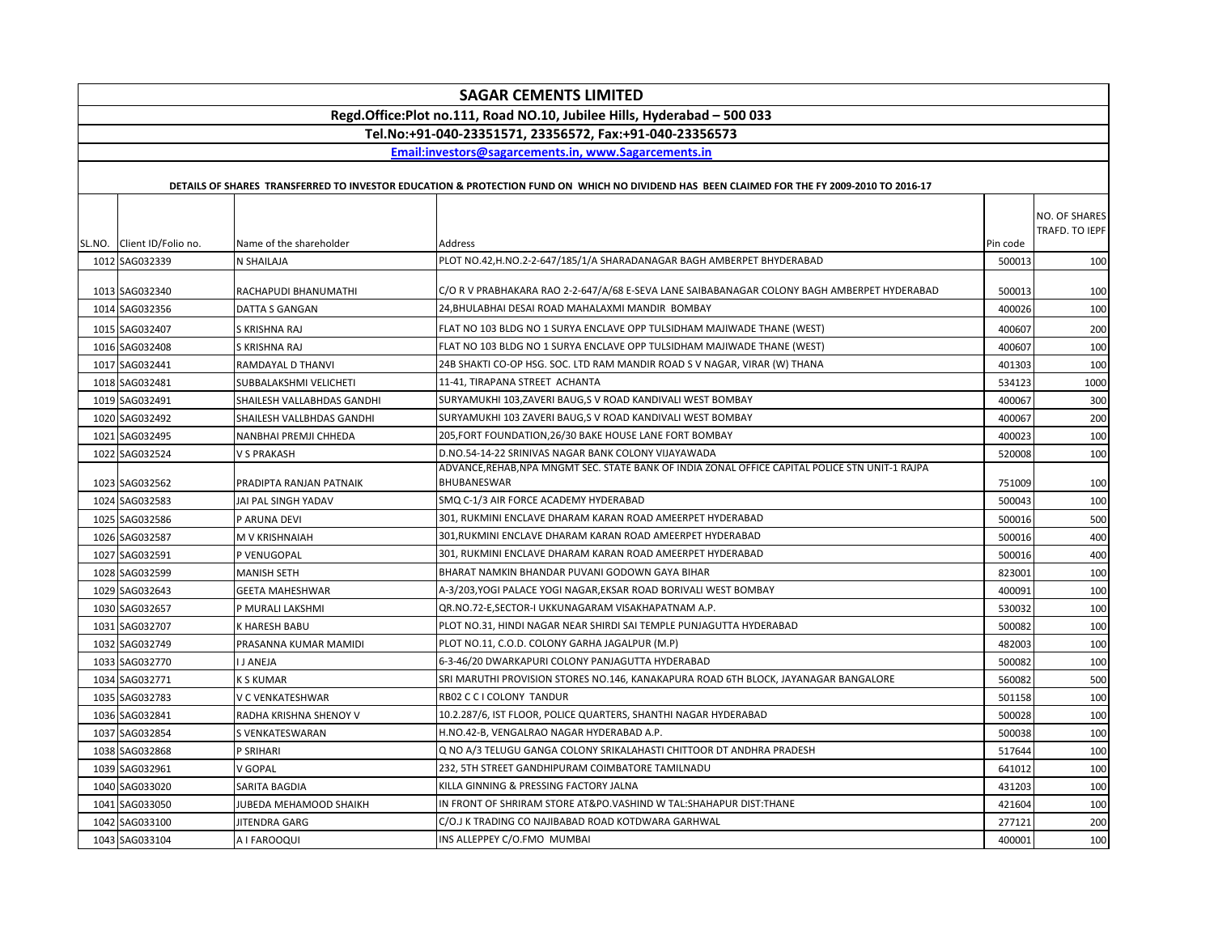| <b>SAGAR CEMENTS LIMITED</b>                                            |                               |                                                                                                                                             |          |                |  |  |
|-------------------------------------------------------------------------|-------------------------------|---------------------------------------------------------------------------------------------------------------------------------------------|----------|----------------|--|--|
| Regd.Office:Plot no.111, Road NO.10, Jubilee Hills, Hyderabad - 500 033 |                               |                                                                                                                                             |          |                |  |  |
| Tel.No:+91-040-23351571, 23356572, Fax:+91-040-23356573                 |                               |                                                                                                                                             |          |                |  |  |
|                                                                         |                               | Email:investors@sagarcements.in. www.Sagarcements.in                                                                                        |          |                |  |  |
|                                                                         |                               | DETAILS OF SHARES TRANSFERRED TO INVESTOR EDUCATION & PROTECTION FUND ON WHICH NO DIVIDEND HAS BEEN CLAIMED FOR THE FY 2009-2010 TO 2016-17 |          |                |  |  |
|                                                                         |                               |                                                                                                                                             |          |                |  |  |
|                                                                         |                               |                                                                                                                                             |          | NO. OF SHARES  |  |  |
| SL.NO. Client ID/Folio no.                                              | Name of the shareholder       | <b>Address</b>                                                                                                                              | Pin code | TRAFD. TO IEPF |  |  |
| 1012 SAG032339                                                          | N SHAILAJA                    | PLOT NO.42,H.NO.2-2-647/185/1/A SHARADANAGAR BAGH AMBERPET BHYDERABAD                                                                       | 500013   | 100            |  |  |
|                                                                         |                               |                                                                                                                                             |          |                |  |  |
| 1013 SAG032340                                                          | RACHAPUDI BHANUMATHI          | C/O R V PRABHAKARA RAO 2-2-647/A/68 E-SEVA LANE SAIBABANAGAR COLONY BAGH AMBERPET HYDERABAD                                                 | 500013   | 100            |  |  |
| 1014 SAG032356                                                          | DATTA S GANGAN                | 24. BHULABHAI DESAI ROAD MAHALAXMI MANDIR BOMBAY                                                                                            | 400026   | 100            |  |  |
| 1015 SAG032407                                                          | S KRISHNA RAJ                 | FLAT NO 103 BLDG NO 1 SURYA ENCLAVE OPP TULSIDHAM MAJIWADE THANE (WEST)                                                                     | 400607   | 200            |  |  |
| 1016 SAG032408                                                          | S KRISHNA RAJ                 | FLAT NO 103 BLDG NO 1 SURYA ENCLAVE OPP TULSIDHAM MAJIWADE THANE (WEST)                                                                     | 400607   | 100            |  |  |
| 1017 SAG032441                                                          | RAMDAYAL D THANVI             | 24B SHAKTI CO-OP HSG. SOC. LTD RAM MANDIR ROAD S V NAGAR, VIRAR (W) THANA                                                                   | 401303   | 100            |  |  |
| 1018 SAG032481                                                          | SUBBALAKSHMI VELICHETI        | 11-41, TIRAPANA STREET ACHANTA                                                                                                              | 534123   | 1000           |  |  |
| 1019 SAG032491                                                          | SHAILESH VALLABHDAS GANDHI    | SURYAMUKHI 103, ZAVERI BAUG, S V ROAD KANDIVALI WEST BOMBAY                                                                                 | 400067   | 300            |  |  |
| 1020 SAG032492                                                          | SHAILESH VALLBHDAS GANDHI     | SURYAMUKHI 103 ZAVERI BAUG,S V ROAD KANDIVALI WEST BOMBAY                                                                                   | 400067   | 200            |  |  |
| 1021 SAG032495                                                          | NANBHAI PREMJI CHHEDA         | 205, FORT FOUNDATION, 26/30 BAKE HOUSE LANE FORT BOMBAY                                                                                     | 400023   | 100            |  |  |
| 1022 SAG032524                                                          | V S PRAKASH                   | D.NO.54-14-22 SRINIVAS NAGAR BANK COLONY VIJAYAWADA                                                                                         | 520008   | 100            |  |  |
|                                                                         |                               | ADVANCE,REHAB,NPA MNGMT SEC. STATE BANK OF INDIA ZONAL OFFICE CAPITAL POLICE STN UNIT-1 RAJPA                                               |          |                |  |  |
| 1023 SAG032562                                                          | PRADIPTA RANJAN PATNAIK       | BHUBANESWAR                                                                                                                                 | 751009   | 100            |  |  |
| 1024 SAG032583                                                          | JAI PAL SINGH YADAV           | SMQ C-1/3 AIR FORCE ACADEMY HYDERABAD                                                                                                       | 500043   | 100            |  |  |
| 1025 SAG032586                                                          | P ARUNA DEVI                  | 301, RUKMINI ENCLAVE DHARAM KARAN ROAD AMEERPET HYDERABAD                                                                                   | 500016   | 500            |  |  |
| 1026 SAG032587                                                          | M V KRISHNAIAH                | 301, RUKMINI ENCLAVE DHARAM KARAN ROAD AMEERPET HYDERABAD                                                                                   | 500016   | 400            |  |  |
| 1027 SAG032591                                                          | P VENUGOPAL                   | 301, RUKMINI ENCLAVE DHARAM KARAN ROAD AMEERPET HYDERABAD                                                                                   | 500016   | 400            |  |  |
| 1028 SAG032599                                                          | <b>MANISH SETH</b>            | BHARAT NAMKIN BHANDAR PUVANI GODOWN GAYA BIHAR                                                                                              | 823001   | 100            |  |  |
| 1029 SAG032643                                                          | <b>GEETA MAHESHWAR</b>        | A-3/203,YOGI PALACE YOGI NAGAR,EKSAR ROAD BORIVALI WEST BOMBAY                                                                              | 400091   | 100            |  |  |
| 1030 SAG032657                                                          | P MURALI LAKSHMI              | QR.NO.72-E,SECTOR-I UKKUNAGARAM VISAKHAPATNAM A.P.                                                                                          | 530032   | 100            |  |  |
| 1031 SAG032707                                                          | K HARESH BABU                 | PLOT NO.31, HINDI NAGAR NEAR SHIRDI SAI TEMPLE PUNJAGUTTA HYDERABAD                                                                         | 500082   | 100            |  |  |
| 1032 SAG032749                                                          | PRASANNA KUMAR MAMIDI         | PLOT NO.11, C.O.D. COLONY GARHA JAGALPUR (M.P)                                                                                              | 482003   | 100            |  |  |
| 1033 SAG032770                                                          | I J ANEJA                     | 6-3-46/20 DWARKAPURI COLONY PANJAGUTTA HYDERABAD                                                                                            | 500082   | 100            |  |  |
| 1034 SAG032771                                                          | <b>K S KUMAR</b>              | SRI MARUTHI PROVISION STORES NO.146, KANAKAPURA ROAD 6TH BLOCK, JAYANAGAR BANGALORE                                                         | 560082   | 500            |  |  |
| 1035 SAG032783                                                          | V C VENKATESHWAR              | RB02 C C I COLONY TANDUR                                                                                                                    | 501158   | 100            |  |  |
| 1036 SAG032841                                                          | RADHA KRISHNA SHENOY V        | 10.2.287/6, IST FLOOR, POLICE QUARTERS, SHANTHI NAGAR HYDERABAD                                                                             | 500028   | 100            |  |  |
| 1037 SAG032854                                                          | S VENKATESWARAN               | H.NO.42-B, VENGALRAO NAGAR HYDERABAD A.P.                                                                                                   | 500038   | 100            |  |  |
| 1038 SAG032868                                                          | P SRIHARI                     | Q NO A/3 TELUGU GANGA COLONY SRIKALAHASTI CHITTOOR DT ANDHRA PRADESH                                                                        | 517644   | 100            |  |  |
| 1039 SAG032961                                                          | V GOPAL                       | 232. 5TH STREET GANDHIPURAM COIMBATORE TAMILNADU                                                                                            | 641012   | 100            |  |  |
| 1040 SAG033020                                                          | SARITA BAGDIA                 | KILLA GINNING & PRESSING FACTORY JALNA                                                                                                      | 431203   | 100            |  |  |
| 1041 SAG033050                                                          | <b>JUBEDA MEHAMOOD SHAIKH</b> | IN FRONT OF SHRIRAM STORE AT&PO.VASHIND W TAL:SHAHAPUR DIST:THANE                                                                           | 421604   | 100            |  |  |
| 1042 SAG033100                                                          | JITENDRA GARG                 | C/O.J K TRADING CO NAJIBABAD ROAD KOTDWARA GARHWAL                                                                                          | 277121   | 200            |  |  |
| 1043 SAG033104                                                          | A I FAROOQUI                  | INS ALLEPPEY C/O.FMO MUMBAI                                                                                                                 | 400001   | 100            |  |  |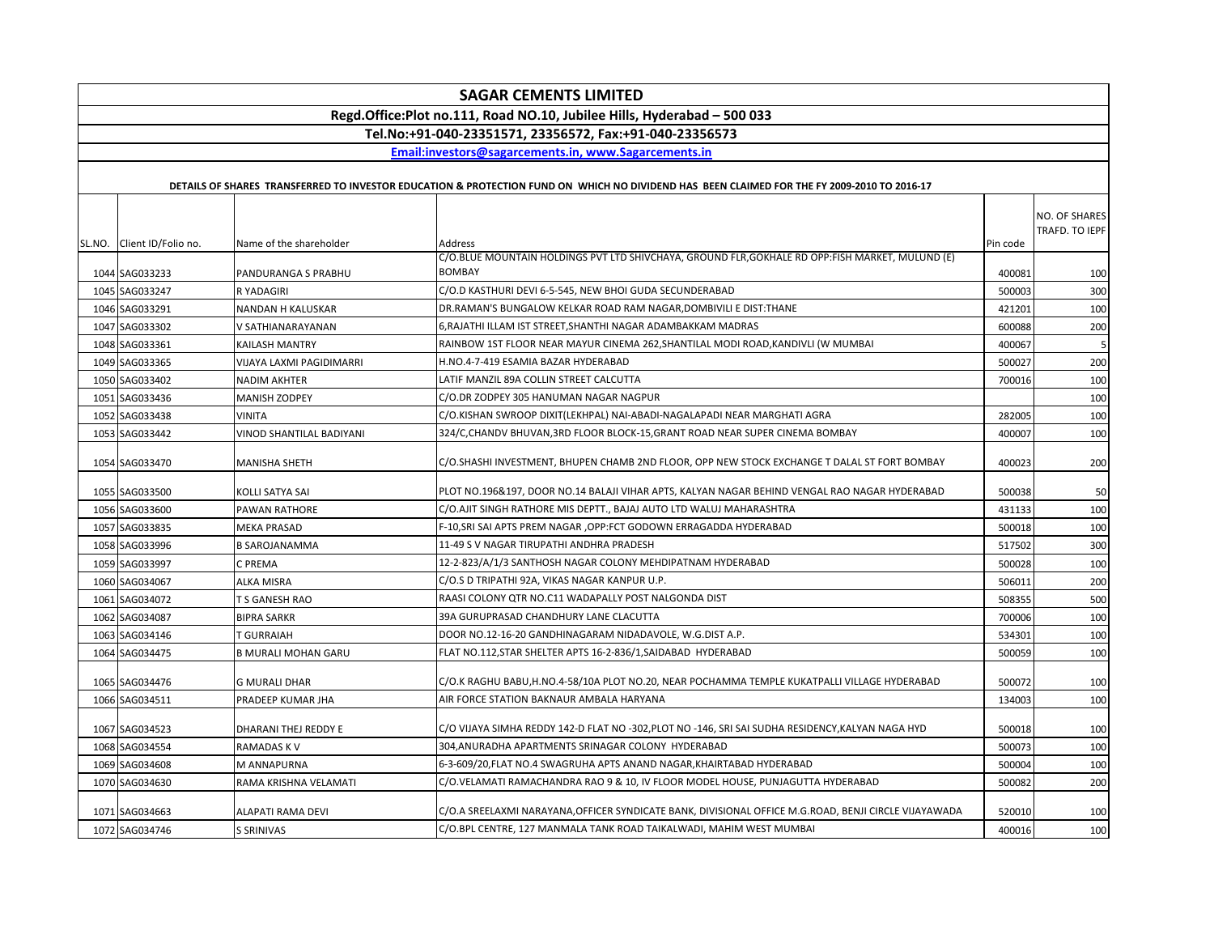| <b>SAGAR CEMENTS LIMITED</b>                                            |                                        |                                                                                                                                                                             |                  |                                 |  |  |  |
|-------------------------------------------------------------------------|----------------------------------------|-----------------------------------------------------------------------------------------------------------------------------------------------------------------------------|------------------|---------------------------------|--|--|--|
| Regd.Office:Plot no.111, Road NO.10, Jubilee Hills, Hyderabad - 500 033 |                                        |                                                                                                                                                                             |                  |                                 |  |  |  |
| Tel.No:+91-040-23351571, 23356572, Fax:+91-040-23356573                 |                                        |                                                                                                                                                                             |                  |                                 |  |  |  |
|                                                                         |                                        | Email:investors@sagarcements.in, www.Sagarcements.in                                                                                                                        |                  |                                 |  |  |  |
|                                                                         |                                        | DETAILS OF SHARES TRANSFERRED TO INVESTOR EDUCATION & PROTECTION FUND ON WHICH NO DIVIDEND HAS BEEN CLAIMED FOR THE FY 2009-2010 TO 2016-17                                 |                  |                                 |  |  |  |
| SL.NO. Client ID/Folio no.                                              | Name of the shareholder                | Address<br>C/O.BLUE MOUNTAIN HOLDINGS PVT LTD SHIVCHAYA, GROUND FLR,GOKHALE RD OPP:FISH MARKET, MULUND (E)                                                                  | Pin code         | NO. OF SHARES<br>TRAFD. TO IEPF |  |  |  |
| 1044 SAG033233                                                          | PANDURANGA S PRABHU                    | <b>BOMBAY</b>                                                                                                                                                               | 400081           | 100                             |  |  |  |
| 1045 SAG033247                                                          | R YADAGIRI                             | C/O.D KASTHURI DEVI 6-5-545, NEW BHOI GUDA SECUNDERABAD                                                                                                                     | 500003           | 300                             |  |  |  |
| 1046 SAG033291                                                          | NANDAN H KALUSKAR                      | DR.RAMAN'S BUNGALOW KELKAR ROAD RAM NAGAR, DOMBIVILI E DIST: THANE                                                                                                          | 421201           | 100                             |  |  |  |
| 1047 SAG033302                                                          | V SATHIANARAYANAN                      | 6, RAJATHI ILLAM IST STREET, SHANTHI NAGAR ADAMBAKKAM MADRAS                                                                                                                | 600088           | 200                             |  |  |  |
| 1048 SAG033361                                                          | KAILASH MANTRY                         | RAINBOW 1ST FLOOR NEAR MAYUR CINEMA 262, SHANTILAL MODI ROAD, KANDIVLI (W MUMBAI                                                                                            | 400067           | 5                               |  |  |  |
| 1049 SAG033365                                                          | VIJAYA LAXMI PAGIDIMARRI               | H.NO.4-7-419 ESAMIA BAZAR HYDERABAD                                                                                                                                         | 500027           | 200                             |  |  |  |
| 1050 SAG033402                                                          | <b>NADIM AKHTER</b>                    | LATIF MANZIL 89A COLLIN STREET CALCUTTA                                                                                                                                     | 700016           | 100                             |  |  |  |
| 1051 SAG033436                                                          | MANISH ZODPEY                          | C/O.DR ZODPEY 305 HANUMAN NAGAR NAGPUR                                                                                                                                      |                  | 100                             |  |  |  |
| 1052 SAG033438                                                          | <b>VINITA</b>                          | C/O.KISHAN SWROOP DIXIT(LEKHPAL) NAI-ABADI-NAGALAPADI NEAR MARGHATI AGRA                                                                                                    | 282005           | 100                             |  |  |  |
| 1053 SAG033442                                                          | VINOD SHANTILAL BADIYANI               | 324/C,CHANDV BHUVAN,3RD FLOOR BLOCK-15,GRANT ROAD NEAR SUPER CINEMA BOMBAY                                                                                                  | 400007           | 100                             |  |  |  |
| 1054 SAG033470                                                          | <b>MANISHA SHETH</b>                   | C/O.SHASHI INVESTMENT, BHUPEN CHAMB 2ND FLOOR, OPP NEW STOCK EXCHANGE T DALAL ST FORT BOMBAY                                                                                | 400023           | 200                             |  |  |  |
| 1055 SAG033500                                                          | KOLLI SATYA SAI                        | PLOT NO.196&197, DOOR NO.14 BALAJI VIHAR APTS, KALYAN NAGAR BEHIND VENGAL RAO NAGAR HYDERABAD                                                                               | 500038           | 50                              |  |  |  |
| 1056 SAG033600                                                          | PAWAN RATHORE                          | C/O.AJIT SINGH RATHORE MIS DEPTT., BAJAJ AUTO LTD WALUJ MAHARASHTRA                                                                                                         | 431133           | 100                             |  |  |  |
| 1057 SAG033835                                                          | <b>MEKA PRASAD</b>                     | F-10, SRI SAI APTS PREM NAGAR, OPP: FCT GODOWN ERRAGADDA HYDERABAD                                                                                                          | 500018           | 100                             |  |  |  |
| 1058 SAG033996                                                          | <b>B SAROJANAMMA</b>                   | 11-49 S V NAGAR TIRUPATHI ANDHRA PRADESH                                                                                                                                    | 517502           | 300                             |  |  |  |
| 1059 SAG033997                                                          | C PREMA                                | 12-2-823/A/1/3 SANTHOSH NAGAR COLONY MEHDIPATNAM HYDERABAD                                                                                                                  | 500028           | 100                             |  |  |  |
| 1060 SAG034067                                                          | ALKA MISRA                             | C/O.S D TRIPATHI 92A, VIKAS NAGAR KANPUR U.P.                                                                                                                               | 506011           | 200                             |  |  |  |
| 1061 SAG034072                                                          | T S GANESH RAO                         | RAASI COLONY QTR NO.C11 WADAPALLY POST NALGONDA DIST                                                                                                                        | 508355           | 500                             |  |  |  |
| 1062 SAG034087                                                          | <b>BIPRA SARKR</b>                     | 39A GURUPRASAD CHANDHURY LANE CLACUTTA                                                                                                                                      | 700006           | 100                             |  |  |  |
| 1063 SAG034146                                                          | <b>T GURRAIAH</b>                      | DOOR NO.12-16-20 GANDHINAGARAM NIDADAVOLE, W.G.DIST A.P.                                                                                                                    | 534301           | 100                             |  |  |  |
| 1064 SAG034475                                                          | <b>B MURALI MOHAN GARU</b>             | FLAT NO.112, STAR SHELTER APTS 16-2-836/1, SAIDABAD HYDERABAD                                                                                                               | 500059           | 100                             |  |  |  |
| 1065 SAG034476                                                          | <b>G MURALI DHAR</b>                   | C/O.K RAGHU BABU,H.NO.4-58/10A PLOT NO.20, NEAR POCHAMMA TEMPLE KUKATPALLI VILLAGE HYDERABAD                                                                                | 500072           | 100                             |  |  |  |
| 1066 SAG034511                                                          | PRADEEP KUMAR JHA                      | AIR FORCE STATION BAKNAUR AMBALA HARYANA                                                                                                                                    | 134003           | 100                             |  |  |  |
| 1067 SAG034523                                                          | DHARANI THEJ REDDY E                   | C/O VIJAYA SIMHA REDDY 142-D FLAT NO -302, PLOT NO -146, SRI SAI SUDHA RESIDENCY, KALYAN NAGA HYD                                                                           | 500018           | 100                             |  |  |  |
| 1068 SAG034554                                                          | RAMADAS K V                            | 304, ANURADHA APARTMENTS SRINAGAR COLONY HYDERABAD                                                                                                                          | 500073           | 100                             |  |  |  |
| 1069 SAG034608                                                          | M ANNAPURNA                            | 6-3-609/20, FLAT NO.4 SWAGRUHA APTS ANAND NAGAR, KHAIRTABAD HYDERABAD                                                                                                       | 500004           | 100                             |  |  |  |
| 1070 SAG034630                                                          | RAMA KRISHNA VELAMATI                  | C/O.VELAMATI RAMACHANDRA RAO 9 & 10, IV FLOOR MODEL HOUSE, PUNJAGUTTA HYDERABAD                                                                                             | 500082           | 200                             |  |  |  |
| 1071 SAG034663<br>1072 SAG034746                                        | ALAPATI RAMA DEVI<br><b>S SRINIVAS</b> | C/O.A SREELAXMI NARAYANA,OFFICER SYNDICATE BANK, DIVISIONAL OFFICE M.G.ROAD, BENJI CIRCLE VIJAYAWADA<br>C/O.BPL CENTRE, 127 MANMALA TANK ROAD TAIKALWADI, MAHIM WEST MUMBAI | 520010<br>400016 | 100<br>100                      |  |  |  |
|                                                                         |                                        |                                                                                                                                                                             |                  |                                 |  |  |  |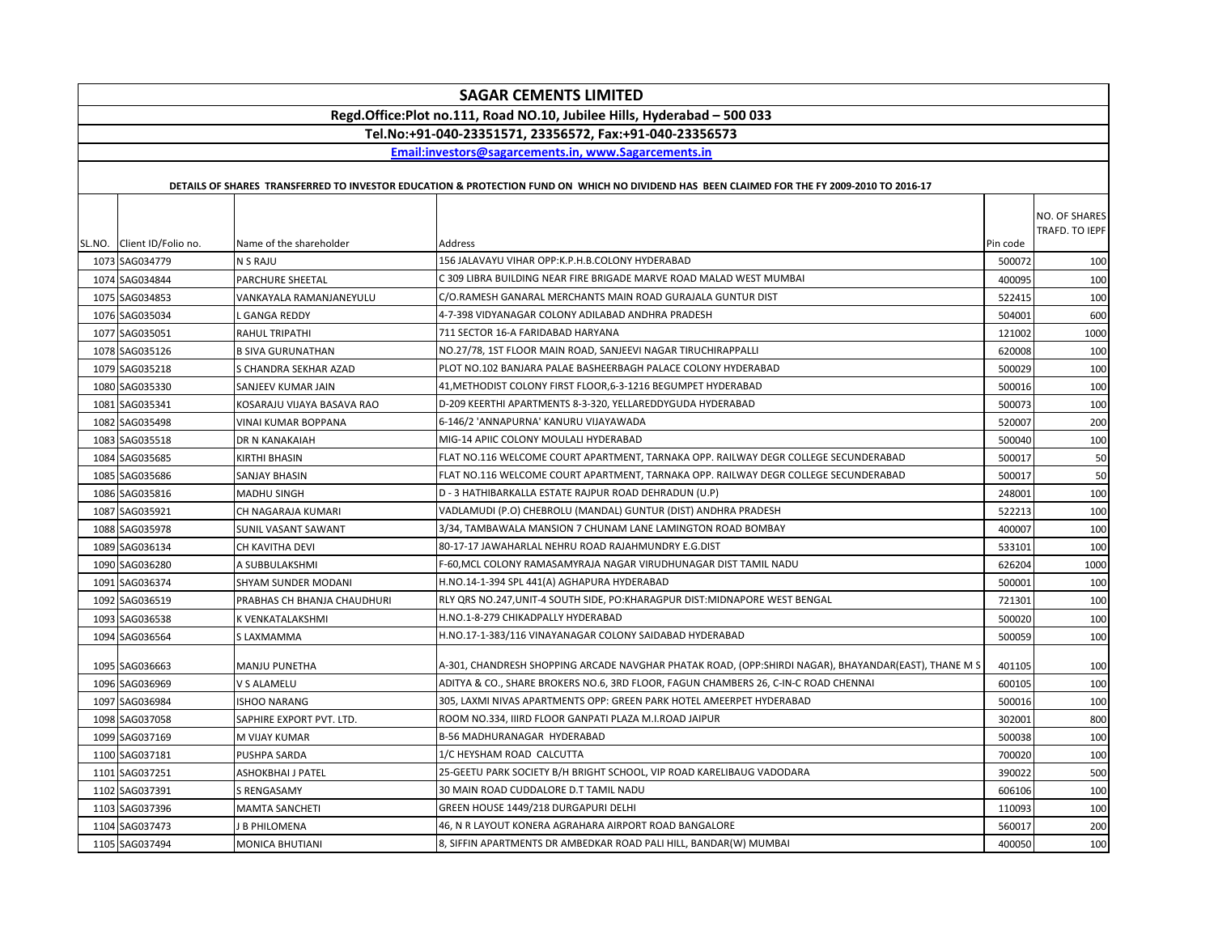|      | <b>SAGAR CEMENTS LIMITED</b>                                            |                             |                                                                                                                                             |          |                |  |  |  |
|------|-------------------------------------------------------------------------|-----------------------------|---------------------------------------------------------------------------------------------------------------------------------------------|----------|----------------|--|--|--|
|      | Regd.Office:Plot no.111, Road NO.10, Jubilee Hills, Hyderabad - 500 033 |                             |                                                                                                                                             |          |                |  |  |  |
|      | Tel.No:+91-040-23351571, 23356572, Fax:+91-040-23356573                 |                             |                                                                                                                                             |          |                |  |  |  |
|      |                                                                         |                             | Email:investors@sagarcements.in, www.Sagarcements.in                                                                                        |          |                |  |  |  |
|      |                                                                         |                             | DETAILS OF SHARES TRANSFERRED TO INVESTOR EDUCATION & PROTECTION FUND ON WHICH NO DIVIDEND HAS BEEN CLAIMED FOR THE FY 2009-2010 TO 2016-17 |          |                |  |  |  |
|      |                                                                         |                             |                                                                                                                                             |          |                |  |  |  |
|      |                                                                         |                             |                                                                                                                                             |          | NO. OF SHARES  |  |  |  |
|      | SL.NO. Client ID/Folio no.                                              | Name of the shareholder     | Address                                                                                                                                     | Pin code | TRAFD. TO IEPF |  |  |  |
|      | 1073 SAG034779                                                          | <b>N S RAJU</b>             | 156 JALAVAYU VIHAR OPP:K.P.H.B.COLONY HYDERABAD                                                                                             | 500072   | 100            |  |  |  |
|      | 1074 SAG034844                                                          | PARCHURE SHEETAL            | C 309 LIBRA BUILDING NEAR FIRE BRIGADE MARVE ROAD MALAD WEST MUMBAI                                                                         | 400095   | 100            |  |  |  |
|      | 1075 SAG034853                                                          | VANKAYALA RAMANJANEYULU     | C/O.RAMESH GANARAL MERCHANTS MAIN ROAD GURAJALA GUNTUR DIST                                                                                 | 522415   | 100            |  |  |  |
|      | 1076 SAG035034                                                          | <b>GANGA REDDY</b>          | 4-7-398 VIDYANAGAR COLONY ADILABAD ANDHRA PRADESH                                                                                           | 504001   | 600            |  |  |  |
|      | 1077 SAG035051                                                          | <b>RAHUL TRIPATHI</b>       | 711 SECTOR 16-A FARIDABAD HARYANA                                                                                                           | 121002   | 1000           |  |  |  |
|      | 1078 SAG035126                                                          | <b>B SIVA GURUNATHAN</b>    | NO.27/78, 1ST FLOOR MAIN ROAD, SANJEEVI NAGAR TIRUCHIRAPPALLI                                                                               | 620008   | 100            |  |  |  |
|      | 1079 SAG035218                                                          | S CHANDRA SEKHAR AZAD       | PLOT NO.102 BANJARA PALAE BASHEERBAGH PALACE COLONY HYDERABAD                                                                               | 500029   | 100            |  |  |  |
|      | 1080 SAG035330                                                          | SANJEEV KUMAR JAIN          | 41, METHODIST COLONY FIRST FLOOR, 6-3-1216 BEGUMPET HYDERABAD                                                                               | 500016   | 100            |  |  |  |
|      | 1081 SAG035341                                                          | KOSARAJU VIJAYA BASAVA RAO  | D-209 KEERTHI APARTMENTS 8-3-320, YELLAREDDYGUDA HYDERABAD                                                                                  | 500073   | 100            |  |  |  |
|      | 1082 SAG035498                                                          | <b>VINAI KUMAR BOPPANA</b>  | 6-146/2 'ANNAPURNA' KANURU VIJAYAWADA                                                                                                       | 520007   | 200            |  |  |  |
|      | 1083 SAG035518                                                          | DR N KANAKAIAH              | MIG-14 APIIC COLONY MOULALI HYDERABAD                                                                                                       | 500040   | 100            |  |  |  |
|      | 1084 SAG035685                                                          | <b>KIRTHI BHASIN</b>        | FLAT NO.116 WELCOME COURT APARTMENT, TARNAKA OPP. RAILWAY DEGR COLLEGE SECUNDERABAD                                                         | 500017   | 50             |  |  |  |
|      | 1085 SAG035686                                                          | SANJAY BHASIN               | FLAT NO.116 WELCOME COURT APARTMENT, TARNAKA OPP. RAILWAY DEGR COLLEGE SECUNDERABAD                                                         | 500017   | 50             |  |  |  |
|      | 1086 SAG035816                                                          | <b>MADHU SINGH</b>          | D - 3 HATHIBARKALLA ESTATE RAJPUR ROAD DEHRADUN (U.P)                                                                                       | 248001   | 100            |  |  |  |
|      | 1087 SAG035921                                                          | CH NAGARAJA KUMARI          | VADLAMUDI (P.O) CHEBROLU (MANDAL) GUNTUR (DIST) ANDHRA PRADESH                                                                              | 522213   | 100            |  |  |  |
|      | 1088 SAG035978                                                          | SUNIL VASANT SAWANT         | 3/34, TAMBAWALA MANSION 7 CHUNAM LANE LAMINGTON ROAD BOMBAY                                                                                 | 400007   | 100            |  |  |  |
|      | 1089 SAG036134                                                          | CH KAVITHA DEVI             | 80-17-17 JAWAHARLAL NEHRU ROAD RAJAHMUNDRY E.G.DIST                                                                                         | 533101   | 100            |  |  |  |
|      | 1090 SAG036280                                                          | A SUBBULAKSHMI              | F-60, MCL COLONY RAMASAMYRAJA NAGAR VIRUDHUNAGAR DIST TAMIL NADU                                                                            | 626204   | 1000           |  |  |  |
|      | 1091 SAG036374                                                          | SHYAM SUNDER MODANI         | H.NO.14-1-394 SPL 441(A) AGHAPURA HYDERABAD                                                                                                 | 500001   | 100            |  |  |  |
| 1092 | SAG036519                                                               | PRABHAS CH BHANJA CHAUDHURI | RLY QRS NO.247, UNIT-4 SOUTH SIDE, PO: KHARAGPUR DIST: MIDNAPORE WEST BENGAL                                                                | 721301   | 100            |  |  |  |
|      | 1093 SAG036538                                                          | K VENKATALAKSHMI            | H.NO.1-8-279 CHIKADPALLY HYDERABAD                                                                                                          | 500020   | 100            |  |  |  |
|      | 1094 SAG036564                                                          | S LAXMAMMA                  | H.NO.17-1-383/116 VINAYANAGAR COLONY SAIDABAD HYDERABAD                                                                                     | 500059   | 100            |  |  |  |
|      |                                                                         |                             |                                                                                                                                             |          |                |  |  |  |
|      | 1095 SAG036663                                                          | <b>MANJU PUNETHA</b>        | A-301, CHANDRESH SHOPPING ARCADE NAVGHAR PHATAK ROAD, (OPP:SHIRDI NAGAR), BHAYANDAR(EAST), THANE M S                                        | 401105   | 100            |  |  |  |
|      | 1096 SAG036969                                                          | V S ALAMELU                 | ADITYA & CO., SHARE BROKERS NO.6, 3RD FLOOR, FAGUN CHAMBERS 26, C-IN-C ROAD CHENNAI                                                         | 600105   | 100            |  |  |  |
|      | 1097 SAG036984                                                          | <b>ISHOO NARANG</b>         | 305, LAXMI NIVAS APARTMENTS OPP: GREEN PARK HOTEL AMEERPET HYDERABAD                                                                        | 500016   | 100            |  |  |  |
|      | 1098 SAG037058                                                          | SAPHIRE EXPORT PVT. LTD.    | ROOM NO.334, IIIRD FLOOR GANPATI PLAZA M.I.ROAD JAIPUR                                                                                      | 302001   | 800            |  |  |  |
|      | 1099 SAG037169                                                          | M VIJAY KUMAR               | <b>B-56 MADHURANAGAR HYDERABAD</b>                                                                                                          | 500038   | 100            |  |  |  |
|      | 1100 SAG037181                                                          | PUSHPA SARDA                | 1/C HEYSHAM ROAD CALCUTTA                                                                                                                   | 700020   | 100            |  |  |  |
|      | 1101 SAG037251                                                          | ASHOKBHAI J PATEL           | 25-GEETU PARK SOCIETY B/H BRIGHT SCHOOL, VIP ROAD KARELIBAUG VADODARA                                                                       | 390022   | 500            |  |  |  |
|      | 1102 SAG037391                                                          | <b>S RENGASAMY</b>          | 30 MAIN ROAD CUDDALORE D.T TAMIL NADU                                                                                                       | 606106   | 100            |  |  |  |
|      | 1103 SAG037396                                                          | <b>MAMTA SANCHETI</b>       | GREEN HOUSE 1449/218 DURGAPURI DELHI                                                                                                        | 110093   | 100            |  |  |  |
|      | 1104 SAG037473                                                          | <b>B PHILOMENA</b>          | 46, N R LAYOUT KONERA AGRAHARA AIRPORT ROAD BANGALORE                                                                                       | 560017   | 200            |  |  |  |
|      | 1105 SAG037494                                                          | <b>MONICA BHUTIANI</b>      | 8, SIFFIN APARTMENTS DR AMBEDKAR ROAD PALI HILL, BANDAR(W) MUMBAI                                                                           | 400050   | 100            |  |  |  |